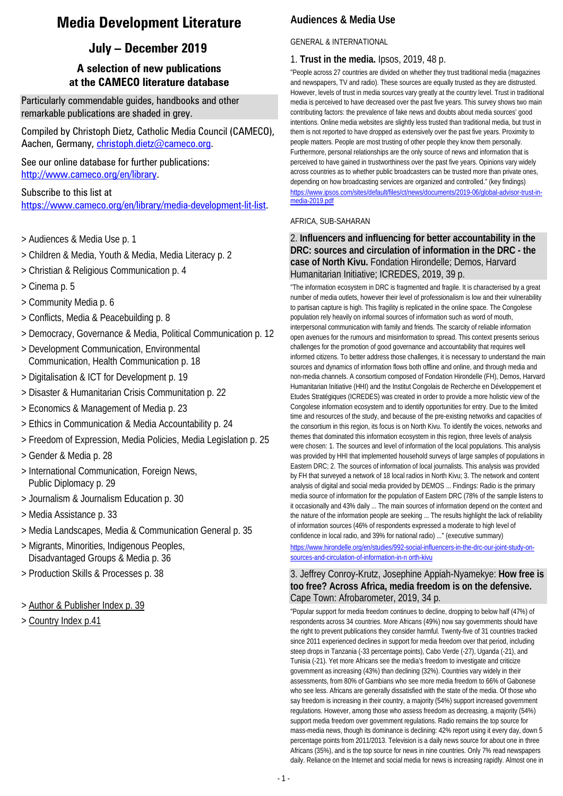## **Media Development Literature**

## **July – December 2019**

## **A selection of new publications at the CAMECO literature database**

Particularly commendable guides, handbooks and other remarkable publications are shaded in grey.

Compiled by Christoph Dietz, Catholic Media Council (CAMECO), Aachen, Germany, [christoph.dietz@cameco.org.](file://10.2.1.4/AltesSYS/FAUSTDOK/christoph.dietz@cameco.org)

See our online database for further publications: [http://www.cameco.org/en/library.](http://www.cameco.org/en/library)

Subscribe to this list at [https://www.cameco.org/en/library/media-development-lit-list.](https://www.cameco.org/en/library/media-development-lit-list) 

- > Audiences & Media Use p. 1
- > Children & Media, Youth & Media, Media Literacy p. 2
- > Christian & Religious Communication p. 4
- > Cinema p. 5
- > Community Media p. 6
- > Conflicts, Media & Peacebuilding p. 8
- > Democracy, Governance & Media, Political Communication p. 12
- > Development Communication, Environmental Communication, Health Communication p. 18
- > Digitalisation & ICT for Development p. 19
- > Disaster & Humanitarian Crisis Communitation p. 22
- > Economics & Management of Media p. 23
- > Ethics in Communication & Media Accountability p. 24
- > Freedom of Expression, Media Policies, Media Legislation p. 25
- > Gender & Media p. 28
- > International Communication, Foreign News, Public Diplomacy p. 29
- > Journalism & Journalism Education p. 30
- > Media Assistance p. 33
- > Media Landscapes, Media & Communication General p. 35
- > Migrants, Minorities, Indigenous Peoples, Disadvantaged Groups & Media p. 36
- > Production Skills & Processes p. 38
- > Author & Publisher Index p. 39
- > Country Index p.41

## **Audiences & Media Use**

### GENERAL & INTERNATIONAL

### 1. **Trust in the media.** Ipsos, 2019, 48 p.

"People across 27 countries are divided on whether they trust traditional media (magazines and newspapers, TV and radio). These sources are equally trusted as they are distrusted. However, levels of trust in media sources vary greatly at the country level. Trust in traditional media is perceived to have decreased over the past five years. This survey shows two main contributing factors: the prevalence of fake news and doubts about media sources' good intentions. Online media websites are slightly less trusted than traditional media, but trust in them is not reported to have dropped as extensively over the past five years. Proximity to people matters. People are most trusting of other people they know them personally. Furthermore, personal relationships are the only source of news and information that is perceived to have gained in trustworthiness over the past five years. Opinions vary widely across countries as to whether public broadcasters can be trusted more than private ones, depending on how broadcasting services are organized and controlled." (key findings) [https://www.ipsos.com/sites/default/files/ct/news/documents/2019-06/global-advisor-trust-in](https://www.ipsos.com/sites/default/files/ct/news/documents/2019-06/global-advisor-trust-in-media-2019.pdf)[media-2019.pdf](https://www.ipsos.com/sites/default/files/ct/news/documents/2019-06/global-advisor-trust-in-media-2019.pdf)

### AFRICA, SUB-SAHARAN

## 2. **Influencers and influencing for better accountability in the DRC: sources and circulation of information in the DRC - the case of North Kivu.** Fondation Hirondelle; Demos, Harvard Humanitarian Initiative; ICREDES, 2019, 39 p.

"The information ecosystem in DRC is fragmented and fragile. It is characterised by a great number of media outlets, however their level of professionalism is low and their vulnerability to partisan capture is high. This fragility is replicated in the online space. The Congolese population rely heavily on informal sources of information such as word of mouth, interpersonal communication with family and friends. The scarcity of reliable information open avenues for the rumours and misinformation to spread. This context presents serious challenges for the promotion of good governance and accountability that requires well informed citizens. To better address those challenges, it is necessary to understand the main sources and dynamics of information flows both offline and online, and through media and non-media channels. A consortium composed of Fondation Hirondelle (FH), Demos, Harvard Humanitarian Initiative (HHI) and the Institut Congolais de Recherche en Développement et Etudes Stratégiques (ICREDES) was created in order to provide a more holistic view of the Congolese information ecosystem and to identify opportunities for entry. Due to the limited time and resources of the study, and because of the pre-existing networks and capacities of the consortium in this region, its focus is on North Kivu. To identify the voices, networks and themes that dominated this information ecosystem in this region, three levels of analysis were chosen: 1. The sources and level of information of the local populations. This analysis was provided by HHI that implemented household surveys of large samples of populations in Eastern DRC; 2. The sources of information of local journalists. This analysis was provided by FH that surveyed a network of 18 local radios in North Kivu; 3. The network and content analysis of digital and social media provided by DEMOS ... Findings: Radio is the primary media source of information for the population of Eastern DRC (78% of the sample listens to it occasionally and 43% daily ... The main sources of information depend on the context and the nature of the information people are seeking ... The results highlight the lack of reliability of information sources (46% of respondents expressed a moderate to high level of confidence in local radio, and 39% for national radio) ..." (executive summary)

[https://www.hirondelle.org/en/studies/992-social-influencers-in-the-drc-our-joint-study-on](https://www.hirondelle.org/en/studies/992-social-influencers-in-the-drc-our-joint-study-on-sources-and-circulation-of-information-in-n%20orth-kivu)[sources-and-circulation-of-information-in-n orth-kivu](https://www.hirondelle.org/en/studies/992-social-influencers-in-the-drc-our-joint-study-on-sources-and-circulation-of-information-in-n%20orth-kivu)

## 3. Jeffrey Conroy-Krutz, Josephine Appiah-Nyamekye: **How free is too free? Across Africa, media freedom is on the defensive.**  Cape Town: Afrobarometer, 2019, 34 p.

"Popular support for media freedom continues to decline, dropping to below half (47%) of respondents across 34 countries. More Africans (49%) now say governments should have the right to prevent publications they consider harmful. Twenty-five of 31 countries tracked since 2011 experienced declines in support for media freedom over that period, including steep drops in Tanzania (-33 percentage points), Cabo Verde (-27), Uganda (-21), and Tunisia (-21). Yet more Africans see the media's freedom to investigate and criticize government as increasing (43%) than declining (32%). Countries vary widely in their assessments, from 80% of Gambians who see more media freedom to 66% of Gabonese who see less. Africans are generally dissatisfied with the state of the media. Of those who say freedom is increasing in their country, a majority (54%) support increased government regulations. However, among those who assess freedom as decreasing, a majority (54%) support media freedom over government regulations. Radio remains the top source for mass-media news, though its dominance is declining: 42% report using it every day, down 5 percentage points from 2011/2013. Television is a daily news source for about one in three Africans (35%), and is the top source for news in nine countries. Only 7% read newspapers daily. Reliance on the Internet and social media for news is increasing rapidly. Almost one in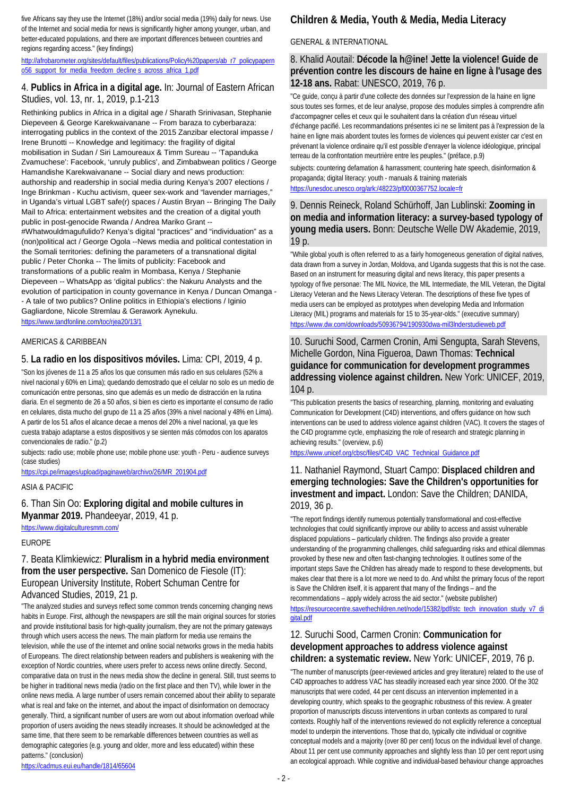five Africans say they use the Internet (18%) and/or social media (19%) daily for news. Use of the Internet and social media for news is significantly higher among younger, urban, and better-educated populations, and there are important differences between countries and regions regarding access." (key findings)

[http://afrobarometer.org/sites/default/files/publications/Policy%20papers/ab\\_r7\\_policypapern](http://afrobarometer.org/sites/default/files/publications/Policy%20papers/ab_r7_policypaperno56_support_for_media_freedom_decline%20s_across_africa_1.pdf) [o56\\_support\\_for\\_media\\_freedom\\_decline s\\_across\\_africa\\_1.pdf](http://afrobarometer.org/sites/default/files/publications/Policy%20papers/ab_r7_policypaperno56_support_for_media_freedom_decline%20s_across_africa_1.pdf)

## 4. **Publics in Africa in a digital age.** In: Journal of Eastern African Studies, vol. 13, nr. 1, 2019, p.1-213

Rethinking publics in Africa in a digital age / Sharath Srinivasan, Stephanie Diepeveen & George Karekwaivanane -- From baraza to cyberbaraza: interrogating publics in the context of the 2015 Zanzibar electoral impasse / Irene Brunotti -- Knowledge and legitimacy: the fragility of digital mobilisation in Sudan / Siri Lamoureaux & Timm Sureau -- 'Tapanduka Zvamuchese': Facebook, 'unruly publics', and Zimbabwean politics / George Hamandishe Karekwaivanane -- Social diary and news production: authorship and readership in social media during Kenya's 2007 elections / Inge Brinkman - Kuchu activism, queer sex-work and "lavender marriages," in Uganda's virtual LGBT safe(r) spaces / Austin Bryan -- Bringing The Daily Mail to Africa: entertainment websites and the creation of a digital youth public in post-genocide Rwanda / Andrea Mariko Grant -- #Whatwouldmagufulido? Kenya's digital "practices" and "individuation" as a (non)political act / George Ogola --News media and political contestation in the Somali territories: defining the parameters of a transnational digital public / Peter Chonka -- The limits of publicity: Facebook and transformations of a public realm in Mombasa, Kenya / Stephanie Diepeveen -- WhatsApp as 'digital publics': the Nakuru Analysts and the evolution of participation in county governance in Kenya / Duncan Omanga - - A tale of two publics? Online politics in Ethiopia's elections / Iginio Gagliardone, Nicole Stremlau & Gerawork Aynekulu.

<https://www.tandfonline.com/toc/rjea20/13/1>

### AMERICAS & CARIBBEAN

### 5. **La radio en los dispositivos móviles.** Lima: CPI, 2019, 4 p.

"Son los jóvenes de 11 a 25 años los que consumen más radio en sus celulares (52% a nivel nacional y 60% en Lima); quedando demostrado que el celular no solo es un medio de comunicación entre personas, sino que además es un medio de distracción en la rutina diaria. En el segmento de 26 a 50 años, si bien es cierto es importante el consumo de radio en celulares, dista mucho del grupo de 11 a 25 años (39% a nivel nacional y 48% en Lima). A partir de los 51 años el alcance decae a menos del 20% a nivel nacional, ya que les cuesta trabajo adaptarse a estos dispositivos y se sienten más cómodos con los aparatos convencionales de radio." (p.2)

subjects: radio use; mobile phone use; mobile phone use: youth - Peru - audience surveys (case studies)

[https://cpi.pe/images/upload/paginaweb/archivo/26/MR\\_201904.pdf](https://cpi.pe/images/upload/paginaweb/archivo/26/MR_201904.pdf)

### ASIA & PACIFIC

6. Than Sin Oo: **Exploring digital and mobile cultures in Myanmar 2019.** Phandeeyar, 2019, 41 p.

<https://www.digitalculturesmm.com/>

### EUROPE

7. Beata Klimkiewicz: **Pluralism in a hybrid media environment from the user perspective.** San Domenico de Fiesole (IT): European University Institute, Robert Schuman Centre for Advanced Studies, 2019, 21 p.

"The analyzed studies and surveys reflect some common trends concerning changing news habits in Europe. First, although the newspapers are still the main original sources for stories and provide institutional basis for high-quality journalism, they are not the primary gateways through which users access the news. The main platform for media use remains the television, while the use of the internet and online social networks grows in the media habits of Europeans. The direct relationship between readers and publishers is weakening with the exception of Nordic countries, where users prefer to access news online directly. Second, comparative data on trust in the news media show the decline in general. Still, trust seems to be higher in traditional news media (radio on the first place and then TV), while lower in the online news media. A large number of users remain concerned about their ability to separate what is real and fake on the internet, and about the impact of disinformation on democracy generally. Third, a significant number of users are worn out about information overload while proportion of users avoiding the news steadily increases. It should be acknowledged at the same time, that there seem to be remarkable differences between countries as well as demographic categories (e.g. young and older, more and less educated) within these patterns." (conclusion)

<https://cadmus.eui.eu/handle/1814/65604>

## **Children & Media, Youth & Media, Media Literacy**

### GENERAL & INTERNATIONAL

### 8. Khalid Aoutail: **Décode la h@ine! Jette la violence! Guide de prévention contre les discours de haine en ligne à l'usage des 12-18 ans.** Rabat: UNESCO, 2019, 76 p.

"Ce guide, conçu à partir d'une collecte des données sur l'expression de la haine en ligne sous toutes ses formes, et de leur analyse, propose des modules simples à comprendre afin d'accompagner celles et ceux qui le souhaitent dans la création d'un réseau virtuel d'échange pacifié. Les recommandations présentes ici ne se limitent pas à l'expression de la haine en ligne mais abordent toutes les formes de violences qui peuvent exister car c'est en prévenant la violence ordinaire qu'il est possible d'enrayer la violence idéologique, principal terreau de la confrontation meurtrière entre les peuples." (préface, p.9)

subjects: countering defamation & harrassment; countering hate speech, disinformation & propaganda; digital literacy: youth - manuals & training materials <https://unesdoc.unesco.org/ark:/48223/pf0000367752.locale=fr>

### 9. Dennis Reineck, Roland Schürhoff, Jan Lublinski: **Zooming in on media and information literacy: a survey-based typology of young media users.** Bonn: Deutsche Welle DW Akademie, 2019, 19 p.

"While global youth is often referred to as a fairly homogeneous generation of digital natives, data drawn from a survey in Jordan, Moldova, and Uganda suggests that this is not the case. Based on an instrument for measuring digital and news literacy, this paper presents a typology of five personae: The MIL Novice, the MIL Intermediate, the MIL Veteran, the Digital Literacy Veteran and the News Literacy Veteran. The descriptions of these five types of media users can be employed as prototypes when developing Media and Information Literacy (MIL) programs and materials for 15 to 35-year-olds." (executive summary) <https://www.dw.com/downloads/50936794/190930dwa-mil3lnderstudieweb.pdf>

### 10. Suruchi Sood, Carmen Cronin, Ami Sengupta, Sarah Stevens, Michelle Gordon, Nina Figueroa, Dawn Thomas: **Technical guidance for communication for development programmes addressing violence against children.** New York: UNICEF, 2019, 104 p.

"This publication presents the basics of researching, planning, monitoring and evaluating Communication for Development (C4D) interventions, and offers guidance on how such interventions can be used to address violence against children (VAC). It covers the stages of the C4D programme cycle, emphasizing the role of research and strategic planning in achieving results." (overview, p.6)

[https://www.unicef.org/cbsc/files/C4D\\_VAC\\_Technical\\_Guidance.pdf](https://www.unicef.org/cbsc/files/C4D_VAC_Technical_Guidance.pdf)

### 11. Nathaniel Raymond, Stuart Campo: **Displaced children and emerging technologies: Save the Children's opportunities for investment and impact.** London: Save the Children; DANIDA, 2019, 36 p.

"The report findings identify numerous potentially transformational and cost-effective technologies that could significantly improve our ability to access and assist vulnerable displaced populations – particularly children. The findings also provide a greater understanding of the programming challenges, child safeguarding risks and ethical dilemmas provoked by these new and often fast-changing technologies. It outlines some of the important steps Save the Children has already made to respond to these developments, but makes clear that there is a lot more we need to do. And whilst the primary focus of the report is Save the Children itself, it is apparent that many of the findings – and the recommendations – apply widely across the aid sector." (website publisher) [https://resourcecentre.savethechildren.net/node/15382/pdf/stc\\_tech\\_innovation\\_study\\_v7\\_di](https://resourcecentre.savethechildren.net/node/15382/pdf/stc_tech_innovation_study_v7_digital.pdf) [gital.pdf](https://resourcecentre.savethechildren.net/node/15382/pdf/stc_tech_innovation_study_v7_digital.pdf)

### 12. Suruchi Sood, Carmen Cronin: **Communication for development approaches to address violence against children: a systematic review.** New York: UNICEF, 2019, 76 p.

"The number of manuscripts (peer-reviewed articles and grey literature) related to the use of C4D approaches to address VAC has steadily increased each year since 2000. Of the 302 manuscripts that were coded, 44 per cent discuss an intervention implemented in a developing country, which speaks to the geographic robustness of this review. A greater proportion of manuscripts discuss interventions in urban contexts as compared to rural contexts. Roughly half of the interventions reviewed do not explicitly reference a conceptual model to underpin the interventions. Those that do, typically cite individual or cognitive conceptual models and a majority (over 80 per cent) focus on the individual level of change. About 11 per cent use community approaches and slightly less than 10 per cent report using an ecological approach. While cognitive and individual-based behaviour change approaches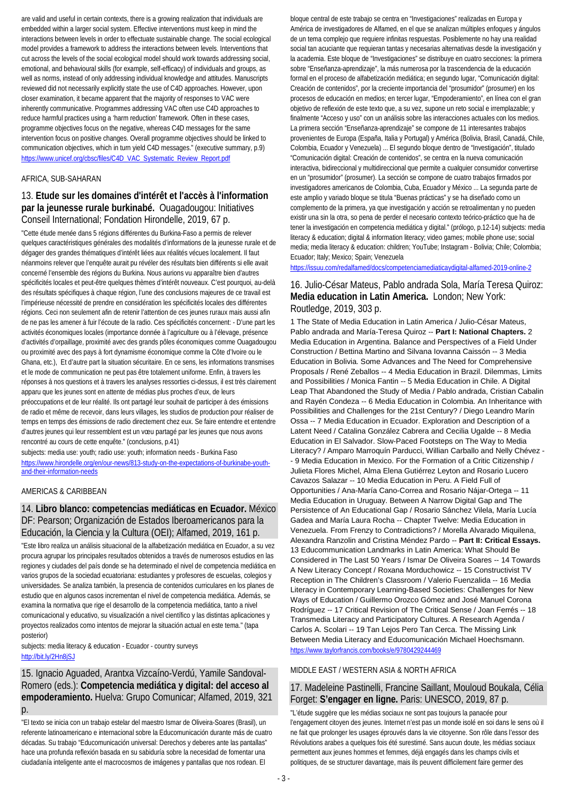are valid and useful in certain contexts, there is a growing realization that individuals are embedded within a larger social system. Effective interventions must keep in mind the interactions between levels in order to effectuate sustainable change. The social ecological model provides a framework to address the interactions between levels. Interventions that cut across the levels of the social ecological model should work towards addressing social, emotional, and behavioural skills (for example, self-efficacy) of individuals and groups, as well as norms, instead of only addressing individual knowledge and attitudes. Manuscripts reviewed did not necessarily explicitly state the use of C4D approaches. However, upon closer examination, it became apparent that the majority of responses to VAC were inherently communicative. Programmes addressing VAC often use C4D approaches to reduce harmful practices using a 'harm reduction' framework. Often in these cases, programme objectives focus on the negative, whereas C4D messages for the same intervention focus on positive changes. Overall programme objectives should be linked to communication objectives, which in turn yield C4D messages." (executive summary, p.9) [https://www.unicef.org/cbsc/files/C4D\\_VAC\\_Systematic\\_Review\\_Report.pdf](https://www.unicef.org/cbsc/files/C4D_VAC_Systematic_Review_Report.pdf)

### AFRICA, SUB-SAHARAN

### 13. **Etude sur les domaines d'intérêt et l'accès à l'information par la jeunesse rurale burkinabé.** Ouagadougou: Initiatives Conseil International; Fondation Hirondelle, 2019, 67 p.

"Cette étude menée dans 5 régions différentes du Burkina-Faso a permis de relever quelques caractéristiques générales des modalités d'informations de la jeunesse rurale et de dégager des grandes thématiques d'intérêt liées aux réalités vécues localement. Il faut néanmoins relever que l'enquête aurait pu révéler des résultats bien différents si elle avait concerné l'ensemble des régions du Burkina. Nous aurions vu apparaître bien d'autres spécificités locales et peut-être quelques thèmes d'intérêt nouveaux. C'est pourquoi, au-delà des résultats spécifiques à chaque région, l'une des conclusions majeures de ce travail est l'impérieuse nécessité de prendre en considération les spécificités locales des différentes régions. Ceci non seulement afin de retenir l'attention de ces jeunes ruraux mais aussi afin de ne pas les amener à fuir l'écoute de la radio. Ces spécificités concernent: - D'une part les activités économiques locales (importance donnée à l'agriculture ou à l'élevage, présence d'activités d'orpaillage, proximité avec des grands pôles économiques comme Ouagadougou ou proximité avec des pays à fort dynamisme économique comme la Côte d'Ivoire ou le Ghana, etc.), Et d'autre part la situation sécuritaire. En ce sens, les informations transmises et le mode de communication ne peut pas être totalement uniforme. Enfin, à travers les réponses à nos questions et à travers les analyses ressorties ci-dessus, il est très clairement apparu que les jeunes sont en attente de médias plus proches d'eux, de leurs préoccupations et de leur réalité. Ils ont partagé leur souhait de participer à des émissions de radio et même de recevoir, dans leurs villages, les studios de production pour réaliser de temps en temps des émissions de radio directement chez eux. Se faire entendre et entendre d'autres jeunes qui leur ressemblent est un vœu partagé par les jeunes que nous avons rencontré au cours de cette enquête." (conclusions, p.41)

subjects: media use: youth; radio use: youth; information needs - Burkina Faso [https://www.hirondelle.org/en/our-news/813-study-on-the-expectations-of-burkinabe-youth](https://www.hirondelle.org/en/our-news/813-study-on-the-expectations-of-burkinabe-youth-and-their-information-needs)[and-their-information-needs](https://www.hirondelle.org/en/our-news/813-study-on-the-expectations-of-burkinabe-youth-and-their-information-needs)

### AMERICAS & CARIBBEAN

### 14. **Libro blanco: competencias mediáticas en Ecuador.** México DF: Pearson; Organización de Estados Iberoamericanos para la Educación, la Ciencia y la Cultura (OEI); Alfamed, 2019, 161 p.

"Este libro realiza un análisis situacional de la alfabetización mediática en Ecuador, a su vez procura agrupar los principales resultados obtenidos a través de numerosos estudios en las regiones y ciudades del país donde se ha determinado el nivel de competencia mediática en varios grupos de la sociedad ecuatoriana: estudiantes y profesores de escuelas, colegios y universidades. Se analiza también, la presencia de contenidos curriculares en los planes de estudio que en algunos casos incrementan el nivel de competencia mediática. Además, se examina la normativa que rige el desarrollo de la competencia mediática, tanto a nivel comunicacional y educativo, su visualización a nivel científico y las distintas aplicaciones y proyectos realizados como intentos de mejorar la situación actual en este tema." (tapa posterior)

subjects: media literacy & education - Ecuador - country surveys <http://bit.ly/2Hn8jSJ>

15. Ignacio Aguaded, Arantxa Vizcaíno-Verdú, Yamile Sandoval-Romero (eds.): **Competencia mediática y digital: del acceso al empoderamiento.** Huelva: Grupo Comunicar; Alfamed, 2019, 321 p.

"El texto se inicia con un trabajo estelar del maestro Ismar de Oliveira-Soares (Brasil), un referente latinoamericano e internacional sobre la Educomunicación durante más de cuatro décadas. Su trabajo "Educomunicación universal: Derechos y deberes ante las pantallas" hace una profunda reflexión basada en su sabiduría sobre la necesidad de fomentar una ciudadanía inteligente ante el macrocosmos de imágenes y pantallas que nos rodean. El

bloque central de este trabajo se centra en "Investigaciones" realizadas en Europa y América de investigadores de Alfamed, en el que se analizan múltiples enfoques y ángulos de un tema complejo que requiere infinitas respuestas. Posiblemente no hay una realidad social tan acuciante que requieran tantas y necesarias alternativas desde la investigación y la academia. Este bloque de "Investigaciones" se distribuye en cuatro secciones: la primera sobre "Enseñanza-aprendizaje", la más numerosa por la trascendencia de la educación formal en el proceso de alfabetización mediática; en segundo lugar, "Comunicación digital: Creación de contenidos", por la creciente importancia del "prosumidor" (prosumer) en los procesos de educación en medios; en tercer lugar, "Empoderamiento", en línea con el gran objetivo de reflexión de este texto que, a su vez, supone un reto social e irremplazable; y finalmente "Acceso y uso" con un análisis sobre las interacciones actuales con los medios. La primera sección "Enseñanza-aprendizaje" se compone de 11 interesantes trabajos provenientes de Europa (España, Italia y Portugal) y América (Bolivia, Brasil, Canadá, Chile, Colombia, Ecuador y Venezuela) ... El segundo bloque dentro de "Investigación", titulado "Comunicación digital: Creación de contenidos", se centra en la nueva comunicación interactiva, bidireccional y multidireccional que permite a cualquier consumidor convertirse en un "prosumidor" (prosumer). La sección se compone de cuatro trabajos firmados por investigadores americanos de Colombia, Cuba, Ecuador y México ... La segunda parte de este amplio y variado bloque se titula "Buenas prácticas" y se ha diseñado como un complemento de la primera, ya que investigación y acción se retroalimentan y no pueden existir una sin la otra, so pena de perder el necesario contexto teórico-práctico que ha de tener la investigación en competencia mediática y digital." (prólogo, p.12-14) subjects: media literacy & education; digital & information literacy; video games; mobile phone use; social media; media literacy & education: children; YouTube; Instagram - Bolivia; Chile; Colombia; Ecuador; Italy; Mexico; Spain; Venezuela

<https://issuu.com/redalfamed/docs/competenciamediaticaydigital-alfamed-2019-online-2>

### 16. Julio-César Mateus, Pablo andrada Sola, María Teresa Quiroz: **Media education in Latin America.** London; New York: Routledge, 2019, 303 p.

1 The State of Media Education in Latin America / Julio-César Mateus, Pablo andrada and María-Teresa Quiroz -- **Part I: National Chapters.** 2 Media Education in Argentina. Balance and Perspectives of a Field Under Construction / Bettina Martino and Silvana Iovanna Caissón -- 3 Media Education in Bolivia. Some Advances and The Need for Comprehensive Proposals / René Zeballos -- 4 Media Education in Brazil. Dilemmas, Limits and Possibilities / Monica Fantin -- 5 Media Education in Chile. A Digital Leap That Abandoned the Study of Media / Pablo andrada, Cristian Cabalin and Rayén Condeza -- 6 Media Education in Colombia. An Inheritance with Possibilities and Challenges for the 21st Century? / Diego Leandro Marín Ossa -- 7 Media Education in Ecuador. Exploration and Description of a Latent Need / Catalina González Cabrera and Cecilia Ugalde -- 8 Media Education in El Salvador. Slow-Paced Footsteps on The Way to Media Literacy? / Amparo Marroquín Parducci, Willian Carballo and Nelly Chévez - - 9 Media Education in Mexico. For the Formation of a Critic Citizenship / Julieta Flores Michel, Alma Elena Gutiérrez Leyton and Rosario Lucero Cavazos Salazar -- 10 Media Education in Peru. A Field Full of Opportunities / Ana-María Cano-Correa and Rosario Nájar-Ortega -- 11 Media Education in Uruguay. Between A Narrow Digital Gap and The Persistence of An Educational Gap / Rosario Sánchez Vilela, María Lucía Gadea and María Laura Rocha -- Chapter Twelve: Media Education in Venezuela. From Frenzy to Contradictions? / Morella Alvarado Miquilena, Alexandra Ranzolin and Cristina Méndez Pardo -- **Part II: Critical Essays.** 13 Educommunication Landmarks in Latin America: What Should Be Considered in The Last 50 Years / Ismar De Oliveira Soares -- 14 Towards A New Literacy Concept / Roxana Morduchowicz -- 15 Constructivist TV Reception in The Children's Classroom / Valerio Fuenzalida -- 16 Media Literacy in Contemporary Learning-Based Societies: Challenges for New Ways of Education / Guillermo Orozco Gómez and José Manuel Corona Rodríguez -- 17 Critical Revision of The Critical Sense / Joan Ferrés -- 18 Transmedia Literacy and Participatory Cultures. A Research Agenda / Carlos A. Scolari -- 19 Tan Lejos Pero Tan Cerca. The Missing Link Between Media Literacy and Educomunicación Michael Hoechsmann. <https://www.taylorfrancis.com/books/e/9780429244469>

### MIDDLE EAST / WESTERN ASIA & NORTH AFRICA

### 17. Madeleine Pastinelli, Francine Saillant, Mouloud Boukala, Célia Forget: **S'engager en ligne.** Paris: UNESCO, 2019, 87 p.

"L'étude suggère que les médias sociaux ne sont pas toujours la panacée pour l'engagement citoyen des jeunes. Internet n'est pas un monde isolé en soi dans le sens où il ne fait que prolonger les usages éprouvés dans la vie citoyenne. Son rôle dans l'essor des Révolutions arabes a quelques fois été surestimé. Sans aucun doute, les médias sociaux permettent aux jeunes hommes et femmes, déjà engagés dans les champs civils et politiques, de se structurer davantage, mais ils peuvent difficilement faire germer des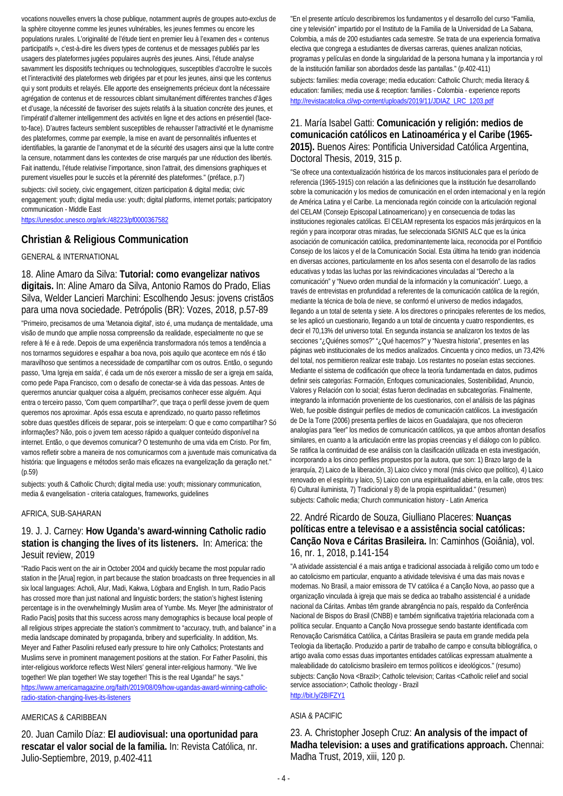vocations nouvelles envers la chose publique, notamment auprès de groupes auto-exclus de la sphère citoyenne comme les jeunes vulnérables, les jeunes femmes ou encore les populations rurales. L'originalité de l'étude tient en premier lieu à l'examen des « contenus participatifs », c'est-à-dire les divers types de contenus et de messages publiés par les usagers des plateformes jugées populaires auprès des jeunes. Ainsi, l'étude analyse savamment les dispositifs techniques ou technologiques, susceptibles d'accroître le succès et l'interactivité des plateformes web dirigées par et pour les jeunes, ainsi que les contenus qui y sont produits et relayés. Elle apporte des enseignements précieux dont la nécessaire agrégation de contenus et de ressources ciblant simultanément différentes tranches d'âges et d'usage, la nécessité de favoriser des sujets relatifs à la situation concrète des jeunes, et l'impératif d'alterner intelligemment des activités en ligne et des actions en présentiel (faceto-face). D'autres facteurs semblent susceptibles de rehausser l'attractivité et le dynamisme des plateformes, comme par exemple, la mise en avant de personnalités influentes et identifiables, la garantie de l'anonymat et de la sécurité des usagers ainsi que la lutte contre la censure, notamment dans les contextes de crise marqués par une réduction des libertés. Fait inattendu, l'étude relativise l'importance, sinon l'attrait, des dimensions graphiques et purement visuelles pour le succès et la pérennité des plateformes." (préface, p.7) subjects: civil society, civic engagement, citizen participation & digital media; civic engagement: youth; digital media use: youth; digital platforms, internet portals; participatory communication - Middle East

<https://unesdoc.unesco.org/ark:/48223/pf0000367582>

### **Christian & Religious Communication**

### GENERAL & INTERNATIONAL

18. Aline Amaro da Silva: **Tutorial: como evangelizar nativos digitais.** In: Aline Amaro da Silva, Antonio Ramos do Prado, Elias Silva, Welder Lancieri Marchini: Escolhendo Jesus: jovens cristãos para uma nova sociedade. Petrópolis (BR): Vozes, 2018, p.57-89

"Primeiro, precisamos de uma 'Metanoia digital', isto é, uma mudança de mentalidade, uma visão de mundo que amplie nossa compreensão da realidade, especialmente no que se refere à fé e à rede. Depois de uma experiência transformadora nós temos a tendência a nos tornarmos seguidores e espalhar a boa nova, pois aquilo que acontece em nós é tão maravilhoso que sentimos a necessidade de compartilhar com os outros. Então, o segundo passo, 'Uma Igreja em saída', é cada um de nós exercer a missão de ser a igreja em saída, como pede Papa Francisco, com o desafio de conectar-se à vida das pessoas. Antes de querermos anunciar qualquer coisa a alguém, precisamos conhecer esse alguém. Aqui entra o terceiro passo, 'Com quem compartilhar?', que traça o perfil desse jovem de quem queremos nos aproximar. Após essa escuta e aprendizado, no quarto passo refletimos sobre duas questões difíceis de separar, pois se interpelam: O que e como compartilhar? Só informações? Não, pois o jovem tem acesso rápido a qualquer conteúdo disponível na internet. Então, o que devemos comunicar? O testemunho de uma vida em Cristo. Por fim, vamos refletir sobre a maneira de nos comunicarmos com a juventude mais comunicativa da história: que linguagens e métodos serão mais eficazes na evangelização da geração net." (p.59)

subjects: youth & Catholic Church; digital media use: youth; missionary communication, media & evangelisation - criteria catalogues, frameworks, guidelines

#### AFRICA, SUB-SAHARAN

### 19. J. J. Carney: **How Uganda's award-winning Catholic radio station is changing the lives of its listeners.** In: America: the Jesuit review, 2019

"Radio Pacis went on the air in October 2004 and quickly became the most popular radio station in the [Arua] region, in part because the station broadcasts on three frequencies in all six local languages: Acholi, Alur, Madi, Kakwa, Lögbara and English. In turn, Radio Pacis has crossed more than just national and linguistic borders; the station's highest listening percentage is in the overwhelmingly Muslim area of Yumbe. Ms. Meyer [the administrator of Radio Pacis] posits that this success across many demographics is because local people of all religious stripes appreciate the station's commitment to "accuracy, truth, and balance" in a media landscape dominated by propaganda, bribery and superficiality. In addition, Ms. Meyer and Father Pasolini refused early pressure to hire only Catholics; Protestants and Muslims serve in prominent management positions at the station. For Father Pasolini, this inter-religious workforce reflects West Nilers' general inter-religious harmony. "We live together! We plan together! We stay together! This is the real Uganda!" he says." [https://www.americamagazine.org/faith/2019/08/09/how-ugandas-award-winning-catholic](https://www.americamagazine.org/faith/2019/08/09/how-ugandas-award-winning-catholic-radio-station-changing-lives-its-listeners)[radio-station-changing-lives-its-listeners](https://www.americamagazine.org/faith/2019/08/09/how-ugandas-award-winning-catholic-radio-station-changing-lives-its-listeners)

### AMERICAS & CARIBBEAN

20. Juan Camilo Díaz: **El audiovisual: una oportunidad para rescatar el valor social de la familia.** In: Revista Católica, nr. Julio-Septiembre, 2019, p.402-411

"En el presente artículo describiremos los fundamentos y el desarrollo del curso "Familia, cine y televisión" impartido por el Instituto de la Familia de la Universidad de La Sabana, Colombia, a más de 200 estudiantes cada semestre. Se trata de una experiencia formativa electiva que congrega a estudiantes de diversas carreras, quienes analizan noticias, programas y películas en donde la singularidad de la persona humana y la importancia y rol de la institución familiar son abordados desde las pantallas." (p.402-411) subjects: families: media coverage; media education: Catholic Church; media literacy & education: families; media use & reception: families - Colombia - experience reports [http://revistacatolica.cl/wp-content/uploads/2019/11/JDIAZ\\_LRC\\_1203.pdf](http://revistacatolica.cl/wp-content/uploads/2019/11/JDIAZ_LRC_1203.pdf)

## 21. María Isabel Gatti: **Comunicación y religión: medios de comunicación católicos en Latinoamérica y el Caribe (1965- 2015).** Buenos Aires: Pontificia Universidad Católica Argentina, Doctoral Thesis, 2019, 315 p.

"Se ofrece una contextualización histórica de los marcos institucionales para el período de referencia (1965-1915) con relación a las definiciones que la institución fue desarrollando sobre la comunicación y los medios de comunicación en el orden internacional y en la región de América Latina y el Caribe. La mencionada región coincide con la articulación regional del CELAM (Consejo Episcopal Latinoamericano) y en consecuencia de todas las instituciones regionales católicas. El CELAM representa los espacios más jerárquicos en la región y para incorporar otras miradas, fue seleccionada SIGNIS ALC que es la única asociación de comunicación católica, predominantemente laica, reconocida por el Pontificio Consejo de los laicos y el de la Comunicación Social. Esta última ha tenido gran incidencia en diversas acciones, particularmente en los años sesenta con el desarrollo de las radios educativas y todas las luchas por las reivindicaciones vinculadas al "Derecho a la comunicación" y "Nuevo orden mundial de la información y la comunicación". Luego, a través de entrevistas en profundidad a referentes de la comunicación católica de la región, mediante la técnica de bola de nieve, se conformó el universo de medios indagados, llegando a un total de setenta y siete. A los directores o principales referentes de los medios, se les aplicó un cuestionario, llegando a un total de cincuenta y cuatro respondientes, es decir el 70,13% del universo total. En segunda instancia se analizaron los textos de las secciones "¿Quiénes somos?" "¿Qué hacemos?" y "Nuestra historia", presentes en las páginas web institucionales de los medios analizados. Cincuenta y cinco medios, un 73,42% del total, nos permitieron realizar este trabajo. Los restantes no poseían estas secciones. Mediante el sistema de codificación que ofrece la teoría fundamentada en datos, pudimos definir seis categorías: Formación, Enfoques comunicacionales, Sostenibilidad, Anuncio, Valores y Relación con lo social; éstas fueron declinadas en subcategorías. Finalmente, integrando la información proveniente de los cuestionarios, con el análisis de las páginas Web, fue posible distinguir perfiles de medios de comunicación católicos. La investigación de De la Torre (2006) presenta perfiles de laicos en Guadalajara, que nos ofrecieron analogías para "leer" los medios de comunicación católicos, ya que ambos afrontan desafíos similares, en cuanto a la articulación entre las propias creencias y el diálogo con lo público. Se ratifica la continuidad de ese análisis con la clasificación utilizada en esta investigación, incorporando a los cinco perfiles propuestos por la autora, que son: 1) Brazo largo de la jerarquía, 2) Laico de la liberación, 3) Laico cívico y moral (más cívico que político), 4) Laico renovado en el espíritu y laico, 5) Laico con una espiritualidad abierta, en la calle, otros tres: 6) Cultural iluminista, 7) Tradicional y 8) de la propia espiritualidad." (resumen) subjects: Catholic media; Church communication history - Latin America

### 22. André Ricardo de Souza, Giulliano Placeres: **Nuanças políticas entre a televisao e a assistência social católicas: Canção Nova e Cáritas Brasileira.** In: Caminhos (Goiânia), vol. 16, nr. 1, 2018, p.141-154

"A atividade assistencial é a mais antiga e tradicional associada à religião como um todo e ao catolicismo em particular, enquanto a atividade televisiva é uma das mais novas e modernas. No Brasil, a maior emissora de TV católica é a Canção Nova, ao passo que a organização vinculada à igreja que mais se dedica ao trabalho assistencial é a unidade nacional da Cáritas. Ambas têm grande abrangência no país, respaldo da Conferência Nacional de Bispos do Brasil (CNBB) e também significativa trajetória relacionada com a política secular. Enquanto a Canção Nova prossegue sendo bastante identificada com Renovação Carismática Católica, a Cáritas Brasileira se pauta em grande medida pela Teologia da libertação. Produzido a partir de trabalho de campo e consulta bibliográfica, o artigo avalia como essas duas importantes entidades católicas expressam atualmente a maleabilidade do catolicismo brasileiro em termos políticos e ideológicos." (resumo) subjects: Canção Nova <Brazil>; Catholic television; Caritas <Catholic relief and social service association>; Catholic theology - Brazil <http://bit.ly/2BIFZY1>

### ASIA & PACIFIC

23. A. Christopher Joseph Cruz: **An analysis of the impact of Madha television: a uses and gratifications approach.** Chennai: Madha Trust, 2019, xiii, 120 p.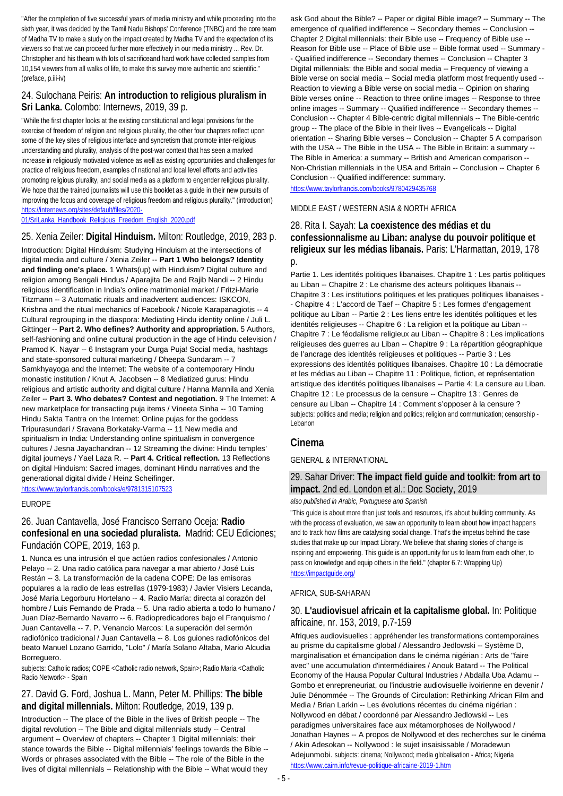"After the completion of five successful years of media ministry and while proceeding into the sixth year, it was decided by the Tamil Nadu Bishops' Conference (TNBC) and the core team of Madha TV to make a study on the impact created by Madha TV and the expectation of its viewers so that we can proceed further more effectively in our media ministry ... Rev. Dr. Christopher and his theam with lots of sacrificeand hard work have collected samples from 10,154 viewers from all walks of life, to make this survey more authentic and scientific." (preface, p.iii-iv)

### 24. Sulochana Peiris: **An introduction to religious pluralism in Sri Lanka.** Colombo: Internews, 2019, 39 p.

"While the first chapter looks at the existing constitutional and legal provisions for the exercise of freedom of religion and religious plurality, the other four chapters reflect upon some of the key sites of religious interface and syncretism that promote inter-religious understanding and plurality, analysis of the post-war context that has seen a marked increase in religiously motivated violence as well as existing opportunities and challenges for practice of religious freedom, examples of national and local level efforts and activities promoting religious plurality, and social media as a platform to engender religious plurality. We hope that the trained journalists will use this booklet as a guide in their new pursuits of improving the focus and coverage of religious freedom and religious plurality." (introduction) [https://internews.org/sites/default/files/2020-](https://internews.org/sites/default/files/2020-01/SriLanka_Handbook_Religious_Freedom_English_2020.pdf)

### [01/SriLanka\\_Handbook\\_Religious\\_Freedom\\_English\\_2020.pdf](https://internews.org/sites/default/files/2020-01/SriLanka_Handbook_Religious_Freedom_English_2020.pdf)

### 25. Xenia Zeiler: **Digital Hinduism.** Milton: Routledge, 2019, 283 p.

Introduction: Digital Hinduism: Studying Hinduism at the intersections of digital media and culture / Xenia Zeiler -- **Part 1 Who belongs? Identity and finding one's place.** 1 Whats(up) with Hinduism? Digital culture and religion among Bengali Hindus / Aparajita De and Rajib Nandi -- 2 Hindu religious identification in India's online matrimonial market / Fritzi-Marie Titzmann -- 3 Automatic rituals and inadvertent audiences: ISKCON, Krishna and the ritual mechanics of Facebook / Nicole Karapanagiotis -- 4 Cultural regrouping in the diaspora: Mediating Hindu identity online / Juli L. Gittinger -- **Part 2. Who defines? Authority and appropriation.** 5 Authors, self-fashioning and online cultural production in the age of Hindu celevision / Pramod K. Nayar -- 6 Instagram your Durga Puja! Social media, hashtags and state-sponsored cultural marketing / Dheepa Sundaram -- 7 Samkhyayoga and the Internet: The website of a contemporary Hindu monastic institution / Knut A. Jacobsen -- 8 Mediatized gurus: Hindu religious and artistic authority and digital culture / Hanna Mannila and Xenia Zeiler -- **Part 3. Who debates? Contest and negotiation.** 9 The Internet: A new marketplace for transacting puja items / Vineeta Sinha -- 10 Taming Hindu Sakta Tantra on the Internet: Online pujas for the goddess Tripurasundari / Sravana Borkataky-Varma -- 11 New media and spiritualism in India: Understanding online spiritualism in convergence cultures / Jesna Jayachandran -- 12 Streaming the divine: Hindu temples' digital journeys / Yael Laza R. -- **Part 4. Critical reflection.** 13 Reflections on digital Hinduism: Sacred images, dominant Hindu narratives and the generational digital divide / Heinz Scheifinger. <https://www.taylorfrancis.com/books/e/9781315107523>

### EUROPE

### 26. Juan Cantavella, José Francisco Serrano Oceja: **Radio confesional en una sociedad pluralista.** Madrid: CEU Ediciones; Fundación COPE, 2019, 163 p.

1. Nunca es una intrusión el que actúen radios confesionales / Antonio Pelayo -- 2. Una radio católica para navegar a mar abierto / José Luis Restán -- 3. La transformación de la cadena COPE: De las emisoras populares a la radio de leas estrellas (1979-1983) / Javier Visiers Lecanda, José María Legorburu Hortelano -- 4. Radio María: directa al corazón del hombre / Luis Fernando de Prada -- 5. Una radio abierta a todo lo humano / Juan Díaz-Bernardo Navarro -- 6. Radiopredicadores bajo el Franquismo / Juan Cantavella -- 7. P. Venancio Marcos: La superación del sermón radiofónico tradicional / Juan Cantavella -- 8. Los guiones radiofónicos del beato Manuel Lozano Garrido, "Lolo" / María Solano Altaba, Mario Alcudia Borreguero.

subjects: Catholic radios; COPE <Catholic radio network, Spain>; Radio Maria <Catholic Radio Network> - Spain

### 27. David G. Ford, Joshua L. Mann, Peter M. Phillips: **The bible and digital millennials.** Milton: Routledge, 2019, 139 p.

Introduction -- The place of the Bible in the lives of British people -- The digital revolution -- The Bible and digital millennials study -- Central argument -- Overview of chapters -- Chapter 1 Digital millennials: their stance towards the Bible -- Digital millennials' feelings towards the Bible -- Words or phrases associated with the Bible -- The role of the Bible in the lives of digital millennials -- Relationship with the Bible -- What would they

ask God about the Bible? -- Paper or digital Bible image? -- Summary -- The emergence of qualified indifference -- Secondary themes -- Conclusion -- Chapter 2 Digital millennials: their Bible use -- Frequency of Bible use -- Reason for Bible use -- Place of Bible use -- Bible format used -- Summary - - Qualified indifference -- Secondary themes -- Conclusion -- Chapter 3 Digital millennials: the Bible and social media -- Frequency of viewing a Bible verse on social media -- Social media platform most frequently used -- Reaction to viewing a Bible verse on social media -- Opinion on sharing Bible verses online -- Reaction to three online images -- Response to three online images -- Summary -- Qualified indifference -- Secondary themes -- Conclusion -- Chapter 4 Bible-centric digital millennials -- The Bible-centric group -- The place of the Bible in their lives -- Evangelicals -- Digital orientation -- Sharing Bible verses -- Conclusion -- Chapter 5 A comparison with the USA -- The Bible in the USA -- The Bible in Britain: a summary --The Bible in America: a summary -- British and American comparison -- Non-Christian millennials in the USA and Britain -- Conclusion -- Chapter 6 Conclusion -- Qualified indifference: summary. <https://www.taylorfrancis.com/books/9780429435768>

MIDDLE EAST / WESTERN ASIA & NORTH AFRICA

### 28. Rita I. Sayah: **La coexistence des médias et du confessionnalisme au Liban: analyse du pouvoir politique et religieux sur les médias libanais.** Paris: L'Harmattan, 2019, 178  $p$ .

Partie 1. Les identités politiques libanaises. Chapitre 1 : Les partis politiques au Liban -- Chapitre 2 : Le charisme des acteurs politiques libanais --Chapitre 3 : Les institutions politiques et les pratiques politiques libanaises - - Chapitre 4 : L'accord de Taef -- Chapitre 5 : Les formes d'engagement politique au Liban -- Partie 2 : Les liens entre les identités politiques et les identités religieuses -- Chapitre 6 : La religion et la politique au Liban --Chapitre 7 : Le féodalisme religieux au Liban -- Chapitre 8 : Les implications religieuses des guerres au Liban -- Chapitre 9 : La répartition géographique de l'ancrage des identités religieuses et politiques -- Partie 3 : Les expressions des identités politiques libanaises. Chapitre 10 : La démocratie et les médias au Liban -- Chapitre 11 : Politique, fiction, et représentation artistique des identités politiques libanaises -- Partie 4: La censure au Liban. Chapitre 12 : Le processus de la censure -- Chapitre 13 : Genres de censure au Liban -- Chapitre 14 : Comment s'opposer à la censure ? subjects: politics and media; religion and politics; religion and communication; censorship -Lebanon

### **Cinema**

### GENERAL & INTERNATIONAL

### 29. Sahar Driver: **The impact field guide and toolkit: from art to impact.** 2nd ed. London et al.: Doc Society, 2019

#### *also published in Arabic, Portuguese and Spanish*

"This guide is about more than just tools and resources, it's about building community. As with the process of evaluation, we saw an opportunity to learn about how impact happens and to track how films are catalysing social change. That's the impetus behind the case studies that make up our Impact Library. We believe that sharing stories of change is inspiring and empowering. This guide is an opportunity for us to learn from each other, to pass on knowledge and equip others in the field." (chapter 6.7: Wrapping Up) <https://impactguide.org/>

### AFRICA, SUB-SAHARAN

### 30. **L'audiovisuel africain et la capitalisme global.** In: Politique africaine, nr. 153, 2019, p.7-159

Afriques audiovisuelles : appréhender les transformations contemporaines au prisme du capitalisme global / Alessandro Jedlowski -- Système D, marginalisation et émancipation dans le cinéma nigérian : Arts de "faire avec" une accumulation d'intermédiaires / Anouk Batard -- The Political Economy of the Hausa Popular Cultural Industries / Abdalla Uba Adamu -- Gombo et enrepreneuriat, ou l'industrie audiovisuelle ivoirienne en devenir / Julie Dénommée -- The Grounds of Circulation: Rethinking African Film and Media / Brian Larkin -- Les évolutions récentes du cinéma nigérian : Nollywood en débat / coordonné par Alessandro Jedlowski -- Les paradigmes universitaires face aux métamorphoses de Nollywood / Jonathan Haynes -- A propos de Nollywood et des recherches sur le cinéma / Akin Adesokan -- Nollywood : le sujet insaisissable / Moradewun Adejunmobi. subjects: cinema; Nollywood; media globalisation - Africa; Nigeria <https://www.cairn.info/revue-politique-africaine-2019-1.htm>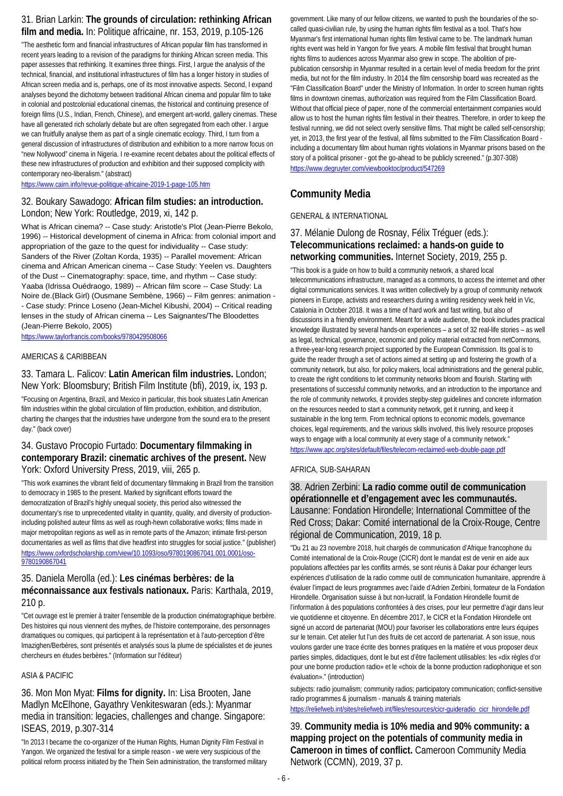## 31. Brian Larkin: **The grounds of circulation: rethinking African film and media.** In: Politique africaine, nr. 153, 2019, p.105-126

"The aesthetic form and financial infrastructures of African popular film has transformed in recent years leading to a revision of the paradigms for thinking African screen media. This paper assesses that rethinking. It examines three things. First, I argue the analysis of the technical, financial, and institutional infrastructures of film has a longer history in studies of African screen media and is, perhaps, one of its most innovative aspects. Second, I expand analyses beyond the dichotomy between traditional African cinema and popular film to take in colonial and postcolonial educational cinemas, the historical and continuing presence of foreign films (U.S., Indian, French, Chinese), and emergent art-world, gallery cinemas. These have all generated rich scholarly debate but are often segregated from each other. I argue we can fruitfully analyse them as part of a single cinematic ecology. Third, I turn from a general discussion of infrastructures of distribution and exhibition to a more narrow focus on "new Nollywood" cinema in Nigeria. I re-examine recent debates about the political effects of these new infrastructures of production and exhibition and their supposed complicity with contemporary neo-liberalism." (abstract)

<https://www.cairn.info/revue-politique-africaine-2019-1-page-105.htm>

## 32. Boukary Sawadogo: **African film studies: an introduction.**  London; New York: Routledge, 2019, xi, 142 p.

What is African cinema? -- Case study: Aristotle's Plot (Jean-Pierre Bekolo, 1996) -- Historical development of cinema in Africa: from colonial import and appropriation of the gaze to the quest for individuality -- Case study: Sanders of the River (Zoltan Korda, 1935) -- Parallel movement: African cinema and African American cinema -- Case Study: Yeelen vs. Daughters of the Dust -- Cinematography: space, time, and rhythm -- Case study: Yaaba (Idrissa Ouédraogo, 1989) -- African film score -- Case Study: La Noire de.(Black Girl) (Ousmane Sembène, 1966) -- Film genres: animation - - Case study: Prince Loseno (Jean-Michel Kibushi, 2004) -- Critical reading lenses in the study of African cinema -- Les Saignantes/The Bloodettes (Jean-Pierre Bekolo, 2005)

<https://www.taylorfrancis.com/books/9780429508066>

### AMERICAS & CARIBBEAN

## 33. Tamara L. Falicov: **Latin American film industries.** London; New York: Bloomsbury; British Film Institute (bfi), 2019, ix, 193 p.

"Focusing on Argentina, Brazil, and Mexico in particular, this book situates Latin American film industries within the global circulation of film production, exhibition, and distribution, charting the changes that the industries have undergone from the sound era to the present day." (back cover)

### 34. Gustavo Procopio Furtado: **Documentary filmmaking in contemporary Brazil: cinematic archives of the present.** New York: Oxford University Press, 2019, viii, 265 p.

"This work examines the vibrant field of documentary filmmaking in Brazil from the transition to democracy in 1985 to the present. Marked by significant efforts toward the democratization of Brazil's highly unequal society, this period also witnessed the documentary's rise to unprecedented vitality in quantity, quality, and diversity of productionincluding polished auteur films as well as rough-hewn collaborative works; films made in major metropolitan regions as well as in remote parts of the Amazon; intimate first-person documentaries as well as films that dive headfirst into struggles for social justice." (publisher) [https://www.oxfordscholarship.com/view/10.1093/oso/9780190867041.001.0001/oso-](https://www.oxfordscholarship.com/view/10.1093/oso/9780190867041.001.0001/oso-9780190867041)[9780190867041](https://www.oxfordscholarship.com/view/10.1093/oso/9780190867041.001.0001/oso-9780190867041)

## 35. Daniela Merolla (ed.): **Les cinémas berbères: de la méconnaissance aux festivals nationaux.** Paris: Karthala, 2019, 210 p.

"Cet ouvrage est le premier à traiter l'ensemble de la production cinématographique berbère. Des histoires qui nous viennent des mythes, de l'histoire contemporaine, des personnages dramatiques ou comiques, qui participent à la représentation et à l'auto-perception d'être Imazighen/Berbères, sont présentés et analysés sous la plume de spécialistes et de jeunes chercheurs en études berbères." (Information sur l'éditeur)

### ASIA & PACIFIC

36. Mon Mon Myat: **Films for dignity.** In: Lisa Brooten, Jane Madlyn McElhone, Gayathry Venkiteswaran (eds.): Myanmar media in transition: legacies, challenges and change. Singapore: ISEAS, 2019, p.307-314

"In 2013 I became the co-organizer of the Human Rights, Human Dignity Film Festival in Yangon. We organized the festival for a simple reason - we were very suspicious of the political reform process initiated by the Thein Sein administration, the transformed military

government. Like many of our fellow citizens, we wanted to push the boundaries of the socalled quasi-civilian rule, by using the human rights film festival as a tool. That's how Myanmar's first international human rights film festival came to be. The landmark human rights event was held in Yangon for five years. A mobile film festival that brought human rights films to audiences across Myanmar also grew in scope. The abolition of prepublication censorship in Myanmar resulted in a certain level of media freedom for the print media, but not for the film industry. In 2014 the film censorship board was recreated as the "Film Classification Board" under the Ministry of Information. In order to screen human rights films in downtown cinemas, authorization was required from the Film Classification Board. Without that official piece of paper, none of the commercial entertainment companies would allow us to host the human rights film festival in their theatres. Therefore, in order to keep the festival running, we did not select overly sensitive films. That might be called self-censorship; yet, in 2013, the first year of the festival, all films submitted to the Film Classification Board including a documentary film about human rights violations in Myanmar prisons based on the story of a political prisoner - got the go-ahead to be publicly screened." (p.307-308) <https://www.degruyter.com/viewbooktoc/product/547269>

## **Community Media**

GENERAL & INTERNATIONAL

### 37. Mélanie Dulong de Rosnay, Félix Tréguer (eds.): **Telecommunications reclaimed: a hands-on guide to networking communities.** Internet Society, 2019, 255 p.

"This book is a guide on how to build a community network, a shared local telecommunications infrastructure, managed as a commons, to access the internet and other digital communications services. It was written collectively by a group of community network pioneers in Europe, activists and researchers during a writing residency week held in Vic, Catalonia in October 2018. It was a time of hard work and fast writing, but also of discussions in a friendly environment. Meant for a wide audience, the book includes practical knowledge illustrated by several hands-on experiences – a set of 32 real-life stories – as well as legal, technical, governance, economic and policy material extracted from netCommons, a three-year-long research project supported by the European Commission. Its goal is to guide the reader through a set of actions aimed at setting up and fostering the growth of a community network, but also, for policy makers, local administrations and the general public, to create the right conditions to let community networks bloom and flourish. Starting with presentations of successful community networks, and an introduction to the importance and the role of community networks, it provides stepby-step guidelines and concrete information on the resources needed to start a community network, get it running, and keep it sustainable in the long term. From technical options to economic models, governance choices, legal requirements, and the various skills involved, this lively resource proposes ways to engage with a local community at every stage of a community network." <https://www.apc.org/sites/default/files/telecom-reclaimed-web-double-page.pdf>

### AFRICA, SUB-SAHARAN

38. Adrien Zerbini: **La radio comme outil de communication opérationnelle et d'engagement avec les communautés.**  Lausanne: Fondation Hirondelle; International Committee of the Red Cross; Dakar: Comité international de la Croix-Rouge, Centre régional de Communication, 2019, 18 p.

"Du 21 au 23 novembre 2018, huit chargés de communication d'Afrique francophone du Comité international de la Croix-Rouge (CICR) dont le mandat est de venir en aide aux populations affectées par les conflits armés, se sont réunis à Dakar pour échanger leurs expériences d'utilisation de la radio comme outil de communication humanitaire, apprendre à évaluer l'impact de leurs programmes avec l'aide d'Adrien Zerbini, formateur de la Fondation Hirondelle. Organisation suisse à but non-lucratif, la Fondation Hirondelle fournit de l'information à des populations confrontées à des crises, pour leur permettre d'agir dans leur vie quotidienne et citoyenne. En décembre 2017, le CICR et la Fondation Hirondelle ont signé un accord de partenariat (MOU) pour favoriser les collaborations entre leurs équipes sur le terrain. Cet atelier fut l'un des fruits de cet accord de partenariat. A son issue, nous voulons garder une trace écrite des bonnes pratiques en la matière et vous proposer deux parties simples, didactiques, dont le but est d'être facilement utilisables: les «dix règles d'or pour une bonne production radio» et le «choix de la bonne production radiophonique et son évaluation»." (introduction)

subjects: radio journalism; community radios; participatory communication; conflict-sensitive radio programmes & journalism - manuals & training materials [https://reliefweb.int/sites/reliefweb.int/files/resources/cicr-guideradio\\_cicr\\_hirondelle.pdf](https://reliefweb.int/sites/reliefweb.int/files/resources/cicr-guideradio_cicr_hirondelle.pdf)

39. **Community media is 10% media and 90% community: a mapping project on the potentials of community media in Cameroon in times of conflict.** Cameroon Community Media Network (CCMN), 2019, 37 p.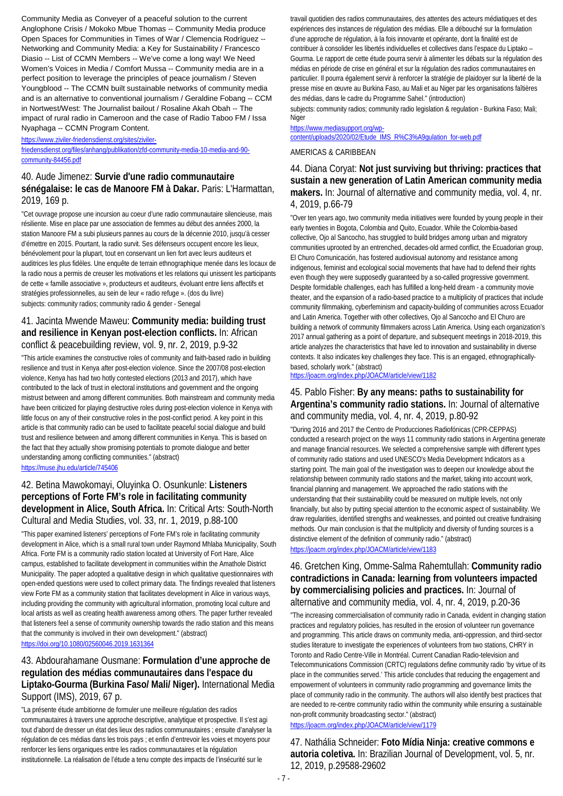Community Media as Conveyer of a peaceful solution to the current Anglophone Crisis / Mokoko Mbue Thomas -- Community Media produce Open Spaces for Communities in Times of War / Clemencia Rodríguez -- Networking and Community Media: a Key for Sustainability / Francesco Diasio -- List of CCMN Members -- We've come a long way! We Need Women's Voices in Media / Comfort Mussa -- Community media are in a perfect position to leverage the principles of peace journalism / Steven Youngblood -- The CCMN built sustainable networks of community media and is an alternative to conventional journalism / Geraldine Fobang -- CCM in Nortwest/West: The Journalist bailout / Rosaline Akah Obah -- The impact of rural radio in Cameroon and the case of Radio Taboo FM / Issa Nyaphaga -- CCMN Program Content.

[https://www.ziviler-friedensdienst.org/sites/ziviler-](https://www.ziviler-friedensdienst.org/sites/ziviler-friedensdienst.org/files/anhang/publikation/zfd-community-media-10-media-and-90-%20community-84456.pdf)

[friedensdienst.org/files/anhang/publikation/zfd-community-media-10-media-and-90](https://www.ziviler-friedensdienst.org/sites/ziviler-friedensdienst.org/files/anhang/publikation/zfd-community-media-10-media-and-90-%20community-84456.pdf) [community-84456.pdf](https://www.ziviler-friedensdienst.org/sites/ziviler-friedensdienst.org/files/anhang/publikation/zfd-community-media-10-media-and-90-%20community-84456.pdf)

## 40. Aude Jimenez: **Survie d'une radio communautaire sénégalaise: le cas de Manoore FM à Dakar.** Paris: L'Harmattan, 2019, 169 p.

"Cet ouvrage propose une incursion au coeur d'une radio communautaire silencieuse, mais résiliente. Mise en place par une association de femmes au début des années 2000, la station Manoore FM a subi plusieurs pannes au cours de la décennie 2010, jusqu'à cesser d'émettre en 2015. Pourtant, la radio survit. Ses défenseurs occupent encore les lieux, bénévolement pour la plupart, tout en conservant un lien fort avec leurs auditeurs et auditrices les plus fidèles. Une enquête de terrain ethnographique menée dans les locaux de la radio nous a permis de creuser les motivations et les relations qui unissent les participants de cette « famille associative », producteurs et auditeurs, évoluant entre liens affectifs et stratégies professionnelles, au sein de leur « radio refuge ». (dos du livre) subjects: community radios; community radio & gender - Senegal

## 41. Jacinta Mwende Maweu: **Community media: building trust and resilience in Kenyan post-election conflicts.** In: African conflict & peacebuilding review, vol. 9, nr. 2, 2019, p.9-32

"This article examines the constructive roles of community and faith-based radio in building resilience and trust in Kenya after post-election violence. Since the 2007/08 post-election violence, Kenya has had two hotly contested elections (2013 and 2017), which have contributed to the lack of trust in electoral institutions and government and the ongoing mistrust between and among different communities. Both mainstream and community media have been criticized for playing destructive roles during post-election violence in Kenya with little focus on any of their constructive roles in the post-conflict period. A key point in this article is that community radio can be used to facilitate peaceful social dialogue and build trust and resilience between and among different communities in Kenya. This is based on the fact that they actually show promising potentials to promote dialogue and better understanding among conflicting communities." (abstract) <https://muse.jhu.edu/article/745406>

## 42. Betina Mawokomayi, Oluyinka O. Osunkunle: **Listeners perceptions of Forte FM's role in facilitating community development in Alice, South Africa.** In: Critical Arts: South-North Cultural and Media Studies, vol. 33, nr. 1, 2019, p.88-100

"This paper examined listeners' perceptions of Forte FM's role in facilitating community development in Alice, which is a small rural town under Raymond Mhlaba Municipality, South Africa. Forte FM is a community radio station located at University of Fort Hare, Alice campus, established to facilitate development in communities within the Amathole District Municipality. The paper adopted a qualitative design in which qualitative questionnaires with open-ended questions were used to collect primary data. The findings revealed that listeners view Forte FM as a community station that facilitates development in Alice in various ways, including providing the community with agricultural information, promoting local culture and local artists as well as creating health awareness among others. The paper further revealed that listeners feel a sense of community ownership towards the radio station and this means that the community is involved in their own development." (abstract) <https://doi.org/10.1080/02560046.2019.1631364>

## 43. Abdourahamane Ousmane: **Formulation d'une approche de regulation des médias communautaires dans l'espace du Liptako-Gourma (Burkina Faso/ Mali/ Niger).** International Media Support (IMS), 2019, 67 p.

"La présente étude ambitionne de formuler une meilleure régulation des radios communautaires à travers une approche descriptive, analytique et prospective. Il s'est agi tout d'abord de dresser un état des lieux des radios communautaires ; ensuite d'analyser la régulation de ces médias dans les trois pays ; et enfin d'entrevoir les voies et moyens pour renforcer les liens organiques entre les radios communautaires et la régulation institutionnelle. La réalisation de l'étude a tenu compte des impacts de l'insécurité sur le

travail quotidien des radios communautaires, des attentes des acteurs médiatiques et des expériences des instances de régulation des médias. Elle a débouché sur la formulation d'une approche de régulation, à la fois innovante et opérante, dont la finalité est de contribuer à consolider les libertés individuelles et collectives dans l'espace du Liptako – Gourma. Le rapport de cette étude pourra servir à alimenter les débats sur la régulation des médias en période de crise en général et sur la régulation des radios communautaires en particulier. Il pourra également servir à renforcer la stratégie de plaidoyer sur la liberté de la presse mise en œuvre au Burkina Faso, au Mali et au Niger par les organisations faîtières des médias, dans le cadre du Programme Sahel." (introduction)

subjects: community radios; community radio legislation & regulation - Burkina Faso; Mali; Niger

## [https://www.mediasupport.org/wp-](https://www.mediasupport.org/wp-content/uploads/2020/02/Etude_IMS_R%C3%A9gulation_for-web.pdf)

[content/uploads/2020/02/Etude\\_IMS\\_R%C3%A9gulation\\_for-web.pdf](https://www.mediasupport.org/wp-content/uploads/2020/02/Etude_IMS_R%C3%A9gulation_for-web.pdf)

### AMERICAS & CARIBBEAN

### 44. Diana Coryat: **Not just surviving but thriving: practices that sustain a new generation of Latin American community media makers.** In: Journal of alternative and community media, vol. 4, nr. 4, 2019, p.66-79

"Over ten years ago, two community media initiatives were founded by young people in their early twenties in Bogota, Colombia and Quito, Ecuador. While the Colombia-based collective, Ojo al Sancocho, has struggled to build bridges among urban and migratory communities uprooted by an entrenched, decades-old armed conflict, the Ecuadorian group, El Churo Comunicación, has fostered audiovisual autonomy and resistance among indigenous, feminist and ecological social movements that have had to defend their rights even though they were supposedly guaranteed by a so-called progressive government. Despite formidable challenges, each has fulfilled a long-held dream - a community movie theater, and the expansion of a radio-based practice to a multiplicity of practices that include community filmmaking, cyberfeminism and capacity-building of communities across Ecuador and Latin America. Together with other collectives, Ojo al Sancocho and El Churo are building a network of community filmmakers across Latin America. Using each organization's 2017 annual gathering as a point of departure, and subsequent meetings in 2018-2019, this article analyzes the characteristics that have led to innovation and sustainability in diverse contexts. It also indicates key challenges they face. This is an engaged, ethnographicallybased, scholarly work." (abstract)

### <https://joacm.org/index.php/JOACM/article/view/1182>

### 45. Pablo Fisher: **By any means: paths to sustainability for Argentina's community radio stations.** In: Journal of alternative and community media, vol. 4, nr. 4, 2019, p.80-92

"During 2016 and 2017 the Centro de Producciones Radiofónicas (CPR-CEPPAS) conducted a research project on the ways 11 community radio stations in Argentina generate and manage financial resources. We selected a comprehensive sample with different types of community radio stations and used UNESCO's Media Development Indicators as a starting point. The main goal of the investigation was to deepen our knowledge about the relationship between community radio stations and the market, taking into account work, financial planning and management. We approached the radio stations with the understanding that their sustainability could be measured on multiple levels, not only financially, but also by putting special attention to the economic aspect of sustainability. We draw regularities, identified strengths and weaknesses, and pointed out creative fundraising methods. Our main conclusion is that the multiplicity and diversity of funding sources is a distinctive element of the definition of community radio." (abstract) <https://joacm.org/index.php/JOACM/article/view/1183>

### 46. Gretchen King, Omme-Salma Rahemtullah: **Community radio contradictions in Canada: learning from volunteers impacted by commercialising policies and practices.** In: Journal of alternative and community media, vol. 4, nr. 4, 2019, p.20-36

"The increasing commercialisation of community radio in Canada, evident in changing station practices and regulatory policies, has resulted in the erosion of volunteer run governance and programming. This article draws on community media, anti-oppression, and third-sector studies literature to investigate the experiences of volunteers from two stations, CHRY in Toronto and Radio Centre-Ville in Montréal. Current Canadian Radio-television and Telecommunications Commission (CRTC) regulations define community radio 'by virtue of its place in the communities served.' This article concludes that reducing the engagement and empowerment of volunteers in community radio programming and governance limits the place of community radio in the community. The authors will also identify best practices that are needed to re-centre community radio within the community while ensuring a sustainable non-profit community broadcasting sector." (abstract) <https://joacm.org/index.php/JOACM/article/view/1179>

47. Nathália Schneider: **Foto Mídia Ninja: creative commons e autoria coletiva.** In: Brazilian Journal of Development, vol. 5, nr. 12, 2019, p.29588-29602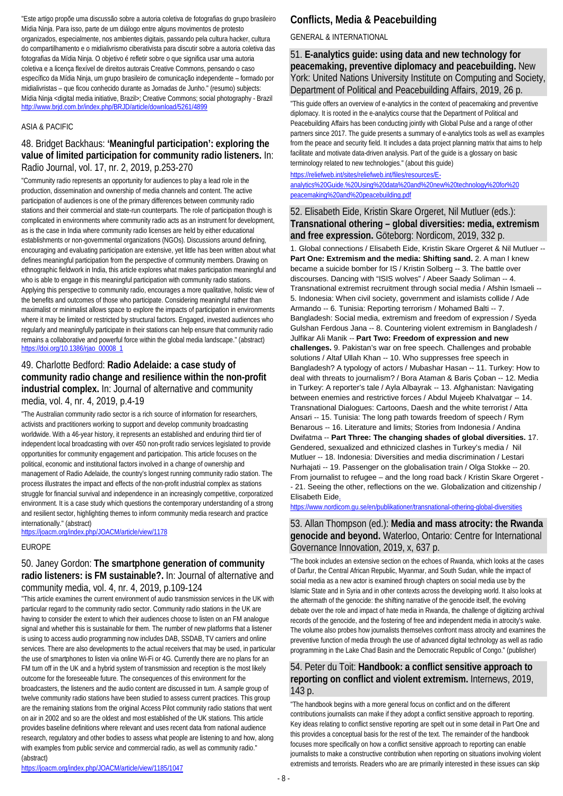"Este artigo propõe uma discussão sobre a autoria coletiva de fotografias do grupo brasileiro Mídia Ninja. Para isso, parte de um diálogo entre alguns movimentos de protesto organizados, especialmente, nos ambientes digitais, passando pela cultura hacker, cultura do compartilhamento e o midialivrismo ciberativista para discutir sobre a autoria coletiva das fotografias da Mídia Ninja. O objetivo é refletir sobre o que significa usar uma autoria coletiva e a licença flexível de direitos autorais Creative Commons, pensando o caso específico da Mídia Ninja, um grupo brasileiro de comunicação independente – formado por midialivristas – que ficou conhecido durante as Jornadas de Junho." (resumo) subjects: Mídia Ninja <digital media initiative, Brazil>; Creative Commons; social photography - Brazil <http://www.brjd.com.br/index.php/BRJD/article/download/5261/4899>

### ASIA & PACIFIC

## 48. Bridget Backhaus: **'Meaningful participation': exploring the value of limited participation for community radio listeners.** In: Radio Journal, vol. 17, nr. 2, 2019, p.253-270

"Community radio represents an opportunity for audiences to play a lead role in the production, dissemination and ownership of media channels and content. The active participation of audiences is one of the primary differences between community radio stations and their commercial and state-run counterparts. The role of participation though is complicated in environments where community radio acts as an instrument for development, as is the case in India where community radio licenses are held by either educational establishments or non-governmental organizations (NGOs). Discussions around defining, encouraging and evaluating participation are extensive, yet little has been written about what defines meaningful participation from the perspective of community members. Drawing on ethnographic fieldwork in India, this article explores what makes participation meaningful and who is able to engage in this meaningful participation with community radio stations. Applying this perspective to community radio, encourages a more qualitative, holistic view of the benefits and outcomes of those who participate. Considering meaningful rather than maximalist or minimalist allows space to explore the impacts of participation in environments where it may be limited or restricted by structural factors. Engaged, invested audiences who regularly and meaningfully participate in their stations can help ensure that community radio remains a collaborative and powerful force within the global media landscape." (abstract) [https://doi.org/10.1386/rjao\\_00008\\_1](https://doi.org/10.1386/rjao_00008_1)

## 49. Charlotte Bedford: **Radio Adelaide: a case study of community radio change and resilience within the non-profit industrial complex.** In: Journal of alternative and community media, vol. 4, nr. 4, 2019, p.4-19

"The Australian community radio sector is a rich source of information for researchers, activists and practitioners working to support and develop community broadcasting worldwide. With a 46-year history, it represents an established and enduring third tier of independent local broadcasting with over 450 non-profit radio services legislated to provide opportunities for community engagement and participation. This article focuses on the political, economic and institutional factors involved in a change of ownership and management of Radio Adelaide, the country's longest running community radio station. The process illustrates the impact and effects of the non-profit industrial complex as stations struggle for financial survival and independence in an increasingly competitive, corporatized environment. It is a case study which questions the contemporary understanding of a strong and resilient sector, highlighting themes to inform community media research and practice internationally." (abstract)

<https://joacm.org/index.php/JOACM/article/view/1178>

### EUROPE

## 50. Janey Gordon: **The smartphone generation of community radio listeners: is FM sustainable?.** In: Journal of alternative and community media, vol. 4, nr. 4, 2019, p.109-124

"This article examines the current environment of audio transmission services in the UK with particular regard to the community radio sector. Community radio stations in the UK are having to consider the extent to which their audiences choose to listen on an FM analogue signal and whether this is sustainable for them. The number of new platforms that a listener is using to access audio programming now includes DAB, SSDAB, TV carriers and online services. There are also developments to the actual receivers that may be used, in particular the use of smartphones to listen via online Wi-Fi or 4G. Currently there are no plans for an FM turn off in the UK and a hybrid system of transmission and reception is the most likely outcome for the foreseeable future. The consequences of this environment for the broadcasters, the listeners and the audio content are discussed in turn. A sample group of twelve community radio stations have been studied to assess current practices. This group are the remaining stations from the original Access Pilot community radio stations that went on air in 2002 and so are the oldest and most established of the UK stations. This article provides baseline definitions where relevant and uses recent data from national audience research, regulatory and other bodies to assess what people are listening to and how, along with examples from public service and commercial radio, as well as community radio." (abstract)

## **Conflicts, Media & Peacebuilding**

## GENERAL & INTERNATIONAL

51. **E-analytics guide: using data and new technology for peacemaking, preventive diplomacy and peacebuilding.** New York: United Nations University Institute on Computing and Society, Department of Political and Peacebuilding Affairs, 2019, 26 p.

"This guide offers an overview of e-analytics in the context of peacemaking and preventive diplomacy. It is rooted in the e-analytics course that the Department of Political and Peacebuilding Affairs has been conducting jointly with Global Pulse and a range of other partners since 2017. The guide presents a summary of e-analytics tools as well as examples from the peace and security field. It includes a data project planning matrix that aims to help facilitate and motivate data-driven analysis. Part of the guide is a glossary on basic terminology related to new technologies." (about this guide)

[https://reliefweb.int/sites/reliefweb.int/files/resources/E](https://reliefweb.int/sites/reliefweb.int/files/resources/E-analytics%20Guide.%20Using%20data%20and%20new%20technology%20for%20%20peacemaking%20and%20peacebuilding.pdf)[analytics%20Guide.%20Using%20data%20and%20new%20technology%20for%20](https://reliefweb.int/sites/reliefweb.int/files/resources/E-analytics%20Guide.%20Using%20data%20and%20new%20technology%20for%20%20peacemaking%20and%20peacebuilding.pdf)  [peacemaking%20and%20peacebuilding.pdf](https://reliefweb.int/sites/reliefweb.int/files/resources/E-analytics%20Guide.%20Using%20data%20and%20new%20technology%20for%20%20peacemaking%20and%20peacebuilding.pdf)

## 52. Elisabeth Eide, Kristin Skare Orgeret, Nil Mutluer (eds.): **Transnational othering – global diversities: media, extremism and free expression.** Göteborg: Nordicom, 2019, 332 p.

1. Global connections / Elisabeth Eide, Kristin Skare Orgeret & Nil Mutluer -- **Part One: Extremism and the media: Shifting sand.** 2. A man I knew became a suicide bomber for IS / Kristin Solberg -- 3. The battle over discourses. Dancing with "ISIS wolves" / Abeer Saady Soliman -- 4. Transnational extremist recruitment through social media / Afshin Ismaeli -- 5. Indonesia: When civil society, government and islamists collide / Ade Armando -- 6. Tunisia: Reporting terrorism / Mohamed Balti -- 7. Bangladesh: Social media, extremism and freedom of expression / Syeda Gulshan Ferdous Jana -- 8. Countering violent extremism in Bangladesh / Julfikar Ali Manik -- **Part Two: Freedom of expression and new challenges.** 9. Pakistan's war on free speech. Challenges and probable solutions / Altaf Ullah Khan -- 10. Who suppresses free speech in Bangladesh? A typology of actors / Mubashar Hasan -- 11. Turkey: How to deal with threats to journalism? / Bora Ataman & Baris Çoban -- 12. Media in Turkey: A reporter's tale / Ayla Albayrak -- 13. Afghanistan: Navigating between enemies and restrictive forces / Abdul Mujeeb Khalvatgar -- 14. Transnational Dialogues: Cartoons, Daesh and the white terrorist / Atta Ansari -- 15. Tunisia: The long path towards freedom of speech / Rym Benarous -- 16. Literature and limits; Stories from Indonesia / Andina Dwifatma -- **Part Three: The changing shades of global diversities.** 17. Gendered, sexualized and ethnicized clashes in Turkey's media / Nil Mutluer -- 18. Indonesia: Diversities and media discrimination / Lestari Nurhajati -- 19. Passenger on the globalisation train / Olga Stokke -- 20. From journalist to refugee – and the long road back / Kristin Skare Orgeret - - 21. Seeing the other, reflections on the we. Globalization and citizenship / Elisabeth Eid[e.](.https:/www.nordicom.gu.se/en/publikationer/transnational-othering-global-diversities)

[https://www.nordicom.gu.se/en/publikationer/transnational-othering-global-diversities](.https:/www.nordicom.gu.se/en/publikationer/transnational-othering-global-diversities)

## 53. Allan Thompson (ed.): **Media and mass atrocity: the Rwanda genocide and beyond.** Waterloo, Ontario: Centre for International Governance Innovation, 2019, x, 637 p.

"The book includes an extensive section on the echoes of Rwanda, which looks at the cases of Darfur, the Central African Republic, Myanmar, and South Sudan, while the impact of social media as a new actor is examined through chapters on social media use by the Islamic State and in Syria and in other contexts across the developing world. It also looks at the aftermath of the genocide: the shifting narrative of the genocide itself, the evolving debate over the role and impact of hate media in Rwanda, the challenge of digitizing archival records of the genocide, and the fostering of free and independent media in atrocity's wake. The volume also probes how journalists themselves confront mass atrocity and examines the preventive function of media through the use of advanced digital technology as well as radio programming in the Lake Chad Basin and the Democratic Republic of Congo." (publisher)

## 54. Peter du Toit: **Handbook: a conflict sensitive approach to reporting on conflict and violent extremism.** Internews, 2019, 143 p.

"The handbook begins with a more general focus on conflict and on the different contributions journalists can make if they adopt a conflict sensitive approach to reporting. Key ideas relating to conflict senstive reporting are spelt out in some detail in Part One and this provides a conceptual basis for the rest of the text. The remainder of the handbook focuses more specifically on how a conflict sensitive approach to reporting can enable journalists to make a constructive contribution when reporting on situations involving violent extremists and terrorists. Readers who are are primarily interested in these issues can skip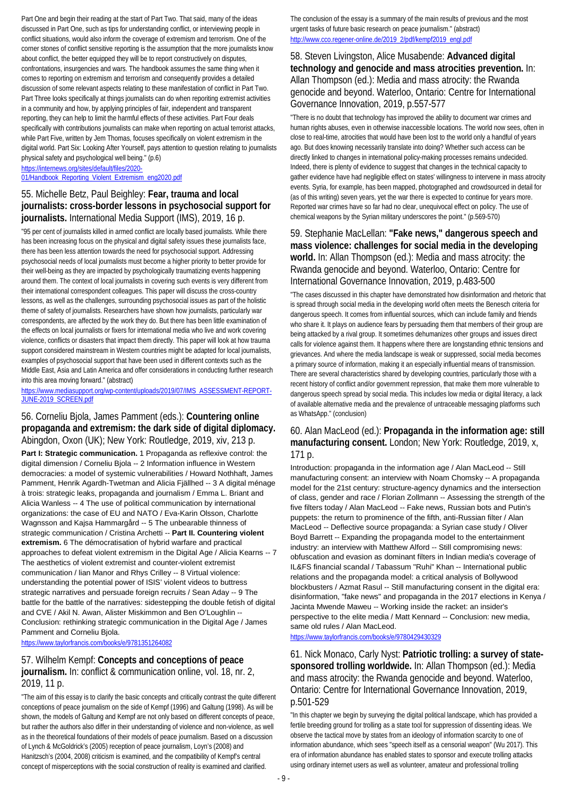Part One and begin their reading at the start of Part Two. That said, many of the ideas discussed in Part One, such as tips for understanding conflict, or interviewing people in conflict situations, would also inform the coverage of extremism and terrorism. One of the corner stones of conflict sensitive reporting is the assumption that the more journalists know about conflict, the better equipped they will be to report constructively on disputes, confrontations, insurgencies and wars. The handbook assumes the same thing when it comes to reporting on extremism and terrorism and consequently provides a detailed discussion of some relevant aspects relating to these manifestation of conflict in Part Two. Part Three looks specifically at things journalists can do when reporiting extremist activities in a community and how, by applying principles of fair, independent and transparent reporting, they can help to limit the harmful effects of these activities. Part Four deals specifically with contributions journalists can make when reporting on actual terrorist attacks, while Part Five, written by Jem Thomas, focuses specifically on violent extremism in the digital world. Part Six: Looking After Yourself, pays attention to question relating to journalists physical safety and psychological well being." (p.6)

[https://internews.org/sites/default/files/2020-](https://internews.org/sites/default/files/2020-01/Handbook_Reporting_Violent_Extremism_eng2020.pdf) [01/Handbook\\_Reporting\\_Violent\\_Extremism\\_eng2020.pdf](https://internews.org/sites/default/files/2020-01/Handbook_Reporting_Violent_Extremism_eng2020.pdf)

## 55. Michelle Betz, Paul Beighley: **Fear, trauma and local journalists: cross-border lessons in psychosocial support for journalists.** International Media Support (IMS), 2019, 16 p.

"95 per cent of journalists killed in armed conflict are locally based journalists. While there has been increasing focus on the physical and digital safety issues these journalists face, there has been less attention towards the need for psychosocial support. Addressing psychosocial needs of local journalists must become a higher priority to better provide for their well-being as they are impacted by psychologically traumatizing events happening around them. The context of local journalists in covering such events is very different from their international correspondent colleagues. This paper will discuss the cross-country lessons, as well as the challenges, surrounding psychosocial issues as part of the holistic theme of safety of journalists. Researchers have shown how journalists, particularly war correspondents, are affected by the work they do. But there has been little examination of the effects on local journalists or fixers for international media who live and work covering violence, conflicts or disasters that impact them directly. This paper will look at how trauma support considered mainstream in Western countries might be adapted for local journalists, examples of psychosocial support that have been used in different contexts such as the Middle East, Asia and Latin America and offer considerations in conducting further research into this area moving forward." (abstract)

### [https://www.mediasupport.org/wp-content/uploads/2019/07/IMS\\_ASSESSMENT-REPORT-](https://www.mediasupport.org/wp-content/uploads/2019/07/IMS_ASSESSMENT-REPORT-JUNE-2019_SCREEN.pdf)[JUNE-2019\\_SCREEN.pdf](https://www.mediasupport.org/wp-content/uploads/2019/07/IMS_ASSESSMENT-REPORT-JUNE-2019_SCREEN.pdf)

### 56. Corneliu Bjola, James Pamment (eds.): **Countering online propaganda and extremism: the dark side of digital diplomacy.**  Abingdon, Oxon (UK); New York: Routledge, 2019, xiv, 213 p.

**Part I: Strategic communication.** 1 Propaganda as reflexive control: the digital dimension / Corneliu Bjola -- 2 Information influence in Western democracies: a model of systemic vulnerabilities / Howard Nothhaft, James Pamment, Henrik Agardh-Twetman and Alicia Fjällhed -- 3 A digital ménage à trois: strategic leaks, propaganda and journalism / Emma L. Briant and Alicia Wanless -- 4 The use of political communication by international organizations: the case of EU and NATO / Eva-Karin Olsson, Charlotte Wagnsson and Kajsa Hammargård -- 5 The unbearable thinness of strategic communication / Cristina Archetti -- **Part II. Countering violent extremism.** 6 The démocratisation of hybrid warfare and practical approaches to defeat violent extremism in the Digital Age / Alicia Kearns -- 7 The aesthetics of violent extremist and counter-violent extremist communication / lian Manor and Rhys Crilley -- 8 Virtual violence: understanding the potential power of ISIS' violent videos to buttress strategic narratives and persuade foreign recruits / Sean Aday -- 9 The battle for the battle of the narratives: sidestepping the double fetish of digital and CVE / Akil N. Awan, Alister Miskimmon and Ben O'Loughlin -- Conclusion: rethinking strategic communication in the Digital Age / James Pamment and Corneliu Bjola.

<https://www.taylorfrancis.com/books/e/9781351264082>

## 57. Wilhelm Kempf: **Concepts and conceptions of peace journalism.** In: conflict & communication online, vol. 18, nr. 2, 2019, 11 p.

"The aim of this essay is to clarify the basic concepts and critically contrast the quite different conceptions of peace journalism on the side of Kempf (1996) and Galtung (1998). As will be shown, the models of Galtung and Kempf are not only based on different concepts of peace, but rather the authors also differ in their understanding of violence and non-violence, as well as in the theoretical foundations of their models of peace journalism. Based on a discussion of Lynch & McGoldrick's (2005) reception of peace journalism, Loyn's (2008) and Hanitzsch's (2004, 2008) criticism is examined, and the compatibility of Kempf's central concept of misperceptions with the social construction of reality is examined and clarified.

The conclusion of the essay is a summary of the main results of previous and the most urgent tasks of future basic research on peace journalism." (abstract) [http://www.cco.regener-online.de/2019\\_2/pdf/kempf2019\\_engl.pdf](http://www.cco.regener-online.de/2019_2/pdf/kempf2019_engl.pdf)

## 58. Steven Livingston, Alice Musabende: **Advanced digital technology and genocide and mass atrocities prevention.** In: Allan Thompson (ed.): Media and mass atrocity: the Rwanda genocide and beyond. Waterloo, Ontario: Centre for International Governance Innovation, 2019, p.557-577

"There is no doubt that technology has improved the ability to document war crimes and human rights abuses, even in otherwise inaccessible locations. The world now sees, often in close to real-time, atrocities that would have been lost to the world only a handful of years ago. But does knowing necessarily translate into doing? Whether such access can be directly linked to changes in international policy-making processes remains undecided. Indeed, there is plenty of evidence to suggest that changes in the technical capacity to gather evidence have had negligible effect on states' willingness to intervene in mass atrocity events. Syria, for example, has been mapped, photographed and crowdsourced in detail for (as of this writing) seven years, yet the war there is expected to continue for years more. Reported war crimes have so far had no clear, unequivocal effect on policy. The use of chemical weapons by the Syrian military underscores the point." (p.569-570)

## 59. Stephanie MacLellan: **"Fake news," dangerous speech and mass violence: challenges for social media in the developing world.** In: Allan Thompson (ed.): Media and mass atrocity: the Rwanda genocide and beyond. Waterloo, Ontario: Centre for International Governance Innovation, 2019, p.483-500

"The cases discussed in this chapter have demonstrated how disinformation and rhetoric that is spread through social media in the developing world often meets the Benesch criteria for dangerous speech. It comes from influential sources, which can include family and friends who share it. It plays on audience fears by persuading them that members of their group are being attacked by a rival group. It sometimes dehumanizes other groups and issues direct calls for violence against them. It happens where there are longstanding ethnic tensions and grievances. And where the media landscape is weak or suppressed, social media becomes a primary source of information, making it an especially influential means of transmission. There are several characteristics shared by developing countries, particularly those with a recent history of conflict and/or government repression, that make them more vulnerable to dangerous speech spread by social media. This includes low media or digital literacy, a lack of available alternative media and the prevalence of untraceable messaging platforms such as WhatsApp." (conclusion)

## 60. Alan MacLeod (ed.): **Propaganda in the information age: still manufacturing consent.** London; New York: Routledge, 2019, x, 171 p.

Introduction: propaganda in the information age / Alan MacLeod -- Still manufacturing consent: an interview with Noam Chomsky -- A propaganda model for the 21st century: structure-agency dynamics and the intersection of class, gender and race / Florian Zollmann -- Assessing the strength of the five filters today / Alan MacLeod -- Fake news, Russian bots and Putin's puppets: the return to prominence of the fifth, anti-Russian filter / Alan MacLeod -- Deflective source propaganda: a Syrian case study / Oliver Boyd Barrett -- Expanding the propaganda model to the entertainment industry: an interview with Matthew Alford -- Still compromising news: obfuscation and evasion as dominant filters in Indian media's coverage of IL&FS financial scandal / Tabassum "Ruhi" Khan -- International public relations and the propaganda model: a critical analysis of Bollywood blockbusters / Azmat Rasul -- Still manufacturing consent in the digital era: disinformation, "fake news" and propaganda in the 2017 elections in Kenya / Jacinta Mwende Maweu -- Working inside the racket: an insider's perspective to the elite media / Matt Kennard -- Conclusion: new media, same old rules / Alan MacLeod.

<https://www.taylorfrancis.com/books/e/9780429430329>

61. Nick Monaco, Carly Nyst: **Patriotic trolling: a survey of statesponsored trolling worldwide.** In: Allan Thompson (ed.): Media and mass atrocity: the Rwanda genocide and beyond. Waterloo, Ontario: Centre for International Governance Innovation, 2019, p.501-529

"In this chapter we begin by surveying the digital political landscape, which has provided a fertile breeding ground for trolling as a state tool for suppression of dissenting ideas. We observe the tactical move by states from an ideology of information scarcity to one of information abundance, which sees "speech itself as a censorial weapon" (Wu 2017). This era of information abundance has enabled states to sponsor and execute trolling attacks using ordinary internet users as well as volunteer, amateur and professional trolling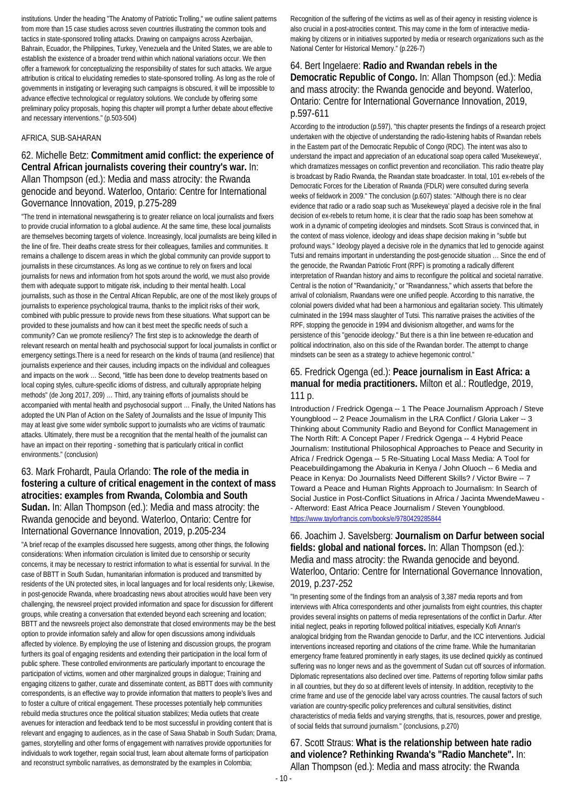institutions. Under the heading "The Anatomy of Patriotic Trolling," we outline salient patterns from more than 15 case studies across seven countries illustrating the common tools and tactics in state-sponsored trolling attacks. Drawing on campaigns across Azerbaijan, Bahrain, Ecuador, the Philippines, Turkey, Venezuela and the United States, we are able to establish the existence of a broader trend within which national variations occur. We then offer a framework for conceptualizing the responsibility of states for such attacks. We argue attribution is critical to elucidating remedies to state-sponsored trolling. As long as the role of governments in instigating or leveraging such campaigns is obscured, it will be impossible to advance effective technological or regulatory solutions. We conclude by offering some preliminary policy proposals, hoping this chapter will prompt a further debate about effective and necessary interventions." (p.503-504)

### AFRICA, SUB-SAHARAN

### 62. Michelle Betz: **Commitment amid conflict: the experience of Central African journalists covering their country's war.** In: Allan Thompson (ed.): Media and mass atrocity: the Rwanda genocide and beyond. Waterloo, Ontario: Centre for International Governance Innovation, 2019, p.275-289

"The trend in international newsgathering is to greater reliance on local journalists and fixers to provide crucial information to a global audience. At the same time, these local journalists are themselves becoming targets of violence. Increasingly, local journalists are being killed in the line of fire. Their deaths create stress for their colleagues, families and communities. It remains a challenge to discern areas in which the global community can provide support to journalists in these circumstances. As long as we continue to rely on fixers and local journalists for news and information from hot spots around the world, we must also provide them with adequate support to mitigate risk, including to their mental health. Local journalists, such as those in the Central African Republic, are one of the most likely groups of journalists to experience psychological trauma, thanks to the implicit risks of their work, combined with public pressure to provide news from these situations. What support can be provided to these journalists and how can it best meet the specific needs of such a community? Can we promote resiliency? The first step is to acknowledge the dearth of relevant research on mental health and psychosocial support for local journalists in conflict or emergency settings.There is a need for research on the kinds of trauma (and resilience) that journalists experience and their causes, including impacts on the individual and colleagues and impacts on the work ... Second, "little has been done to develop treatments based on local coping styles, culture-specific idioms of distress, and culturally appropriate helping methods" (de Jong 2017, 209) … Third, any training efforts of journalists should be accompanied with mental health and psychosocial support … Finally, the United Nations has adopted the UN Plan of Action on the Safety of Journalists and the Issue of Impunity This may at least give some wider symbolic support to journalists who are victims of traumatic attacks. Ultimately, there must be a recognition that the mental health of the journalist can have an impact on their reporting - something that is particularly critical in conflict environments." (conclusion)

## 63. Mark Frohardt, Paula Orlando: **The role of the media in fostering a culture of critical enagement in the context of mass atrocities: examples from Rwanda, Colombia and South Sudan.** In: Allan Thompson (ed.): Media and mass atrocity: the Rwanda genocide and beyond. Waterloo, Ontario: Centre for International Governance Innovation, 2019, p.205-234

"A brief recap of the examples discussed here suggests, among other things, the following considerations: When information circulation is limited due to censorship or security concerns, it may be necessary to restrict information to what is essential for survival. In the case of BBTT in South Sudan, humanitarian information is produced and transmitted by residents of the UN protected sites, in local languages and for local residents only; Likewise, in post-genocide Rwanda, where broadcasting news about atrocities would have been very challenging, the newsreel project provided information and space for discussion for different groups, while creating a conversation that extended beyond each screening and location; BBTT and the newsreels project also demonstrate that closed environments may be the best option to provide information safely and allow for open discussions among individuals affected by violence. By employing the use of listening and discussion groups, the program furthers its goal of engaging residents and extending their participation in the local form of public sphere. These controlled environments are particularly important to encourage the participation of victims, women and other marginalized groups in dialogue; Training and engaging citizens to gather, curate and disseminate content, as BBTT does with community correspondents, is an effective way to provide information that matters to people's lives and to foster a culture of critical engagement. These processes potentially help communities rebuild media structures once the political situation stabilizes; Media outlets that create avenues for interaction and feedback tend to be most successful in providing content that is relevant and engaging to audiences, as in the case of Sawa Shabab in South Sudan; Drama, games, storytelling and other forms of engagement with narratives provide opportunities for individuals to work together, regain social trust, learn about alternate forms of participation and reconstruct symbolic narratives, as demonstrated by the examples in Colombia;

Recognition of the suffering of the victims as well as of their agency in resisting violence is also crucial in a post-atrocities context. This may come in the form of interactive mediamaking by citizens or in initiatives supported by media or research organizations such as the National Center for Historical Memory." (p.226-7)

## 64. Bert Ingelaere: **Radio and Rwandan rebels in the Democratic Republic of Congo.** In: Allan Thompson (ed.): Media and mass atrocity: the Rwanda genocide and beyond. Waterloo, Ontario: Centre for International Governance Innovation, 2019, p.597-611

According to the introduction (p.597), "this chapter presents the findings of a research project undertaken with the objective of understanding the radio-listening habits of Rwandan rebels in the Eastern part of the Democratic Republic of Congo (RDC). The intent was also to understand the impact and appreciation of an educational soap opera called 'Musekeweya', which dramatizes messages on conflict prevention and reconciliation. This radio theatre play is broadcast by Radio Rwanda, the Rwandan state broadcaster. In total, 101 ex-rebels of the Democratic Forces for the Liberation of Rwanda (FDLR) were consulted during severla weeks of fieldwork in 2009." The conclusion (p.607) states: "Although there is no clear evidence that radio or a radio soap such as 'Musekeweya' played a decisive role in the final decision of ex-rebels to return home, it is clear that the radio soap has been somehow at work in a dynamic of competing ideologies and mindsets. Scott Straus is convinced that, in the context of mass violence, ideology and ideas shape decision making in "subtle but profound ways." Ideology played a decisive role in the dynamics that led to genocide against Tutsi and remains important in understanding the post-genocide situation … Since the end of the genocide, the Rwandan Patriotic Front (RPF) is promoting a radically different interpretation of Rwandan history and aims to reconfigure the political and societal narrative. Central is the notion of "Rwandanicity," or "Rwandanness," which asserts that before the arrival of colonialism, Rwandans were one unified people. According to this narrative, the colonial powers divided what had been a harmonious and egalitarian society. This ultimately culminated in the 1994 mass slaughter of Tutsi. This narrative praises the activities of the RPF, stopping the genocide in 1994 and divisionism altogether, and warns for the persistence of this "genocide ideology." But there is a thin line between re-education and political indoctrination, also on this side of the Rwandan border. The attempt to change mindsets can be seen as a strategy to achieve hegemonic control."

### 65. Fredrick Ogenga (ed.): **Peace journalism in East Africa: a manual for media practitioners.** Milton et al.: Routledge, 2019, 111 p.

Introduction / Fredrick Ogenga -- 1 The Peace Journalism Approach / Steve Youngblood -- 2 Peace Journalism in the LRA Conflict / Gloria Laker -- 3 Thinking about Community Radio and Beyond for Conflict Management in The North Rift: A Concept Paper / Fredrick Ogenga -- 4 Hybrid Peace Journalism: Institutional Philosophical Approaches to Peace and Security in Africa / Fredrick Ogenga -- 5 Re-Situating Local Mass Media: A Tool for Peacebuildingamong the Abakuria in Kenya / John Oluoch -- 6 Media and Peace in Kenya: Do Journalists Need Different Skills? / Victor Bwire -- 7 Toward a Peace and Human Rights Approach to Journalism: In Search of Social Justice in Post-Conflict Situations in Africa / Jacinta MwendeMaweu - - Afterword: East Africa Peace Journalism / Steven Youngblood. <https://www.taylorfrancis.com/books/e/9780429285844>

## 66. Joachim J. Savelsberg: **Journalism on Darfur between social fields: global and national forces.** In: Allan Thompson (ed.): Media and mass atrocity: the Rwanda genocide and beyond. Waterloo, Ontario: Centre for International Governance Innovation, 2019, p.237-252

"In presenting some of the findings from an analysis of 3,387 media reports and from interviews with Africa correspondents and other journalists from eight countries, this chapter provides several insights on patterns of media representations of the conflict in Darfur. After initial neglect, peaks in reporting followed political initiatives, especially Kofi Annan's analogical bridging from the Rwandan genocide to Darfur, and the ICC interventions. Judicial interventions increased reporting and citations of the crime frame. While the humanitarian emergency frame featured prominently in early stages, its use declined quickly as continued suffering was no longer news and as the government of Sudan cut off sources of information. Diplomatic representations also declined over time. Patterns of reporting follow similar paths in all countries, but they do so at different levels of intensity. In addition, receptivity to the crime frame and use of the genocide label vary across countries. The causal factors of such variation are country-specific policy preferences and cultural sensitivities, distinct characteristics of media fields and varying strengths, that is, resources, power and prestige, of social fields that surround journalism." (conclusions, p.270)

67. Scott Straus: **What is the relationship between hate radio and violence? Rethinking Rwanda's "Radio Manchete".** In: Allan Thompson (ed.): Media and mass atrocity: the Rwanda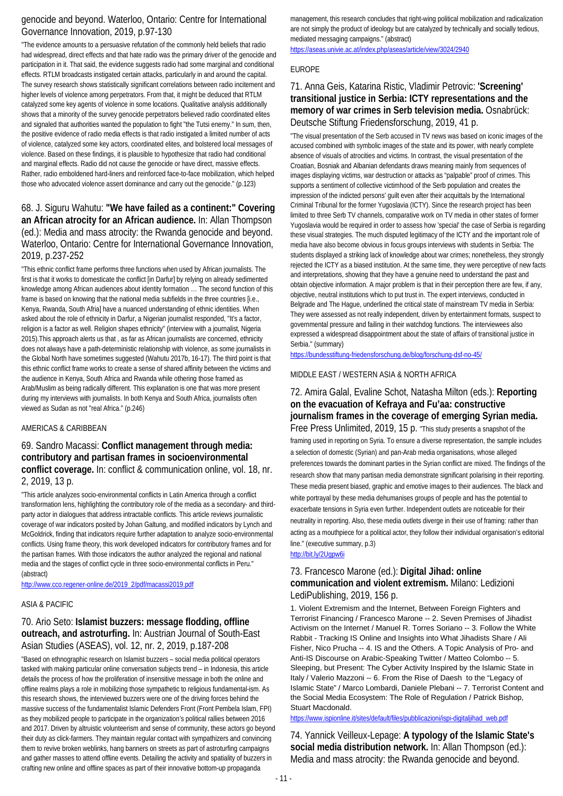## genocide and beyond. Waterloo, Ontario: Centre for International Governance Innovation, 2019, p.97-130

"The evidence amounts to a persuasive refutation of the commonly held beliefs that radio had widespread, direct effects and that hate radio was the primary driver of the genocide and participation in it. That said, the evidence suggests radio had some marginal and conditional effects. RTLM broadcasts instigated certain attacks, particularly in and around the capital. The survey research shows statistically significant correlations between radio incitement and higher levels of violence among perpetrators. From that, it might be deduced that RTLM catalyzed some key agents of violence in some locations. Qualitative analysis additionally shows that a minority of the survey genocide perpetrators believed radio coordinated elites and signaled that authorities wanted the population to fight "the Tutsi enemy." In sum, then, the positive evidence of radio media effects is that radio instigated a limited number of acts of violence, catalyzed some key actors, coordinated elites, and bolstered local messages of violence. Based on these findings, it is plausible to hypothesize that radio had conditional and marginal effects. Radio did not cause the genocide or have direct, massive effects. Rather, radio emboldened hard-liners and reinforced face-to-face mobilization, which helped those who advocated violence assert dominance and carry out the genocide." (p.123)

### 68. J. Siguru Wahutu: **"We have failed as a continent:" Covering an African atrocity for an African audience.** In: Allan Thompson (ed.): Media and mass atrocity: the Rwanda genocide and beyond. Waterloo, Ontario: Centre for International Governance Innovation, 2019, p.237-252

"This ethnic conflict frame performs three functions when used by African journalists. The first is that it works to domesticate the conflict [in Darfur] by relying on already sedimented knowledge among African audiences about identity formation … The second function of this frame is based on knowing that the national media subfields in the three countries [i.e., Kenya, Rwanda, South Afria] have a nuanced understanding of ethnic identities. When asked about the role of ethnicity in Darfur, a Nigerian journalist responded, "It's a factor, religion is a factor as well. Religion shapes ethnicity" (interview with a journalist, Nigeria 2015).This approach alerts us that , as far as African journalists are concerned, ethnicity does not always have a path-deterministic relationship with violence, as some journalists in the Global North have sometimes suggested (Wahutu 2017b, 16-17). The third point is that this ethnic conflict frame works to create a sense of shared affinity between the victims and the audience in Kenya, South Africa and Rwanda while othering those framed as Arab/Muslim as being radically different. This explanation is one that was more present during my interviews with journalists. In both Kenya and South Africa, journalists often viewed as Sudan as not "real Africa." (p.246)

### AMERICAS & CARIBBEAN

### 69. Sandro Macassi: **Conflict management through media: contributory and partisan frames in socioenvironmental conflict coverage.** In: conflict & communication online, vol. 18, nr. 2, 2019, 13 p.

"This article analyzes socio-environmental conflicts in Latin America through a conflict transformation lens, highlighting the contributory role of the media as a secondary- and thirdparty actor in dialogues that address intractable conflicts. This article reviews journalistic coverage of war indicators posited by Johan Galtung, and modified indicators by Lynch and McGoldrick, finding that indicators require further adaptation to analyze socio-environmental conflicts. Using frame theory, this work developed indicators for contributory frames and for the partisan frames. With those indicators the author analyzed the regional and national media and the stages of conflict cycle in three socio-environmental conflicts in Peru." (abstract)

[http://www.cco.regener-online.de/2019\\_2/pdf/macassi2019.pdf](http://www.cco.regener-online.de/2019_2/pdf/macassi2019.pdf)

### ASIA & PACIFIC

## 70. Ario Seto: **Islamist buzzers: message flodding, offline outreach, and astroturfing.** In: Austrian Journal of South-East Asian Studies (ASEAS), vol. 12, nr. 2, 2019, p.187-208

"Based on ethnographic research on Islamist buzzers – social media political operators tasked with making particular online conversation subjects trend – in Indonesia, this article details the process of how the proliferation of insensitive message in both the online and offline realms plays a role in mobilizing those sympathetic to religious fundamental-ism. As this research shows, the interviewed buzzers were one of the driving forces behind the massive success of the fundamentalist Islamic Defenders Front (Front Pembela Islam, FPI) as they mobilized people to participate in the organization's political rallies between 2016 and 2017. Driven by altruistic volunteerism and sense of community, these actors go beyond their duty as click-farmers. They maintain regular contact with sympathizers and convincing them to revive broken weblinks, hang banners on streets as part of astroturfing campaigns and gather masses to attend offline events. Detailing the activity and spatiality of buzzers in crafting new online and offline spaces as part of their innovative bottom-up propaganda

management, this research concludes that right-wing political mobilization and radicalization are not simply the product of ideology but are catalyzed by technically and socially tedious, mediated messaging campaigns." (abstract)

<https://aseas.univie.ac.at/index.php/aseas/article/view/3024/2940>

### EUROPE

## 71. Anna Geis, Katarina Ristic, Vladimir Petrovic: **'Screening' transitional justice in Serbia: ICTY representations and the memory of war crimes in Serb television media.** Osnabrück: Deutsche Stiftung Friedensforschung, 2019, 41 p.

"The visual presentation of the Serb accused in TV news was based on iconic images of the accused combined with symbolic images of the state and its power, with nearly complete absence of visuals of atrocities and victims. In contrast, the visual presentation of the Croatian, Bosniak and Albanian defendants draws meaning mainly from sequences of images displaying victims, war destruction or attacks as "palpable" proof of crimes. This supports a sentiment of collective victimhood of the Serb population and creates the impression of the indicted persons' guilt even after their acquittals by the International Criminal Tribunal for the former Yugoslavia (ICTY). Since the research project has been limited to three Serb TV channels, comparative work on TV media in other states of former Yugoslavia would be required in order to assess how 'special' the case of Serbia is regarding these visual strategies. The much disputed legitimacy of the ICTY and the important role of media have also become obvious in focus groups interviews with students in Serbia: The students displayed a striking lack of knowledge about war crimes; nonetheless, they strongly rejected the ICTY as a biased institution. At the same time, they were perceptive of new facts and interpretations, showing that they have a genuine need to understand the past and obtain objective information. A major problem is that in their perception there are few, if any, objective, neutral institutions which to put trust in. The expert interviews, conducted in Belgrade and The Hague, underlined the critical state of mainstream TV media in Serbia: They were assessed as not really independent, driven by entertainment formats, suspect to governmental pressure and failing in their watchdog functions. The interviewees also expressed a widespread disappointment about the state of affairs of transitional justice in Serbia." (summary)

<https://bundesstiftung-friedensforschung.de/blog/forschung-dsf-no-45/>

### MIDDLE EAST / WESTERN ASIA & NORTH AFRICA

## 72. Amira Galal, Evaline Schot, Natasha Milton (eds.): **Reporting on the evacuation of Kefraya and Fu'aa: constructive journalism frames in the coverage of emerging Syrian media.**

Free Press Unlimited, 2019, 15 p. "This study presents a snapshot of the framing used in reporting on Syria. To ensure a diverse representation, the sample includes a selection of domestic (Syrian) and pan-Arab media organisations, whose alleged preferences towards the dominant parties in the Syrian conflict are mixed. The findings of the research show that many partisan media demonstrate significant polarising in their reporting. These media present biased, graphic and emotive images to their audiences. The black and white portrayal by these media dehumanises groups of people and has the potential to exacerbate tensions in Syria even further. Independent outlets are noticeable for their neutrality in reporting. Also, these media outlets diverge in their use of framing: rather than acting as a mouthpiece for a political actor, they follow their individual organisation's editorial line." (executive summary, p.3)

<http://bit.ly/2Ugpw6i>

### 73. Francesco Marone (ed.): **Digital Jihad: online communication and violent extremism.** Milano: Ledizioni LediPublishing, 2019, 156 p.

1. Violent Extremism and the Internet, Between Foreign Fighters and Terrorist Financing / Francesco Marone -- 2. Seven Premises of Jihadist Activism on the Internet / Manuel R. Torres Soriano -- 3. Follow the White Rabbit - Tracking IS Online and Insights into What Jihadists Share / Ali Fisher, Nico Prucha -- 4. IS and the Others. A Topic Analysis of Pro- and Anti-IS Discourse on Arabic-Speaking Twitter / Matteo Colombo -- 5. Sleeping, but Present: The Cyber Activity Inspired by the Islamic State in Italy / Valerio Mazzoni -- 6. From the Rise of Daesh to the "Legacy of Islamic State" / Marco Lombardi, Daniele Plebani -- 7. Terrorist Content and the Social Media Ecosystem: The Role of Regulation / Patrick Bishop, Stuart Macdonald.

[https://www.ispionline.it/sites/default/files/pubblicazioni/ispi-digitaljihad\\_web.pdf](https://www.ispionline.it/sites/default/files/pubblicazioni/ispi-digitaljihad_web.pdf)

74. Yannick Veilleux-Lepage: **A typology of the Islamic State's social media distribution network.** In: Allan Thompson (ed.): Media and mass atrocity: the Rwanda genocide and beyond.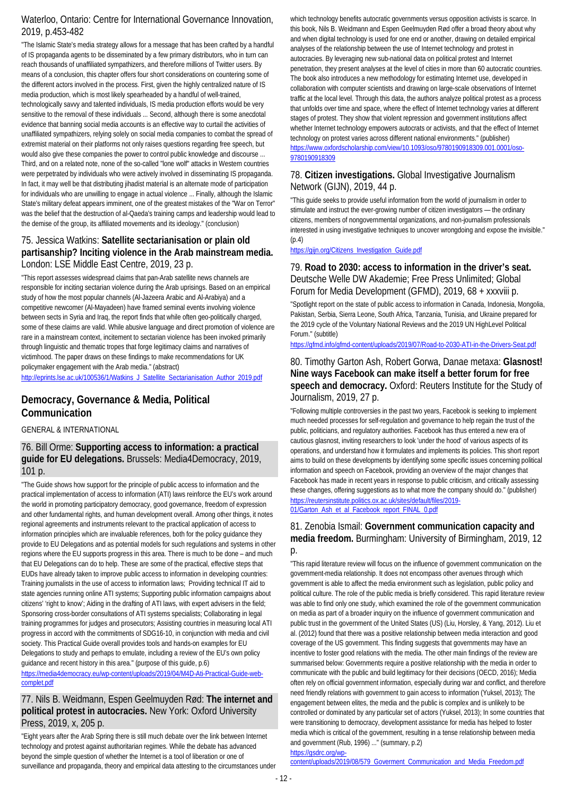## Waterloo, Ontario: Centre for International Governance Innovation, 2019, p.453-482

"The Islamic State's media strategy allows for a message that has been crafted by a handful of IS propaganda agents to be disseminated by a few primary distributors, who in turn can reach thousands of unaffiliated sympathizers, and therefore millions of Twitter users. By means of a conclusion, this chapter offers four short considerations on countering some of the different actors involved in the process. First, given the highly centralized nature of IS media production, which is most likely spearheaded by a handful of well-trained, technologically savvy and talented individuals, IS media production efforts would be very sensitive to the removal of these individuals ... Second, although there is some anecdotal evidence that banning social media accounts is an effective way to curtail the activities of unaffiliated sympathizers, relying solely on social media companies to combat the spread of extremist material on their platforms not only raises questions regarding free speech, but would also give these companies the power to control public knowledge and discourse ... Third, and on a related note, none of the so-called "lone wolf" attacks in Western countries were perpetrated by individuals who were actively involved in disseminating IS propaganda. In fact, it may well be that distributing jihadist material is an alternate mode of participation for individuals who are unwilling to engage in actual violence ... Finally, although the Islamic State's military defeat appears imminent, one of the greatest mistakes of the "War on Terror" was the belief that the destruction of al-Qaeda's training camps and leadership would lead to the demise of the group, its affiliated movements and its ideology." (conclusion)

## 75. Jessica Watkins: **Satellite sectarianisation or plain old partisanship? Inciting violence in the Arab mainstream media.**  London: LSE Middle East Centre, 2019, 23 p.

"This report assesses widespread claims that pan-Arab satellite news channels are responsible for inciting sectarian violence during the Arab uprisings. Based on an empirical study of how the most popular channels (Al-Jazeera Arabic and Al-Arabiya) and a competitive newcomer (Al-Mayadeen) have framed seminal events involving violence between sects in Syria and Iraq, the report finds that while often geo-politically charged, some of these claims are valid. While abusive language and direct promotion of violence are rare in a mainstream context, incitement to sectarian violence has been invoked primarily through linguistic and thematic tropes that forge legitimacy claims and narratives of victimhood. The paper draws on these findings to make recommendations for UK policymaker engagement with the Arab media." (abstract)

[http://eprints.lse.ac.uk/100536/1/Watkins\\_J\\_Satellite\\_Sectarianisation\\_Author\\_2019.pdf](http://eprints.lse.ac.uk/100536/1/Watkins_J_Satellite_Sectarianisation_Author_2019.pdf)

## **Democracy, Governance & Media, Political Communication**

GENERAL & INTERNATIONAL

### 76. Bill Orme: **Supporting access to information: a practical guide for EU delegations.** Brussels: Media4Democracy, 2019, 101 p.

"The Guide shows how support for the principle of public access to information and the practical implementation of access to information (ATI) laws reinforce the EU's work around the world in promoting participatory democracy, good governance, freedom of expression and other fundamental rights, and human development overall. Among other things, it notes regional agreements and instruments relevant to the practical application of access to information principles which are invaluable references, both for the policy guidance they provide to EU Delegations and as potential models for such regulations and systems in other regions where the EU supports progress in this area. There is much to be done – and much that EU Delegations can do to help. These are some of the practical, effective steps that EUDs have already taken to improve public access to information in developing countries: Training journalists in the use of access to information laws; Providing technical IT aid to state agencies running online ATI systems; Supporting public information campaigns about citizens' 'right to know'; Aiding in the drafting of ATI laws, with expert advisers in the field; Sponsoring cross-border consultations of ATI systems specialists; Collaborating in legal training programmes for judges and prosecutors; Assisting countries in measuring local ATI progress in accord with the commitments of SDG16-10, in conjunction with media and civil society. This Practical Guide overall provides tools and hands-on examples for EU Delegations to study and perhaps to emulate, including a review of the EU's own policy guidance and recent history in this area." (purpose of this guide, p.6) [https://media4democracy.eu/wp-content/uploads/2019/04/M4D-Ati-Practical-Guide-web-](https://media4democracy.eu/wp-content/uploads/2019/04/M4D-Ati-Practical-Guide-web-complet.pdf)

[complet.pdf](https://media4democracy.eu/wp-content/uploads/2019/04/M4D-Ati-Practical-Guide-web-complet.pdf)

## 77. Nils B. Weidmann, Espen Geelmuyden Rød: **The internet and political protest in autocracies.** New York: Oxford University Press, 2019, x, 205 p.

"Eight years after the Arab Spring there is still much debate over the link between Internet technology and protest against authoritarian regimes. While the debate has advanced beyond the simple question of whether the Internet is a tool of liberation or one of surveillance and propaganda, theory and empirical data attesting to the circumstances under which technology benefits autocratic governments versus opposition activists is scarce. In this book, Nils B. Weidmann and Espen Geelmuyden Rød offer a broad theory about why and when digital technology is used for one end or another, drawing on detailed empirical analyses of the relationship between the use of Internet technology and protest in autocracies. By leveraging new sub-national data on political protest and Internet penetration, they present analyses at the level of cities in more than 60 autocratic countries. The book also introduces a new methodology for estimating Internet use, developed in collaboration with computer scientists and drawing on large-scale observations of Internet traffic at the local level. Through this data, the authors analyze political protest as a process that unfolds over time and space, where the effect of Internet technology varies at different stages of protest. They show that violent repression and government institutions affect whether Internet technology empowers autocrats or activists, and that the effect of Internet technology on protest varies across different national environments." (publisher) [https://www.oxfordscholarship.com/view/10.1093/oso/9780190918309.001.0001/oso-](https://www.oxfordscholarship.com/view/10.1093/oso/9780190918309.001.0001/oso-9780190918309)[9780190918309](https://www.oxfordscholarship.com/view/10.1093/oso/9780190918309.001.0001/oso-9780190918309)

## 78. **Citizen investigations.** Global Investigative Journalism Network (GIJN), 2019, 44 p.

"This guide seeks to provide useful information from the world of journalism in order to stimulate and instruct the ever-growing number of citizen investigators — the ordinary citizens, members of nongovernmental organizations, and non-journalism professionals interested in using investigative techniques to uncover wrongdoing and expose the invisible." (p.4)

[https://gijn.org/Citizens\\_Investigation\\_Guide.pdf](https://gijn.org/Citizens_Investigation_Guide.pdf)

## 79. **Road to 2030: access to information in the driver's seat.**  Deutsche Welle DW Akademie; Free Press Unlimited; Global Forum for Media Development (GFMD), 2019, 68 + xxxviii p.

"Spotlight report on the state of public access to information in Canada, Indonesia, Mongolia, Pakistan, Serbia, Sierra Leone, South Africa, Tanzania, Tunisia, and Ukraine prepared for the 2019 cycle of the Voluntary National Reviews and the 2019 UN HighLevel Political Forum." (subtitle)

<https://gfmd.info/gfmd-content/uploads/2019/07/Road-to-2030-ATI-in-the-Drivers-Seat.pdf>

## 80. Timothy Garton Ash, Robert Gorwa, Danae metaxa: **Glasnost! Nine ways Facebook can make itself a better forum for free speech and democracy.** Oxford: Reuters Institute for the Study of Journalism, 2019, 27 p.

"Following multiple controversies in the past two years, Facebook is seeking to implement much needed processes for self-regulation and governance to help regain the trust of the public, politicians, and regulatory authorities. Facebook has thus entered a new era of cautious glasnost, inviting researchers to look 'under the hood' of various aspects of its operations, and understand how it formulates and implements its policies. This short report aims to build on these developments by identifying some specific issues concerning political information and speech on Facebook, providing an overview of the major changes that Facebook has made in recent years in response to public criticism, and critically assessing these changes, offering suggestions as to what more the company should do." (publisher) [https://reutersinstitute.politics.ox.ac.uk/sites/default/files/2019-](https://reutersinstitute.politics.ox.ac.uk/sites/default/files/2019-01/Garton_Ash_et_al_Facebook_report_FINAL_0.pdf) [01/Garton\\_Ash\\_et\\_al\\_Facebook\\_report\\_FINAL\\_0.pdf](https://reutersinstitute.politics.ox.ac.uk/sites/default/files/2019-01/Garton_Ash_et_al_Facebook_report_FINAL_0.pdf)

## 81. Zenobia Ismail: **Government communication capacity and media freedom.** Burmingham: University of Birmingham, 2019, 12  $D$ .

"This rapid literature review will focus on the influence of government communication on the government-media relationship. It does not encompass other avenues through which government is able to affect the media environment such as legislation, public policy and political culture. The role of the public media is briefly considered. This rapid literature review was able to find only one study, which examined the role of the government communication on media as part of a broader inquiry on the influence of government communication and public trust in the government of the United States (US) (Liu, Horsley, & Yang, 2012). Liu et al. (2012) found that there was a positive relationship between media interaction and good coverage of the US government. This finding suggests that governments may have an incentive to foster good relations with the media. The other main findings of the review are summarised below: Governments require a positive relationship with the media in order to communicate with the public and build legitimacy for their decisions (OECD, 2016); Media often rely on official government information, especially during war and conflict, and therefore need friendly relations with government to gain access to information (Yuksel, 2013); The engagement between elites, the media and the public is complex and is unlikely to be controlled or dominated by any particular set of actors (Yuksel, 2013); In some countries that were transitioning to democracy, development assistance for media has helped to foster media which is critical of the government, resulting in a tense relationship between media and government (Rub, 1996) ..." (summary, p.2)

[https://gsdrc.org/wp](https://gsdrc.org/wp-content/uploads/2019/08/579_Goverment_Communication_and_Media_Freedom.pdf)[content/uploads/2019/08/579\\_Goverment\\_Communication\\_and\\_Media\\_Freedom.pdf](https://gsdrc.org/wp-content/uploads/2019/08/579_Goverment_Communication_and_Media_Freedom.pdf)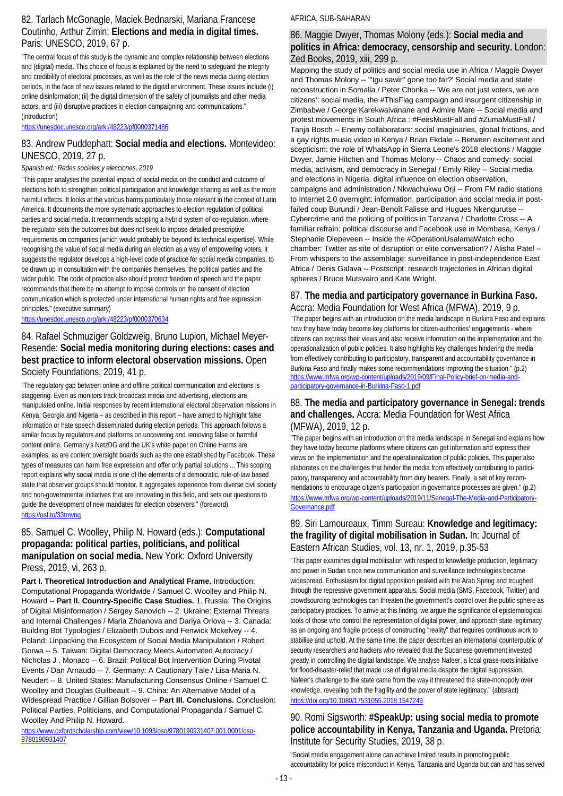## 82. Tarlach McGonagle, Maciek Bednarski, Mariana Francese Coutinho, Arthur Zimin: **Elections and media in digital times.**  Paris: UNESCO, 2019, 67 p.

"The central focus of this study is the dynamic and complex relationship between elections and (digital) media. This choice of focus is explained by the need to safeguard the integrity and credibility of electoral processes, as well as the role of the news media during election periods, in the face of new issues related to the digital environment. These issues include (i) online disinformation; (ii) the digital dimension of the safety of journalists and other media actors, and (iii) disruptive practices in election campaigning and communications." (introduction)

<https://unesdoc.unesco.org/ark:/48223/pf0000371486>

## 83. Andrew Puddephatt: **Social media and elections.** Montevideo: UNESCO, 2019, 27 p.

### *Spanish ed.: Redes sociales y elecciones, 2019*

"This paper analyses the potential impact of social media on the conduct and outcome of elections both to strengthen political participation and knowledge sharing as well as the more harmful effects. It looks at the various harms particularly those relevant in the context of Latin America. It documents the more systematic approaches to election regulation of political parties and social media. It recommends adopting a hybrid system of co-regulation, where the regulator sets the outcomes but does not seek to impose detailed prescriptive requirements on companies (which would probably be beyond its technical expertise). While recognising the value of social media during an election as a way of empowering voters, it suggests the regulator develops a high-level code of practice for social media companies, to be drawn up in consultation with the companies themselves, the political parties and the wider public. The code of practice also should protect freedom of speech and the paper recommends that there be no attempt to impose controls on the consent of election communication which is protected under international human rights and free expression principles." (executive summary)

<https://unesdoc.unesco.org/ark:/48223/pf0000370634>

## 84. Rafael Schmuziger Goldzweig, Bruno Lupion, Michael Meyer-Resende: **Social media monitoring during elections: cases and best practice to inform electoral observation missions.** Open Society Foundations, 2019, 41 p.

"The regulatory gap between online and offline political communication and elections is staggering. Even as monitors track broadcast media and advertising, elections are manipulated online. Initial responses by recent international electoral observation missions in Kenya, Georgia and Nigeria – as described in this report – have aimed to highlight false information or hate speech disseminated during election periods. This approach follows a similar focus by regulators and platforms on uncovering and removing false or harmful content online. Germany's NetzDG and the UK's white paper on Online Harms are examples, as are content oversight boards such as the one established by Facebook. These types of measures can harm free expression and offer only partial solutions ... This scoping report explains why social media is one of the elements of a democratic, rule-of-law based state that observer groups should monitor. It aggregates experience from diverse civil society and non-governmental initiatives that are innovating in this field, and sets out questions to guide the development of new mandates for election observers." (foreword) <https://osf.to/33tmvnq>

### 85. Samuel C. Woolley, Philip N. Howard (eds.): **Computational propaganda: political parties, politicians, and political manipulation on social media.** New York: Oxford University Press, 2019, vi, 263 p.

**Part I. Theoretical Introduction and Analytical Frame.** Introduction: Computational Propaganda Worldwide / Samuel C. Woolley and Philip N. Howard -- **Part II. Country-Specific Case Studies.** 1. Russia: The Origins of Digital Misinformation / Sergey Sanovich -- 2. Ukraine: External Threats and Internal Challenges / Maria Zhdanova and Dariya Orlova -- 3. Canada: Building Bot Typologies / Elizabeth Dubois and Fenwick Mckelvey -- 4. Poland: Unpacking the Ecosystem of Social Media Manipulation / Robert Gorwa -- 5. Taiwan: Digital Democracy Meets Automated Autocracy / Nicholas J . Monaco -- 6. Brazil: Political Bot Intervention During Pivotal Events / Dan Arnaudo -- 7. Germany: A Cautionary Tale / Lisa-Maria N. Neudert -- 8. United States: Manufacturing Consensus Online / Samuel C. Woolley and Douglas Guilbeault -- 9. China: An Alternative Model of a Widespread Practice / Gillian Bolsover -- **Part III. Conclusions.** Conclusion: Political Parties, Politicians, and Computational Propaganda / Samuel C. Woolley And Philip N. Howard.

[https://www.oxfordscholarship.com/view/10.1093/oso/9780190931407.001.0001/oso-](https://www.oxfordscholarship.com/view/10.1093/oso/9780190931407.001.0001/oso-9780190931407)[9780190931407](https://www.oxfordscholarship.com/view/10.1093/oso/9780190931407.001.0001/oso-9780190931407)

### AFRICA, SUB-SAHARAN

### 86. Maggie Dwyer, Thomas Molony (eds.): **Social media and politics in Africa: democracy, censorship and security.** London: Zed Books, 2019, xiii, 299 p.

Mapping the study of politics and social media use in Africa / Maggie Dwyer and Thomas Molony -- '"Igu sawir" gone too far?' Social media and state reconstruction in Somalia / Peter Chonka -- 'We are not just voters, we are citizens': social media, the #ThisFlag campaign and insurgent citizenship in Zimbabwe / George Karekwaivanane and Admire Mare -- Social media and protest movements in South Africa : #FeesMustFall and #ZumaMustFall / Tanja Bosch -- Enemy collaborators: social imaginaries, global frictions, and a gay rights music video in Kenya / Brian Ekdale -- Between excitement and scepticism: the role of WhatsApp in Sierra Leone's 2018 elections / Maggie Dwyer, Jamie Hitchen and Thomas Molony -- Chaos and comedy: social media, activism, and democracy in Senegal / Emily Riley -- Social media and elections in Nigeria: digital influence on election observation, campaigns and administration / Nkwachukwu Orji -- From FM radio stations to Internet 2.0 overnight: information, participation and social media in postfailed coup Burundi / Jean-Benoît Falisse and Hugues Nkengurutse -- Cybercrime and the policing of politics in Tanzania / Charlotte Cross -- A familiar refrain: political discourse and Facebook use in Mombasa, Kenya / Stephanie Diepeveen -- Inside the #OperationUsalamaWatch echo chamber: Twitter as site of disruption or elite conversation? / Alisha Patel -- From whispers to the assemblage: surveillance in post-independence East Africa / Denis Galava -- Postscript: research trajectories in African digital spheres / Bruce Mutsvairo and Kate Wright.

## 87. **The media and participatory governance in Burkina Faso.**

Accra: Media Foundation for West Africa (MFWA), 2019, 9 p. "The paper begins with an introduction on the media landscape in Burkina Faso and explains how they have today become key platforms for citizen-authorities' engagements - where citizens can express their views and also receive information on the implementation and the operationalization of public policies. It also highlights key challenges hindering the media from effectively contributing to participatory, transparent and accountability governance in Burkina Faso and finally makes some recommendations improving the situation." (p.2) [https://www.mfwa.org/wp-content/uploads/2019/09/Final-Policy-brief-on-media-and](https://www.mfwa.org/wp-content/uploads/2019/09/Final-Policy-brief-on-media-and-participatory-governance-in-Burkina-Faso-1.pdf)[participatory-governance-in-Burkina-Faso-1.pdf](https://www.mfwa.org/wp-content/uploads/2019/09/Final-Policy-brief-on-media-and-participatory-governance-in-Burkina-Faso-1.pdf)

### 88. **The media and participatory governance in Senegal: trends and challenges.** Accra: Media Foundation for West Africa (MFWA), 2019, 12 p.

"The paper begins with an introduction on the media landscape in Senegal and explains how they have today become platforms where citizens can get information and express their views on the implementation and the operationalization of public policies. This paper also elaborates on the challenges that hinder the media from effectively contributing to participatory, transparency and accountability from duty bearers. Finally, a set of key recommendations to encourage citizen's participation in governance processes are given." (p.2) [https://www.mfwa.org/wp-content/uploads/2019/11/Senegal-The-Media-and-Participatory-](https://www.mfwa.org/wp-content/uploads/2019/11/Senegal-The-Media-and-Participatory-Governance.pdf)[Governance.pdf](https://www.mfwa.org/wp-content/uploads/2019/11/Senegal-The-Media-and-Participatory-Governance.pdf)

### 89. Siri Lamoureaux, Timm Sureau: **Knowledge and legitimacy: the fragility of digital mobilisation in Sudan.** In: Journal of Eastern African Studies, vol. 13, nr. 1, 2019, p.35-53

"This paper examines digital mobilisation with respect to knowledge production, legitimacy and power in Sudan since new communication and surveillance technologies became widespread. Enthusiasm for digital opposition peaked with the Arab Spring and troughed through the repressive government apparatus. Social media (SMS, Facebook, Twitter) and crowdsourcing technologies can threaten the government's control over the public sphere as participatory practices. To arrive at this finding, we argue the significance of epistemological tools of those who control the representation of digital power, and approach state legitimacy as an ongoing and fragile process of constructing "reality" that requires continuous work to stabilise and uphold. At the same time, the paper describes an international counterpublic of security researchers and hackers who revealed that the Sudanese government invested greatly in controlling the digital landscape. We analyse Nafeer, a local grass-roots initiative for flood-disaster-relief that made use of digital media despite the digital suppression. Nafeer's challenge to the state came from the way it threatened the state-monopoly over knowledge, revealing both the fragility and the power of state legitimacy." (abtsract) <https://doi.org/10.1080/17531055.2018.1547249>

### 90. Romi Sigsworth: **#SpeakUp: using social media to promote police accountability in Kenya, Tanzania and Uganda.** Pretoria: Institute for Security Studies, 2019, 38 p.

"Social media engagement alone can achieve limited results in promoting public accountability for police misconduct in Kenya, Tanzania and Uganda but can and has served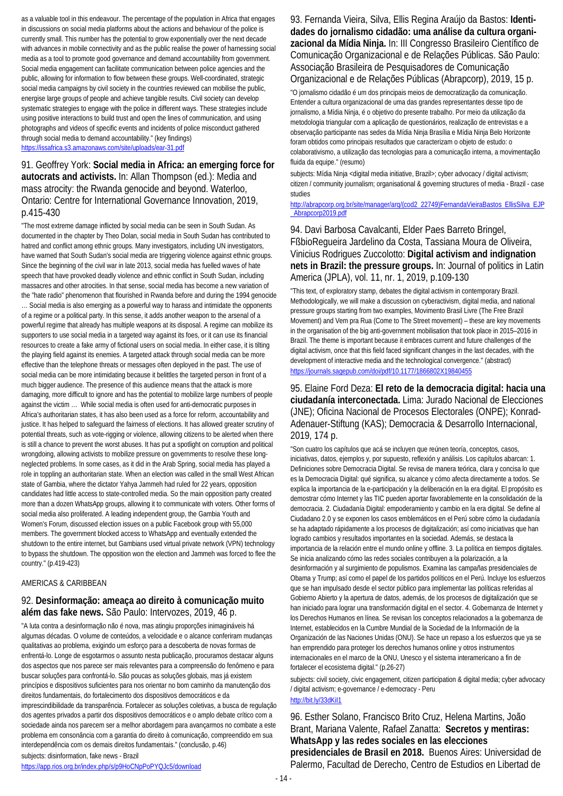as a valuable tool in this endeavour. The percentage of the population in Africa that engages in discussions on social media platforms about the actions and behaviour of the police is currently small. This number has the potential to grow exponentially over the next decade with advances in mobile connectivity and as the public realise the power of harnessing social media as a tool to promote good governance and demand accountability from government. Social media engagement can facilitate communication between police agencies and the public, allowing for information to flow between these groups. Well-coordinated, strategic social media campaigns by civil society in the countries reviewed can mobilise the public, energise large groups of people and achieve tangible results. Civil society can develop systematic strategies to engage with the police in different ways. These strategies include using positive interactions to build trust and open the lines of communication, and using photographs and videos of specific events and incidents of police misconduct gathered through social media to demand accountability." (key findings) <https://issafrica.s3.amazonaws.com/site/uploads/ear-31.pdf>

## 91. Geoffrey York: **Social media in Africa: an emerging force for autocrats and activists.** In: Allan Thompson (ed.): Media and mass atrocity: the Rwanda genocide and beyond. Waterloo, Ontario: Centre for International Governance Innovation, 2019, p.415-430

"The most extreme damage inflicted by social media can be seen in South Sudan. As documented in the chapter by Theo Dolan, social media in South Sudan has contributed to hatred and conflict among ethnic groups. Many investigators, including UN investigators, have warned that South Sudan's social media are triggering violence against ethnic groups. Since the beginning of the civil war in late 2013, social media has fuelled waves of hate speech that have provoked deadly violence and ethnic conflict in South Sudan, including massacres and other atrocities. In that sense, social media has become a new variation of the "hate radio" phenomenon that flourished in Rwanda before and during the 1994 genocide

… Social media is also emerging as a powerful way to harass and intimidate the opponents of a regime or a political party. In this sense, it adds another weapon to the arsenal of a powerful regime that already has multiple weapons at its disposal. A regime can mobilize its supporters to use social media in a targeted way against its foes, or it can use its financial resources to create a fake army of fictional users on social media. In either case, it is tilting the playing field against its enemies. A targeted attack through social media can be more effective than the telephone threats or messages often deployed in the past. The use of social media can be more intimidating because it belittles the targeted person in front of a much bigger audience. The presence of this audience means that the attack is more damaging, more difficult to ignore and has the potential to mobilize large numbers of people against the victim … While social media is often used for anti-democratic purposes in Africa's authoritarian states, it has also been used as a force for reform, accountability and justice. It has helped to safeguard the fairness of elections. It has allowed greater scrutiny of potential threats, such as vote-rigging or violence, allowing citizens to be alerted when there is still a chance to prevent the worst abuses. It has put a spotlight on corruption and political wrongdoing, allowing activists to mobilize pressure on governments to resolve these longneglected problems. In some cases, as it did in the Arab Spring, social media has played a role in toppling an authoritarian state. When an election was called in the small West African state of Gambia, where the dictator Yahya Jammeh had ruled for 22 years, opposition candidates had little access to state-controlled media. So the main opposition party created more than a dozen WhatsApp groups, allowing it to communicate with voters. Other forms of social media also proliferated. A leading independent group, the Gambia Youth and Women's Forum, discussed election issues on a public Facebook group with 55,000 members. The government blocked access to WhatsApp and eventually extended the shutdown to the entire internet, but Gambians used virtual private network (VPN) technology to bypass the shutdown. The opposition won the election and Jammeh was forced to flee the country." (p.419-423)

### AMERICAS & CARIBBEAN

## 92. **Desinformação: ameaça ao direito à comunicação muito além das fake news.** São Paulo: Intervozes, 2019, 46 p.

"A luta contra a desinformação não é nova, mas atingiu proporções inimagináveis há algumas décadas. O volume de conteúdos, a velocidade e o alcance conferiram mudanças qualitativas ao problema, exigindo um esforço para a descoberta de novas formas de enfrentá-lo. Longe de esgotarmos o assunto nesta publicação, procuramos destacar alguns dos aspectos que nos parece ser mais relevantes para a compreensão do fenômeno e para buscar soluções para confrontá-lo. São poucas as soluções globais, mas já existem princípios e dispositivos suficientes para nos orientar no bom caminho da manutenção dos direitos fundamentais, do fortalecimento dos dispositivos democráticos e da

imprescindibilidade da transparência. Fortalecer as soluções coletivas, a busca de regulação dos agentes privados a partir dos dispositivos democráticos e o amplo debate crítico com a sociedade ainda nos parecem ser a melhor abordagem para avançarmos no combate a este problema em consonância com a garantia do direito à comunicação, compreendido em sua interdependência com os demais direitos fundamentais." (conclusão, p.46)

subjects: disinformation, fake news - Brazil

<https://app.rios.org.br/index.php/s/p9HoCNpPoPYQJc5/download>

### 93. Fernanda Vieira, Silva, Ellis Regina Araújo da Bastos: **Identidades do jornalismo cidadão: uma análise da cultura organizacional da Mídia Ninja.** In: III Congresso Brasileiro Científico de Comunicação Organizacional e de Relações Públicas. São Paulo: Associação Brasileira de Pesquisadores de Comunicação Organizacional e de Relações Públicas (Abrapcorp), 2019, 15 p.

"O jornalismo cidadão é um dos principais meios de democratização da comunicação. Entender a cultura organizacional de uma das grandes representantes desse tipo de jornalismo, a Mídia Ninja, é o objetivo do presente trabalho. Por meio da utilização da metodologia triangular com a aplicação de questionários, realização de entrevistas e a observação participante nas sedes da Mídia Ninja Brasília e Mídia Ninja Belo Horizonte foram obtidos como principais resultados que caracterizam o objeto de estudo: o colaborativismo, a utilização das tecnologias para a comunicação interna, a movimentação fluida da equipe." (resumo)

subjects: Mídia Ninja <digital media initiative, Brazil>; cyber advocacy / digital activism; citizen / community journalism; organisational & governing structures of media - Brazil - case studies

http://abrapcorp.org.br/site/manager/arg/(cod2\_22749)FernandaVieiraBastos\_EllisSilva\_EJP Abrapcorp2019.pdf

## 94. Davi Barbosa Cavalcanti, Elder Paes Barreto Bringel, FßbioRegueira Jardelino da Costa, Tassiana Moura de Oliveira, Vinicius Rodrigues Zuccolotto: **Digital activism and indignation nets in Brazil: the pressure groups.** In: Journal of politics in Latin America (JPLA), vol. 11, nr. 1, 2019, p.109-130

"This text, of exploratory stamp, debates the digital activism in contemporary Brazil. Methodologically, we will make a discussion on cyberactivism, digital media, and national pressure groups starting from two examples, Movimento Brasil Livre (The Free Brazil Movement) and Vem pra Rua (Come to The Street movement) – these are key movements in the organisation of the big anti-government mobilisation that took place in 2015–2016 in Brazil. The theme is important because it embraces current and future challenges of the digital activism, once that this field faced significant changes in the last decades, with the development of interactive media and the technological convergence." (abstract) <https://journals.sagepub.com/doi/pdf/10.1177/1866802X19840455>

## 95. Elaine Ford Deza: **El reto de la democracia digital: hacia una ciudadanía interconectada.** Lima: Jurado Nacional de Elecciones (JNE); Oficina Nacional de Procesos Electorales (ONPE); Konrad-Adenauer-Stiftung (KAS); Democracia & Desarrollo Internacional, 2019, 174 p.

"Son cuatro los capítulos que acá se incluyen que reúnen teoría, conceptos, casos, iniciativas, datos, ejemplos y, por supuesto, reflexión y análisis. Los capítulos abarcan: 1. Definiciones sobre Democracia Digital. Se revisa de manera teórica, clara y concisa lo que es la Democracia Digital: qué significa, su alcance y cómo afecta directamente a todos. Se explica la importancia de la e-participación y la deliberación en la era digital. El propósito es demostrar cómo Internet y las TIC pueden aportar favorablemente en la consolidación de la democracia. 2. Ciudadanía Digital: empoderamiento y cambio en la era digital. Se define al Ciudadano 2.0 y se exponen los casos emblemáticos en el Perú sobre cómo la ciudadanía se ha adaptado rápidamente a los procesos de digitalización; así como iniciativas que han logrado cambios y resultados importantes en la sociedad. Además, se destaca la importancia de la relación entre el mundo online y offline. 3. La política en tiempos digitales. Se inicia analizando cómo las redes sociales contribuyen a la polarización, a la desinformación y al surgimiento de populismos. Examina las campañas presidenciales de Obama y Trump; así como el papel de los partidos políticos en el Perú. Incluye los esfuerzos que se han impulsado desde el sector público para implementar las políticas referidas al Gobierno Abierto y la apertura de datos, además, de los procesos de digitalización que se han iniciado para lograr una transformación digital en el sector. 4. Gobernanza de Internet y los Derechos Humanos en línea. Se revisan los conceptos relacionados a la gobernanza de Internet, establecidos en la Cumbre Mundial de la Sociedad de la Información de la Organización de las Naciones Unidas (ONU). Se hace un repaso a los esfuerzos que ya se han emprendido para proteger los derechos humanos online y otros instrumentos internacionales en el marco de la ONU, Unesco y el sistema interamericano a fin de fortalecer el ecosistema digital." (p.26-27)

subjects: civil society, civic engagement, citizen participation & digital media; cyber advocacy / digital activism; e-governance / e-democracy - Peru <http://bit.ly/33dKiI1>

96. Esther Solano, Francisco Brito Cruz, Helena Martins, João Brant, Mariana Valente, Rafael Zanatta: **Secretos y mentiras: WhatsApp y las redes sociales en las elecciones presidenciales de Brasil en 2018.** Buenos Aires: Universidad de Palermo, Facultad de Derecho, Centro de Estudios en Libertad de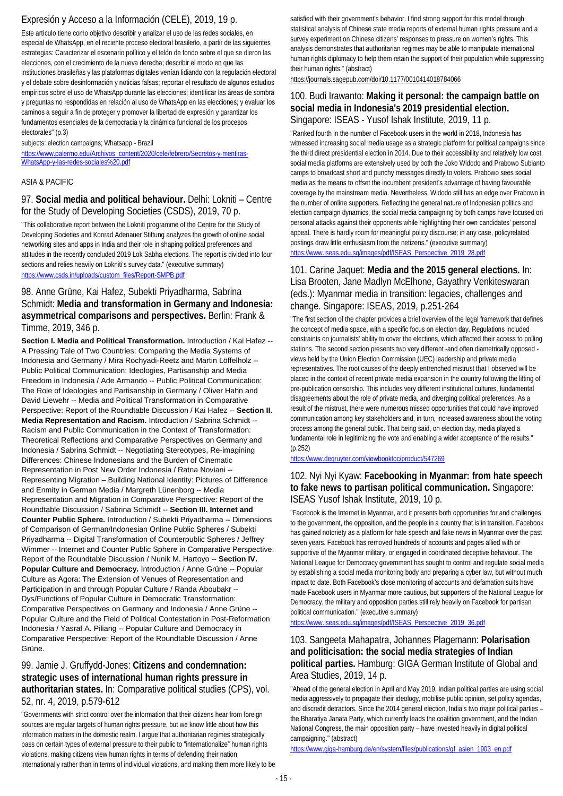## Expresión y Acceso a la Información (CELE), 2019, 19 p.

Este artículo tiene como objetivo describir y analizar el uso de las redes sociales, en especial de WhatsApp, en el reciente proceso electoral brasileño, a partir de las siguientes estrategias: Caracterizar el escenario político y el telón de fondo sobre el que se dieron las elecciones, con el crecimiento de la nueva derecha; describir el modo en que las instituciones brasileñas y las plataformas digitales venían lidiando con la regulación electoral y el debate sobre desinformación y noticias falsas; reportar el resultado de algunos estudios empíricos sobre el uso de WhatsApp durante las elecciones; identificar las áreas de sombra y preguntas no respondidas en relación al uso de WhatsApp en las elecciones; y evaluar los caminos a seguir a fin de proteger y promover la libertad de expresión y garantizar los fundamentos esenciales de la democracia y la dinámica funcional de los procesos electorales" (p.3)

### subjects: election campaigns; Whatsapp - Brazil

[https://www.palermo.edu/Archivos\\_content/2020/cele/febrero/Secretos-y-mentiras-](https://www.palermo.edu/Archivos_content/2020/cele/febrero/Secretos-y-mentiras-WhatsApp-y-las-redes-sociales%20.pdf)[WhatsApp-y-las-redes-sociales%20.pdf](https://www.palermo.edu/Archivos_content/2020/cele/febrero/Secretos-y-mentiras-WhatsApp-y-las-redes-sociales%20.pdf)

### ASIA & PACIFIC

### 97. **Social media and political behaviour.** Delhi: Lokniti – Centre for the Study of Developing Societies (CSDS), 2019, 70 p.

"This collaborative report between the Lokniti programme of the Centre for the Study of Developing Societies and Konrad Adenauer Stiftung analyzes the growth of online social networking sites and apps in India and their role in shaping political preferences and attitudes in the recently concluded 2019 Lok Sabha elections. The report is divided into four sections and relies heavily on Lokniti's survey data." (executive summary) [https://www.csds.in/uploads/custom\\_files/Report-SMPB.pdf](https://www.csds.in/uploads/custom_files/Report-SMPB.pdf)

### 98. Anne Grüne, Kai Hafez, Subekti Priyadharma, Sabrina Schmidt: **Media and transformation in Germany and Indonesia: asymmetrical comparisons and perspectives.** Berlin: Frank & Timme, 2019, 346 p.

**Section I. Media and Political Transformation.** Introduction / Kai Hafez -- A Pressing Tale of Two Countries: Comparing the Media Systems of Indonesia and Germany / Mira Rochyadi-Reetz and Martin Löffelholz -- Public Political Communication: Ideologies, Partisanship and Media Freedom in Indonesia / Ade Armando -- Public Political Communication: The Role of Ideologies and Partisanship in Germany / Oliver Hahn and David Liewehr -- Media and Political Transformation in Comparative Perspective: Report of the Roundtable Discussion / Kai Hafez -- **Section II. Media Representation and Racism.** Introduction / Sabrina Schmidt -- Racism and Public Communication in the Context of Transformation: Theoretical Reflections and Comparative Perspectives on Germany and Indonesia / Sabrina Schmidt -- Negotiating Stereotypes, Re-imagining Differences: Chinese Indonesians and the Burden of Cinematic Representation in Post New Order Indonesia / Ratna Noviani -- Representing Migration – Building National Identity: Pictures of Difference and Enmity in German Media / Margreth Lünenborg -- Media Representation and Migration in Comparative Perspective: Report of the Roundtable Discussion / Sabrina Schmidt -- **Section III. Internet and Counter Public Sphere.** Introduction / Subekti Priyadharma -- Dimensions of Comparison of German/Indonesian Online Public Spheres / Subekti Priyadharma -- Digital Transformation of Counterpublic Spheres / Jeffrey Wimmer -- Internet and Counter Public Sphere in Comparative Perspective: Report of the Roundtable Discussion / Nunik M. Hartoyo -- **Section IV. Popular Culture and Democracy.** Introduction / Anne Grüne -- Popular Culture as Agora: The Extension of Venues of Representation and Participation in and through Popular Culture / Randa Aboubakr -- Dys/Functions of Popular Culture in Democratic Transformation: Comparative Perspectives on Germany and Indonesia / Anne Grüne -- Popular Culture and the Field of Political Contestation in Post-Reformation Indonesia / Yasraf A. Piliang -- Popular Culture and Democracy in Comparative Perspective: Report of the Roundtable Discussion / Anne Grüne.

### 99. Jamie J. Gruffydd-Jones: **Citizens and condemnation: strategic uses of international human rights pressure in authoritarian states.** In: Comparative political studies (CPS), vol. 52, nr. 4, 2019, p.579-612

"Governments with strict control over the information that their citizens hear from foreign sources are regular targets of human rights pressure, but we know little about how this information matters in the domestic realm. I argue that authoritarian regimes strategically pass on certain types of external pressure to their public to "internationalize" human rights violations, making citizens view human rights in terms of defending their nation internationally rather than in terms of individual violations, and making them more likely to be

satisfied with their government's behavior. I find strong support for this model through statistical analysis of Chinese state media reports of external human rights pressure and a survey experiment on Chinese citizens' responses to pressure on women's rights. This analysis demonstrates that authoritarian regimes may be able to manipulate international human rights diplomacy to help them retain the support of their population while suppressing their human rights." (abstract)

https://journals.sagepub.com/doi/10.1177/0010414018784066

### 100. Budi Irawanto: **Making it personal: the campaign battle on social media in Indonesia's 2019 presidential election.**  Singapore: ISEAS - Yusof Ishak Institute, 2019, 11 p.

"Ranked fourth in the number of Facebook users in the world in 2018, Indonesia has witnessed increasing social media usage as a strategic platform for political campaigns since the third direct presidential election in 2014. Due to their accessibility and relatively low cost, social media platforms are extensively used by both the Joko Widodo and Prabowo Subianto camps to broadcast short and punchy messages directly to voters. Prabowo sees social media as the means to offset the incumbent president's advantage of having favourable coverage by the mainstream media. Nevertheless, Widodo still has an edge over Prabowo in the number of online supporters. Reflecting the general nature of Indonesian politics and election campaign dynamics, the social media campaigning by both camps have focused on personal attacks against their opponents while highlighting their own candidates' personal appeal. There is hardly room for meaningful policy discourse; in any case, policyrelated postings draw little enthusiasm from the netizens." (executive summary) [https://www.iseas.edu.sg/images/pdf/ISEAS\\_Perspective\\_2019\\_28.pdf](https://www.iseas.edu.sg/images/pdf/ISEAS_Perspective_2019_28.pdf)

## 101. Carine Jaquet: **Media and the 2015 general elections.** In: Lisa Brooten, Jane Madlyn McElhone, Gayathry Venkiteswaran (eds.): Myanmar media in transition: legacies, challenges and change. Singapore: ISEAS, 2019, p.251-264

"The first section of the chapter provides a brief overview of the legal framework that defines the concept of media space, with a specific focus on election day. Regulations included constraints on journalists' ability to cover the elections, which affected their access to polling stations. The second section presents two very different -and often diametrically opposed views held by the Union Election Commission (UEC) leadership and private media representatives. The root causes of the deeply entrenched mistrust that I observed will be placed in the context of recent private media expansion in the country following the lifting of pre-publication censorship. This includes very different institutional cultures, fundamental disagreements about the role of private media, and diverging political preferences. As a result of the mistrust, there were numerous missed opportunities that could have improved communication among key stakeholders and, in turn, increased awareness about the voting process among the general public. That being said, on election day, media played a fundamental role in legitimizing the vote and enabling a wider acceptance of the results." (p.252)

### <https://www.degruyter.com/viewbooktoc/product/547269>

## 102. Nyi Nyi Kyaw: **Facebooking in Myanmar: from hate speech to fake news to partisan political communication.** Singapore: ISEAS Yusof Ishak Institute, 2019, 10 p.

"Facebook is the Internet in Myanmar, and it presents both opportunities for and challenges to the government, the opposition, and the people in a country that is in transition. Facebook has gained notoriety as a platform for hate speech and fake news in Myanmar over the past seven years. Facebook has removed hundreds of accounts and pages allied with or supportive of the Myanmar military, or engaged in coordinated deceptive behaviour. The National League for Democracy government has sought to control and regulate social media by establishing a social media monitoring body and preparing a cyber law, but without much impact to date. Both Facebook's close monitoring of accounts and defamation suits have made Facebook users in Myanmar more cautious, but supporters of the National League for Democracy, the military and opposition parties still rely heavily on Facebook for partisan political communication." (executive summary)

[https://www.iseas.edu.sg/images/pdf/ISEAS\\_Perspective\\_2019\\_36.pdf](https://www.iseas.edu.sg/images/pdf/ISEAS_Perspective_2019_36.pdf)

### 103. Sangeeta Mahapatra, Johannes Plagemann: **Polarisation and politicisation: the social media strategies of Indian political parties.** Hamburg: GIGA German Institute of Global and Area Studies, 2019, 14 p.

"Ahead of the general election in April and May 2019, Indian political parties are using social media aggressively to propagate their ideology, mobilise public opinion, set policy agendas, and discredit detractors. Since the 2014 general election, India's two major political parties – the Bharatiya Janata Party, which currently leads the coalition government, and the Indian National Congress, the main opposition party – have invested heavily in digital political campaigning." (abstract)

[https://www.giga-hamburg.de/en/system/files/publications/gf\\_asien\\_1903\\_en.pdf](https://www.giga-hamburg.de/en/system/files/publications/gf_asien_1903_en.pdf)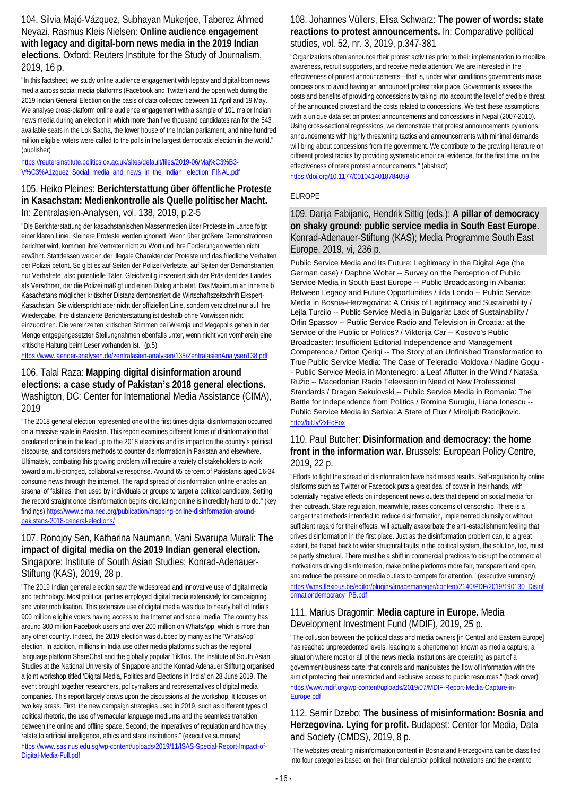104. Silvia Majó-Vázquez, Subhayan Mukerjee, Taberez Ahmed Neyazi, Rasmus Kleis Nielsen: **Online audience engagement with legacy and digital-born news media in the 2019 Indian elections.** Oxford: Reuters Institute for the Study of Journalism, 2019, 16 p.

"In this factsheet, we study online audience engagement with legacy and digital-born news media across social media platforms (Facebook and Twitter) and the open web during the 2019 Indian General Election on the basis of data collected between 11 April and 19 May. We analyse cross-platform online audience engagement with a sample of 101 major Indian news media during an election in which more than five thousand candidates ran for the 543 available seats in the Lok Sabha, the lower house of the Indian parliament, and nine hundred million eligible voters were called to the polls in the largest democratic election in the world." (publisher)

### [https://reutersinstitute.politics.ox.ac.uk/sites/default/files/2019-06/Maj%C3%B3-](https://reutersinstitute.politics.ox.ac.uk/sites/default/files/2019-06/Maj%C3%B3-V%C3%A1zquez_Social_media_and_news_in_the_Indian%20_election_FINAL.pdf) V%C3%A1zquez\_Social\_media\_and\_news\_in\_the\_Indian\_election\_FINAL.pdf

## 105. Heiko Pleines: **Berichterstattung über öffentliche Proteste in Kasachstan: Medienkontrolle als Quelle politischer Macht.**  In: Zentralasien-Analysen, vol. 138, 2019, p.2-5

"Die Berichterstattung der kasachstanischen Massenmedien über Proteste im Lande folgt einer klaren Linie. Kleinere Proteste werden ignoriert. Wenn über größere Demonstrationen berichtet wird, kommen ihre Vertreter nicht zu Wort und ihre Forderungen werden nicht erwähnt. Stattdessen werden der illegale Charakter der Proteste und das friedliche Verhalten der Polizei betont. So gibt es auf Seiten der Polizei Verletzte, auf Seiten der Demonstranten nur Verhaftete, also potentielle Täter. Gleichzeitig inszeniert sich der Präsident des Landes als Versöhner, der die Polizei mäßigt und einen Dialog anbietet. Das Maximum an innerhalb Kasachstans möglicher kritischer Distanz demonstriert die Wirtschaftszeitschrift Ekspert-Kasachstan. Sie widerspricht aber nicht der offiziellen Linie, sondern verzichtet nur auf ihre Wiedergabe. Ihre distanzierte Berichterstattung ist deshalb ohne Vorwissen nicht einzuordnen. Die vereinzelten kritischen Stimmen bei Wremja und Megapolis gehen in der Menge entgegengesetzter Stellungnahmen ebenfalls unter, wenn nicht von vornherein eine kritische Haltung beim Leser vorhanden ist." (p.5)

<https://www.laender-analysen.de/zentralasien-analysen/138/ZentralasienAnalysen138.pdf>

## 106. Talal Raza: **Mapping digital disinformation around elections: a case study of Pakistan's 2018 general elections.**  Washigton, DC: Center for International Media Assistance (CIMA), 2019

"The 2018 general election represented one of the first times digital disinformation occurred on a massive scale in Pakistan. This report examines different forms of disinformation that circulated online in the lead up to the 2018 elections and its impact on the country's political discourse, and considers methods to counter disinformation in Pakistan and elsewhere. Ultimately, combating this growing problem will require a variety of stakeholders to work toward a multi-pronged, collaborative response. Around 65 percent of Pakistanis aged 16-34 consume news through the internet. The rapid spread of disinformation online enables an arsenal of falsities, then used by individuals or groups to target a political candidate. Setting the record straight once disinformation begins circulating online is incredibly hard to do." (key findings[\) https://www.cima.ned.org/publication/mapping-online-disinformation-around](https://www.cima.ned.org/publication/mapping-online-disinformation-around-pakistans-2018-general-elections/)[pakistans-2018-general-elections/](https://www.cima.ned.org/publication/mapping-online-disinformation-around-pakistans-2018-general-elections/)

### 107. Ronojoy Sen, Katharina Naumann, Vani Swarupa Murali: **The impact of digital media on the 2019 Indian general election.**  Singapore: Institute of South Asian Studies; Konrad-Adenauer-Stiftung (KAS), 2019, 28 p.

"The 2019 Indian general election saw the widespread and innovative use of digital media and technology. Most political parties employed digital media extensively for campaigning and voter mobilisation. This extensive use of digital media was due to nearly half of India's 900 million eligible voters having access to the Internet and social media. The country has around 300 million Facebook users and over 200 million on WhatsApp, which is more than any other country. Indeed, the 2019 election was dubbed by many as the 'WhatsApp' election. In addition, millions in India use other media platforms such as the regional language platform ShareChat and the globally popular TikTok. The Institute of South Asian Studies at the National University of Singapore and the Konrad Adenauer Stiftung organised a joint workshop titled 'Digital Media, Politics and Elections in India' on 28 June 2019. The event brought together researchers, policymakers and representatives of digital media companies. This report largely draws upon the discussions at the workshop. It focuses on two key areas. First, the new campaign strategies used in 2019, such as different types of political rhetoric, the use of vernacular language mediums and the seamless transition between the online and offline space. Second, the imperatives of regulation and how they relate to artificial intelligence, ethics and state institutions." (executive summary) [https://www.isas.nus.edu.sg/wp-content/uploads/2019/11/ISAS-Special-Report-Impact-of-](https://www.isas.nus.edu.sg/wp-content/uploads/2019/11/ISAS-Special-Report-Impact-of-Digital-Media-Full.pdf)[Digital-Media-Full.pdf](https://www.isas.nus.edu.sg/wp-content/uploads/2019/11/ISAS-Special-Report-Impact-of-Digital-Media-Full.pdf)

## 108. Johannes Vüllers, Elisa Schwarz: **The power of words: state reactions to protest announcements.** In: Comparative political studies, vol. 52, nr. 3, 2019, p.347-381

"Organizations often announce their protest activities prior to their implementation to mobilize awareness, recruit supporters, and receive media attention. We are interested in the effectiveness of protest announcements—that is, under what conditions governments make concessions to avoid having an announced protest take place. Governments assess the costs and benefits of providing concessions by taking into account the level of credible threat of the announced protest and the costs related to concessions. We test these assumptions with a unique data set on protest announcements and concessions in Nepal (2007-2010). Using cross-sectional regressions, we demonstrate that protest announcements by unions, announcements with highly threatening tactics and announcements with minimal demands will bring about concessions from the government. We contribute to the growing literature on different protest tactics by providing systematic empirical evidence, for the first time, on the effectiveness of mere protest announcements." (abstract) <https://doi.org/10.1177/0010414018784059>

### EUROPE

109. Darija Fabijanic, Hendrik Sittig (eds.): **A pillar of democracy on shaky ground: public service media in South East Europe.**  Konrad-Adenauer-Stiftung (KAS); Media Programme South East Europe, 2019, vi, 236 p.

Public Service Media and Its Future: Legitimacy in the Digital Age (the German case) / Daphne Wolter -- Survey on the Perception of Public Service Media in South East Europe -- Public Broadcasting in Albania: Between Legacy and Future Opportunities / ilda Londo -- Public Service Media in Bosnia-Herzegovina: A Crisis of Legitimacy and Sustainability / Lejla Turcilo -- Public Service Media in Bulgaria: Lack of Sustainability / Orlin Spassov -- Public Service Radio and Television in Croatia: at the Service of the Public or Politics? / Viktorija Car -- Kosovo's Public Broadcaster: Insufficient Editorial Independence and Management Competence / Driton Qeriqi -- The Story of an Unfinished Transformation to True Public Service Media: The Case of Teleradio Moldova / Nadine Gogu - - Public Service Media in Montenegro: a Leaf Aflutter in the Wind / Nataša Ružic -- Macedonian Radio Television in Need of New Professional Standards / Dragan Sekulovski -- Public Service Media in Romania: The Battle for Independence from Politics / Romina Surugiu, Liana Ionescu -- Public Service Media in Serbia: A State of Flux / Miroljub Radojkovic. <http://bit.ly/2xEoFox>

### 110. Paul Butcher: **Disinformation and democracy: the home front in the information war.** Brussels: European Policy Centre, 2019, 22 p.

"Efforts to fight the spread of disinformation have had mixed results. Self-regulation by online platforms such as Twitter or Facebook puts a great deal of power in their hands, with potentially negative effects on independent news outlets that depend on social media for their outreach. State regulation, meanwhile, raises concerns of censorship. There is a danger that methods intended to reduce disinformation, implemented clumsily or without sufficient regard for their effects, will actually exacerbate the anti-establishment feeling that drives disinformation in the first place. Just as the disinformation problem can, to a great extent, be traced back to wider structural faults in the political system, the solution, too, must be partly structural. There must be a shift in commercial practices to disrupt the commercial motivations driving disinformation, make online platforms more fair, transparent and open, and reduce the pressure on media outlets to compete for attention." (executive summary) [https://wms.flexious.be/editor/plugins/imagemanager/content/2140/PDF/2019/190130\\_Disinf](https://wms.flexious.be/editor/plugins/imagemanager/content/2140/PDF/2019/190130_Disinformationdemocracy_PB.pdf) [ormationdemocracy\\_PB.pdf](https://wms.flexious.be/editor/plugins/imagemanager/content/2140/PDF/2019/190130_Disinformationdemocracy_PB.pdf)

### 111. Marius Dragomir: **Media capture in Europe.** Media Development Investment Fund (MDIF), 2019, 25 p.

"The collusion between the political class and media owners [in Central and Eastern Europe] has reached unprecedented levels, leading to a phenomenon known as media capture, a situation where most or all of the news media institutions are operating as part of a government-business cartel that controls and manipulates the flow of information with the aim of protecting their unrestricted and exclusive access to public resources." (back cover) [https://www.mdif.org/wp-content/uploads/2019/07/MDIF-Report-Media-Capture-in-](https://www.mdif.org/wp-content/uploads/2019/07/MDIF-Report-Media-Capture-in-Europe.pdf)[Europe.pdf](https://www.mdif.org/wp-content/uploads/2019/07/MDIF-Report-Media-Capture-in-Europe.pdf)

## 112. Semir Dzebo: **The business of misinformation: Bosnia and Herzegovina. Lying for profit.** Budapest: Center for Media, Data and Society (CMDS), 2019, 8 p.

"The websites creating misinformation content in Bosnia and Herzegovina can be classified into four categories based on their financial and/or political motivations and the extent to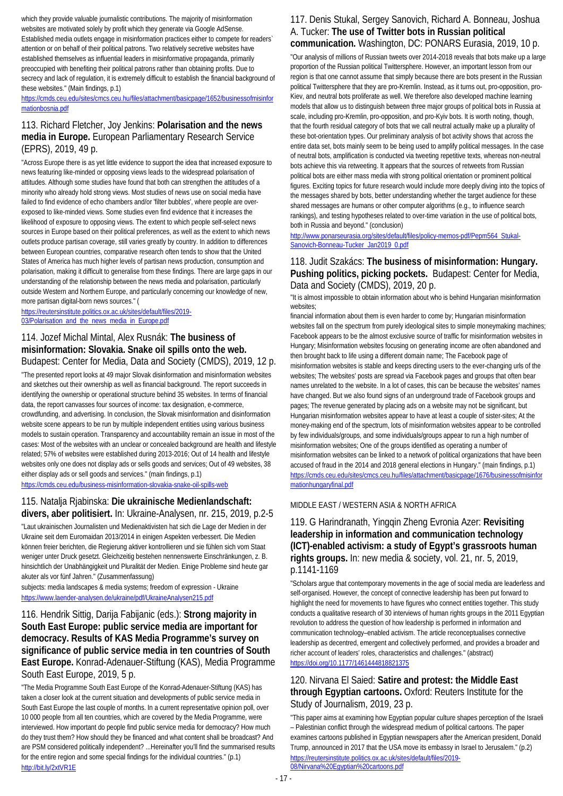which they provide valuable journalistic contributions. The majority of misinformation websites are motivated solely by profit which they generate via Google AdSense. Established media outlets engage in misinformation practices either to compete for readers` attention or on behalf of their political patrons. Two relatively secretive websites have established themselves as influential leaders in misinformative propaganda, primarily preoccupied with benefiting their political patrons rather than obtaining profits. Due to secrecy and lack of regulation, it is extremely difficult to establish the financial background of these websites." (Main findings, p.1)

### [https://cmds.ceu.edu/sites/cmcs.ceu.hu/files/attachment/basicpage/1652/businessofmisinfor](https://cmds.ceu.edu/sites/cmcs.ceu.hu/files/attachment/basicpage/1652/businessofmisinformationbosnia.pdf) [mationbosnia.pdf](https://cmds.ceu.edu/sites/cmcs.ceu.hu/files/attachment/basicpage/1652/businessofmisinformationbosnia.pdf)

### 113. Richard Fletcher, Joy Jenkins: **Polarisation and the news media in Europe.** European Parliamentary Research Service (EPRS), 2019, 49 p.

"Across Europe there is as yet little evidence to support the idea that increased exposure to news featuring like-minded or opposing views leads to the widespread polarisation of attitudes. Although some studies have found that both can strengthen the attitudes of a minority who already hold strong views. Most studies of news use on social media have failed to find evidence of echo chambers and/or 'filter bubbles', where people are overexposed to like-minded views. Some studies even find evidence that it increases the likelihood of exposure to opposing views. The extent to which people self-select news sources in Europe based on their political preferences, as well as the extent to which news outlets produce partisan coverage, still varies greatly by country. In addition to differences between European countries, comparative research often tends to show that the United States of America has much higher levels of partisan news production, consumption and polarisation, making it difficult to generalise from these findings. There are large gaps in our understanding of the relationship between the news media and polarisation, particularly outside Western and Northern Europe, and particularly concerning our knowledge of new, more partisan digital-born news sources." (

[https://reutersinstitute.politics.ox.ac.uk/sites/default/files/2019-](https://reutersinstitute.politics.ox.ac.uk/sites/default/files/2019-03/Polarisation_and_the_news_media_in_Europe.pdf) [03/Polarisation\\_and\\_the\\_news\\_media\\_in\\_Europe.pdf](https://reutersinstitute.politics.ox.ac.uk/sites/default/files/2019-03/Polarisation_and_the_news_media_in_Europe.pdf)

### 114. Jozef Michal Mintal, Alex Rusnák: **The business of misinformation: Slovakia. Snake oil spills onto the web.**  Budapest: Center for Media, Data and Society (CMDS), 2019, 12 p.

"The presented report looks at 49 major Slovak disinformation and misinformation websites and sketches out their ownership as well as financial background. The report succeeds in identifying the ownership or operational structure behind 35 websites. In terms of financial data, the report canvasses four sources of income: tax designation, e-commerce, crowdfunding, and advertising. In conclusion, the Slovak misinformation and disinformation website scene appears to be run by multiple independent entities using various business models to sustain operation. Transparency and accountability remain an issue in most of the cases: Most of the websites with an unclear or concealed background are health and lifestyle related; 57% of websites were established during 2013-2016; Out of 14 health and lifestyle websites only one does not display ads or sells goods and services; Out of 49 websites, 38 either display ads or sell goods and services." (main findings, p.1) <https://cmds.ceu.edu/business-misinformation-slovakia-snake-oil-spills-web>

115. Natalja Rjabinska: **Die ukrainische Medienlandschaft:** 

# **divers, aber politisiert.** In: Ukraine-Analysen, nr. 215, 2019, p.2-5

"Laut ukrainischen Journalisten und Medienaktivisten hat sich die Lage der Medien in der Ukraine seit dem Euromaidan 2013/2014 in einigen Aspekten verbessert. Die Medien können freier berichten, die Regierung aktiver kontrollieren und sie fühlen sich vom Staat weniger unter Druck gesetzt. Gleichzeitig bestehen nennenswerte Einschränkungen, z. B. hinsichtlich der Unabhängigkeit und Pluralität der Medien. Einige Probleme sind heute gar akuter als vor fünf Jahren." (Zusammenfassung)

subjects: media landscapes & media systems; freedom of expression - Ukraine <https://www.laender-analysen.de/ukraine/pdf/UkraineAnalysen215.pdf>

## 116. Hendrik Sittig, Darija Fabijanic (eds.): **Strong majority in South East Europe: public service media are important for democracy. Results of KAS Media Programme's survey on significance of public service media in ten countries of South East Europe.** Konrad-Adenauer-Stiftung (KAS), Media Programme South East Europe, 2019, 5 p.

"The Media Programme South East Europe of the Konrad-Adenauer-Stiftung (KAS) has taken a closer look at the current situation and developments of public service media in South East Europe the last couple of months. In a current representative opinion poll, over 10 000 people from all ten countries, which are covered by the Media Programme, were interviewed. How important do people find public service media for democracy? How much do they trust them? How should they be financed and what content shall be broadcast? And are PSM considered politically independent? ...Hereinafter you'll find the summarised results for the entire region and some special findings for the individual countries." (p.1) <http://bit.ly/2xtVR1E>

## 117. Denis Stukal, Sergey Sanovich, Richard A. Bonneau, Joshua A. Tucker: **The use of Twitter bots in Russian political communication.** Washington, DC: PONARS Eurasia, 2019, 10 p.

"Our analysis of millions of Russian tweets over 2014-2018 reveals that bots make up a large proportion of the Russian political Twittersphere. However, an important lesson from our region is that one cannot assume that simply because there are bots present in the Russian political Twittersphere that they are pro-Kremlin. Instead, as it turns out, pro-opposition, pro-Kiev, and neutral bots proliferate as well. We therefore also developed machine learning models that allow us to distinguish between three major groups of political bots in Russia at scale, including pro-Kremlin, pro-opposition, and pro-Kyiv bots. It is worth noting, though, that the fourth residual category of bots that we call neutral actually make up a plurality of these bot-orientation types. Our preliminary analysis of bot activity shows that across the entire data set, bots mainly seem to be being used to amplify political messages. In the case of neutral bots, amplification is conducted via tweeting repetitive texts, whereas non-neutral bots achieve this via retweeting. It appears that the sources of retweets from Russian political bots are either mass media with strong political orientation or prominent political figures. Exciting topics for future research would include more deeply diving into the topics of the messages shared by bots, better understanding whether the target audience for these shared messages are humans or other computer algorithms (e.g., to influence search rankings), and testing hypotheses related to over-time variation in the use of political bots, both in Russia and beyond." (conclusion)

[http://www.ponarseurasia.org/sites/default/files/policy-memos-pdf/Pepm564\\_Stukal-](http://www.ponarseurasia.org/sites/default/files/policy-memos-pdf/Pepm564_Stukal-Sanovich-Bonneau-Tucker_Jan2019_0.pdf)[Sanovich-Bonneau-Tucker\\_Jan2019\\_0.pdf](http://www.ponarseurasia.org/sites/default/files/policy-memos-pdf/Pepm564_Stukal-Sanovich-Bonneau-Tucker_Jan2019_0.pdf)

## 118. Judit Szakács: **The business of misinformation: Hungary. Pushing politics, picking pockets.** Budapest: Center for Media, Data and Society (CMDS), 2019, 20 p.

"It is almost impossible to obtain information about who is behind Hungarian misinformation websites;

financial information about them is even harder to come by; Hungarian misinformation websites fall on the spectrum from purely ideological sites to simple moneymaking machines; Facebook appears to be the almost exclusive source of traffic for misinformation websites in Hungary; Misinformation websites focusing on generating income are often abandoned and then brought back to life using a different domain name; The Facebook page of misinformation websites is stable and keeps directing users to the ever-changing urls of the websites; The websites' posts are spread via Facebook pages and groups that often bear names unrelated to the website. In a lot of cases, this can be because the websites' names have changed. But we also found signs of an underground trade of Facebook groups and pages; The revenue generated by placing ads on a website may not be significant, but Hungarian misinformation websites appear to have at least a couple of sister-sites; At the money-making end of the spectrum, lots of misinformation websites appear to be controlled by few individuals/groups, and some individuals/groups appear to run a high number of misinformation websites; One of the groups identified as operating a number of misinformation websites can be linked to a network of political organizations that have been accused of fraud in the 2014 and 2018 general elections in Hungary." (main findings, p.1) [https://cmds.ceu.edu/sites/cmcs.ceu.hu/files/attachment/basicpage/1676/businessofmisinfor](https://cmds.ceu.edu/sites/cmcs.ceu.hu/files/attachment/basicpage/1676/businessofmisinformationhungaryfinal.pdf) [mationhungaryfinal.pdf](https://cmds.ceu.edu/sites/cmcs.ceu.hu/files/attachment/basicpage/1676/businessofmisinformationhungaryfinal.pdf)

### MIDDLE EAST / WESTERN ASIA & NORTH AFRICA

## 119. G Harindranath, Yingqin Zheng Evronia Azer: **Revisiting leadership in information and communication technology (ICT)-enabled activism: a study of Egypt's grassroots human rights groups.** In: new media & society, vol. 21, nr. 5, 2019, p.1141-1169

"Scholars argue that contemporary movements in the age of social media are leaderless and self-organised. However, the concept of connective leadership has been put forward to highlight the need for movements to have figures who connect entities together. This study conducts a qualitative research of 30 interviews of human rights groups in the 2011 Egyptian revolution to address the question of how leadership is performed in information and communication technology–enabled activism. The article reconceptualises connective leadership as decentred, emergent and collectively performed, and provides a broader and richer account of leaders' roles, characteristics and challenges." (abstract) <https://doi.org/10.1177/1461444818821375>

## 120. Nirvana El Saied: **Satire and protest: the Middle East through Egyptian cartoons.** Oxford: Reuters Institute for the Study of Journalism, 2019, 23 p.

"This paper aims at examining how Egyptian popular culture shapes perception of the Israeli – Palestinian conflict through the widespread medium of political cartoons. The paper examines cartoons published in Egyptian newspapers after the American president, Donald Trump, announced in 2017 that the USA move its embassy in Israel to Jerusalem." (p.2) [https://reutersinstitute.politics.ox.ac.uk/sites/default/files/2019-](https://reutersinstitute.politics.ox.ac.uk/sites/default/files/2019-08/Nirvana%20Egyptian%20cartoons.pdf) [08/Nirvana%20Egyptian%20cartoons.pdf](https://reutersinstitute.politics.ox.ac.uk/sites/default/files/2019-08/Nirvana%20Egyptian%20cartoons.pdf)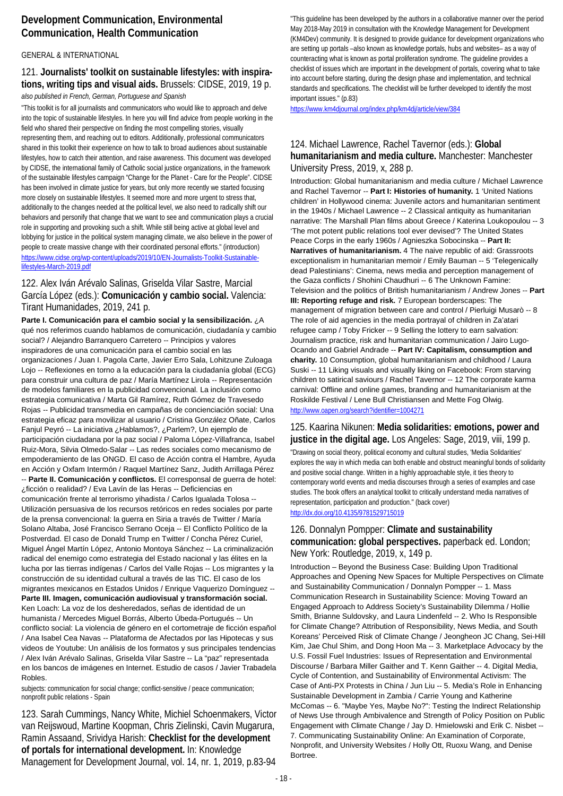## **Development Communication, Environmental Communication, Health Communication**

### GENERAL & INTERNATIONAL

### 121. **Journalists' toolkit on sustainable lifestyles: with inspirations, writing tips and visual aids.** Brussels: CIDSE, 2019, 19 p. *also published in French, German, Portuguese and Spanish*

"This toolkit is for all journalists and communicators who would like to approach and delve into the topic of sustainable lifestyles. In here you will find advice from people working in the field who shared their perspective on finding the most compelling stories, visually representing them, and reaching out to editors. Additionally, professional communicators shared in this toolkit their experience on how to talk to broad audiences about sustainable lifestyles, how to catch their attention, and raise awareness. This document was developed by CIDSE, the international family of Catholic social justice organizations, in the framework of the sustainable lifestyles campaign "Change for the Planet - Care for the People". CIDSE has been involved in climate justice for years, but only more recently we started focusing more closely on sustainable lifestyles. It seemed more and more urgent to stress that, additionally to the changes needed at the political level, we also need to radically shift our behaviors and personify that change that we want to see and communication plays a crucial role in supporting and provoking such a shift. While still being active at global level and lobbying for justice in the political system managing climate, we also believe in the power of people to create massive change with their coordinated personal efforts." (introduction) [https://www.cidse.org/wp-content/uploads/2019/10/EN-Journalists-Toolkit-Sustainable](https://www.cidse.org/wp-content/uploads/2019/10/EN-Journalists-Toolkit-Sustainable-lifestyles-March-2019.pdf)[lifestyles-March-2019.pdf](https://www.cidse.org/wp-content/uploads/2019/10/EN-Journalists-Toolkit-Sustainable-lifestyles-March-2019.pdf)

## 122. Alex Iván Arévalo Salinas, Griselda Vilar Sastre, Marcial García López (eds.): **Comunicación y cambio social.** Valencia: Tirant Humanidades, 2019, 241 p.

**Parte I. Comunicación para el cambio social y la sensibilización.** ¿A qué nos referimos cuando hablamos de comunicación, ciudadanía y cambio social? / Alejandro Barranquero Carretero -- Principios y valores inspiradores de una comunicación para el cambio social en las organizaciones / Juan I. Pagola Carte, Javier Erro Sala, Lohitzune Zuloaga Lojo -- Reflexiones en torno a la educación para la ciudadanía global (ECG) para construir una cultura de paz / María Martínez Lirola -- Representación de modelos familiares en la publicidad convencional. La inclusión como estrategia comunicativa / Marta Gil Ramírez, Ruth Gómez de Travesedo Rojas -- Publicidad transmedia en campañas de concienciación social: Una estrategia eficaz para movilizar al usuario / Cristina González Oñate, Carlos Fanjul Peyró -- La iniciativa ¿Hablamos?, ¿Parlem?, Un ejemplo de participación ciudadana por la paz social / Paloma López-Villafranca, Isabel Ruiz-Mora, Silvia Olmedo-Salar -- Las redes sociales como mecanismo de empoderamiento de las ONGD. El caso de Acción contra el Hambre, Ayuda en Acción y Oxfam Intermón / Raquel Martínez Sanz, Judith Arrillaga Pérez -- **Parte II. Comunicación y conflictos.** El corresponsal de guerra de hotel: ¿ficción o realidad? / Eva Lavín de las Heras -- Deficiencias en comunicación frente al terrorismo yihadista / Carlos Igualada Tolosa -- Utilización persuasiva de los recursos retóricos en redes sociales por parte de la prensa convencional: la guerra en Siria a través de Twitter / María Solano Altaba, José Francisco Serrano Oceja -- El Conflicto Político de la Postverdad. El caso de Donald Trump en Twitter / Concha Pérez Curiel, Miguel Ángel Martín López, Antonio Montoya Sánchez -- La criminalización radical del enemigo como estrategia del Estado nacional y las élites en la lucha por las tierras indígenas / Carlos del Valle Rojas -- Los migrantes y la construcción de su identidad cultural a través de las TIC. El caso de los migrantes mexicanos en Estados Unidos / Enrique Vaquerizo Domínguez -- **Parte III. Imagen, comunicación audiovisual y transformación social.** Ken Loach: La voz de los desheredados, señas de identidad de un humanista / Mercedes Miguel Borrás, Alberto Úbeda-Portugués -- Un conflicto social: La violencia de género en el cortometraje de ficción español / Ana Isabel Cea Navas -- Plataforma de Afectados por las Hipotecas y sus videos de Youtube: Un análisis de los formatos y sus principales tendencias / Alex Iván Arévalo Salinas, Griselda Vilar Sastre -- La "paz" representada en los bancos de imágenes en Internet. Estudio de casos / Javier Trabadela Robles.

subjects: communication for social change; conflict-sensitive / peace communication; nonprofit public relations - Spain

123. Sarah Cummings, Nancy White, Michiel Schoenmakers, Victor van Reijswoud, Martine Koopman, Chris Zielinski, Cavin Mugarura, Ramin Assaand, Srividya Harish: **Checklist for the development of portals for international development.** In: Knowledge Management for Development Journal, vol. 14, nr. 1, 2019, p.83-94

"This guideline has been developed by the authors in a collaborative manner over the period May 2018-May 2019 in consultation with the Knowledge Management for Development (KM4Dev) community. It is designed to provide guidance for development organizations who are setting up portals –also known as knowledge portals, hubs and websites– as a way of counteracting what is known as portal proliferation syndrome. The guideline provides a checklist of issues which are important in the development of portals, covering what to take into account before starting, during the design phase and implementation, and technical standards and specifications. The checklist will be further developed to identify the most important issues." (p.83)

<https://www.km4djournal.org/index.php/km4dj/article/view/384>

## 124. Michael Lawrence, Rachel Tavernor (eds.): **Global humanitarianism and media culture.** Manchester: Manchester University Press, 2019, x, 288 p.

Introduction: Global humanitarianism and media culture / Michael Lawrence and Rachel Tavernor -- **Part I: Histories of humanity.** 1 'United Nations children' in Hollywood cinema: Juvenile actors and humanitarian sentiment in the 1940s / Michael Lawrence -- 2 Classical antiquity as humanitarian narrative: The Marshall Plan films about Greece / Katerina Loukopoulou -- 3 'The mot potent public relations tool ever devised'? The United States Peace Corps in the early 1960s / Agnieszka Sobocinska -- **Part II: Narratives of humanitarianism.** 4 The naive republic of aid: Grassroots exceptionalism in humanitarian memoir / Emily Bauman -- 5 'Telegenically dead Palestinians': Cinema, news media and perception management of the Gaza conflicts / Shohini Chaudhuri -- 6 The Unknown Famine: Television and the politics of British humanitarianism / Andrew Jones -- **Part III: Reporting refuge and risk.** 7 European borderscapes: The management of migration between care and control / Pierluigi Musarò -- 8 The role of aid agencies in the media portrayal of children in Za'atari refugee camp / Toby Fricker -- 9 Selling the lottery to earn salvation: Journalism practice, risk and humanitarian communication / Jairo Lugo-Ocando and Gabriel Andrade -- **Part IV: Capitalism, consumption and charity.** 10 Consumption, global humanitarianism and childhood / Laura Suski -- 11 Liking visuals and visually liking on Facebook: From starving children to satirical saviours / Rachel Tavernor -- 12 The corporate karma carnival: Offline and online games, branding and humanitarianism at the Roskilde Festival / Lene Bull Christiansen and Mette Fog Olwig. <http://www.oapen.org/search?identifier=1004271>

## 125. Kaarina Nikunen: **Media solidarities: emotions, power and justice in the digital age.** Los Angeles: Sage, 2019, viii, 199 p.

"Drawing on social theory, political economy and cultural studies, 'Media Solidarities' explores the way in which media can both enable and obstruct meaningful bonds of solidarity and positive social change. Written in a highly approachable style, it ties theory to contemporary world events and media discourses through a series of examples and case studies. The book offers an analytical toolkit to critically understand media narratives of representation, participation and production." (back cover) <http://dx.doi.org/10.4135/9781529715019>

## 126. Donnalyn Pompper: **Climate and sustainability communication: global perspectives.** paperback ed. London; New York: Routledge, 2019, x, 149 p.

Introduction – Beyond the Business Case: Building Upon Traditional Approaches and Opening New Spaces for Multiple Perspectives on Climate and Sustainability Communication / Donnalyn Pompper -- 1. Mass Communication Research in Sustainability Science: Moving Toward an Engaged Approach to Address Society's Sustainability Dilemma / Hollie Smith, Brianne Suldovsky, and Laura Lindenfeld -- 2. Who Is Responsible for Climate Change? Attribution of Responsibility, News Media, and South Koreans' Perceived Risk of Climate Change / Jeongheon JC Chang, Sei-Hill Kim, Jae Chul Shim, and Dong Hoon Ma -- 3. Marketplace Advocacy by the U.S. Fossil Fuel Industries: Issues of Representation and Environmental Discourse / Barbara Miller Gaither and T. Kenn Gaither -- 4. Digital Media, Cycle of Contention, and Sustainability of Environmental Activism: The Case of Anti-PX Protests in China / Jun Liu -- 5. Media's Role in Enhancing Sustainable Development in Zambia / Carrie Young and Katherine McComas -- 6. "Maybe Yes, Maybe No?": Testing the Indirect Relationship of News Use through Ambivalence and Strength of Policy Position on Public Engagement with Climate Change / Jay D. Hmielowski and Erik C. Nisbet -- 7. Communicating Sustainability Online: An Examination of Corporate, Nonprofit, and University Websites / Holly Ott, Ruoxu Wang, and Denise Bortree.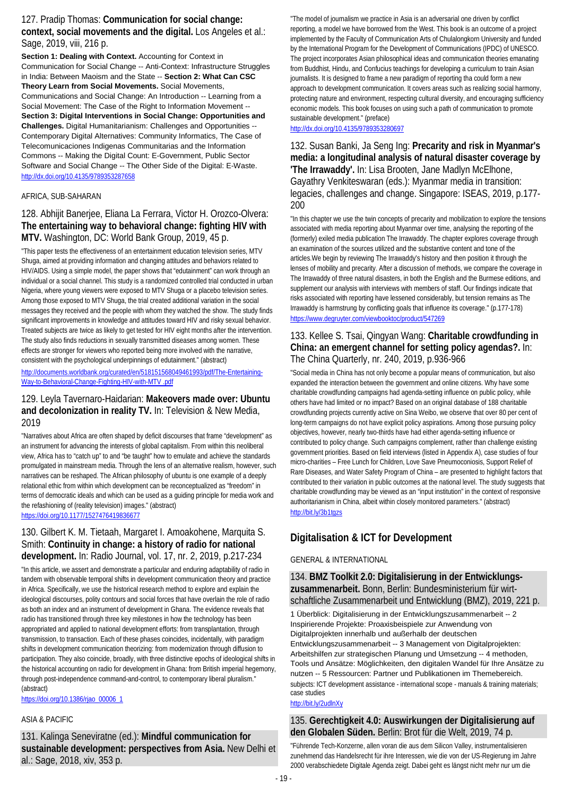### 127. Pradip Thomas: **Communication for social change: context, social movements and the digital.** Los Angeles et al.: Sage, 2019, viii, 216 p.

**Section 1: Dealing with Context.** Accounting for Context in Communication for Social Change -- Anti-Context: Infrastructure Struggles in India: Between Maoism and the State -- **Section 2: What Can CSC Theory Learn from Social Movements.** Social Movements, Communications and Social Change: An Introduction -- Learning from a Social Movement: The Case of the Right to Information Movement -- **Section 3: Digital Interventions in Social Change: Opportunities and Challenges.** Digital Humanitarianism: Challenges and Opportunities -- Contemporary Digital Alternatives: Community Informatics, The Case of Telecomunicaciones Indigenas Communitarias and the Information Commons -- Making the Digital Count: E-Government, Public Sector Software and Social Change -- The Other Side of the Digital: E-Waste. <http://dx.doi.org/10.4135/9789353287658>

### AFRICA, SUB-SAHARAN

### 128. Abhijit Banerjee, Eliana La Ferrara, Victor H. Orozco-Olvera: **The entertaining way to behavioral change: fighting HIV with MTV.** Washington, DC: World Bank Group, 2019, 45 p.

"This paper tests the effectiveness of an entertainment education television series, MTV Shuga, aimed at providing information and changing attitudes and behaviors related to HIV/AIDS. Using a simple model, the paper shows that "edutainment" can work through an individual or a social channel. This study is a randomized controlled trial conducted in urban Nigeria, where young viewers were exposed to MTV Shuga or a placebo television series. Among those exposed to MTV Shuga, the trial created additional variation in the social messages they received and the people with whom they watched the show. The study finds significant improvements in knowledge and attitudes toward HIV and risky sexual behavior. Treated subjects are twice as likely to get tested for HIV eight months after the intervention. The study also finds reductions in sexually transmitted diseases among women. These effects are stronger for viewers who reported being more involved with the narrative, consistent with the psychological underpinnings of edutainment." (abstract)

[http://documents.worldbank.org/curated/en/518151568049461993/pdf/The-Entertaining-](http://documents.worldbank.org/curated/en/518151568049461993/pdf/The-Entertaining-Way-to-Behavioral-Change-Fighting-HIV-with-MTV%20.pdf)[Way-to-Behavioral-Change-Fighting-HIV-with-MTV .pdf](http://documents.worldbank.org/curated/en/518151568049461993/pdf/The-Entertaining-Way-to-Behavioral-Change-Fighting-HIV-with-MTV%20.pdf)

### 129. Leyla Tavernaro-Haidarian: **Makeovers made over: Ubuntu and decolonization in reality TV.** In: Television & New Media, 2019

"Narratives about Africa are often shaped by deficit discourses that frame "development" as an instrument for advancing the interests of global capitalism. From within this neoliberal view, Africa has to "catch up" to and "be taught" how to emulate and achieve the standards promulgated in mainstream media. Through the lens of an alternative realism, however, such narratives can be reshaped. The African philosophy of ubuntu is one example of a deeply relational ethic from within which development can be reconceptualized as "freedom" in terms of democratic ideals and which can be used as a guiding principle for media work and the refashioning of (reality television) images." (abstract) <https://doi.org/10.1177/1527476419836677>

### 130. Gilbert K. M. Tietaah, Margaret I. Amoakohene, Marquita S. Smith: **Continuity in change: a history of radio for national development.** In: Radio Journal, vol. 17, nr. 2, 2019, p.217-234

"In this article, we assert and demonstrate a particular and enduring adaptability of radio in tandem with observable temporal shifts in development communication theory and practice in Africa. Specifically, we use the historical research method to explore and explain the ideological discourses, polity contours and social forces that have overlain the role of radio as both an index and an instrument of development in Ghana. The evidence reveals that radio has transitioned through three key milestones in how the technology has been appropriated and applied to national development efforts: from transplantation, through transmission, to transaction. Each of these phases coincides, incidentally, with paradigm shifts in development communication theorizing: from modernization through diffusion to participation. They also coincide, broadly, with three distinctive epochs of ideological shifts in the historical accounting on radio for development in Ghana: from British imperial hegemony, through post-independence command-and-control, to contemporary liberal pluralism." (abstract)

[https://doi.org/10.1386/rjao\\_00006\\_1](https://doi.org/10.1386/rjao_00006_1)

### ASIA & PACIFIC

131. Kalinga Seneviratne (ed.): **Mindful communication for sustainable development: perspectives from Asia.** New Delhi et al.: Sage, 2018, xiv, 353 p.

"The model of journalism we practice in Asia is an adversarial one driven by conflict reporting, a model we have borrowed from the West. This book is an outcome of a project implemented by the Faculty of Communication Arts of Chulalongkorn University and funded by the International Program for the Development of Communications (IPDC) of UNESCO. The project incorporates Asian philosophical ideas and communication theories emanating from Buddhist, Hindu, and Confucius teachings for developing a curriculum to train Asian journalists. It is designed to frame a new paradigm of reporting tha could form a new approach to development communication. It covers areas such as realizing social harmony, protecting nature and environment, respecting cultural diversity, and encouraging sufficiency economic models. This book focuses on using such a path of communication to promote sustainable development." (preface)

### <http://dx.doi.org/10.4135/9789353280697>

132. Susan Banki, Ja Seng Ing: **Precarity and risk in Myanmar's media: a longitudinal analysis of natural disaster coverage by 'The Irrawaddy'.** In: Lisa Brooten, Jane Madlyn McElhone, Gayathry Venkiteswaran (eds.): Myanmar media in transition: legacies, challenges and change. Singapore: ISEAS, 2019, p.177- 200

"In this chapter we use the twin concepts of precarity and mobilization to explore the tensions associated with media reporting about Myanmar over time, analysing the reporting of the (formerly) exiled media publication The Irrawaddy. The chapter explores coverage through an examination of the sources utilized and the substantive content and tone of the articles.We begin by reviewing The Irrawaddy's history and then position it through the lenses of mobility and precarity. After a discussion of methods, we compare the coverage in The Irrawaddy of three natural disasters, in both the English and the Burmese editions, and supplement our analysis with interviews with members of staff. Our findings indicate that risks associated with reporting have lessened considerably, but tension remains as The Irrawaddy is harmstrung by conflicting goals that influence its coverage." (p.177-178) <https://www.degruyter.com/viewbooktoc/product/547269>

## 133. Kellee S. Tsai, Qingyan Wang: **Charitable crowdfunding in China: an emergent channel for setting policy agendas?.** In: The China Quarterly, nr. 240, 2019, p.936-966

"Social media in China has not only become a popular means of communication, but also expanded the interaction between the government and online citizens. Why have some charitable crowdfunding campaigns had agenda-setting influence on public policy, while others have had limited or no impact? Based on an original database of 188 charitable crowdfunding projects currently active on Sina Weibo, we observe that over 80 per cent of long-term campaigns do not have explicit policy aspirations. Among those pursuing policy objectives, however, nearly two-thirds have had either agenda-setting influence or contributed to policy change. Such campaigns complement, rather than challenge existing government priorities. Based on field interviews (listed in Appendix A), case studies of four micro-charities – Free Lunch for Children, Love Save Pneumoconiosis, Support Relief of Rare Diseases, and Water Safety Program of China – are presented to highlight factors that contributed to their variation in public outcomes at the national level. The study suggests that charitable crowdfunding may be viewed as an "input institution" in the context of responsive authoritarianism in China, albeit within closely monitored parameters." (abstract) <http://bit.ly/3b1tgzs>

## **Digitalisation & ICT for Development**

### GENERAL & INTERNATIONAL

134. **BMZ Toolkit 2.0: Digitalisierung in der Entwicklungszusammenarbeit.** Bonn, Berlin: Bundesministerium für wirtschaftliche Zusammenarbeit und Entwicklung (BMZ), 2019, 221 p.

1 Überblick: Digitalisierung in der Entwicklungszusammenarbeit -- 2 Inspirierende Projekte: Proaxisbeispiele zur Anwendung von Digitalprojekten innerhalb und außerhalb der deutschen Entwicklungszusammenarbeit -- 3 Management von Digitalprojekten: Arbeitshilfen zur strategischen Planung und Umsetzung -- 4 methoden, Tools und Ansätze: Möglichkeiten, den digitalen Wandel für Ihre Ansätze zu nutzen -- 5 Ressourcen: Partner und Publikationen im Themebereich. subjects: ICT development assistance - international scope - manuals & training materials; case studies

### <http://bit.ly/2udlnXy>

### 135. **Gerechtigkeit 4.0: Auswirkungen der Digitalisierung auf den Globalen Süden.** Berlin: Brot für die Welt, 2019, 74 p.

"Führende Tech-Konzerne, allen voran die aus dem Silicon Valley, instrumentalisieren zunehmend das Handelsrecht für ihre Interessen, wie die von der US-Regierung im Jahre 2000 verabschiedete Digitale Agenda zeigt. Dabei geht es längst nicht mehr nur um die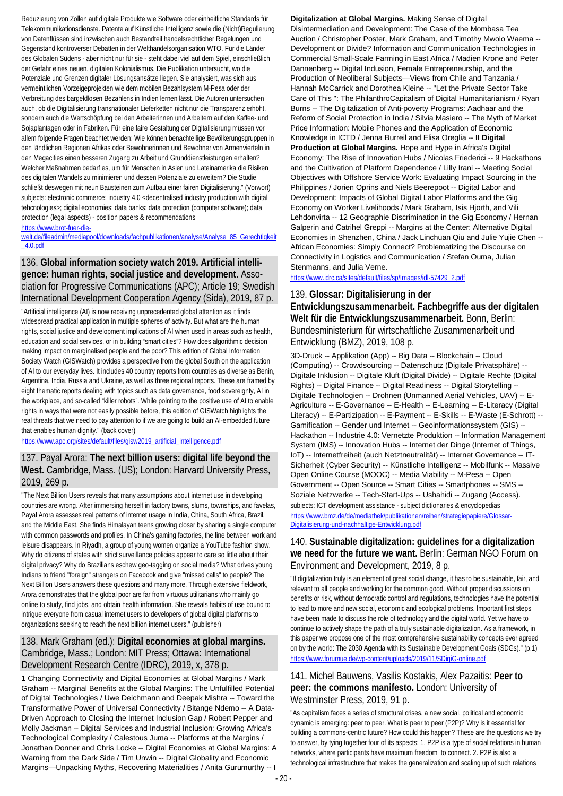Reduzierung von Zöllen auf digitale Produkte wie Software oder einheitliche Standards für Telekommunikationsdienste. Patente auf Künstliche Intelligenz sowie die (Nicht)Regulierung von Datenflüssen sind inzwischen auch Bestandteil handelsrechtlicher Regelungen und Gegenstand kontroverser Debatten in der Welthandelsorganisation WTO. Für die Länder des Globalen Südens - aber nicht nur für sie - steht dabei viel auf dem Spiel, einschließlich der Gefahr eines neuen, digitalen Kolonialismus. Die Publikation untersucht, wo die Potenziale und Grenzen digitaler Lösungsansätze liegen. Sie analysiert, was sich aus vermeintlichen Vorzeigeprojekten wie dem mobilen Bezahlsystem M-Pesa oder der Verbreitung des bargeldlosen Bezahlens in Indien lernen lässt. Die Autoren untersuchen auch, ob die Digitalisierung transnationaler Lieferketten nicht nur die Transparenz erhöht, sondern auch die Wertschöpfung bei den Arbeiterinnen und Arbeitern auf den Kaffee- und Sojaplantagen oder in Fabriken. Für eine faire Gestaltung der Digitalisierung müssen vor allem folgende Fragen beachtet werden: Wie können benachteilige Bevölkerungsgruppen in den ländlichen Regionen Afrikas oder Bewohnerinnen und Bewohner von Armenvierteln in den Megacities einen besseren Zugang zu Arbeit und Grunddienstleistungen erhalten? Welcher Maßnahmen bedarf es, um für Menschen in Asien und Lateinamerika die Risiken des digitalen Wandels zu minimieren und dessen Potenziale zu erweitern? Die Studie schließt deswegen mit neun Bausteinen zum Aufbau einer fairen Digitalisierung." (Vorwort) subjects: electronic commerce; industry 4.0 <decentralised industry production with digital tehcnologies>; digital economies; data banks; data protection (computer software); data protection (legal aspects) - position papers & recommendations

#### [https://www.brot-fuer-die-](https://www.brot-fuer-die-welt.de/fileadmin/mediapool/downloads/fachpublikationen/analyse/Analyse_85_Gerechtigkeit_4.0.pdf)

[welt.de/fileadmin/mediapool/downloads/fachpublikationen/analyse/Analyse\\_85\\_Gerechtigkeit](https://www.brot-fuer-die-welt.de/fileadmin/mediapool/downloads/fachpublikationen/analyse/Analyse_85_Gerechtigkeit_4.0.pdf) [\\_4.0.pdf](https://www.brot-fuer-die-welt.de/fileadmin/mediapool/downloads/fachpublikationen/analyse/Analyse_85_Gerechtigkeit_4.0.pdf)

### 136. **Global information society watch 2019. Artificial intelligence: human rights, social justice and development.** Association for Progressive Communications (APC); Article 19; Swedish International Development Cooperation Agency (Sida), 2019, 87 p.

"Artificial intelligence (AI) is now receiving unprecedented global attention as it finds widespread practical application in multiple spheres of activity. But what are the human rights, social justice and development implications of AI when used in areas such as health, education and social services, or in building "smart cities"? How does algorithmic decision making impact on marginalised people and the poor? This edition of Global Information Society Watch (GISWatch) provides a perspective from the global South on the application of AI to our everyday lives. It includes 40 country reports from countries as diverse as Benin, Argentina, India, Russia and Ukraine, as well as three regional reports. These are framed by eight thematic reports dealing with topics such as data governance, food sovereignty, AI in the workplace, and so-called "killer robots". While pointing to the positive use of AI to enable rights in ways that were not easily possible before, this edition of GISWatch highlights the real threats that we need to pay attention to if we are going to build an AI-embedded future that enables human dignity." (back cover)

[https://www.apc.org/sites/default/files/gisw2019\\_artificial\\_intelligence.pdf](https://www.apc.org/sites/default/files/gisw2019_artificial_intelligence.pdf)

## 137. Payal Arora: **The next billion users: digital life beyond the West.** Cambridge, Mass. (US); London: Harvard University Press, 2019, 269 p.

"The Next Billion Users reveals that many assumptions about internet use in developing countries are wrong. After immersing herself in factory towns, slums, townships, and favelas, Payal Arora assesses real patterns of internet usage in India, China, South Africa, Brazil, and the Middle East. She finds Himalayan teens growing closer by sharing a single computer with common passwords and profiles. In China's gaming factories, the line between work and leisure disappears. In Riyadh, a group of young women organize a YouTube fashion show. Why do citizens of states with strict surveillance policies appear to care so little about their digital privacy? Why do Brazilians eschew geo-tagging on social media? What drives young Indians to friend "foreign" strangers on Facebook and give "missed calls" to people? The Next Billion Users answers these questions and many more. Through extensive fieldwork, Arora demonstrates that the global poor are far from virtuous utilitarians who mainly go online to study, find jobs, and obtain health information. She reveals habits of use bound to intrigue everyone from casual internet users to developers of global digital platforms to organizations seeking to reach the next billion internet users." (publisher)

## 138. Mark Graham (ed.): **Digital economies at global margins.**  Cambridge, Mass.; London: MIT Press; Ottawa: International Development Research Centre (IDRC), 2019, x, 378 p.

1 Changing Connectivity and Digital Economies at Global Margins / Mark Graham -- Marginal Benefits at the Global Margins: The Unfulfilled Potential of Digital Technologies / Uwe Deichmann and Deepak Mishra -- Toward the Transformative Power of Universal Connectivity / Bitange Ndemo -- A Data-Driven Approach to Closing the Internet Inclusion Gap / Robert Pepper and Molly Jackman -- Digital Services and Industrial Inclusion: Growing Africa's Technological Complexity / Calestous Juma -- Platforms at the Margins / Jonathan Donner and Chris Locke -- Digital Economies at Global Margins: A Warning from the Dark Side / Tim Unwin -- Digital Globality and Economic Margins—Unpacking Myths, Recovering Materialities / Anita Gurumurthy -- **I**  **Digitalization at Global Margins.** Making Sense of Digital Disintermediation and Development: The Case of the Mombasa Tea Auction / Christopher Poster, Mark Graham, and Timothy Mwolo Waema -- Development or Divide? Information and Communication Technologies in Commercial Small-Scale Farming in East Africa / Madien Krone and Peter Dannenberg -- Digital Indusion, Female Entrepreneurship, and the Production of Neoliberal Subjects—Views from Chile and Tanzania / Hannah McCarrick and Dorothea Kleine -- "Let the Private Sector Take Care of This ": The PhilanthroCapitalism of Digital Humanitarianism / Ryan Burns -- The Digitalization of Anti-poverty Programs: Aadhaar and the Reform of Social Protection in India / Silvia Masiero -- The Myth of Market Price Information: Mobile Phones and the Application of Economic Knowledge in ICTD / Jenna Burreil and Elisa Oreglia -- **II Digital Production at Global Margins.** Hope and Hype in Africa's Digital Economy: The Rise of Innovation Hubs / Nicolas Friederici -- 9 Hackathons and the Cultivation of Platform Dependence / Lilly Irani -- Meeting Social Objectives with Offshore Service Work: Evaluating Impact Sourcing in the Philippines / Jorien Oprins and Niels Beerepoot -- Digital Labor and Development: Impacts of Global Digital Labor Platforms and the Gig Economy on Worker Livelihoods / Mark Graham, Isis Hjorth, and Vili Lehdonvirta -- 12 Geographie Discrimination in the Gig Economy / Hernan Galperin and Catrihel Greppi -- Margins at the Center: Alternative Digital Economies in Shenzhen, China / Jack Linchuan Qiu and Julie Yujie Chen -- African Economies: Simply Connect? Problematizing the Discourse on Connectivity in Logistics and Communication / Stefan Ouma, Julian Stenmanns, and Julia Verne.

[https://www.idrc.ca/sites/default/files/sp/Images/idl-57429\\_2.pdf](https://www.idrc.ca/sites/default/files/sp/Images/idl-57429_2.pdf)

### 139. **Glossar: Digitalisierung in der Entwicklungszusammenarbeit. Fachbegriffe aus der digitalen Welt für die Entwicklungszusammenarbeit.** Bonn, Berlin: Bundesministerium für wirtschaftliche Zusammenarbeit und Entwicklung (BMZ), 2019, 108 p.

3D-Druck -- Applikation (App) -- Big Data -- Blockchain -- Cloud (Computing) -- Crowdsourcing -- Datenschutz (Digitale Privatsphäre) -- Digitale Inklusion -- Digitale Kluft (Digital Divide) -- Digitale Rechte (Digital Rights) -- Digital Finance -- Digital Readiness -- Digital Storytelling -- Digitale Technologien -- Drohnen (Unmanned Aerial Vehicles, UAV) -- E-Agriculture -- E-Governance -- E-Health -- E-Learning -- E-Literacy (Digital Literacy) -- E-Partizipation -- E-Payment -- E-Skills -- E-Waste (E-Schrott) -- Gamification -- Gender und Internet -- Geoinformationssystem (GIS) -- Hackathon -- Industrie 4.0: Vernetzte Produktion -- Information Management System (IMS) -- Innovation Hubs -- Internet der Dinge (Internet of Things, IoT) -- Internetfreiheit (auch Netztneutralität) -- Internet Governance -- IT-Sicherheit (Cyber Security) -- Künstliche Intelligenz -- Mobilfunk -- Massive Open Online Course (MOOC) -- Media Viability -- M-Pesa -- Open Government -- Open Source -- Smart Cities -- Smartphones -- SMS -- Soziale Netzwerke -- Tech-Start-Ups -- Ushahidi -- Zugang (Access). subjects: ICT development assistance - subject dictionaries & encyclopedias [https://www.bmz.de/de/mediathek/publikationen/reihen/strategiepapiere/Glossar-](https://www.bmz.de/de/mediathek/publikationen/reihen/strategiepapiere/Glossar-Digitalisierung-und-nachhaltige-Entwicklung.pdf)[Digitalisierung-und-nachhaltige-Entwicklung.pdf](https://www.bmz.de/de/mediathek/publikationen/reihen/strategiepapiere/Glossar-Digitalisierung-und-nachhaltige-Entwicklung.pdf)

## 140. **Sustainable digitalization: guidelines for a digitalization we need for the future we want.** Berlin: German NGO Forum on Environment and Development, 2019, 8 p.

"If digitalization truly is an element of great social change, it has to be sustainable, fair, and relevant to all people and working for the common good. Without proper discussions on benefits or risk, without democratic control and regulations, technologies have the potential to lead to more and new social, economic and ecological problems. Important first steps have been made to discuss the role of technology and the digital world. Yet we have to continue to actively shape the path of a truly sustainable digitalization. As a framework, in this paper we propose one of the most comprehensive sustainability concepts ever agreed on by the world: The 2030 Agenda with its Sustainable Development Goals (SDGs)." (p.1) <https://www.forumue.de/wp-content/uploads/2019/11/SDigiG-online.pdf>

## 141. Michel Bauwens, Vasilis Kostakis, Alex Pazaitis: **Peer to peer: the commons manifesto.** London: University of Westminster Press, 2019, 91 p.

"As capitalism faces a series of structural crises, a new social, political and economic dynamic is emerging: peer to peer. What is peer to peer (P2P)? Why is it essential for building a commons-centric future? How could this happen? These are the questions we try to answer, by tying together four of its aspects: 1. P2P is a type of social relations in human networks, where participants have maximum freedom to connect. 2. P2P is also a technological infrastructure that makes the generalization and scaling up of such relations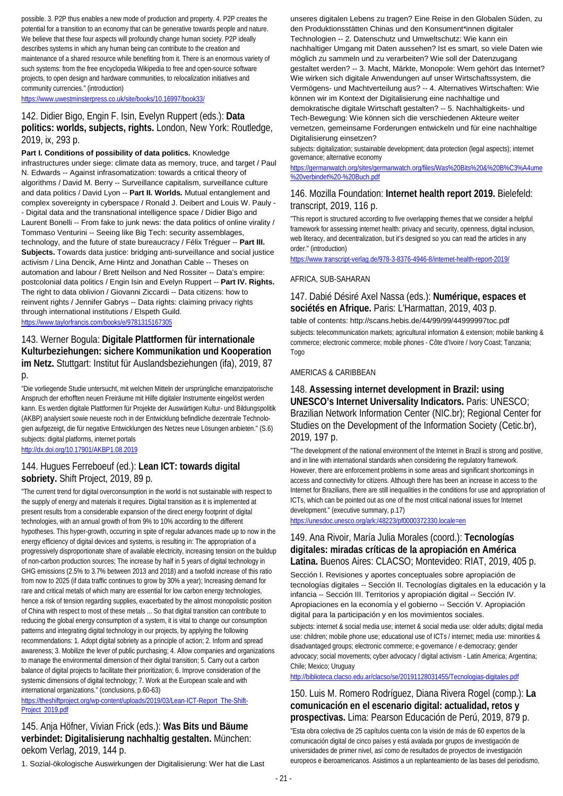possible. 3. P2P thus enables a new mode of production and property. 4. P2P creates the potential for a transition to an economy that can be generative towards people and nature. We believe that these four aspects will profoundly change human society. P2P ideally describes systems in which any human being can contribute to the creation and maintenance of a shared resource while benefiting from it. There is an enormous variety of such systems: from the free encyclopedia Wikipedia to free and open-source software projects, to open design and hardware communities, to relocalization initiatives and community currencies." (introduction)

<https://www.uwestminsterpress.co.uk/site/books/10.16997/book33/>

### 142. Didier Bigo, Engin F. Isin, Evelyn Ruppert (eds.): **Data politics: worlds, subjects, rights.** London, New York: Routledge, 2019, ix, 293 p.

**Part I. Conditions of possibility of data politics.** Knowledge infrastructures under siege: climate data as memory, truce, and target / Paul N. Edwards -- Against infrasomatization: towards a critical theory of algorithms / David M. Berry -- Surveillance capitalism, surveillance culture and data politics / David Lyon -- **Part II. Worlds.** Mutual entanglement and complex sovereignty in cyberspace / Ronald J. Deibert and Louis W. Pauly - - Digital data and the transnational intelligence space / Didier Bigo and Laurent Bonelli -- From fake to junk news: the data politics of online virality / Tommaso Venturini -- Seeing like Big Tech: security assemblages, technology, and the future of state bureaucracy / Félix Tréguer -- **Part III. Subjects.** Towards data justice: bridging anti-surveillance and social justice activism / Lina Dencik, Arne Hintz and Jonathan Cable -- Theses on automation and labour / Brett Neilson and Ned Rossiter -- Data's empire: postcolonial data politics / Engin Isin and Evelyn Ruppert -- **Part IV. Rights.** The right to data oblivion / Giovanni Ziccardi -- Data citizens: how to reinvent rights / Jennifer Gabrys -- Data rights: claiming privacy rights through international institutions / Elspeth Guild. <https://www.taylorfrancis.com/books/e/9781315167305>

## 143. Werner Bogula: **Digitale Plattformen für internationale Kulturbeziehungen: sichere Kommunikation und Kooperation im Netz.** Stuttgart: Institut für Auslandsbeziehungen (ifa), 2019, 87 p.

"Die vorliegende Studie untersucht, mit welchen Mitteln der ursprüngliche emanzipatorische Anspruch der erhofften neuen Freiräume mit Hilfe digitaler Instrumente eingelöst werden kann. Es werden digitale Plattformen für Projekte der Auswärtigen Kultur- und Bildungspolitik (AKBP) analysiert sowie neueste noch in der Entwicklung befindliche dezentrale Technologien aufgezeigt, die für negative Entwicklungen des Netzes neue Lösungen anbieten." (S.6) subjects: digital platforms, internet portals

<http://dx.doi.org/10.17901/AKBP1.08.2019>

## 144. Hugues Ferreboeuf (ed.): **Lean ICT: towards digital sobriety.** Shift Project, 2019, 89 p.

"The current trend for digital overconsumption in the world is not sustainable with respect to the supply of energy and materials it requires. Digital transition as it is implemented at present results from a considerable expansion of the direct energy footprint of digital technologies, with an annual growth of from 9% to 10% according to the different hypotheses. This hyper-growth, occurring in spite of regular advances made up to now in the energy efficiency of digital devices and systems, is resulting in: The appropriation of a progressively disproportionate share of available electricity, increasing tension on the buildup of non-carbon production sources; The increase by half in 5 years of digital technology in GHG emissions (2.5% to 3.7% between 2013 and 2018) and a twofold increase of this ratio from now to 2025 (if data traffic continues to grow by 30% a year); Increasing demand for rare and critical metals of which many are essential for low carbon energy technologies, hence a risk of tension regarding supplies, exacerbated by the almost monopolistic position of China with respect to most of these metals ... So that digital transition can contribute to reducing the global energy consumption of a system, it is vital to change our consumption patterns and integrating digital technology in our projects, by applying the following recommendations: 1. Adopt digital sobriety as a principle of action; 2. Inform and spread awareness; 3. Mobilize the lever of public purchasing; 4. Allow companies and organizations to manage the environmental dimension of their digital transition; 5. Carry out a carbon balance of digital projects to facilitate their prioritization; 6. Improve consideration of the systemic dimensions of digital technology; 7. Work at the European scale and with international organizations." (conclusions, p.60-63)

[https://theshiftproject.org/wp-content/uploads/2019/03/Lean-ICT-Report\\_The-Shift-](https://theshiftproject.org/wp-content/uploads/2019/03/Lean-ICT-Report_The-Shift-Project_2019.pdf)[Project\\_2019.pdf](https://theshiftproject.org/wp-content/uploads/2019/03/Lean-ICT-Report_The-Shift-Project_2019.pdf)

145. Anja Höfner, Vivian Frick (eds.): **Was Bits und Bäume verbindet: Digitalisierung nachhaltig gestalten.** München: oekom Verlag, 2019, 144 p.

1. Sozial-ökologische Auswirkungen der Digitalisierung: Wer hat die Last

unseres digitalen Lebens zu tragen? Eine Reise in den Globalen Süden, zu den Produktionsstätten Chinas und den Konsument\*innen digitaler Technologien -- 2. Datenschutz und Umweltschutz: Wie kann ein nachhaltiger Umgang mit Daten aussehen? Ist es smart, so viele Daten wie möglich zu sammeln und zu verarbeiten? Wie soll der Datenzugang gestaltet werden? -- 3. Macht, Märkte, Monopole: Wem gehört das Internet? Wie wirken sich digitale Anwendungen auf unser Wirtschaftssystem, die Vermögens- und Machtverteilung aus? -- 4. Alternatives Wirtschaften: Wie können wir im Kontext der Digitalisierung eine nachhaltige und demokratische digitale Wirtschaft gestalten? -- 5. Nachhaltigkeits- und Tech-Bewegung: Wie können sich die verschiedenen Akteure weiter

vernetzen, gemeinsame Forderungen entwickeln und für eine nachhaltige Digitalisierung einsetzen?

subjects: digitalization; sustainable development; data protection (legal aspects); internet governance; alternative economy

[https://germanwatch.org/sites/germanwatch.org/files/Was%20Bits%20&%20B%C3%A4ume](https://germanwatch.org/sites/germanwatch.org/files/Was%20Bits%20&%20B%C3%A4ume%20verbindet%20-%20Buch.pdf) [%20verbindet%20-%20Buch.pdf](https://germanwatch.org/sites/germanwatch.org/files/Was%20Bits%20&%20B%C3%A4ume%20verbindet%20-%20Buch.pdf)

### 146. Mozilla Foundation: **Internet health report 2019.** Bielefeld: transcript, 2019, 116 p.

"This report is structured according to five overlapping themes that we consider a helpful framework for assessing internet health: privacy and security, openness, digital inclusion, web literacy, and decentralization, but it's designed so you can read the articles in any order." (introduction)

<https://www.transcript-verlag.de/978-3-8376-4946-8/internet-health-report-2019/>

### AFRICA, SUB-SAHARAN

147. Dabié Désiré Axel Nassa (eds.): **Numérique, espaces et sociétés en Afrique.** Paris: L'Harmattan, 2019, 403 p. table of contents: http://scans.hebis.de/44/99/99/44999997toc.pdf subjects: telecommunication markets; agricultural information & extension; mobile banking & commerce; electronic commerce; mobile phones - Côte d'Ivoire / Ivory Coast; Tanzania; Togo

### AMERICAS & CARIBBEAN

### 148. **Assessing internet development in Brazil: using UNESCO's Internet Universality Indicators.** Paris: UNESCO; Brazilian Network Information Center (NIC.br); Regional Center for Studies on the Development of the Information Society (Cetic.br), 2019, 197 p.

"The development of the national environment of the Internet in Brazil is strong and positive, and in line with international standards when considering the regulatory framework. However, there are enforcement problems in some areas and significant shortcomings in access and connectivity for citizens. Although there has been an increase in access to the Internet for Brazilians, there are still inequalities in the conditions for use and appropriation of ICTs, which can be pointed out as one of the most critical national issues for Internet development." (executive summary, p.17)

<https://unesdoc.unesco.org/ark:/48223/pf0000372330.locale=en>

### 149. Ana Rivoir, María Julia Morales (coord.): **Tecnologías digitales: miradas críticas de la apropiación en América Latina.** Buenos Aires: CLACSO; Montevideo: RIAT, 2019, 405 p.

Sección I. Revisiones y aportes conceptuales sobre apropiación de tecnologías digitales -- Sección II. Tecnologías digitales en la educación y la infancia -- Sección III. Territorios y apropiación digital -- Sección IV. Apropiaciones en la economía y el gobierno -- Sección V. Apropiación digital para la participación y en los movimientos sociales.

subjects: internet & social media use; internet & social media use: older adults; digital media use: children; mobile phone use; educational use of ICTs / internet; media use: minorities & disadvantaged groups; electronic commerce; e-governance / e-democracy; gender advocacy; social movements; cyber advocacy / digital activism - Latin America; Argentina; Chile; Mexico; Uruguay

<http://biblioteca.clacso.edu.ar/clacso/se/20191128031455/Tecnologias-digitales.pdf>

### 150. Luis M. Romero Rodríguez, Diana Rivera Rogel (comp.): **La comunicación en el escenario digital: actualidad, retos y prospectivas.** Lima: Pearson Educación de Perú, 2019, 879 p.

"Esta obra colectiva de 25 capítulos cuenta con la visión de más de 60 expertos de la comunicación digital de cinco países y está avalada por grupos de investigación de universidades de primer nivel, así como de resultados de proyectos de investigación europeos e iberoamericanos. Asistimos a un replanteamiento de las bases del periodismo,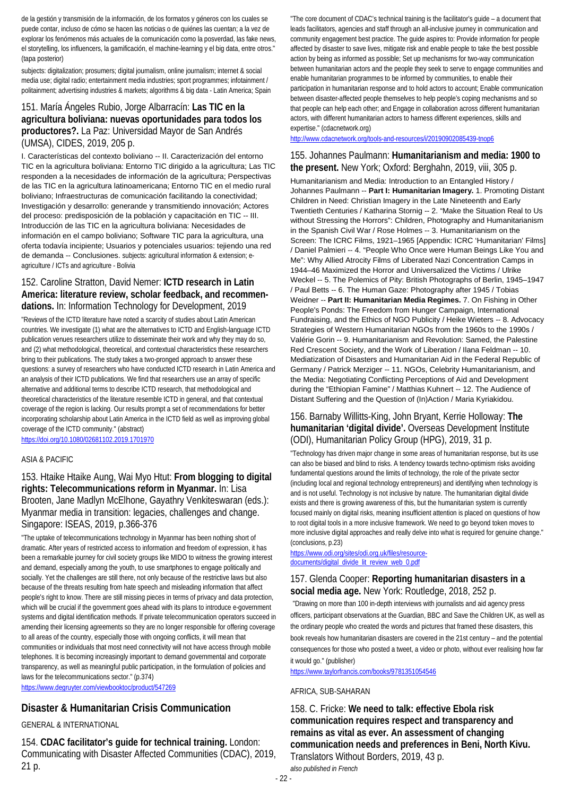de la gestión y transmisión de la información, de los formatos y géneros con los cuales se puede contar, incluso de cómo se hacen las noticias o de quiénes las cuentan; a la vez de explorar los fenómenos más actuales de la comunicación como la posverdad, las fake news, el storytelling, los influencers, la gamificación, el machine-learning y el big data, entre otros." (tapa posterior)

subjects: digitalization; prosumers; digital journalism, online journalism; internet & social media use; digital radio; entertainment media industries; sport programmes; infotainment / politainment; advertising industries & markets; algorithms & big data - Latin America; Spain

## 151. María Ángeles Rubio, Jorge Albarracín: **Las TIC en la agricultura boliviana: nuevas oportunidades para todos los productores?.** La Paz: Universidad Mayor de San Andrés (UMSA), CIDES, 2019, 205 p.

I. Características del contexto boliviano -- II. Caracterización del entorno TIC en la agricultura boliviana: Entorno TIC dirigido a la agricultura; Las TIC responden a la necesidades de información de la agricultura; Perspectivas de las TIC en la agricultura latinoamericana; Entorno TIC en el medio rural boliviano; Infraestructuras de comunicación facilitando la conectividad; Investigación y desarrollo: generande y transmitiendo innovación; Actores del proceso: predisposición de la población y capacitación en TIC -- III. Introducción de las TIC en la agricultura boliviana: Necesidades de información en el campo boliviano; Software TIC para la agricultura, una oferta todavía incipiente; Usuarios y potenciales usuarios: tejiendo una red de demanda -- Conclusiones. subjects: agricultural information & extension; eagriculture / ICTs and agriculture - Bolivia

## 152. Caroline Stratton, David Nemer: **ICTD research in Latin America: literature review, scholar feedback, and recommendations.** In: Information Technology for Development, 2019

"Reviews of the ICTD literature have noted a scarcity of studies about Latin American countries. We investigate (1) what are the alternatives to ICTD and English-language ICTD publication venues researchers utilize to disseminate their work and why they may do so, and (2) what methodological, theoretical, and contextual characteristics these researchers bring to their publications. The study takes a two-pronged approach to answer these questions: a survey of researchers who have conducted ICTD research in Latin America and an analysis of their ICTD publications. We find that researchers use an array of specific alternative and additional terms to describe ICTD research, that methodological and theoretical characteristics of the literature resemble ICTD in general, and that contextual coverage of the region is lacking. Our results prompt a set of recommendations for better incorporating scholarship about Latin America in the ICTD field as well as improving global coverage of the ICTD community." (abstract) <https://doi.org/10.1080/02681102.2019.1701970>

## ASIA & PACIFIC

153. Htaike Htaike Aung, Wai Myo Htut: **From blogging to digital rights: Telecommunications reform in Myanmar.** In: Lisa Brooten, Jane Madlyn McElhone, Gayathry Venkiteswaran (eds.): Myanmar media in transition: legacies, challenges and change. Singapore: ISEAS, 2019, p.366-376

"The uptake of telecommunications technology in Myanmar has been nothing short of dramatic. After years of restricted access to information and freedom of expression, it has been a remarkable journey for civil society groups like MIDO to witness the growing interest and demand, especially among the youth, to use smartphones to engage politically and socially. Yet the challenges are still there, not only because of the restrictive laws but also because of the threats resulting from hate speech and misleading information that affect people's right to know. There are still missing pieces in terms of privacy and data protection, which will be crucial if the government goes ahead with its plans to introduce e-government systems and digital identification methods. If private telecommunication operators succeed in amending their licensing agreements so they are no longer responsible for offering coverage to all areas of the country, especially those with ongoing conflicts, it will mean that communities or individuals that most need connectivity will not have access through mobile telephones. It is becoming increasingly important to demand governmental and corporate transparency, as well as meaningful public participation, in the formulation of policies and laws for the telecommunications sector." (p.374)

<https://www.degruyter.com/viewbooktoc/product/547269>

## **Disaster & Humanitarian Crisis Communication**

### GENERAL & INTERNATIONAL

154. **CDAC facilitator's guide for technical training.** London: Communicating with Disaster Affected Communities (CDAC), 2019, 21 p.

"The core document of CDAC's technical training is the facilitator's guide – a document that leads facilitators, agencies and staff through an all-inclusive journey in communication and community engagement best practice. The guide aspires to: Provide information for people affected by disaster to save lives, mitigate risk and enable people to take the best possible action by being as informed as possible; Set up mechanisms for two-way communication between humanitarian actors and the people they seek to serve to engage communities and enable humanitarian programmes to be informed by communities, to enable their participation in humanitarian response and to hold actors to account; Enable communication between disaster-affected people themselves to help people's coping mechanisms and so that people can help each other; and Engage in collaboration across different humanitarian actors, with different humanitarian actors to harness different experiences, skills and expertise." (cdacnetwork.org)

<http://www.cdacnetwork.org/tools-and-resources/i/20190902085439-tnop6>

### 155. Johannes Paulmann: **Humanitarianism and media: 1900 to the present.** New York; Oxford: Berghahn, 2019, viii, 305 p.

Humanitarianism and Media: Introduction to an Entangled History / Johannes Paulmann -- **Part I: Humanitarian Imagery.** 1. Promoting Distant Children in Need: Christian Imagery in the Late Nineteenth and Early Twentieth Centuries / Katharina Stornig -- 2. "Make the Situation Real to Us without Stressing the Horrors": Children, Photography and Humanitarianism in the Spanish Civil War / Rose Holmes -- 3. Humanitarianism on the Screen: The ICRC Films, 1921–1965 [Appendix: ICRC 'Humanitarian' Films] / Daniel Palmieri -- 4. "People Who Once were Human Beings Like You and Me": Why Allied Atrocity Films of Liberated Nazi Concentration Camps in 1944–46 Maximized the Horror and Universalized the Victims / Ulrike Weckel -- 5. The Polemics of Pity: British Photographs of Berlin, 1945–1947 / Paul Betts -- 6. The Human Gaze: Photography after 1945 / Tobias Weidner -- **Part II: Humanitarian Media Regimes.** 7. On Fishing in Other People's Ponds: The Freedom from Hunger Campaign, International Fundraising, and the Ethics of NGO Publicity / Heike Wieters -- 8. Advocacy Strategies of Western Humanitarian NGOs from the 1960s to the 1990s / Valérie Gorin -- 9. Humanitarianism and Revolution: Samed, the Palestine Red Crescent Society, and the Work of Liberation / Ilana Feldman -- 10. Mediatization of Disasters and Humanitarian Aid in the Federal Republic of Germany / Patrick Merziger -- 11. NGOs, Celebrity Humanitarianism, and the Media: Negotiating Conflicting Perceptions of Aid and Development during the "Ethiopian Famine" / Matthias Kuhnert -- 12. The Audience of Distant Suffering and the Question of (In)Action / Maria Kyriakidou.

## 156. Barnaby Willitts-King, John Bryant, Kerrie Holloway: **The humanitarian 'digital divide'.** Overseas Development Institute (ODI), Humanitarian Policy Group (HPG), 2019, 31 p.

"Technology has driven major change in some areas of humanitarian response, but its use can also be biased and blind to risks. A tendency towards techno-optimism risks avoiding fundamental questions around the limits of technology, the role of the private sector (including local and regional technology entrepreneurs) and identifying when technology is and is not useful. Technology is not inclusive by nature. The humanitarian digital divide exists and there is growing awareness of this, but the humanitarian system is currently focused mainly on digital risks, meaning insufficient attention is placed on questions of how to root digital tools in a more inclusive framework. We need to go beyond token moves to more inclusive digital approaches and really delve into what is required for genuine change." (conclusions, p.23)

[https://www.odi.org/sites/odi.org.uk/files/resource](https://www.odi.org/sites/odi.org.uk/files/resource-documents/digital_divide_lit_review_web_0.pdf)[documents/digital\\_divide\\_lit\\_review\\_web\\_0.pdf](https://www.odi.org/sites/odi.org.uk/files/resource-documents/digital_divide_lit_review_web_0.pdf)

### 157. Glenda Cooper: **Reporting humanitarian disasters in a social media age.** New York: Routledge, 2018, 252 p.

"Drawing on more than 100 in-depth interviews with journalists and aid agency press officers, participant observations at the Guardian, BBC and Save the Children UK, as well as the ordinary people who created the words and pictures that framed these disasters, this book reveals how humanitarian disasters are covered in the 21st century – and the potential consequences for those who posted a tweet, a video or photo, without ever realising how far it would go." (publisher)

<https://www.taylorfrancis.com/books/9781351054546>

### AFRICA, SUB-SAHARAN

158. C. Fricke: **We need to talk: effective Ebola risk communication requires respect and transparency and remains as vital as ever. An assessment of changing communication needs and preferences in Beni, North Kivu.**  Translators Without Borders, 2019, 43 p. *also published in French*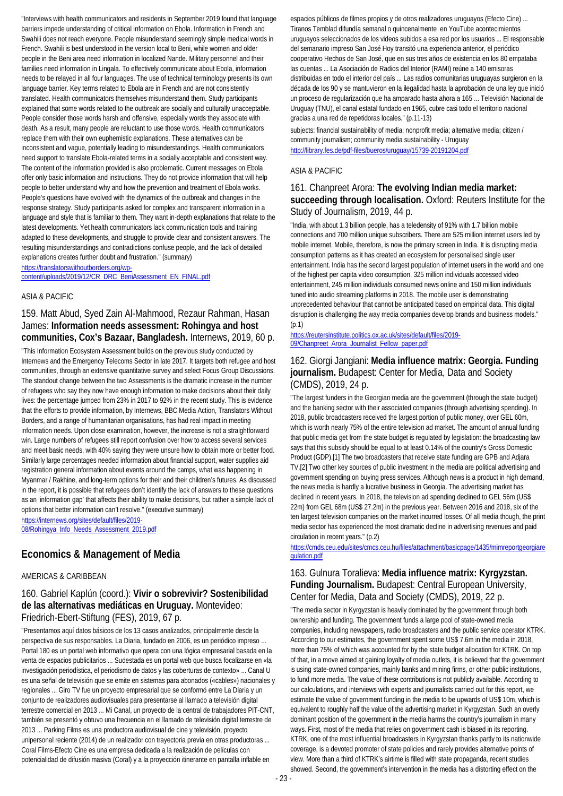"Interviews with health communicators and residents in September 2019 found that language barriers impede understanding of critical information on Ebola. Information in French and Swahili does not reach everyone. People misunderstand seemingly simple medical words in French. Swahili is best understood in the version local to Beni, while women and older people in the Beni area need information in localized Nande. Military personnel and their families need information in Lingala. To effectively communicate about Ebola, information needs to be relayed in all four languages. The use of technical terminology presents its own language barrier. Key terms related to Ebola are in French and are not consistently translated. Health communicators themselves misunderstand them. Study participants explained that some words related to the outbreak are socially and culturally unacceptable. People consider those words harsh and offensive, especially words they associate with death. As a result, many people are reluctant to use those words. Health communicators replace them with their own euphemistic explanations. These alternatives can be inconsistent and vague, potentially leading to misunderstandings. Health communicators need support to translate Ebola-related terms in a socially acceptable and consistent way. The content of the information provided is also problematic. Current messages on Ebola offer only basic information and instructions. They do not provide information that will help people to better understand why and how the prevention and treatment of Ebola works. People's questions have evolved with the dynamics of the outbreak and changes in the response strategy. Study participants asked for complex and transparent information in a language and style that is familiar to them. They want in-depth explanations that relate to the latest developments. Yet health communicators lack communication tools and training adapted to these developments, and struggle to provide clear and consistent answers. The resulting misunderstandings and contradictions confuse people, and the lack of detailed explanations creates further doubt and frustration." (summary)

[https://translatorswithoutborders.org/wp-](https://translatorswithoutborders.org/wp-content/uploads/2019/12/CR_DRC_BeniAssessment_EN_FINAL.pdf)

[content/uploads/2019/12/CR\\_DRC\\_BeniAssessment\\_EN\\_FINAL.pdf](https://translatorswithoutborders.org/wp-content/uploads/2019/12/CR_DRC_BeniAssessment_EN_FINAL.pdf)

### ASIA & PACIFIC

### 159. Matt Abud, Syed Zain Al-Mahmood, Rezaur Rahman, Hasan James: **Information needs assessment: Rohingya and host communities, Cox's Bazaar, Bangladesh.** Internews, 2019, 60 p.

"This Information Ecosystem Assessment builds on the previous study conducted by Internews and the Emergency Telecoms Sector in late 2017. It targets both refugee and host communities, through an extensive quantitative survey and select Focus Group Discussions. The standout change between the two Assessments is the dramatic increase in the number of refugees who say they now have enough information to make decisions about their daily lives: the percentage jumped from 23% in 2017 to 92% in the recent study. This is evidence that the efforts to provide information, by Internews, BBC Media Action, Translators Without Borders, and a range of humanitarian organisations, has had real impact in meeting information needs. Upon close examination, however, the increase is not a straightforward win. Large numbers of refugees still report confusion over how to access several services and meet basic needs, with 40% saying they were unsure how to obtain more or better food. Similarly large percentages needed information about financial support, water supplies aid registration general information about events around the camps, what was happening in Myanmar / Rakhine, and long-term options for their and their children's futures. As discussed in the report, it is possible that refugees don't identify the lack of answers to these questions as an 'information gap' that affects their ability to make decisions, but rather a simple lack of options that better information can't resolve." (executive summary)

[https://internews.org/sites/default/files/2019-](https://internews.org/sites/default/files/2019-08/Rohingya_Info_Needs_Assessment_2019.pdf) [08/Rohingya\\_Info\\_Needs\\_Assessment\\_2019.pdf](https://internews.org/sites/default/files/2019-08/Rohingya_Info_Needs_Assessment_2019.pdf)

### **Economics & Management of Media**

### AMERICAS & CARIBBEAN

## 160. Gabriel Kaplún (coord.): **Vivir o sobrevivir? Sostenibilidad de las alternativas mediáticas en Uruguay.** Montevideo: Friedrich-Ebert-Stiftung (FES), 2019, 67 p.

"Presentamos aquí datos básicos de los 13 casos analizados, principalmente desde la perspectiva de sus responsables. La Diaria, fundado en 2006, es un periódico impreso ... Portal 180 es un portal web informativo que opera con una lógica empresarial basada en la venta de espacios publicitarios ... Sudestada es un portal web que busca focalizarse en «la investigación periodística, el periodismo de datos y las coberturas de contexto» ... Canal U es una señal de televisión que se emite en sistemas para abonados («cables») nacionales y regionales ... Giro TV fue un proyecto empresarial que se conformó entre La Diaria y un conjunto de realizadores audiovisuales para presentarse al llamado a televisión digital terrestre comercial en 2013 ... Mi Canal, un proyecto de la central de trabajadores PIT-CNT, también se presentó y obtuvo una frecuencia en el llamado de televisión digital terrestre de 2013 ... Parking Films es una productora audiovisual de cine y televisión, proyecto unipersonal reciente (2014) de un realizador con trayectoria previa en otras productoras ... Coral Films-Efecto Cine es una empresa dedicada a la realización de películas con potencialidad de difusión masiva (Coral) y a la proyección itinerante en pantalla inflable en

espacios públicos de filmes propios y de otros realizadores uruguayos (Efecto Cine) ... Tiranos Temblad difundía semanal o quincenalmente en YouTube acontecimientos uruguayos seleccionados de los videos subidos a esa red por los usuarios ... El responsable del semanario impreso San José Hoy transitó una experiencia anterior, el periódico cooperativo Hechos de San José, que en sus tres años de existencia en los 80 empataba las cuentas ... La Asociación de Radios del Interior (RAMI) reúne a 140 emisoras distribuidas en todo el interior del país ... Las radios comunitarias uruguayas surgieron en la década de los 90 y se mantuvieron en la ilegalidad hasta la aprobación de una ley que inició un proceso de regularización que ha amparado hasta ahora a 165 ... Televisión Nacional de Uruguay (TNU), el canal estatal fundado en 1965, cubre casi todo el territorio nacional gracias a una red de repetidoras locales." (p.11-13)

subjects: financial sustainability of media; nonprofit media; alternative media; citizen / community journalism; community media sustainability - Uruguay <http://library.fes.de/pdf-files/bueros/uruguay/15739-20191204.pdf>

### ASIA & PACIFIC

### 161. Chanpreet Arora: **The evolving Indian media market: succeeding through localisation.** Oxford: Reuters Institute for the Study of Journalism, 2019, 44 p.

"India, with about 1.3 billion people, has a teledensity of 91% with 1.7 billion mobile connections and 700 million unique subscribers. There are 525 million internet users led by mobile internet. Mobile, therefore, is now the primary screen in India. It is disrupting media consumption patterns as it has created an ecosystem for personalised single user entertainment. India has the second largest population of internet users in the world and one of the highest per capita video consumption. 325 million individuals accessed video entertainment, 245 million individuals consumed news online and 150 million individuals tuned into audio streaming platforms in 2018. The mobile user is demonstrating unprecedented behaviour that cannot be anticipated based on empirical data. This digital disruption is challenging the way media companies develop brands and business models."  $(p.1)$ 

[https://reutersinstitute.politics.ox.ac.uk/sites/default/files/2019-](https://reutersinstitute.politics.ox.ac.uk/sites/default/files/2019-09/Chanpreet_Arora_Journalist_Fellow_paper.pdf) [09/Chanpreet\\_Arora\\_Journalist\\_Fellow\\_paper.pdf](https://reutersinstitute.politics.ox.ac.uk/sites/default/files/2019-09/Chanpreet_Arora_Journalist_Fellow_paper.pdf)

### 162. Giorgi Jangiani: **Media influence matrix: Georgia. Funding journalism.** Budapest: Center for Media, Data and Society (CMDS), 2019, 24 p.

"The largest funders in the Georgian media are the government (through the state budget) and the banking sector with their associated companies (through advertising spending). In 2018, public broadcasters received the largest portion of public money, over GEL 60m, which is worth nearly 75% of the entire television ad market. The amount of annual funding that public media get from the state budget is regulated by legislation: the broadcasting law says that this subsidy should be equal to at least 0.14% of the country's Gross Domestic Product (GDP).[1] The two broadcasters that receive state funding are GPB and Adjara TV.[2] Two other key sources of public investment in the media are political advertising and government spending on buying press services. Although news is a product in high demand, the news media is hardly a lucrative business in Georgia. The advertising market has declined in recent years. In 2018, the television ad spending declined to GEL 56m (US\$ 22m) from GEL 68m (US\$ 27.2m) in the previous year. Between 2016 and 2018, six of the ten largest television companies on the market incurred losses. Of all media though, the print media sector has experienced the most dramatic decline in advertising revenues and paid circulation in recent years." (p.2)

[https://cmds.ceu.edu/sites/cmcs.ceu.hu/files/attachment/basicpage/1435/mimreportgeorgiare](https://cmds.ceu.edu/sites/cmcs.ceu.hu/files/attachment/basicpage/1435/mimreportgeorgiaregulation.pdf) [gulation.pdf](https://cmds.ceu.edu/sites/cmcs.ceu.hu/files/attachment/basicpage/1435/mimreportgeorgiaregulation.pdf)

### 163. Gulnura Toralieva: **Media influence matrix: Kyrgyzstan. Funding Journalism.** Budapest: Central European University, Center for Media, Data and Society (CMDS), 2019, 22 p.

"The media sector in Kyrgyzstan is heavily dominated by the government through both ownership and funding. The government funds a large pool of state-owned media companies, including newspapers, radio broadcasters and the public service operator KTRK. According to our estimates, the government spent some US\$ 7.6m in the media in 2018, more than 75% of which was accounted for by the state budget allocation for KTRK. On top of that, in a move aimed at gaining loyalty of media outlets, it is believed that the government is using state-owned companies, mainly banks and mining firms, or other public institutions, to fund more media. The value of these contributions is not publicly available. According to our calculations, and interviews with experts and journalists carried out for this report, we estimate the value of government funding in the media to be upwards of US\$ 10m, which is equivalent to roughly half the value of the advertising market in Kyrgyzstan. Such an overly dominant position of the government in the media harms the country's journalism in many ways. First, most of the media that relies on government cash is biased in its reporting. KTRK, one of the most influential broadcasters in Kyrgyzstan thanks partly to its nationwide coverage, is a devoted promoter of state policies and rarely provides alternative points of view. More than a third of KTRK's airtime is filled with state propaganda, recent studies showed. Second, the government's intervention in the media has a distorting effect on the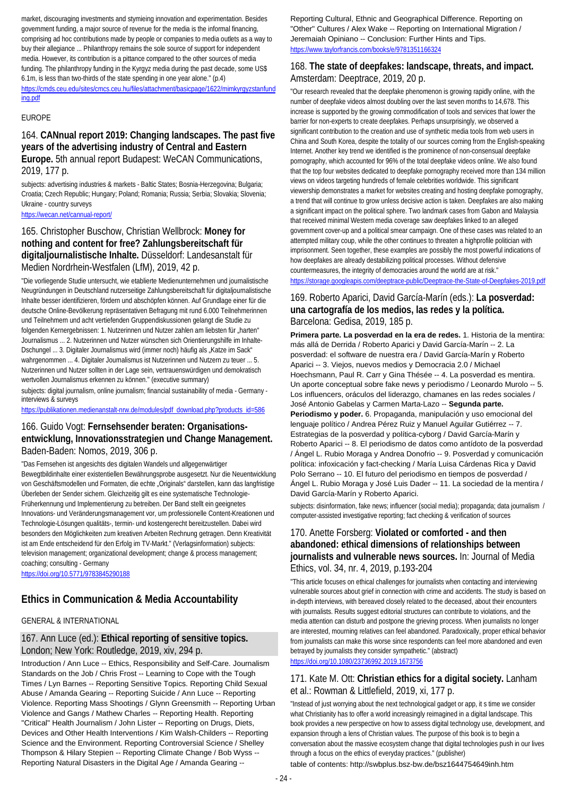market, discouraging investments and stymieing innovation and experimentation. Besides government funding, a major source of revenue for the media is the informal financing, comprising ad hoc contributions made by people or companies to media outlets as a way to buy their allegiance ... Philanthropy remains the sole source of support for independent media. However, its contribution is a pittance compared to the other sources of media funding. The philanthropy funding in the Kyrgyz media during the past decade, some US\$ 6.1m, is less than two-thirds of the state spending in one year alone." (p.4) [https://cmds.ceu.edu/sites/cmcs.ceu.hu/files/attachment/basicpage/1622/mimkyrgyzstanfund](https://cmds.ceu.edu/sites/cmcs.ceu.hu/files/attachment/basicpage/1622/mimkyrgyzstanfunding.pdf) [ing.pdf](https://cmds.ceu.edu/sites/cmcs.ceu.hu/files/attachment/basicpage/1622/mimkyrgyzstanfunding.pdf)

### EUROPE

### 164. **CANnual report 2019: Changing landscapes. The past five years of the advertising industry of Central and Eastern Europe.** 5th annual report Budapest: WeCAN Communications, 2019, 177 p.

subjects: advertising industries & markets - Baltic States; Bosnia-Herzegovina; Bulgaria; Croatia; Czech Republic; Hungary; Poland; Romania; Russia; Serbia; Slovakia; Slovenia; Ukraine - country surveys

<https://wecan.net/cannual-report/>

### 165. Christopher Buschow, Christian Wellbrock: **Money for nothing and content for free? Zahlungsbereitschaft für digitaljournalistische Inhalte.** Düsseldorf: Landesanstalt für Medien Nordrhein-Westfalen (LfM), 2019, 42 p.

"Die vorliegende Studie untersucht, wie etablierte Medienunternehmen und journalistische Neugründungen in Deutschland nutzerseitige Zahlungsbereitschaft für digitaljournalistische Inhalte besser identifizieren, fördern und abschöpfen können. Auf Grundlage einer für die deutsche Online-Bevölkerung repräsentativen Befragung mit rund 6.000 Teilnehmerinnen und Teilnehmern und acht vertiefenden Gruppendiskussionen gelangt die Studie zu folgenden Kernergebnissen: 1. Nutzerinnen und Nutzer zahlen am liebsten für "harten" Journalismus ... 2. Nutzerinnen und Nutzer wünschen sich Orientierungshilfe im Inhalte-Dschungel ... 3. Digitaler Journalismus wird (immer noch) häufig als "Katze im Sack" wahrgenommen ... 4. Digitaler Journalismus ist Nutzerinnen und Nutzern zu teuer ... 5. Nutzerinnen und Nutzer sollten in der Lage sein, vertrauenswürdigen und demokratisch wertvollen Journalismus erkennen zu können." (executive summary)

subjects: digital journalism, online journalism; financial sustainability of media - Germany interviews & surveys

[https://publikationen.medienanstalt-nrw.de/modules/pdf\\_download.php?products\\_id=586](https://publikationen.medienanstalt-nrw.de/modules/pdf_download.php?products_id=586)

### 166. Guido Vogt: **Fernsehsender beraten: Organisationsentwicklung, Innovationsstrategien und Change Management.**  Baden-Baden: Nomos, 2019, 306 p.

"Das Fernsehen ist angesichts des digitalen Wandels und allgegenwärtiger Bewegtbildinhalte einer existentiellen Bewährungsprobe ausgesetzt. Nur die Neuentwicklung von Geschäftsmodellen und Formaten, die echte "Originals" darstellen, kann das langfristige Überleben der Sender sichern. Gleichzeitig gilt es eine systematische Technologie-Früherkennung und Implementierung zu betreiben. Der Band stellt ein geeignetes Innovations- und Veränderungsmanagement vor, um professionelle Content-Kreationen und Technologie-Lösungen qualitäts-, termin- und kostengerecht bereitzustellen. Dabei wird besonders den Möglichkeiten zum kreativen Arbeiten Rechnung getragen. Denn Kreativität ist am Ende entscheidend für den Erfolg im TV-Markt." (Verlagsinformation) subjects: television management; organizational development; change & process management; coaching; consulting - Germany

<https://doi.org/10.5771/9783845290188>

## **Ethics in Communication & Media Accountability**

## GENERAL & INTERNATIONAL

## 167. Ann Luce (ed.): **Ethical reporting of sensitive topics.**  London; New York: Routledge, 2019, xiv, 294 p.

Introduction / Ann Luce -- Ethics, Responsibility and Self-Care. Journalism Standards on the Job / Chris Frost -- Learning to Cope with the Tough Times / Lyn Barnes -- Reporting Sensitive Topics. Reporting Child Sexual Abuse / Amanda Gearing -- Reporting Suicide / Ann Luce -- Reporting Violence. Reporting Mass Shootings / Glynn Greensmith -- Reporting Urban Violence and Gangs / Mathew Charles -- Reporting Health. Reporting "Critical" Health Journalism / John Lister -- Reporting on Drugs, Diets, Devices and Other Health Interventions / Kim Walsh-Childers -- Reporting Science and the Environment. Reporting Controversial Science / Shelley Thompson & Hilary Stepien -- Reporting Climate Change / Bob Wyss -- Reporting Natural Disasters in the Digital Age / Amanda Gearing --

Reporting Cultural, Ethnic and Geographical Difference. Reporting on "Other" Cultures / Alex Wake -- Reporting on International Migration / Jeremaiah Opiniano -- Conclusion: Further Hints and Tips. <https://www.taylorfrancis.com/books/e/9781351166324>

## 168. **The state of deepfakes: landscape, threats, and impact.**  Amsterdam: Deeptrace, 2019, 20 p.

"Our research revealed that the deepfake phenomenon is growing rapidly online, with the number of deepfake videos almost doubling over the last seven months to 14,678. This increase is supported by the growing commodification of tools and services that lower the barrier for non-experts to create deepfakes. Perhaps unsurprisingly, we observed a significant contribution to the creation and use of synthetic media tools from web users in China and South Korea, despite the totality of our sources coming from the English-speaking Internet. Another key trend we identified is the prominence of non-consensual deepfake pornography, which accounted for 96% of the total deepfake videos online. We also found that the top four websites dedicated to deepfake pornography received more than 134 million views on videos targeting hundreds of female celebrities worldwide. This significant viewership demonstrates a market for websites creating and hosting deepfake pornography, a trend that will continue to grow unless decisive action is taken. Deepfakes are also making a significant impact on the political sphere. Two landmark cases from Gabon and Malaysia that received minimal Western media coverage saw deepfakes linked to an alleged government cover-up and a political smear campaign. One of these cases was related to an attempted military coup, while the other continues to threaten a highprofile politician with imprisonment. Seen together, these examples are possibly the most powerful indications of how deepfakes are already destabilizing political processes. Without defensive countermeasures, the integrity of democracies around the world are at risk." <https://storage.googleapis.com/deeptrace-public/Deeptrace-the-State-of-Deepfakes-2019.pdf>

## 169. Roberto Aparici, David García-Marín (eds.): **La posverdad: una cartografía de los medios, las redes y la política.**  Barcelona: Gedisa, 2019, 185 p.

**Primera parte. La posverdad en la era de redes.** 1. Historia de la mentira: más allá de Derrida / Roberto Aparici y David García-Marín -- 2. La posverdad: el software de nuestra era / David García-Marín y Roberto Aparici -- 3. Viejos, nuevos medios y Democracia 2.0 / Michael Hoechsmann, Paul R. Carr y Gina Thésée -- 4. La posverdad es mentira. Un aporte conceptual sobre fake news y periodismo / Leonardo Murolo -- 5. Los influencers, oráculos del liderazgo, chamanes en las redes sociales / José Antonio Gabelas y Carmen Marta-Lazo -- **Segunda parte. Periodismo y poder.** 6. Propaganda, manipulación y uso emocional del lenguaje político / Andrea Pérez Ruiz y Manuel Aguilar Gutiérrez -- 7. Estrategias de la posverdad y política-cyborg / David García-Marín y Roberto Aparici -- 8. El periodismo de datos como antídoto de la posverdad / Ángel L. Rubio Moraga y Andrea Donofrio -- 9. Posverdad y comunicación política: infoxicación y fact-checking / María Luisa Cárdenas Rica y David Polo Serrano -- 10. El futuro del periodismo en tiempos de posverdad / Ángel L. Rubio Moraga y José Luis Dader -- 11. La sociedad de la mentira / David García-Marín y Roberto Aparici.

subjects: disinformation, fake news; influencer (social media); propaganda; data journalism / computer-assisted investigative reporting; fact checking & verification of sources

## 170. Anette Forsberg: **Violated or comforted - and then abandoned: ethical dimensions of relationships between journalists and vulnerable news sources.** In: Journal of Media Ethics, vol. 34, nr. 4, 2019, p.193-204

"This article focuses on ethical challenges for journalists when contacting and interviewing vulnerable sources about grief in connection with crime and accidents. The study is based on in-depth interviews, with bereaved closely related to the deceased, about their encounters with journalists. Results suggest editorial structures can contribute to violations, and the media attention can disturb and postpone the grieving process. When journalists no longer are interested, mourning relatives can feel abandoned. Paradoxically, proper ethical behavior from journalists can make this worse since respondents can feel more abandoned and even betrayed by journalists they consider sympathetic." (abstract)

<https://doi.org/10.1080/23736992.2019.1673756>

### 171. Kate M. Ott: **Christian ethics for a digital society.** Lanham et al.: Rowman & Littlefield, 2019, xi, 177 p.

"Instead of just worrying about the next technological gadget or app, it s time we consider what Christianity has to offer a world increasingly reimagined in a digital landscape. This book provides a new perspective on how to assess digital technology use, development, and expansion through a lens of Christian values. The purpose of this book is to begin a conversation about the massive ecosystem change that digital technologies push in our lives through a focus on the ethics of everyday practices." (publisher)

table of contents: http://swbplus.bsz-bw.de/bsz1644754649inh.htm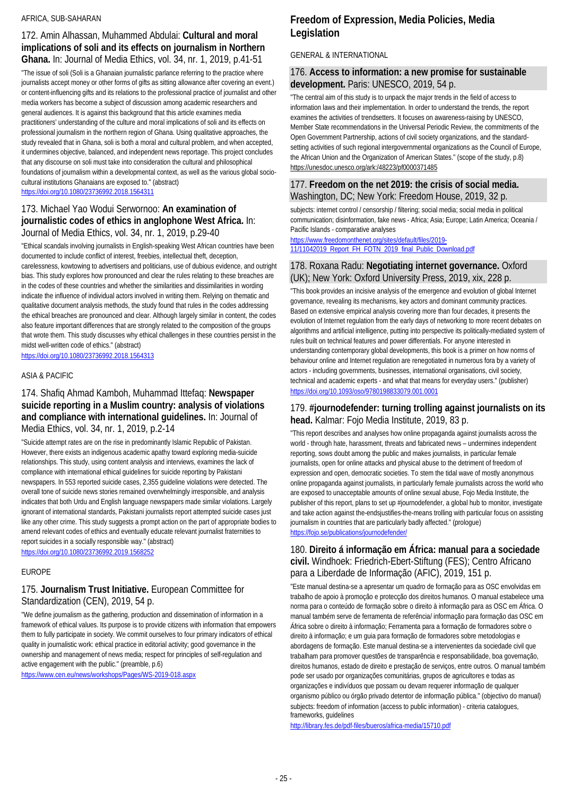### AFRICA, SUB-SAHARAN

### 172. Amin Alhassan, Muhammed Abdulai: **Cultural and moral implications of soli and its effects on journalism in Northern Ghana.** In: Journal of Media Ethics, vol. 34, nr. 1, 2019, p.41-51

"The issue of soli (Soli is a Ghanaian journalistic parlance referring to the practice where journalists accept money or other forms of gifts as sitting allowance after covering an event.) or content-influencing gifts and its relations to the professional practice of journalist and other media workers has become a subject of discussion among academic researchers and general audiences. It is against this background that this article examines media practitioners' understanding of the culture and moral implications of soli and its effects on professional journalism in the northern region of Ghana. Using qualitative approaches, the study revealed that in Ghana, soli is both a moral and cultural problem, and when accepted, it undermines objective, balanced, and independent news reportage. This project concludes that any discourse on soli must take into consideration the cultural and philosophical foundations of journalism within a developmental context, as well as the various global sociocultural institutions Ghanaians are exposed to." (abstract) <https://doi.org/10.1080/23736992.2018.1564311>

## 173. Michael Yao Wodui Serwornoo: **An examination of journalistic codes of ethics in anglophone West Africa.** In: Journal of Media Ethics, vol. 34, nr. 1, 2019, p.29-40

"Ethical scandals involving journalists in English-speaking West African countries have been documented to include conflict of interest, freebies, intellectual theft, deception, carelessness, kowtowing to advertisers and politicians, use of dubious evidence, and outright bias. This study explores how pronounced and clear the rules relating to these breaches are in the codes of these countries and whether the similarities and dissimilarities in wording indicate the influence of individual actors involved in writing them. Relying on thematic and qualitative document analysis methods, the study found that rules in the codes addressing the ethical breaches are pronounced and clear. Although largely similar in content, the codes also feature important differences that are strongly related to the composition of the groups that wrote them. This study discusses why ethical challenges in these countries persist in the midst well-written code of ethics." (abstract)

<https://doi.org/10.1080/23736992.2018.1564313>

### ASIA & PACIFIC

### 174. Shafiq Ahmad Kamboh, Muhammad Ittefaq: **Newspaper suicide reporting in a Muslim country: analysis of violations and compliance with international guidelines.** In: Journal of Media Ethics, vol. 34, nr. 1, 2019, p.2-14

"Suicide attempt rates are on the rise in predominantly Islamic Republic of Pakistan. However, there exists an indigenous academic apathy toward exploring media-suicide relationships. This study, using content analysis and interviews, examines the lack of compliance with international ethical guidelines for suicide reporting by Pakistani newspapers. In 553 reported suicide cases, 2,355 guideline violations were detected. The overall tone of suicide news stories remained overwhelmingly irresponsible, and analysis indicates that both Urdu and English language newspapers made similar violations. Largely ignorant of international standards, Pakistani journalists report attempted suicide cases just like any other crime. This study suggests a prompt action on the part of appropriate bodies to amend relevant codes of ethics and eventually educate relevant journalist fraternities to report suicides in a socially responsible way." (abstract)

<https://doi.org/10.1080/23736992.2019.1568252>

### EUROPE

## 175. **Journalism Trust Initiative.** European Committee for Standardization (CEN), 2019, 54 p.

"We define journalism as the gathering, production and dissemination of information in a framework of ethical values. Its purpose is to provide citizens with information that empowers them to fully participate in society. We commit ourselves to four primary indicators of ethical quality in journalistic work: ethical practice in editorial activity; good governance in the ownership and management of news media; respect for principles of self-regulation and active engagement with the public." (preamble, p.6)

<https://www.cen.eu/news/workshops/Pages/WS-2019-018.aspx>

## **Freedom of Expression, Media Policies, Media Legislation**

## GENERAL & INTERNATIONAL

## 176. **Access to information: a new promise for sustainable development.** Paris: UNESCO, 2019, 54 p.

"The central aim of this study is to unpack the major trends in the field of access to information laws and their implementation. In order to understand the trends, the report examines the activities of trendsetters. It focuses on awareness-raising by UNESCO, Member State recommendations in the Universal Periodic Review, the commitments of the Open Government Partnership, actions of civil society organizations, and the standardsetting activities of such regional intergovernmental organizations as the Council of Europe, the African Union and the Organization of American States." (scope of the study, p.8) https://unesdoc.unesco.org/ark:/48223/pf0000371485

## 177. **Freedom on the net 2019: the crisis of social media.**  Washington, DC; New York: Freedom House, 2019, 32 p.

subjects: internet control / censorship / filtering; social media; social media in political communication; disinformation, fake news - Africa; Asia; Europe; Latin America; Oceania / Pacific Islands - comparative analyses

[https://www.freedomonthenet.org/sites/default/files/2019-](https://www.freedomonthenet.org/sites/default/files/2019-11/11042019_Report_FH_FOTN_2019_final_Public_Download.pdf) [11/11042019\\_Report\\_FH\\_FOTN\\_2019\\_final\\_Public\\_Download.pdf](https://www.freedomonthenet.org/sites/default/files/2019-11/11042019_Report_FH_FOTN_2019_final_Public_Download.pdf)

## 178. Roxana Radu: **Negotiating internet governance.** Oxford (UK); New York: Oxford University Press, 2019, xix, 228 p.

"This book provides an incisive analysis of the emergence and evolution of global Internet governance, revealing its mechanisms, key actors and dominant community practices. Based on extensive empirical analysis covering more than four decades, it presents the evolution of Internet regulation from the early days of networking to more recent debates on algorithms and artificial intelligence, putting into perspective its politically-mediated system of rules built on technical features and power differentials. For anyone interested in understanding contemporary global developments, this book is a primer on how norms of behaviour online and Internet regulation are renegotiated in numerous fora by a variety of actors - including governments, businesses, international organisations, civil society, technical and academic experts - and what that means for everyday users." (publisher) <https://doi.org/10.1093/oso/9780198833079.001.0001>

## 179. **#journodefender: turning trolling against journalists on its head.** Kalmar: Fojo Media Institute, 2019, 83 p.

"This report describes and analyses how online propaganda against journalists across the world - through hate, harassment, threats and fabricated news – undermines independent reporting, sows doubt among the public and makes journalists, in particular female journalists, open for online attacks and physical abuse to the detriment of freedom of expression and open, democratic societies. To stem the tidal wave of mostly anonymous online propaganda against journalists, in particularly female journalists across the world who are exposed to unacceptable amounts of online sexual abuse, Fojo Media Institute, the publisher of this report, plans to set up #journodefender, a global hub to monitor, investigate and take action against the-endsjustifies-the-means trolling with particular focus on assisting journalism in countries that are particularly badly affected." (prologue) <https://fojo.se/publications/journodefender/>

## 180. **Direito á informação em África: manual para a sociedade civil.** Windhoek: Friedrich-Ebert-Stiftung (FES); Centro Africano para a Liberdade de Informação (AFIC), 2019, 151 p.

"Este manual destina-se a apresentar um quadro de formação para as OSC envolvidas em trabalho de apoio à promoção e protecção dos direitos humanos. O manual estabelece uma norma para o conteúdo de formação sobre o direito à informação para as OSC em África. O manual também serve de ferramenta de referência/ informação para formação das OSC em África sobre o direito à informação; Ferramenta para a formação de formadores sobre o direito à informação; e um guia para formação de formadores sobre metodologias e abordagens de formação. Este manual destina-se a intervenientes da sociedade civil que trabalham para promover questões de transparência e responsabilidade, boa governação, direitos humanos, estado de direito e prestação de serviços, entre outros. O manual também pode ser usado por organizações comunitárias, grupos de agricultores e todas as organizações e indivíduos que possam ou devam requerer informação de qualquer organismo público ou órgão privado detentor de informação pública." (objectivo do manual) subjects: freedom of information (access to public information) - criteria catalogues, frameworks, guidelines

<http://library.fes.de/pdf-files/bueros/africa-media/15710.pdf>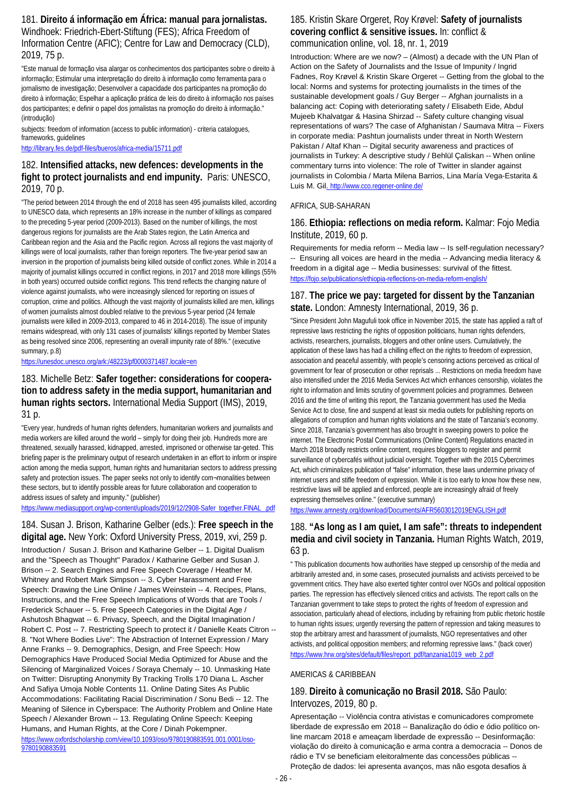181. **Direito á informação em África: manual para jornalistas.**  Windhoek: Friedrich-Ebert-Stiftung (FES); Africa Freedom of Information Centre (AFIC); Centre for Law and Democracy (CLD), 2019, 75 p.

"Este manual de formação visa alargar os conhecimentos dos participantes sobre o direito à informação; Estimular uma interpretação do direito à informação como ferramenta para o jornalismo de investigação; Desenvolver a capacidade dos participantes na promoção do direito à informação; Espelhar a aplicação prática de leis do direito à informação nos países dos participantes; e definir o papel dos jornalistas na promoção do direito à informação." (introdução)

subjects: freedom of information (access to public information) - criteria catalogues, frameworks, guidelines

<http://library.fes.de/pdf-files/bueros/africa-media/15711.pdf>

## 182. **Intensified attacks, new defences: developments in the fight to protect journalists and end impunity.** Paris: UNESCO, 2019, 70 p.

"The period between 2014 through the end of 2018 has seen 495 journalists killed, according to UNESCO data, which represents an 18% increase in the number of killings as compared to the preceding 5-year period (2009-2013). Based on the number of killings, the most dangerous regions for journalists are the Arab States region, the Latin America and Caribbean region and the Asia and the Pacific region. Across all regions the vast majority of killings were of local journalists, rather than foreign reporters. The five-year period saw an inversion in the proportion of journalists being killed outside of conflict zones. While in 2014 a majority of journalist killings occurred in conflict regions, in 2017 and 2018 more killings (55% in both years) occurred outside conflict regions. This trend reflects the changing nature of violence against journalists, who were increasingly silenced for reporting on issues of corruption, crime and politics. Although the vast majority of journalists killed are men, killings of women journalists almost doubled relative to the previous 5-year period (24 female journalists were killed in 2009-2013, compared to 46 in 2014-2018). The issue of impunity remains widespread, with only 131 cases of journalists' killings reported by Member States as being resolved since 2006, representing an overall impunity rate of 88%." (executive summary, p.8)

<https://unesdoc.unesco.org/ark:/48223/pf0000371487.locale=en>

## 183. Michelle Betz: **Safer together: considerations for cooperation to address safety in the media support, humanitarian and human rights sectors.** International Media Support (IMS), 2019, 31 p.

"Every year, hundreds of human rights defenders, humanitarian workers and journalists and media workers are killed around the world – simply for doing their job. Hundreds more are threatened, sexually harassed, kidnapped, arrested, imprisoned or otherwise tar-geted. This briefing paper is the preliminary output of research undertaken in an effort to inform or inspire action among the media support, human rights and humanitarian sectors to address pressing safety and protection issues. The paper seeks not only to identify com-monalities between these sectors, but to identify possible areas for future collaboration and cooperation to address issues of safety and impunity." (publisher)

[https://www.mediasupport.org/wp-content/uploads/2019/12/2908-Safer\\_together.FINAL\\_.pdf](https://www.mediasupport.org/wp-content/uploads/2019/12/2908-Safer_together.FINAL_.pdf)

184. Susan J. Brison, Katharine Gelber (eds.): **Free speech in the digital age.** New York: Oxford University Press, 2019, xvi, 259 p.

Introduction / Susan J. Brison and Katharine Gelber -- 1. Digital Dualism and the "Speech as Thought" Paradox / Katharine Gelber and Susan J. Brison -- 2. Search Engines and Free Speech Coverage / Heather M. Whitney and Robert Mark Simpson -- 3. Cyber Harassment and Free Speech: Drawing the Line Online / James Weinstein -- 4. Recipes, Plans, Instructions, and the Free Speech Implications of Words that are Tools / Frederick Schauer -- 5. Free Speech Categories in the Digital Age / Ashutosh Bhagwat -- 6. Privacy, Speech, and the Digital Imagination / Robert C. Post -- 7. Restricting Speech to protect it / Danielle Keats Citron --8. "Not Where Bodies Live": The Abstraction of Internet Expression / Mary Anne Franks -- 9. Demographics, Design, and Free Speech: How Demographics Have Produced Social Media Optimized for Abuse and the Silencing of Marginalized Voices / Soraya Chemaly -- 10. Unmasking Hate on Twitter: Disrupting Anonymity By Tracking Trolls 170 Diana L. Ascher And Safiya Umoja Noble Contents 11. Online Dating Sites As Public Accommodations: Facilitating Racial Discrimination / Sonu Bedi -- 12. The Meaning of Silence in Cyberspace: The Authority Problem and Online Hate Speech / Alexander Brown -- 13. Regulating Online Speech: Keeping Humans, and Human Rights, at the Core / Dinah Pokempner. [https://www.oxfordscholarship.com/view/10.1093/oso/9780190883591.001.0001/oso-](https://www.oxfordscholarship.com/view/10.1093/oso/9780190883591.001.0001/oso-9780190883591)[9780190883591](https://www.oxfordscholarship.com/view/10.1093/oso/9780190883591.001.0001/oso-9780190883591)

### 185. Kristin Skare Orgeret, Roy Krøvel: **Safety of journalists covering conflict & sensitive issues.** In: conflict & communication online, vol. 18, nr. 1, 2019

Introduction: Where are we now? – (Almost) a decade with the UN Plan of Action on the Safety of Journalists and the Issue of Impunity / Ingrid Fadnes, Roy Krøvel & Kristin Skare Orgeret -- Getting from the global to the local: Norms and systems for protecting journalists in the times of the sustainable development goals / Guy Berger -- Afghan journalists in a balancing act: Coping with deteriorating safety / Elisabeth Eide, Abdul Mujeeb Khalvatgar & Hasina Shirzad -- Safety culture changing visual representations of wars? The case of Afghanistan / Saumava Mitra -- Fixers in corporate media: Pashtun journalists under threat in North Western Pakistan / Altaf Khan -- Digital security awareness and practices of journalists in Turkey: A descriptive study / Behlül Çaliskan -- When online commentary turns into violence: The role of Twitter in slander against journalists in Colombia / Marta Milena Barrios, Lina María Vega-Estarita & Luis M. Gil. http://www.cco.regener-online.de/

### AFRICA, SUB-SAHARAN

### 186. **Ethiopia: reflections on media reform.** Kalmar: Fojo Media Institute, 2019, 60 p.

Requirements for media reform -- Media law -- Is self-regulation necessary? -- Ensuring all voices are heard in the media -- Advancing media literacy & freedom in a digital age -- Media businesses: survival of the fittest. <https://fojo.se/publications/ethiopia-reflections-on-media-reform-english/>

### 187. **The price we pay: targeted for dissent by the Tanzanian state.** London: Amnesty International, 2019, 36 p.

"Since President John Magufuli took office in November 2015, the state has applied a raft of repressive laws restricting the rights of opposition politicians, human rights defenders, activists, researchers, journalists, bloggers and other online users. Cumulatively, the application of these laws has had a chilling effect on the rights to freedom of expression. association and peaceful assembly, with people's censoring actions perceived as critical of government for fear of prosecution or other reprisals ... Restrictions on media freedom have also intensified under the 2016 Media Services Act which enhances censorship, violates the right to information and limits scrutiny of government policies and programmes. Between 2016 and the time of writing this report, the Tanzania government has used the Media Service Act to close, fine and suspend at least six media outlets for publishing reports on allegations of corruption and human rights violations and the state of Tanzania's economy. Since 2018, Tanzania's government has also brought in sweeping powers to police the internet. The Electronic Postal Communications (Online Content) Regulations enacted in March 2018 broadly restricts online content, requires bloggers to register and permit surveillance of cybercafés without judicial oversight. Together with the 2015 Cybercrimes Act, which criminalizes publication of "false" information, these laws undermine privacy of internet users and stifle freedom of expression. While it is too early to know how these new, restrictive laws will be applied and enforced, people are increasingly afraid of freely expressing themselves online." (executive summary)

<https://www.amnesty.org/download/Documents/AFR5603012019ENGLISH.pdf>

## 188. **"As long as I am quiet, I am safe": threats to independent media and civil society in Tanzania.** Human Rights Watch, 2019, 63 p.

" This publication documents how authorities have stepped up censorship of the media and arbitrarily arrested and, in some cases, prosecuted journalists and activists perceived to be government critics. They have also exerted tighter control over NGOs and political opposition parties. The repression has effectively silenced critics and activists. The report calls on the Tanzanian government to take steps to protect the rights of freedom of expression and association, particularly ahead of elections, including by refraining from public rhetoric hostile to human rights issues; urgently reversing the pattern of repression and taking measures to stop the arbitrary arrest and harassment of journalists, NGO representatives and other activists, and political opposition members; and reforming repressive laws." (back cover) [https://www.hrw.org/sites/default/files/report\\_pdf/tanzania1019\\_web\\_2.pdf](https://www.hrw.org/sites/default/files/report_pdf/tanzania1019_web_2.pdf)

### AMERICAS & CARIBBEAN

### 189. **Direito à comunicação no Brasil 2018.** São Paulo: Intervozes, 2019, 80 p.

Apresentação -- Violência contra ativistas e comunicadores compromete liberdade de expressão em 2018 -- Banalização do ódio e ódio político online marcam 2018 e ameaçam liberdade de expressão -- Desinformação: violação do direito à comunicação e arma contra a democracia -- Donos de rádio e TV se beneficiam eleitoralmente das concessões públicas -- Proteção de dados: lei apresenta avanços, mas não esgota desafios à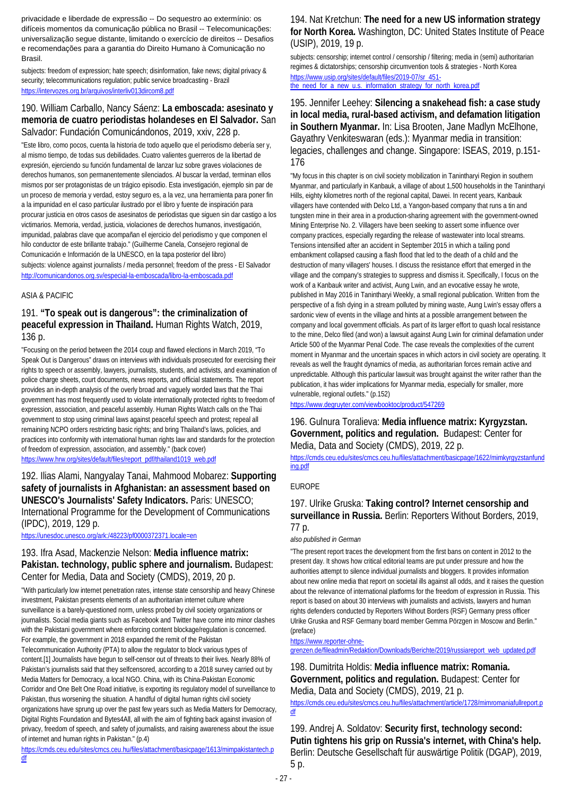privacidade e liberdade de expressão -- Do sequestro ao extermínio: os difíceis momentos da comunicação pública no Brasil -- Telecomunicações: universalização segue distante, limitando o exercício de direitos -- Desafios e recomendações para a garantia do Direito Humano à Comunicação no Brasil.

subjects: freedom of expression; hate speech; disinformation, fake news; digital privacy & security; telecommunications regulation; public service broadcasting - Brazil <https://intervozes.org.br/arquivos/interliv013dircom8.pdf>

## 190. William Carballo, Nancy Sáenz: **La emboscada: asesinato y memoria de cuatro periodistas holandeses en El Salvador.** San Salvador: Fundación Comunicándonos, 2019, xxiv, 228 p.

"Este libro, como pocos, cuenta la historia de todo aquello que el periodismo debería ser y, al mismo tiempo, de todas sus debilidades. Cuatro valientes guerreros de la libertad de expresión, ejerciendo su función fundamental de lanzar luz sobre graves violaciones de derechos humanos, son permanentemente silenciados. Al buscar la verdad, terminan ellos mismos por ser protagonistas de un trágico episodio. Esta investigación, ejemplo sin par de un proceso de memoria y verdad, estoy seguro es, a la vez, una herramienta para poner fin a la impunidad en el caso particular ilustrado por el libro y fuente de inspiración para procurar justicia en otros casos de asesinatos de periodistas que siguen sin dar castigo a los victimarios. Memoria, verdad, justicia, violaciones de derechos humanos, investigación, impunidad, palabras clave que acompañan el ejercicio del periodismo y que componen el hilo conductor de este brillante trabajo." (Guilherme Canela, Consejero regional de Comunicación e Información de la UNESCO, en la tapa posterior del libro) subjects: violence against journalists / media personnel; freedom of the press - El Salvador <http://comunicandonos.org.sv/especial-la-emboscada/libro-la-emboscada.pdf>

### ASIA & PACIFIC

### 191. **"To speak out is dangerous": the criminalization of peaceful expression in Thailand.** Human Rights Watch, 2019, 136 p.

"Focusing on the period between the 2014 coup and flawed elections in March 2019, "To Speak Out is Dangerous" draws on interviews with individuals prosecuted for exercising their rights to speech or assembly, lawyers, journalists, students, and activists, and examination of police charge sheets, court documents, news reports, and official statements. The report provides an in-depth analysis of the overly broad and vaguely worded laws that the Thai government has most frequently used to violate internationally protected rights to freedom of expression, association, and peaceful assembly. Human Rights Watch calls on the Thai government to stop using criminal laws against peaceful speech and protest; repeal all remaining NCPO orders restricting basic rights; and bring Thailand's laws, policies, and practices into conformity with international human rights law and standards for the protection of freedom of expression, association, and assembly." (back cover) [https://www.hrw.org/sites/default/files/report\\_pdf/thailand1019\\_web.pdf](https://www.hrw.org/sites/default/files/report_pdf/thailand1019_web.pdf)

## 192. Ilias Alami, Nangyalay Tanai, Mahmood Mobarez: **Supporting safety of journalists in Afghanistan: an assessment based on UNESCO's Journalists' Safety Indicators.** Paris: UNESCO; International Programme for the Development of Communications (IPDC), 2019, 129 p.

<https://unesdoc.unesco.org/ark:/48223/pf0000372371.locale=en>

### 193. Ifra Asad, Mackenzie Nelson: **Media influence matrix: Pakistan. technology, public sphere and journalism.** Budapest: Center for Media, Data and Society (CMDS), 2019, 20 p.

"With particularly low internet penetration rates, intense state censorship and heavy Chinese investment, Pakistan presents elements of an authoritarian internet culture where surveillance is a barely-questioned norm, unless probed by civil society organizations or journalists. Social media giants such as Facebook and Twitter have come into minor clashes with the Pakistani government where enforcing content blockage/regulation is concerned. For example, the government in 2018 expanded the remit of the Pakistan Telecommunication Authority (PTA) to allow the regulator to block various types of content.[1] Journalists have begun to self-censor out of threats to their lives. Nearly 88% of Pakistan's journalists said that they selfcensored, according to a 2018 survey carried out by Media Matters for Democracy, a local NGO. China, with its China-Pakistan Economic Corridor and One Belt One Road initiative, is exporting its regulatory model of surveillance to Pakistan, thus worsening the situation. A handful of digital human rights civil society organizations have sprung up over the past few years such as Media Matters for Democracy, Digital Rights Foundation and Bytes4All, all with the aim of fighting back against invasion of privacy, freedom of speech, and safety of journalists, and raising awareness about the issue of internet and human rights in Pakistan." (p.4)

[https://cmds.ceu.edu/sites/cmcs.ceu.hu/files/attachment/basicpage/1613/mimpakistantech.p](https://cmds.ceu.edu/sites/cmcs.ceu.hu/files/attachment/basicpage/1613/mimpakistantech.pdf) [df](https://cmds.ceu.edu/sites/cmcs.ceu.hu/files/attachment/basicpage/1613/mimpakistantech.pdf)

### 194. Nat Kretchun: **The need for a new US information strategy for North Korea.** Washington, DC: United States Institute of Peace (USIP), 2019, 19 p.

subjects: censorship; internet control / censorship / filtering; media in (semi) authoritarian regimes & dictatorships; censorship circumvention tools & strategies - North Korea [https://www.usip.org/sites/default/files/2019-07/sr\\_451](https://www.usip.org/sites/default/files/2019-07/sr_451-the_need_for_a_new_u.s._information_strategy_for_north_korea.pdf) [the\\_need\\_for\\_a\\_new\\_u.s.\\_information\\_strategy\\_for\\_north\\_korea.pdf](https://www.usip.org/sites/default/files/2019-07/sr_451-the_need_for_a_new_u.s._information_strategy_for_north_korea.pdf)

### 195. Jennifer Leehey: **Silencing a snakehead fish: a case study in local media, rural-based activism, and defamation litigation in Southern Myanmar.** In: Lisa Brooten, Jane Madlyn McElhone, Gayathry Venkiteswaran (eds.): Myanmar media in transition: legacies, challenges and change. Singapore: ISEAS, 2019, p.151- 176

"My focus in this chapter is on civil society mobilization in Tanintharyi Region in southern Myanmar, and particularly in Kanbauk, a village of about 1,500 households in the Tanintharyi Hills, eighty kilometres north of the regional capital, Dawei. In recent years, Kanbauk villagers have contended with Delco Ltd, a Yangon-based company that runs a tin and tungsten mine in their area in a production-sharing agreement with the government-owned Mining Enterprise No. 2. Villagers have been seeking to assert some influence over company practices, especially regarding the release of wastewater into local streams. Tensions intensified after an accident in September 2015 in which a tailing pond embankment collapsed causing a flash flood that led to the death of a child and the destruction of many villagers' houses. I discuss the resistance effort that emerged in the village and the company's strategies to suppress and dismiss it. Specifically, I focus on the work of a Kanbauk writer and activist, Aung Lwin, and an evocative essay he wrote, published in May 2016 in Tanintharyi Weekly, a small regional publication. Written from the perspective of a fish dying in a stream polluted by mining waste, Aung Lwin's essay offers a sardonic view of events in the village and hints at a possible arrangement between the company and local government officials. As part of its larger effort to quash local resistance to the mine, Delco filed (and won) a lawsuit against Aung Lwin for criminal defamation under Article 500 of the Myanmar Penal Code. The case reveals the complexities of the current moment in Myanmar and the uncertain spaces in which actors in civil society are operating. It reveals as well the fraught dynamics of media, as authoritarian forces remain active and unpredictable. Although this particular lawsuit was brought against the writer rather than the publication, it has wider implications for Myanmar media, especially for smaller, more vulnerable, regional outlets." (p.152)

<https://www.degruyter.com/viewbooktoc/product/547269>

### 196. Gulnura Toralieva: **Media influence matrix: Kyrgyzstan. Government, politics and regulation.** Budapest: Center for Media, Data and Society (CMDS), 2019, 22 p.

[https://cmds.ceu.edu/sites/cmcs.ceu.hu/files/attachment/basicpage/1622/mimkyrgyzstanfund](https://cmds.ceu.edu/sites/cmcs.ceu.hu/files/attachment/basicpage/1622/mimkyrgyzstanfunding.pdf) [ing.pdf](https://cmds.ceu.edu/sites/cmcs.ceu.hu/files/attachment/basicpage/1622/mimkyrgyzstanfunding.pdf)

### EUROPE

## 197. Ulrike Gruska: **Taking control? Internet censorship and surveillance in Russia.** Berlin: Reporters Without Borders, 2019, 77 p.

*also published in German*

"The present report traces the development from the first bans on content in 2012 to the present day. It shows how critical editorial teams are put under pressure and how the authorities attempt to silence individual journalists and bloggers. It provides information about new online media that report on societal ills against all odds, and it raises the question about the relevance of international platforms for the freedom of expression in Russia. This report is based on about 30 interviews with journalists and activists, lawyers and human rights defenders conducted by Reporters Without Borders (RSF) Germany press officer Ulrike Gruska and RSF Germany board member Gemma Pörzgen in Moscow and Berlin." (preface)

[https://www.reporter-ohne-](https://www.reporter-ohne-grenzen.de/fileadmin/Redaktion/Downloads/Berichte/2019/russiareport_web_updated.pdf)

[grenzen.de/fileadmin/Redaktion/Downloads/Berichte/2019/russiareport\\_web\\_updated.pdf](https://www.reporter-ohne-grenzen.de/fileadmin/Redaktion/Downloads/Berichte/2019/russiareport_web_updated.pdf)

198. Dumitrita Holdis: **Media influence matrix: Romania. Government, politics and regulation.** Budapest: Center for Media, Data and Society (CMDS), 2019, 21 p.

[https://cmds.ceu.edu/sites/cmcs.ceu.hu/files/attachment/article/1728/mimromaniafullreport.p](https://cmds.ceu.edu/sites/cmcs.ceu.hu/files/attachment/article/1728/mimromaniafullreport.pdf) [df](https://cmds.ceu.edu/sites/cmcs.ceu.hu/files/attachment/article/1728/mimromaniafullreport.pdf)

199. Andrej A. Soldatov: **Security first, technology second: Putin tightens his grip on Russia's internet, with China's help.**  Berlin: Deutsche Gesellschaft für auswärtige Politik (DGAP), 2019, 5 p.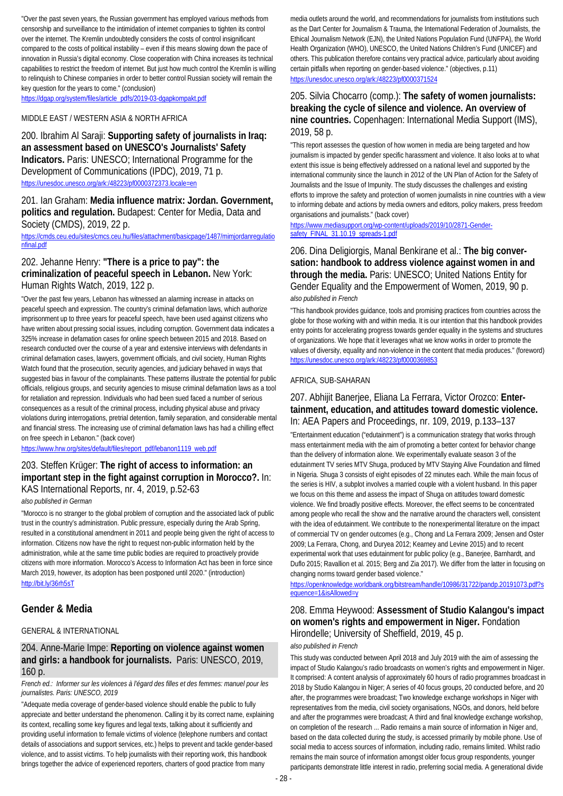"Over the past seven years, the Russian government has employed various methods from censorship and surveillance to the intimidation of internet companies to tighten its control over the internet. The Kremlin undoubtedly considers the costs of control insignificant compared to the costs of political instability – even if this means slowing down the pace of innovation in Russia's digital economy. Close cooperation with China increases its technical capabilities to restrict the freedom of internet. But just how much control the Kremlin is willing to relinquish to Chinese companies in order to better control Russian society will remain the key question for the years to come." (conclusion)

[https://dgap.org/system/files/article\\_pdfs/2019-03-dgapkompakt.pdf](https://dgap.org/system/files/article_pdfs/2019-03-dgapkompakt.pdf)

#### MIDDLE EAST / WESTERN ASIA & NORTH AFRICA

200. Ibrahim Al Saraji: **Supporting safety of journalists in Iraq: an assessment based on UNESCO's Journalists' Safety Indicators.** Paris: UNESCO; International Programme for the Development of Communications (IPDC), 2019, 71 p. <https://unesdoc.unesco.org/ark:/48223/pf0000372373.locale=en>

201. Ian Graham: **Media influence matrix: Jordan. Government, politics and regulation.** Budapest: Center for Media, Data and Society (CMDS), 2019, 22 p.

[https://cmds.ceu.edu/sites/cmcs.ceu.hu/files/attachment/basicpage/1487/mimjordanregulatio](https://cmds.ceu.edu/sites/cmcs.ceu.hu/files/attachment/basicpage/1487/mimjordanregulationfinal.pdf) [nfinal.pdf](https://cmds.ceu.edu/sites/cmcs.ceu.hu/files/attachment/basicpage/1487/mimjordanregulationfinal.pdf)

## 202. Jehanne Henry: **"There is a price to pay": the criminalization of peaceful speech in Lebanon.** New York: Human Rights Watch, 2019, 122 p.

"Over the past few years, Lebanon has witnessed an alarming increase in attacks on peaceful speech and expression. The country's criminal defamation laws, which authorize imprisonment up to three years for peaceful speech, have been used against citizens who have written about pressing social issues, including corruption. Government data indicates a 325% increase in defamation cases for online speech between 2015 and 2018. Based on research conducted over the course of a year and extensive interviews with defendants in criminal defamation cases, lawyers, government officials, and civil society, Human Rights Watch found that the prosecution, security agencies, and judiciary behaved in ways that suggested bias in favour of the complainants. These patterns illustrate the potential for public officials, religious groups, and security agencies to misuse criminal defamation laws as a tool for retaliation and repression. Individuals who had been sued faced a number of serious consequences as a result of the criminal process, including physical abuse and privacy violations during interrogations, pretrial detention, family separation, and considerable mental and financial stress. The increasing use of criminal defamation laws has had a chilling effect on free speech in Lebanon." (back cover)

[https://www.hrw.org/sites/default/files/report\\_pdf/lebanon1119\\_web.pdf](https://www.hrw.org/sites/default/files/report_pdf/lebanon1119_web.pdf)

## 203. Steffen Krüger: **The right of access to information: an important step in the fight against corruption in Morocco?.** In: KAS International Reports, nr. 4, 2019, p.52-63

*also published in German*

"Morocco is no stranger to the global problem of corruption and the associated lack of public trust in the country's administration. Public pressure, especially during the Arab Spring, resulted in a constitutional amendment in 2011 and people being given the right of access to information. Citizens now have the right to request non-public information held by the administration, while at the same time public bodies are required to proactively provide citizens with more information. Morocco's Access to Information Act has been in force since March 2019, however, its adoption has been postponed until 2020." (introduction) <http://bit.ly/36rh5sT>

### **Gender & Media**

### GENERAL & INTERNATIONAL

### 204. Anne-Marie Impe: **Reporting on violence against women and girls: a handbook for journalists.** Paris: UNESCO, 2019, 160 p.

*French ed.: Informer sur les violences à l'égard des filles et des femmes: manuel pour les journalistes. Paris: UNESCO, 2019*

"Adequate media coverage of gender-based violence should enable the public to fully appreciate and better understand the phenomenon. Calling it by its correct name, explaining its context, recalling some key figures and legal texts, talking about it sufficiently and providing useful information to female victims of violence (telephone numbers and contact details of associations and support services, etc.) helps to prevent and tackle gender-based violence, and to assist victims. To help journalists with their reporting work, this handbook brings together the advice of experienced reporters, charters of good practice from many

media outlets around the world, and recommendations for journalists from institutions such as the Dart Center for Journalism & Trauma, the International Federation of Journalists, the Ethical Journalism Network (EJN), the United Nations Population Fund (UNFPA), the World Health Organization (WHO), UNESCO, the United Nations Children's Fund (UNICEF) and others. This publication therefore contains very practical advice, particularly about avoiding certain pitfalls when reporting on gender-based violence." (objectives, p.11) <https://unesdoc.unesco.org/ark:/48223/pf0000371524>

### 205. Silvia Chocarro (comp.): **The safety of women journalists: breaking the cycle of silence and violence. An overview of nine countries.** Copenhagen: International Media Support (IMS), 2019, 58 p.

"This report assesses the question of how women in media are being targeted and how journalism is impacted by gender specific harassment and violence. It also looks at to what extent this issue is being effectively addressed on a national level and supported by the international community since the launch in 2012 of the UN Plan of Action for the Safety of Journalists and the Issue of Impunity. The study discusses the challenges and existing efforts to improve the safety and protection of women journalists in nine countries with a view to informing debate and actions by media owners and editors, policy makers, press freedom organisations and journalists." (back cover)

#### [https://www.mediasupport.org/wp-content/uploads/2019/10/2871-Gender](https://www.mediasupport.org/wp-content/uploads/2019/10/2871-Gender-safety_FINAL_31.10.19_spreads-1.pdf)[safety\\_FINAL\\_31.10.19\\_spreads-1.pdf](https://www.mediasupport.org/wp-content/uploads/2019/10/2871-Gender-safety_FINAL_31.10.19_spreads-1.pdf)

### 206. Dina Deligiorgis, Manal Benkirane et al.: **The big conversation: handbook to address violence against women in and through the media.** Paris: UNESCO; United Nations Entity for Gender Equality and the Empowerment of Women, 2019, 90 p. *also published in French*

"This handbook provides guidance, tools and promising practices from countries across the globe for those working with and within media. It is our intention that this handbook provides entry points for accelerating progress towards gender equality in the systems and structures of organizations. We hope that it leverages what we know works in order to promote the values of diversity, equality and non-violence in the content that media produces." (foreword) <https://unesdoc.unesco.org/ark:/48223/pf0000369853>

### AFRICA, SUB-SAHARAN

### 207. Abhijit Banerjee, Eliana La Ferrara, Victor Orozco: **Entertainment, education, and attitudes toward domestic violence.**  In: AEA Papers and Proceedings, nr. 109, 2019, p.133–137

"Entertainment education ("edutainment") is a communication strategy that works through mass entertainment media with the aim of promoting a better context for behavior change than the delivery of information alone. We experimentally evaluate season 3 of the edutainment TV series MTV Shuga, produced by MTV Staying Alive Foundation and filmed in Nigeria. Shuga 3 consists of eight episodes of 22 minutes each. While the main focus of the series is HIV, a subplot involves a married couple with a violent husband. In this paper we focus on this theme and assess the impact of Shuga on attitudes toward domestic violence. We find broadly positive effects. Moreover, the effect seems to be concentrated among people who recall the show and the narrative around the characters well, consistent with the idea of edutainment. We contribute to the nonexperimental literature on the impact of commercial TV on gender outcomes (e.g., Chong and La Ferrara 2009; Jensen and Oster 2009; La Ferrara, Chong, and Duryea 2012; Kearney and Levine 2015) and to recent experimental work that uses edutainment for public policy (e.g., Banerjee, Barnhardt, and Duflo 2015; Ravallion et al. 2015; Berg and Zia 2017). We differ from the latter in focusing on changing norms toward gender based violence."

[https://openknowledge.worldbank.org/bitstream/handle/10986/31722/pandp.20191073.pdf?s](https://openknowledge.worldbank.org/bitstream/handle/10986/31722/pandp.20191073.pdf?sequence=1&isAllowed=y) [equence=1&isAllowed=y](https://openknowledge.worldbank.org/bitstream/handle/10986/31722/pandp.20191073.pdf?sequence=1&isAllowed=y)

## 208. Emma Heywood: **Assessment of Studio Kalangou's impact on women's rights and empowerment in Niger.** Fondation Hirondelle; University of Sheffield, 2019, 45 p.

### *also published in French*

This study was conducted between April 2018 and July 2019 with the aim of assessing the impact of Studio Kalangou's radio broadcasts on women's rights and empowerment in Niger. It comprised: A content analysis of approximately 60 hours of radio programmes broadcast in 2018 by Studio Kalangou in Niger; A series of 40 focus groups, 20 conducted before, and 20 after, the programmes were broadcast; Two knowledge exchange workshops in Niger with representatives from the media, civil society organisations, NGOs, and donors, held before and after the programmes were broadcast; A third and final knowledge exchange workshop, on completion of the research ... Radio remains a main source of information in Niger and, based on the data collected during the study, is accessed primarily by mobile phone. Use of social media to access sources of information, including radio, remains limited. Whilst radio remains the main source of information amongst older focus group respondents, younger participants demonstrate little interest in radio, preferring social media. A generational divide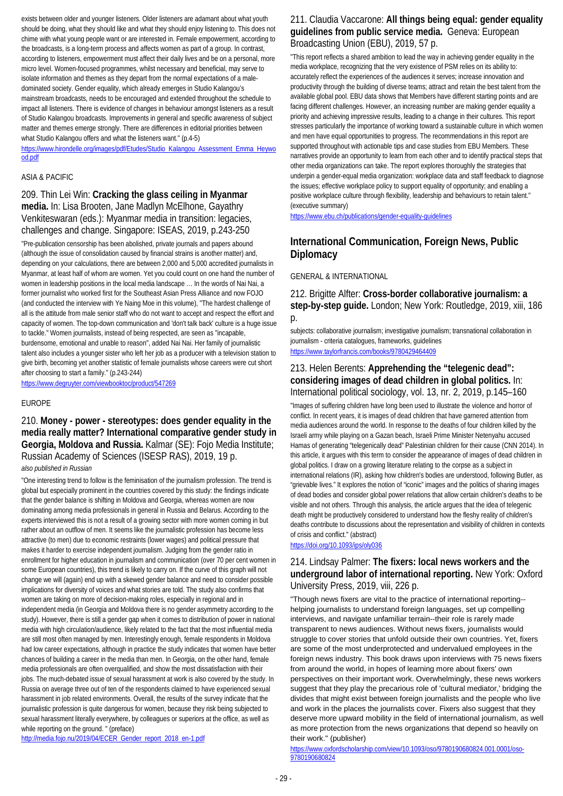exists between older and younger listeners. Older listeners are adamant about what youth should be doing, what they should like and what they should enjoy listening to. This does not chime with what young people want or are interested in. Female empowerment, according to the broadcasts, is a long-term process and affects women as part of a group. In contrast, according to listeners, empowerment must affect their daily lives and be on a personal, more micro level. Women-focused programmes, whilst necessary and beneficial, may serve to isolate information and themes as they depart from the normal expectations of a maledominated society. Gender equality, which already emerges in Studio Kalangou's mainstream broadcasts, needs to be encouraged and extended throughout the schedule to impact all listeners. There is evidence of changes in behaviour amongst listeners as a result of Studio Kalangou broadcasts. Improvements in general and specific awareness of subject matter and themes emerge strongly. There are differences in editorial priorities between what Studio Kalangou offers and what the listeners want." (p.4-5)

[https://www.hirondelle.org/images/pdf/Etudes/Studio\\_Kalangou\\_Assessment\\_Emma\\_Heywo](https://www.hirondelle.org/images/pdf/Etudes/Studio_Kalangou_Assessment_Emma_Heywood.pdf) [od.pdf](https://www.hirondelle.org/images/pdf/Etudes/Studio_Kalangou_Assessment_Emma_Heywood.pdf)

### ASIA & PACIFIC

### 209. Thin Lei Win: **Cracking the glass ceiling in Myanmar media.** In: Lisa Brooten, Jane Madlyn McElhone, Gayathry Venkiteswaran (eds.): Myanmar media in transition: legacies, challenges and change. Singapore: ISEAS, 2019, p.243-250

"Pre-publication censorship has been abolished, private journals and papers abound (although the issue of consolidation caused by financial strains is another matter) and, depending on your calculations, there are between 2,000 and 5,000 accredited journalists in Myanmar, at least half of whom are women. Yet you could count on one hand the number of women in leadership positions in the local media landscape … In the words of Nai Nai, a former journalist who worked first for the Southeast Asian Press Alliance and now FOJO (and conducted the interview with Ye Naing Moe in this volume), "The hardest challenge of all is the attitude from male senior staff who do not want to accept and respect the effort and capacity of women. The top-down communication and 'don't talk back' culture is a huge issue to tackle." Women journalists, instead of being respected, are seen as "incapable, burdensome, emotional and unable to reason", added Nai Nai. Her family of journalistic talent also includes a younger sister who left her job as a producer with a television station to give birth, becoming yet another statistic of female journalists whose careers were cut short after choosing to start a family." (p.243-244)

<https://www.degruyter.com/viewbooktoc/product/547269>

#### EUROPE

210. **Money - power - stereotypes: does gender equality in the media really matter? International comparative gender study in Georgia, Moldova and Russia.** Kalmar (SE): Fojo Media Institute; Russian Academy of Sciences (ISESP RAS), 2019, 19 p. *also published in Russian*

"One interesting trend to follow is the feminisation of the journalism profession. The trend is global but especially prominent in the countries covered by this study: the findings indicate that the gender balance is shifting in Moldova and Georgia, whereas women are now dominating among media professionals in general in Russia and Belarus. According to the experts interviewed this is not a result of a growing sector with more women coming in but rather about an outflow of men. It seems like the journalistic profession has become less attractive (to men) due to economic restraints (lower wages) and political pressure that makes it harder to exercise independent journalism. Judging from the gender ratio in enrollment for higher education in journalism and communication (over 70 per cent women in some European countries), this trend is likely to carry on. If the curve of this graph will not change we will (again) end up with a skewed gender balance and need to consider possible implications for diversity of voices and what stories are told. The study also confirms that women are taking on more of decision-making roles, especially in regional and in independent media (in Georgia and Moldova there is no gender asymmetry according to the study). However, there is still a gender gap when it comes to distribution of power in national media with high circulation/audience, likely related to the fact that the most influential media are still most often managed by men. Interestingly enough, female respondents in Moldova had low career expectations, although in practice the study indicates that women have better chances of building a career in the media than men. In Georgia, on the other hand, female media professionals are often overqualified, and show the most dissatisfaction with their jobs. The much-debated issue of sexual harassment at work is also covered by the study. In Russia on average three out of ten of the respondents claimed to have experienced sexual harassment in job related environments. Overall, the results of the survey indicate that the journalistic profession is quite dangerous for women, because they risk being subjected to sexual harassment literally everywhere, by colleagues or superiors at the office, as well as while reporting on the ground. " (preface)

[http://media.fojo.nu/2019/04/ECER\\_Gender\\_report\\_2018\\_en-1.pdf](http://media.fojo.nu/2019/04/ECER_Gender_report_2018_en-1.pdf)

### 211. Claudia Vaccarone: **All things being equal: gender equality guidelines from public service media.** Geneva: European Broadcasting Union (EBU), 2019, 57 p.

"This report reflects a shared ambition to lead the way in achieving gender equality in the media workplace, recognizing that the very existence of PSM relies on its ability to: accurately reflect the experiences of the audiences it serves; increase innovation and productivity through the building of diverse teams; attract and retain the best talent from the available global pool. EBU data shows that Members have different starting points and are facing different challenges. However, an increasing number are making gender equality a priority and achieving impressive results, leading to a change in their cultures. This report stresses particularly the importance of working toward a sustainable culture in which women and men have equal opportunities to progress. The recommendations in this report are supported throughout with actionable tips and case studies from EBU Members. These narratives provide an opportunity to learn from each other and to identify practical steps that other media organizations can take. The report explores thoroughly the strategies that underpin a gender-equal media organization: workplace data and staff feedback to diagnose the issues; effective workplace policy to support equality of opportunity; and enabling a positive workplace culture through flexibility, leadership and behaviours to retain talent." (executive summary)

<https://www.ebu.ch/publications/gender-equality-guidelines>

## **International Communication, Foreign News, Public Diplomacy**

GENERAL & INTERNATIONAL

212. Brigitte Alfter: **Cross-border collaborative journalism: a step-by-step guide.** London; New York: Routledge, 2019, xiii, 186  $p$ .

subjects: collaborative journalism; investigative journalism; transnational collaboration in journalism - criteria catalogues, frameworks, guidelines <https://www.taylorfrancis.com/books/9780429464409>

### 213. Helen Berents: **Apprehending the "telegenic dead": considering images of dead children in global politics.** In: International political sociology, vol. 13, nr. 2, 2019, p.145–160

"Images of suffering children have long been used to illustrate the violence and horror of conflict. In recent years, it is images of dead children that have garnered attention from media audiences around the world. In response to the deaths of four children killed by the Israeli army while playing on a Gazan beach, Israeli Prime Minister Netenyahu accused Hamas of generating "telegenically dead" Palestinian children for their cause (CNN 2014). In this article, it argues with this term to consider the appearance of images of dead children in global politics. I draw on a growing literature relating to the corpse as a subject in international relations (IR), asking how children's bodies are understood, following Butler, as "grievable lives." It explores the notion of "iconic" images and the politics of sharing images of dead bodies and consider global power relations that allow certain children's deaths to be visible and not others. Through this analysis, the article argues that the idea of telegenic death might be productively considered to understand how the fleshy reality of children's deaths contribute to discussions about the representation and visibility of children in contexts of crisis and conflict." (abstract)

<https://doi.org/10.1093/ips/oly036>

## 214. Lindsay Palmer: **The fixers: local news workers and the underground labor of international reporting.** New York: Oxford University Press, 2019, viii, 226 p.

"Though news fixers are vital to the practice of international reporting- helping journalists to understand foreign languages, set up compelling interviews, and navigate unfamiliar terrain--their role is rarely made transparent to news audiences. Without news fixers, journalists would struggle to cover stories that unfold outside their own countries. Yet, fixers are some of the most underprotected and undervalued employees in the foreign news industry. This book draws upon interviews with 75 news fixers from around the world, in hopes of learning more about fixers' own perspectives on their important work. Overwhelmingly, these news workers suggest that they play the precarious role of 'cultural mediator,' bridging the divides that might exist between foreign journalists and the people who live and work in the places the journalists cover. Fixers also suggest that they deserve more upward mobility in the field of international journalism, as well as more protection from the news organizations that depend so heavily on their work." (publisher)

[https://www.oxfordscholarship.com/view/10.1093/oso/9780190680824.001.0001/oso-](https://www.oxfordscholarship.com/view/10.1093/oso/9780190680824.001.0001/oso-9780190680824)[9780190680824](https://www.oxfordscholarship.com/view/10.1093/oso/9780190680824.001.0001/oso-9780190680824)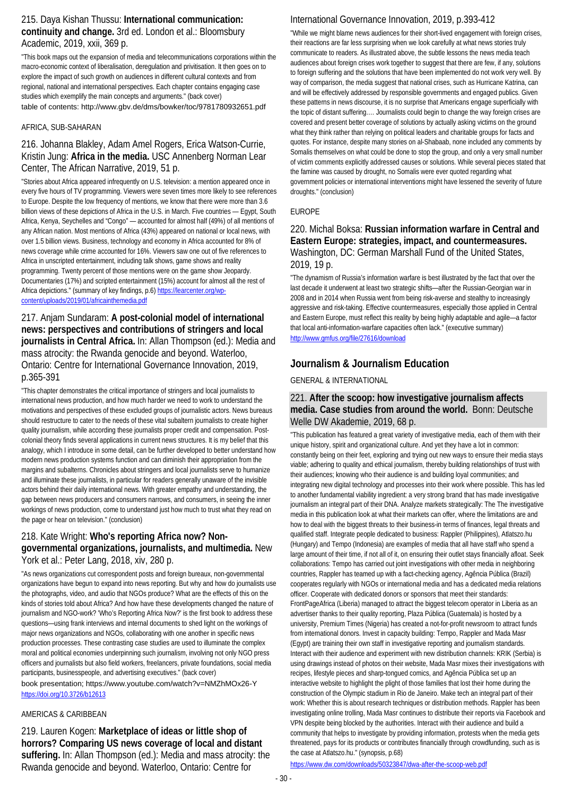### 215. Daya Kishan Thussu: **International communication: continuity and change.** 3rd ed. London et al.: Bloomsbury Academic, 2019, xxii, 369 p.

"This book maps out the expansion of media and telecommunications corporations within the macro-economic context of liberalisation, deregulation and privitisation. It then goes on to explore the impact of such growth on audiences in different cultural contexts and from regional, national and international perspectives. Each chapter contains engaging case studies which exemplify the main concepts and arguments." (back cover) table of contents: http://www.gbv.de/dms/bowker/toc/9781780932651.pdf

### AFRICA, SUB-SAHARAN

## 216. Johanna Blakley, Adam Amel Rogers, Erica Watson-Currie, Kristin Jung: **Africa in the media.** USC Annenberg Norman Lear Center, The African Narrative, 2019, 51 p.

"Stories about Africa appeared infrequently on U.S. television: a mention appeared once in every five hours of TV programming. Viewers were seven times more likely to see references to Europe. Despite the low frequency of mentions, we know that there were more than 3.6 billion views of these depictions of Africa in the U.S. in March. Five countries — Egypt, South Africa, Kenya, Seychelles and "Congo" — accounted for almost half (49%) of all mentions of any African nation. Most mentions of Africa (43%) appeared on national or local news, with over 1.5 billion views. Business, technology and economy in Africa accounted for 8% of news coverage while crime accounted for 16%. Viewers saw one out of five references to Africa in unscripted entertainment, including talk shows, game shows and reality programming. Twenty percent of those mentions were on the game show Jeopardy. Documentaries (17%) and scripted entertainment (15%) account for almost all the rest of Africa depictions." (summary of key findings, p.6[\) https://learcenter.org/wp](https://learcenter.org/wp-content/uploads/2019/01/africainthemedia.pdf)[content/uploads/2019/01/africainthemedia.pdf](https://learcenter.org/wp-content/uploads/2019/01/africainthemedia.pdf)

## 217. Anjam Sundaram: **A post-colonial model of international news: perspectives and contributions of stringers and local journalists in Central Africa.** In: Allan Thompson (ed.): Media and mass atrocity: the Rwanda genocide and beyond. Waterloo, Ontario: Centre for International Governance Innovation, 2019, p.365-391

"This chapter demonstrates the critical importance of stringers and local journalists to international news production, and how much harder we need to work to understand the motivations and perspectives of these excluded groups of journalistic actors. News bureaus should restructure to cater to the needs of these vital subaltern journalists to create higher quality journalism, while according these journalists proper credit and compensation. Postcolonial theory finds several applications in current news structures. It is my belief that this analogy, which I introduce in some detail, can be further developed to better understand how modern news production systems function and can diminish their appropriation from the margins and subalterns. Chronicles about stringers and local journalists serve to humanize and illuminate these journalists, in particular for readers generally unaware of the invisible actors behind their daily international news. With greater empathy and understanding, the gap between news producers and consumers narrows, and consumers, in seeing the inner workings of news production, come to understand just how much to trust what they read on the page or hear on television." (conclusion)

### 218. Kate Wright: **Who's reporting Africa now? Nongovernmental organizations, journalists, and multimedia.** New York et al.: Peter Lang, 2018, xiv, 280 p.

"As news organizations cut correspondent posts and foreign bureaux, non-governmental organizations have begun to expand into news reporting. But why and how do journalists use the photographs, video, and audio that NGOs produce? What are the effects of this on the kinds of stories told about Africa? And how have these developments changed the nature of journalism and NGO-work? 'Who's Reporting Africa Now?' is the first book to address these questions—using frank interviews and internal documents to shed light on the workings of major news organizations and NGOs, collaborating with one another in specific news production processes. These contrasting case studies are used to illuminate the complex moral and political economies underpinning such journalism, involving not only NGO press officers and journalists but also field workers, freelancers, private foundations, social media participants, businesspeople, and advertising executives." (back cover) book presentation; https://www.youtube.com/watch?v=NMZhMOx26-Y <https://doi.org/10.3726/b12613>

## AMERICAS & CARIBBEAN

219. Lauren Kogen: **Marketplace of ideas or little shop of horrors? Comparing US news coverage of local and distant suffering.** In: Allan Thompson (ed.): Media and mass atrocity: the Rwanda genocide and beyond. Waterloo, Ontario: Centre for

## International Governance Innovation, 2019, p.393-412

"While we might blame news audiences for their short-lived engagement with foreign crises, their reactions are far less surprising when we look carefully at what news stories truly communicate to readers. As illustrated above, the subtle lessons the news media teach audiences about foreign crises work together to suggest that there are few, if any, solutions to foreign suffering and the solutions that have been implemented do not work very well. By way of comparison, the media suggest that national crises, such as Hurricane Katrina, can and will be effectively addressed by responsible governments and engaged publics. Given these patterns in news discourse, it is no surprise that Americans engage superficially with the topic of distant suffering.… Journalists could begin to change the way foreign crises are covered and present better coverage of solutions by actually asking victims on the ground what they think rather than relying on political leaders and charitable groups for facts and quotes. For instance, despite many stories on al-Shabaab, none included any comments by Somalis themselves on what could be done to stop the group, and only a very small number of victim comments explicitly addressed causes or solutions. While several pieces stated that the famine was caused by drought, no Somalis were ever quoted regarding what government policies or international interventions might have lessened the severity of future droughts." (conclusion)

### EUROPE

### 220. Michal Boksa: **Russian information warfare in Central and Eastern Europe: strategies, impact, and countermeasures.**  Washington, DC: German Marshall Fund of the United States, 2019, 19 p.

"The dynamism of Russia's information warfare is best illustrated by the fact that over the last decade it underwent at least two strategic shifts—after the Russian-Georgian war in 2008 and in 2014 when Russia went from being risk-averse and stealthy to increasingly aggressive and risk-taking. Effective countermeasures, especially those applied in Central and Eastern Europe, must reflect this reality by being highly adaptable and agile—a factor that local anti-information-warfare capacities often lack." (executive summary) <http://www.gmfus.org/file/27616/download>

## **Journalism & Journalism Education**

GENERAL & INTERNATIONAL

## 221. **After the scoop: how investigative journalism affects media. Case studies from around the world.** Bonn: Deutsche Welle DW Akademie, 2019, 68 p.

"This publication has featured a great variety of investigative media, each of them with their unique history, spirit and organizational culture. And yet they have a lot in common: constantly being on their feet, exploring and trying out new ways to ensure their media stays viable; adhering to quality and ethical journalism, thereby building relationships of trust with their audiences; knowing who their audience is and building loyal communities; and integrating new digital technology and processes into their work where possible. This has led to another fundamental viability ingredient: a very strong brand that has made investigative journalism an integral part of their DNA. Analyze markets strategically: The The investigative media in this publication look at what their markets can offer, where the limitations are and how to deal with the biggest threats to their business-in terms of finances, legal threats and qualified staff. Integrate people dedicated to business: Rappler (Philippines), Atlatszo.hu (Hungary) and Tempo (Indonesia) are examples of media that all have staff who spend a large amount of their time, if not all of it, on ensuring their outlet stays financially afloat. Seek collaborations: Tempo has carried out joint investigations with other media in neighboring countries, Rappler has teamed up with a fact-checking agency, Agência Pública (Brazil) cooperates regularly with NGOs or international media and has a dedicated media relations officer. Cooperate with dedicated donors or sponsors that meet their standards: FrontPageAfrica (Liberia) managed to attract the biggest telecom operator in Liberia as an advertiser thanks to their quality reporting, Plaza Pública (Guatemala) is hosted by a university, Premium Times (Nigeria) has created a not-for-profit newsroom to attract funds from international donors. Invest in capacity building: Tempo, Rappler and Mada Masr (Egypt) are training their own staff in investigative reporting and journalism standards. Interact with their audience and experiment with new distribution channels: KRIK (Serbia) is using drawings instead of photos on their website, Mada Masr mixes their investigations with recipes, lifestyle pieces and sharp-tongued comics, and Agência Pública set up an interactive website to highlight the plight of those families that lost their home during the construction of the Olympic stadium in Rio de Janeiro. Make tech an integral part of their work: Whether this is about research techniques or distribution methods. Rappler has been investigating online trolling, Mada Masr continues to distribute their reports via Facebook and VPN despite being blocked by the authorities. Interact with their audience and build a community that helps to investigate by providing information, protests when the media gets threatened, pays for its products or contributes financially through crowdfunding, such as is the case at Atlatszo.hu." (synopsis, p.68)

<https://www.dw.com/downloads/50323847/dwa-after-the-scoop-web.pdf>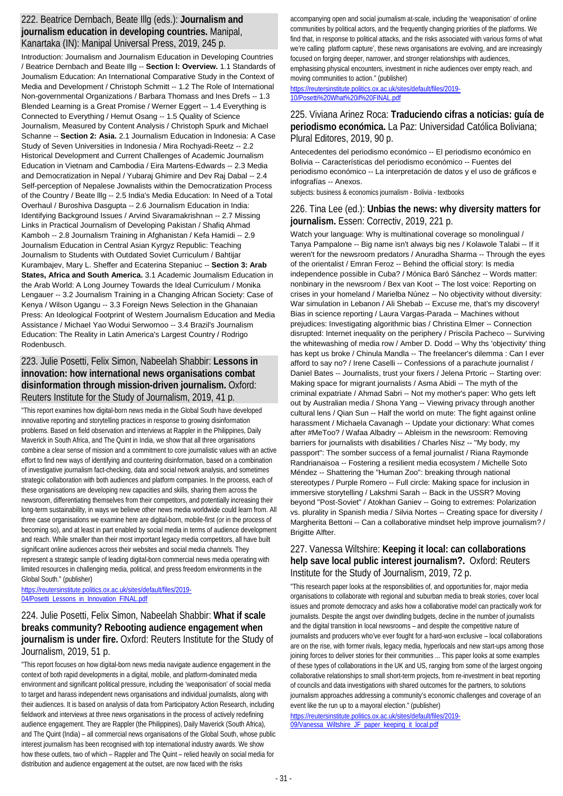### 222. Beatrice Dernbach, Beate Illg (eds.): **Journalism and journalism education in developing countries.** Manipal, Kanartaka (IN): Manipal Universal Press, 2019, 245 p.

Introduction: Journalism and Journalism Education in Developing Countries / Beatrice Dernbach and Beate Illg -- **Section l: Overview.** 1.1 Standards of Joumalism Education: An International Comparative Study in the Context of Media and Development / Christoph Schmitt -- 1.2 The Role of International Non-governmental Organizations / Barbara Thomass and Ines Drefs -- 1.3 Blended Learning is a Great Promise / Werner Eggert -- 1.4 Everything is Connected to Everything / Hemut Osang -- 1.5 Quality of Science Journalism, Measured by Content Analysis / Christoph Spurk and Michael Schanne -- **Section 2: Asia.** 2.1 Journalism Education in lndonesia: A Case Study of Seven Universities in Indonesia / Mira Rochyadi-Reetz -- 2.2 Historical Development and Current Challenges of Academic Journalism Education in Vietnam and Cambodia / Eira Martens-Edwards -- 2.3 Media and Democratization in Nepal / Yubaraj Ghimire and Dev Raj Dabal -- 2.4 Self-perception of Nepalese Jownalists within the Democratization Process of the Country / Beate lllg -- 2.5 India's Media Education: In Need of a Total Overhaul / Buroshiva Dasgupta -- 2.6 Journalism Education in India: Identifying Background Issues / Arvind Sivaramakrishnan -- 2.7 Missing Links in Practical Journalism of Developing Pakistan / Shafiq Ahmad Kamboh -- 2.8 Journalism Training in Afghanistan / Kefa Hamidi -- 2.9 Journalism Education in Central Asian Kyrgyz Republic: Teaching Journalism to Students with Outdated Soviet Curriculum / Bahtijar Kurambajev, Mary L. Sheffer and Ecaterina Stepaniuc -- **Section 3: Arab States, Africa and South America.** 3.1 Academic Journalism Education in the Arab World: A Long Journey Towards the Ideal Curriculum / Monika Lengauer -- 3.2 Journalism Training in a Changing African Society: Case of Kenya / Wilson Ugangu -- 3.3 Foreign News Selection in the Ghanaian Press: An Ideological Footprint of Western Journalism Education and Media Assistance / MichaeI Yao Wodui Serwornoo -- 3.4 Brazil's Journalism Education: The Reality in Latin America's Largest Country / Rodrigo Rodenbusch.

### 223. Julie Posetti, Felix Simon, Nabeelah Shabbir: **Lessons in innovation: how international news organisations combat disinformation through mission-driven journalism.** Oxford: Reuters Institute for the Study of Journalism, 2019, 41 p.

"This report examines how digital-born news media in the Global South have developed innovative reporting and storytelling practices in response to growing disinformation problems. Based on field observation and interviews at Rappler in the Philippines, Daily Maverick in South Africa, and The Quint in India, we show that all three organisations combine a clear sense of mission and a commitment to core journalistic values with an active effort to find new ways of identifying and countering disinformation, based on a combination of investigative journalism fact-checking, data and social network analysis, and sometimes strategic collaboration with both audiences and platform companies. In the process, each of these organisations are developing new capacities and skills, sharing them across the newsroom, differentiating themselves from their competitors, and potentially increasing their long-term sustainability, in ways we believe other news media worldwide could learn from. All three case organisations we examine here are digital-born, mobile-first (or in the process of becoming so), and at least in part enabled by social media in terms of audience development and reach. While smaller than their most important legacy media competitors, all have built significant online audiences across their websites and social media channels. They represent a strategic sample of leading digital-born commercial news media operating with limited resources in challenging media, political, and press freedom environments in the Global South." (publisher)

[https://reutersinstitute.politics.ox.ac.uk/sites/default/files/2019-](https://reutersinstitute.politics.ox.ac.uk/sites/default/files/2019-04/Posetti_Lessons_in_Innovation_FINAL.pdf) 04/Posetti Lessons in Innovation FINAL.pdf

## 224. Julie Posetti, Felix Simon, Nabeelah Shabbir: **What if scale breaks community? Rebooting audience engagement when journalism is under fire.** Oxford: Reuters Institute for the Study of Journalism, 2019, 51 p.

"This report focuses on how digital-born news media navigate audience engagement in the context of both rapid developments in a digital, mobile, and platform-dominated media environment and significant political pressure, including the 'weaponisation' of social media to target and harass independent news organisations and individual journalists, along with their audiences. It is based on analysis of data from Participatory Action Research, including fieldwork and interviews at three news organisations in the process of actively redefining audience engagement. They are Rappler (the Philippines), Daily Maverick (South Africa), and The Quint (India) – all commercial news organisations of the Global South, whose public interest journalism has been recognised with top international industry awards. We show how these outlets, two of which – Rappler and The Quint – relied heavily on social media for distribution and audience engagement at the outset, are now faced with the risks

accompanying open and social journalism at-scale, including the 'weaponisation' of online communities by political actors, and the frequently changing priorities of the platforms. We find that, in response to political attacks, and the risks associated with various forms of what we're calling platform capture', these news organisations are evolving, and are increasingly focused on forging deeper, narrower, and stronger relationships with audiences, emphasising physical encounters, investment in niche audiences over empty reach, and moving communities to action." (publisher)

### [https://reutersinstitute.politics.ox.ac.uk/sites/default/files/2019-](https://reutersinstitute.politics.ox.ac.uk/sites/default/files/2019-10/Posetti%20What%20if%20FINAL.pdf) [10/Posetti%20What%20if%20FINAL.pdf](https://reutersinstitute.politics.ox.ac.uk/sites/default/files/2019-10/Posetti%20What%20if%20FINAL.pdf)

### 225. Viviana Arinez Roca: **Traduciendo cifras a noticias: guía de periodismo económica.** La Paz: Universidad Católica Boliviana; Plural Editores, 2019, 90 p.

Antecedentes del periodismo económico -- El periodismo económico en Bolivia -- Características del periodismo económico -- Fuentes del periodismo económico -- La interpretación de datos y el uso de gráficos e infografías -- Anexos.

subjects: business & economics journalism - Bolivia - textbooks

## 226. Tina Lee (ed.): **Unbias the news: why diversity matters for journalism.** Essen: Correctiv, 2019, 221 p.

Watch your language: Why is multinational coverage so monolingual / Tanya Pampalone -- Big name isn't always big nes / Kolawole Talabi -- If it weren't for the newsroom predators / Anuradha Sharma -- Through the eyes of the orientalist / Emran Feroz -- Behind the official story: Is media independence possible in Cuba? / Mónica Baró Sánchez -- Words matter: nonbinary in the newsroom / Bex van Koot -- The lost voice: Reporting on crises in your homeland / Marielba Núnez -- No objectivity without diversity: War simulation in Lebanon / Ali Shebab -- Excuse me, that's my discovery! Bias in science reporting / Laura Vargas-Parada -- Machines without prejudices: Investigating algorithmic bias / Christina Elmer -- Connection disrupted: Internet inequality on the periphery / Priscila Pacheco -- Surviving the whitewashing of media row / Amber D. Dodd -- Why ths 'objectivity' thing has kept us broke / Chinula Mandla -- The freelancer's dilemma : Can I ever afford to say no? / Irene Caselli -- Confessions of a parachute journalist / Daniel Bates -- Journalists, trust your fixers / Jelena Prtoric -- Starting over: Making space for migrant journalists / Asma Abidi -- The myth of the criminal expatriate / Ahmad Sabri -- Not my mother's paper: Who gets left out by Australian media / Shona Yang -- Viewing privacy through another cultural lens / Qian Sun -- Half the world on mute: The fight against online harassment / Michaela Cavanagh -- Update your dictionary: What comes after #MeToo? / Wafaa Albadry -- Ableism in the newsroom: Removing barriers for journalists with disabilities / Charles Nisz -- "My body, my passport": The somber success of a femal journalist / Riana Raymonde Randrianaisoa -- Fostering a resilient media ecosystem / Michelle Soto Méndez -- Shattering the "Human Zoo": breaking through national stereotypes / Purple Romero -- Full circle: Making space for inclusion in immersive storytelling / Lakshmi Sarah -- Back in the USSR? Moving beyond "Post-Soviet" / Atokhan Ganiev -- Going to extremes: Polarization vs. plurality in Spanish media / Silvia Nortes -- Creating space for diversity / Margherita Bettoni -- Can a collaborative mindset help improve journalism? / Brigitte Alfter.

## 227. Vanessa Wiltshire: **Keeping it local: can collaborations help save local public interest journalism?.** Oxford: Reuters Institute for the Study of Journalism, 2019, 72 p.

"This research paper looks at the responsibilities of, and opportunities for, major media organisations to collaborate with regional and suburban media to break stories, cover local issues and promote democracy and asks how a collaborative model can practically work for journalists. Despite the angst over dwindling budgets, decline in the number of journalists and the digital transition in local newsrooms – and despite the competitive nature of journalists and producers who've ever fought for a hard-won exclusive – local collaborations are on the rise, with former rivals, legacy media, hyperlocals and new start-ups among those joining forces to deliver stories for their communities ... This paper looks at some examples of these types of collaborations in the UK and US, ranging from some of the largest ongoing collaborative relationships to small short-term projects, from re-investment in beat reporting of councils and data investigations with shared outcomes for the partners, to solutions journalism approaches addressing a community's economic challenges and coverage of an event like the run up to a mayoral election." (publisher)

[https://reutersinstitute.politics.ox.ac.uk/sites/default/files/2019-](https://reutersinstitute.politics.ox.ac.uk/sites/default/files/2019-09/Vanessa_Wiltshire_JF_paper_keeping_it_local.pdf) [09/Vanessa\\_Wiltshire\\_JF\\_paper\\_keeping\\_it\\_local.pdf](https://reutersinstitute.politics.ox.ac.uk/sites/default/files/2019-09/Vanessa_Wiltshire_JF_paper_keeping_it_local.pdf)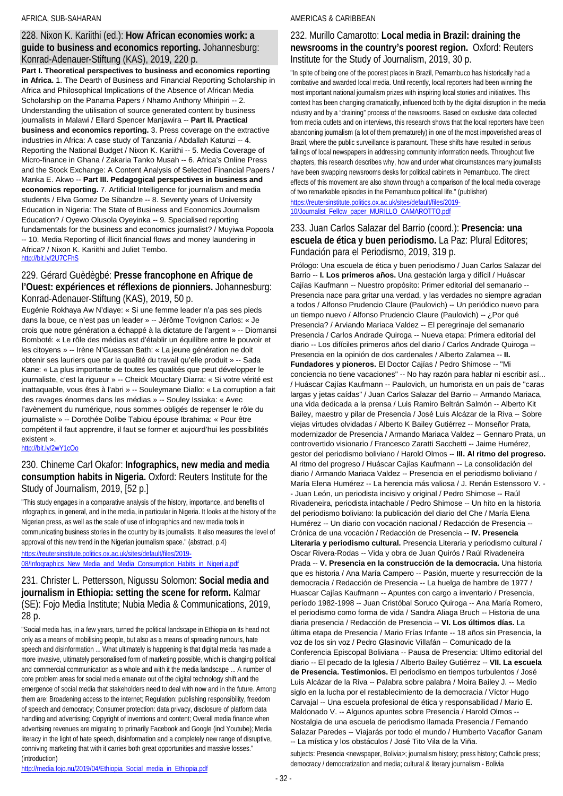### AFRICA, SUB-SAHARAN

### 228. Nixon K. Kariithi (ed.): **How African economies work: a guide to business and economics reporting.** Johannesburg: Konrad-Adenauer-Stiftung (KAS), 2019, 220 p.

**Part I. Theoretical perspectives to business and economics reporting in Africa.** 1. The Dearth of Business and Financial Reporting Scholarship in Africa and Philosophical Implications of the Absence of African Media Scholarship on the Panama Papers / Nhamo Anthony Mhiripiri -- 2. Understanding the utilisation of source generated content by business journalists in Malawi / Ellard Spencer Manjawira -- **Part II. Practical business and economics reporting.** 3. Press coverage on the extractive industries in Africa: A case study of Tanzania / Abdallah Katunzi -- 4. Reporting the National Budget / Nixon K. Kariithi -- 5. Media Coverage of Micro-finance in Ghana / Zakaria Tanko Musah -- 6. Africa's Online Press and the Stock Exchange: A Content Analysis of Selected Financial Papers / Manka E. Akwo -- **Part III. Pedagogical perspectives in business and economics reporting.** 7. Artificial Intelligence for journalism and media students / Elva Gomez De Sibandze -- 8. Seventy years of University Education in Nigeria: The State of Business and Economics Journalism Education? / Oyewo Olusola Oyeyinka -- 9. Specialised reporting fundamentals for the business and economics journalist? / Muyiwa Popoola -- 10. Media Reporting of illicit financial flows and money laundering in Africa? / Nixon K. Kariithi and Juliet Tembo. <http://bit.ly/2U7CFhS>

### 229. Gérard Guèdègbé: **Presse francophone en Afrique de l'Ouest: expériences et réflexions de pionniers.** Johannesburg: Konrad-Adenauer-Stiftung (KAS), 2019, 50 p.

Eugénie Rokhaya Aw N'diaye: « Si une femme leader n'a pas ses pieds dans la boue, ce n'est pas un leader » -- Jérôme Tovignon Carlos: « Je crois que notre génération a échappé à la dictature de l'argent » -- Diomansi Bomboté: « Le rôle des médias est d'établir un équilibre entre le pouvoir et les citoyens » -- Irène N'Guessan Bath: « La jeune génération ne doit obtenir ses lauriers que par la qualité du travail qu'elle produit » -- Sada Kane: « La plus importante de toutes les qualités que peut développer le journaliste, c'est la rigueur » -- Cheick Mouctary Diarra: « Si votre vérité est inattaquable, vous êtes à l'abri » -- Souleymane Diallo: « La corruption a fait des ravages énormes dans les médias » -- Souley Issiaka: « Avec l'avènement du numérique, nous sommes obligés de repenser le rôle du journaliste » -- Dorothée Dolibe Tabiou épouse Ibrahima: « Pour être compétent il faut apprendre, il faut se former et aujourd'hui les possibilités existent ».

### <http://bit.ly/2wY1cOo>

### 230. Chineme Carl Okafor: **Infographics, new media and media consumption habits in Nigeria.** Oxford: Reuters Institute for the Study of Journalism, 2019, [52 p.]

"This study engages in a comparative analysis of the history, importance, and benefits of infographics, in general, and in the media, in particular in Nigeria. It looks at the history of the Nigerian press, as well as the scale of use of infographics and new media tools in communicating business stories in the country by its journalists. It also measures the level of approval of this new trend in the Nigerian journalism space." (abstract, p.4)

[https://reutersinstitute.politics.ox.ac.uk/sites/default/files/2019-](https://reutersinstitute.politics.ox.ac.uk/sites/default/files/2019-08/Infographics_New_Media_and_Media_Consumption_Habits_in_Nigeri%20a.pdf) [08/Infographics\\_New\\_Media\\_and\\_Media\\_Consumption\\_Habits\\_in\\_Nigeri a.pdf](https://reutersinstitute.politics.ox.ac.uk/sites/default/files/2019-08/Infographics_New_Media_and_Media_Consumption_Habits_in_Nigeri%20a.pdf)

## 231. Christer L. Pettersson, Nigussu Solomon: **Social media and journalism in Ethiopia: setting the scene for reform.** Kalmar (SE): Fojo Media Institute; Nubia Media & Communications, 2019, 28 p.

"Social media has, in a few years, turned the political landscape in Ethiopia on its head not only as a means of mobilising people, but also as a means of spreading rumours, hate speech and disinformation ... What ultimately is happening is that digital media has made a more invasive, ultimately personalised form of marketing possible, which is changing political and commercial communication as a whole and with it the media landscape ... A number of core problem areas for social media emanate out of the digital technology shift and the emergence of social media that stakeholders need to deal with now and in the future. Among them are: Broadening access to the internet; Regulation: publishing responsibility, freedom of speech and democracy; Consumer protection: data privacy, disclosure of platform data handling and advertising; Copyright of inventions and content; Overall media finance when advertising revenues are migrating to primarily Facebook and Google (incl Youtube); Media literacy in the light of hate speech, disinformation and a completely new range of disruptive, conniving marketing that with it carries both great opportunities and massive losses." (introduction)

### AMERICAS & CARIBBEAN

### 232. Murillo Camarotto: **Local media in Brazil: draining the newsrooms in the country's poorest region.** Oxford: Reuters Institute for the Study of Journalism, 2019, 30 p.

"In spite of being one of the poorest places in Brazil, Pernambuco has historically had a combative and awarded local media. Until recently, local reporters had been winning the most important national journalism prizes with inspiring local stories and initiatives. This context has been changing dramatically, influenced both by the digital disruption in the media industry and by a "draining" process of the newsrooms. Based on exclusive data collected from media outlets and on interviews, this research shows that the local reporters have been abandoning journalism (a lot of them prematurely) in one of the most impoverished areas of Brazil, where the public surveillance is paramount. These shifts have resulted in serious failings of local newspapers in addressing community information needs. Throughout five chapters, this research describes why, how and under what circumstances many journalists have been swapping newsrooms desks for political cabinets in Pernambuco. The direct effects of this movement are also shown through a comparison of the local media coverage of two remarkable episodes in the Pernambuco political life." (publisher) [https://reutersinstitute.politics.ox.ac.uk/sites/default/files/2019-](https://reutersinstitute.politics.ox.ac.uk/sites/default/files/2019-10/Journalist_Fellow_paper_MURILLO_CAMAROTTO.pdf) [10/Journalist\\_Fellow\\_paper\\_MURILLO\\_CAMAROTTO.pdf](https://reutersinstitute.politics.ox.ac.uk/sites/default/files/2019-10/Journalist_Fellow_paper_MURILLO_CAMAROTTO.pdf)

### 233. Juan Carlos Salazar del Barrio (coord.): **Presencia: una escuela de ética y buen periodismo.** La Paz: Plural Editores; Fundación para el Periodismo, 2019, 319 p.

Prólogo: Una escuela de ética y buen periodismo / Juan Carlos Salazar del Barrio -- **I. Los primeros años.** Una gestación larga y difícil / Huáscar Cajías Kaufmann -- Nuestro propósito: Primer editorial del semanario -- Presencia nace para gritar una verdad, y las verdades no siempre agradan a todos / Alfonso Prudencio Claure (Paulovich) -- Un periódico nuevo para un tiempo nuevo / Alfonso Prudencio Claure (Paulovich) -- ¿Por qué Presencia? / Arviando Mariaca Valdez -- El peregrinaje del semanario Presencia / Carlos Andrade Quiroga -- Nueva etapa: Primera editorial del diario -- Los difíciles primeros años del diario / Carlos Andrade Quiroga -- Presencia en la opinión de dos cardenales / Alberto Zalamea -- **II. Fundadores y pioneros.** El Doctor Cajías / Pedro Shimose -- "Mi conciencia no tiene vacaciones" -- No hay razón para hablar ni escribir así... / Huáscar Cajías Kaufmann -- Paulovich, un humorista en un país de "caras largas y jetas caídas" / Juan Carlos Salazar del Barrio -- Armando Mariaca, una vida dedicada a la prensa / Luis Ramiro Beltrán Salmón -- Alberto Kit Bailey, maestro y pilar de Presencia / José Luis Alcázar de la Riva -- Sobre viejas virtudes olvidadas / Alberto K Bailey Gutiérrez -- Monseñor Prata, modernizador de Presencia / Armando Mariaca Valdez -- Gennaro Prata, un controvertido visionario / Francesco Zaratti Sacchetti -- Jaime Humérez, gestor del periodismo boliviano / Harold Olmos -- **III. Al ritmo del progreso.** Al ritmo del progreso / Huáscar Cajías Kaufmann -- La consolidación del diario / Armando Mariaca Valdez -- Presencia en el periodismo boliviano / María Elena Humérez -- La herencia más valiosa / J. Renán Estenssoro V. - - Juan León, un periodista incisivo y original / Pedro Shimose -- Raúl Rivadeneira, periodista intachable / Pedro Shimose -- Un hito en la historia del periodismo boliviano: la publicación del diario del Che / María Elena Humérez -- Un diario con vocación nacional / Redacción de Presencia -- Crónica de una vocación / Redacción de Presencia -- **IV. Presencia Literaria y periodismo cultural.** Presencia Literaria y periodismo cultural / Oscar Rivera-Rodas -- Vida y obra de Juan Quirós / Raúl Rivadeneira Prada -- **V. Presencia en la construcción de la democracia.** Una historia que es historia / Ana María Campero -- Pasión, muerte y resurrección de la democracia / Redacción de Presencia -- La huelga de hambre de 1977 / Huascar Cajías Kaufmann -- Apuntes con cargo a inventario / Presencia, período 1982-1998 -- Juan Cristóbal Soruco Quiroga -- Ana María Romero, el periodismo como forma de vida / Sandra Aliaga Bruch -- Historia de una diaria presencia / Redacción de Presencia -- **VI. Los últimos días.** La última etapa de Presencia / Mario Frías Infante -- 18 años sin Presencia, la voz de los sin voz / Pedro Glasinovic Villafán -- Comunicado de la Conferencia Episcopal Boliviana -- Pausa de Presencia: Ultimo editorial del diario -- El pecado de la Iglesia / Alberto Bailey Gutiérrez -- **VII. La escuela de Presencia. Testimonios.** El periodismo en tiempos turbulentos / José Luis Alcázar de la Riva -- Palabra sobre palabra / Moira Bailey J. -- Medio siglo en la lucha por el restablecimiento de la democracia / Víctor Hugo Carvajal -- Una escuela profesional de ética y responsabilidad / Mario E. Maldonado V. -- Algunos apuntes sobre Presencia / Harold Olmos -- Nostalgia de una escuela de periodismo llamada Presencia / Fernando Salazar Paredes -- Viajarás por todo el mundo / Humberto Vacaflor Ganam -- La mística y los obstáculos / José Tito Vila de la Viña.

subjects: Presencia <newspaper, Bolivia>; journalism history; press history; Catholic press; democracy / democratization and media; cultural & literary journalism - Bolivia

[http://media.fojo.nu/2019/04/Ethiopia\\_Social\\_media\\_in\\_Ethiopia.pdf](http://media.fojo.nu/2019/04/Ethiopia_Social_media_in_Ethiopia.pdf)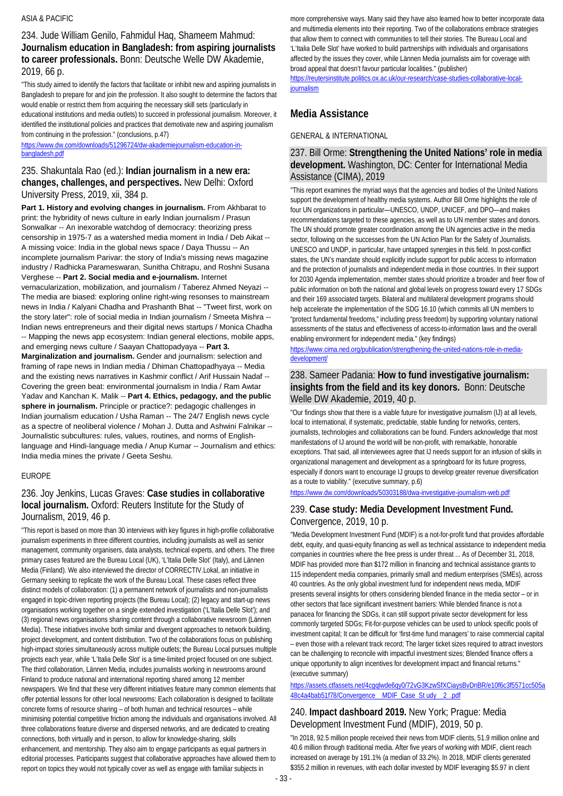## 234. Jude William Genilo, Fahmidul Haq, Shameem Mahmud: **Journalism education in Bangladesh: from aspiring journalists to career professionals.** Bonn: Deutsche Welle DW Akademie, 2019, 66 p.

"This study aimed to identify the factors that facilitate or inhibit new and aspiring journalists in Bangladesh to prepare for and join the profession. It also sought to determine the factors that would enable or restrict them from acquiring the necessary skill sets (particularly in educational institutions and media outlets) to succeed in professional journalism. Moreover, it identified the institutional policies and practices that demotivate new and aspiring journalism from continuing in the profession." (conclusions, p.47)

[https://www.dw.com/downloads/51296724/dw-akademiejournalism-education-in](https://www.dw.com/downloads/51296724/dw-akademiejournalism-education-in-bangladesh.pdf)[bangladesh.pdf](https://www.dw.com/downloads/51296724/dw-akademiejournalism-education-in-bangladesh.pdf)

### 235. Shakuntala Rao (ed.): **Indian journalism in a new era: changes, challenges, and perspectives.** New Delhi: Oxford University Press, 2019, xii, 384 p.

**Part 1. History and evolving changes in journalism.** From Akhbarat to print: the hybridity of news culture in early Indian journalism / Prasun Sonwalkar -- An inexorable watchdog of democracy: theorizing press censorship in 1975-7 as a watershed media moment in India / Deb Aikat -- A missing voice: India in the global news space / Daya Thussu -- An incomplete journalism Parivar: the story of India's missing news magazine industry / Radhicka Parameswaran, Sunitha Chitrapu, and Roshni Susana Verghese -- **Part 2. Social media and e-journalism.** Internet vernacularization, mobilization, and journalism / Taberez Ahmed Neyazi --

The media are biased: exploring online right-wing resonses to mainstream news in India / Kalyani Chadha and Prashanth Bhat -- "Tweet first, work on the story later": role of social media in Indian journalism / Smeeta Mishra -- Indian news entrepreneurs and their digital news startups / Monica Chadha -- Mapping the news app ecosystem: Indian general elections, mobile apps, and emerging news culture / Saayan Chattopadyaya -- **Part 3.** 

**Marginalization and journalism.** Gender and journalism: selection and framing of rape news in Indian media / Dhiman Chattopadhyaya -- Media and the existing news narratives in Kashmir conflict / Arif Hussain Nadaf -- Covering the green beat: environmental journalism in India / Ram Awtar Yadav and Kanchan K. Malik -- **Part 4. Ethics, pedagogy, and the public sphere in journalism.** Principle or practice?: pedagogic challenges in Indian journalism education / Usha Raman -- The 24/7 English news cycle as a spectre of neoliberal violence / Mohan J. Dutta and Ashwini Falnikar -- Journalistic subcultures: rules, values, routines, and norms of Englishlanguage and Hindi-language media / Anup Kumar -- Journalism and ethics: India media mines the private / Geeta Seshu.

### EUROPE

## 236. Joy Jenkins, Lucas Graves: **Case studies in collaborative local journalism.** Oxford: Reuters Institute for the Study of Journalism, 2019, 46 p.

"This report is based on more than 30 interviews with key figures in high-profile collaborative journalism experiments in three different countries, including journalists as well as senior management, community organisers, data analysts, technical experts, and others. The three primary cases featured are the Bureau Local (UK), 'L'Italia Delle Slot' (Italy), and Lännen Media (Finland). We also interviewed the director of CORRECTIV.Lokal, an initiative in Germany seeking to replicate the work of the Bureau Local. These cases reflect three distinct models of collaboration: (1) a permanent network of journalists and non-journalists engaged in topic-driven reporting projects (the Bureau Local); (2) legacy and start-up news organisations working together on a single extended investigation ('L'Italia Delle Slot'); and (3) regional news organisations sharing content through a collaborative newsroom (Lännen Media). These initiatives involve both similar and divergent approaches to network building, project development, and content distribution. Two of the collaborations focus on publishing high-impact stories simultaneously across multiple outlets; the Bureau Local pursues multiple projects each year, while 'L'Italia Delle Slot' is a time-limited project focused on one subject. The third collaboration, Lännen Media, includes journalists working in newsrooms around Finland to produce national and international reporting shared among 12 member newspapers. We find that these very different initiatives feature many common elements that offer potential lessons for other local newsrooms: Each collaboration is designed to facilitate concrete forms of resource sharing – of both human and technical resources – while minimising potential competitive friction among the individuals and organisations involved. All three collaborations feature diverse and dispersed networks, and are dedicated to creating connections, both virtually and in person, to allow for knowledge-sharing, skills enhancement, and mentorship. They also aim to engage participants as equal partners in editorial processes. Participants suggest that collaborative approaches have allowed them to report on topics they would not typically cover as well as engage with familiar subjects in

more comprehensive ways. Many said they have also learned how to better incorporate data and multimedia elements into their reporting. Two of the collaborations embrace strategies that allow them to connect with communities to tell their stories. The Bureau Local and 'L'Italia Delle Slot' have worked to build partnerships with individuals and organisations affected by the issues they cover, while Lännen Media journalists aim for coverage with broad appeal that doesn't favour particular localities." (publisher) [https://reutersinstitute.politics.ox.ac.uk/our-research/case-studies-collaborative-local](https://reutersinstitute.politics.ox.ac.uk/our-research/case-studies-collaborative-local-journalism)**[journalism](https://reutersinstitute.politics.ox.ac.uk/our-research/case-studies-collaborative-local-journalism)** 

## **Media Assistance**

### GENERAL & INTERNATIONAL

### 237. Bill Orme: **Strengthening the United Nations' role in media development.** Washington, DC: Center for International Media Assistance (CIMA), 2019

"This report examines the myriad ways that the agencies and bodies of the United Nations support the development of healthy media systems. Author Bill Orme highlights the role of four UN organizations in particular—UNESCO, UNDP, UNICEF, and DPO—and makes recommendations targeted to these agencies, as well as to UN member states and donors. The UN should promote greater coordination among the UN agencies active in the media sector, following on the successes from the UN Action Plan for the Safety of Journalists. UNESCO and UNDP, in particular, have untapped synergies in this field. In post-conflict states, the UN's mandate should explicitly include support for public access to information and the protection of journalists and independent media in those countries. In their support for 2030 Agenda implementation, member states should prioritize a broader and freer flow of public information on both the national and global levels on progress toward every 17 SDGs and their 169 associated targets. Bilateral and multilateral development programs should help accelerate the implementation of the SDG 16.10 (which commits all UN members to "protect fundamental freedoms," including press freedom) by supporting voluntary national assessments of the status and effectiveness of access-to-information laws and the overall enabling environment for independent media." (key findings)

[https://www.cima.ned.org/publication/strengthening-the-united-nations-role-in-media](https://www.cima.ned.org/publication/strengthening-the-united-nations-role-in-media-development/)[development/](https://www.cima.ned.org/publication/strengthening-the-united-nations-role-in-media-development/)

## 238. Sameer Padania: **How to fund investigative journalism: insights from the field and its key donors.** Bonn: Deutsche Welle DW Akademie, 2019, 40 p.

"Our findings show that there is a viable future for investigative journalism (IJ) at all levels, local to international, if systematic, predictable, stable funding for networks, centers, journalists, technologies and collaborations can be found. Funders acknowledge that most manifestations of IJ around the world will be non-profit, with remarkable, honorable exceptions. That said, all interviewees agree that IJ needs support for an infusion of skills in organizational management and development as a springboard for its future progress, especially if donors want to encourage IJ groups to develop greater revenue diversification as a route to viability." (executive summary, p.6)

### <https://www.dw.com/downloads/50303188/dwa-investigative-journalism-web.pdf>

### 239. **Case study: Media Development Investment Fund.**  Convergence, 2019, 10 p.

"Media Development Investment Fund (MDIF) is a not-for-profit fund that provides affordable debt, equity, and quasi-equity financing as well as technical assistance to independent media companies in countries where the free press is under threat ... As of December 31, 2018, MDIF has provided more than \$172 million in financing and technical assistance grants to 115 independent media companies, primarily small and medium enterprises (SMEs), across 40 countries. As the only global investment fund for independent news media, MDIF presents several insights for others considering blended finance in the media sector – or in other sectors that face significant investment barriers: While blended finance is not a panacea for financing the SDGs, it can still support private sector development for less commonly targeted SDGs; Fit-for-purpose vehicles can be used to unlock specific pools of investment capital; It can be difficult for 'first-time fund managers' to raise commercial capital – even those with a relevant track record; The larger ticket sizes required to attract investors can be challenging to reconcile with impactful investment sizes; Blended finance offers a unique opportunity to align incentives for development impact and financial returns." (executive summary)

[https://assets.ctfassets.net/4cgqlwde6qy0/72vG3KzwSfXCiaysBvDnBR/e10f6c3f5571cc505a](https://assets.ctfassets.net/4cgqlwde6qy0/72vG3KzwSfXCiaysBvDnBR/e10f6c3f5571cc505a48c4a4bab51f78/Convergence__MDIF_Case_St%20udy__2_.pdf) [48c4a4bab51f78/Convergence\\_\\_MDIF\\_Case\\_St udy\\_\\_2\\_.pdf](https://assets.ctfassets.net/4cgqlwde6qy0/72vG3KzwSfXCiaysBvDnBR/e10f6c3f5571cc505a48c4a4bab51f78/Convergence__MDIF_Case_St%20udy__2_.pdf)

### 240. **Impact dashboard 2019.** New York; Prague: Media Development Investment Fund (MDIF), 2019, 50 p.

"In 2018, 92.5 million people received their news from MDIF clients, 51.9 million online and 40.6 million through traditional media. After five years of working with MDIF, client reach increased on average by 191.1% (a median of 33.2%). In 2018, MDIF clients generated \$355.2 million in revenues, with each dollar invested by MDIF leveraging \$5.97 in client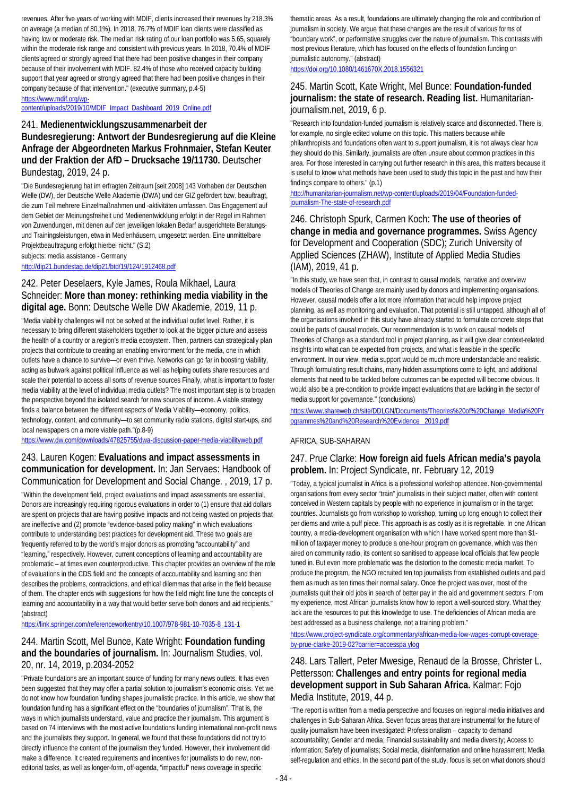revenues. After five years of working with MDIF, clients increased their revenues by 218.3% on average (a median of 80.1%). In 2018, 76.7% of MDIF loan clients were classified as having low or moderate risk. The median risk rating of our loan portfolio was 5.65, squarely within the moderate risk range and consistent with previous years. In 2018, 70.4% of MDIF clients agreed or strongly agreed that there had been positive changes in their company because of their involvement with MDIF. 82.4% of those who received capacity building support that year agreed or strongly agreed that there had been positive changes in their company because of that intervention." (executive summary, p.4-5)

[https://www.mdif.org/wp](https://www.mdif.org/wp-content/uploads/2019/10/MDIF_Impact_Dashboard_2019_Online.pdf)[content/uploads/2019/10/MDIF\\_Impact\\_Dashboard\\_2019\\_Online.pdf](https://www.mdif.org/wp-content/uploads/2019/10/MDIF_Impact_Dashboard_2019_Online.pdf)

### 241. **Medienentwicklungszusammenarbeit der Bundesregierung: Antwort der Bundesregierung auf die Kleine Anfrage der Abgeordneten Markus Frohnmaier, Stefan Keuter und der Fraktion der AfD – Drucksache 19/11730.** Deutscher Bundestag, 2019, 24 p.

"Die Bundesregierung hat im erfragten Zeitraum [seit 2008] 143 Vorhaben der Deutschen Welle (DW), der Deutsche Welle Akademie (DWA) und der GIZ gefördert bzw. beauftragt, die zum Teil mehrere Einzelmaßnahmen und -aktivitäten umfassen. Das Engagement auf dem Gebiet der Meinungsfreiheit und Medienentwicklung erfolgt in der Regel im Rahmen von Zuwendungen, mit denen auf den jeweiligen lokalen Bedarf ausgerichtete Beratungsund Trainingsleistungen, etwa in Medienhäusern, umgesetzt werden. Eine unmittelbare Projektbeauftragung erfolgt hierbei nicht." (S.2)

subjects: media assistance - Germany

<http://dip21.bundestag.de/dip21/btd/19/124/1912468.pdf>

### 242. Peter Deselaers, Kyle James, Roula Mikhael, Laura Schneider: **More than money: rethinking media viability in the digital age.** Bonn: Deutsche Welle DW Akademie, 2019, 11 p.

"Media viability challenges will not be solved at the individual outlet level. Rather, it is necessary to bring different stakeholders together to look at the bigger picture and assess the health of a country or a region's media ecosystem. Then, partners can strategically plan projects that contribute to creating an enabling environment for the media, one in which outlets have a chance to survive—or even thrive. Networks can go far in boosting viability, acting as bulwark against political influence as well as helping outlets share resources and scale their potential to access all sorts of revenue sources Finally, what is important to foster media viability at the level of individual media outlets? The most important step is to broaden the perspective beyond the isolated search for new sources of income. A viable strategy finds a balance between the different aspects of Media Viability—economy, politics, technology, content, and community—to set community radio stations, digital start-ups, and local newspapers on a more viable path."(p.8-9)

<https://www.dw.com/downloads/47825755/dwa-discussion-paper-media-viabilityweb.pdf>

## 243. Lauren Kogen: **Evaluations and impact assessments in communication for development.** In: Jan Servaes: Handbook of Communication for Development and Social Change. , 2019, 17 p.

"Within the development field, project evaluations and impact assessments are essential. Donors are increasingly requiring rigorous evaluations in order to (1) ensure that aid dollars are spent on projects that are having positive impacts and not being wasted on projects that are ineffective and (2) promote "evidence-based policy making" in which evaluations contribute to understanding best practices for development aid. These two goals are frequently referred to by the world's major donors as promoting "accountability" and "learning," respectively. However, current conceptions of learning and accountability are problematic – at times even counterproductive. This chapter provides an overview of the role of evaluations in the CDS field and the concepts of accountability and learning and then describes the problems, contradictions, and ethical dilemmas that arise in the field because of them. The chapter ends with suggestions for how the field might fine tune the concepts of learning and accountability in a way that would better serve both donors and aid recipients." (abstract)

[https://link.springer.com/referenceworkentry/10.1007/978-981-10-7035-8\\_131-1](https://link.springer.com/referenceworkentry/10.1007/978-981-10-7035-8_131-1)

## 244. Martin Scott, Mel Bunce, Kate Wright: **Foundation funding and the boundaries of journalism.** In: Journalism Studies, vol. 20, nr. 14, 2019, p.2034-2052

"Private foundations are an important source of funding for many news outlets. It has even been suggested that they may offer a partial solution to journalism's economic crisis. Yet we do not know how foundation funding shapes journalistic practice. In this article, we show that foundation funding has a significant effect on the "boundaries of journalism". That is, the ways in which journalists understand, value and practice their journalism. This argument is based on 74 interviews with the most active foundations funding international non-profit news and the journalists they support. In general, we found that these foundations did not try to directly influence the content of the journalism they funded. However, their involvement did make a difference. It created requirements and incentives for journalists to do new, noneditorial tasks, as well as longer-form, off-agenda, "impactful" news coverage in specific

thematic areas. As a result, foundations are ultimately changing the role and contribution of journalism in society. We argue that these changes are the result of various forms of "boundary work", or performative struggles over the nature of journalism. This contrasts with most previous literature, which has focused on the effects of foundation funding on journalistic autonomy." (abstract)

<https://doi.org/10.1080/1461670X.2018.1556321>

### 245. Martin Scott, Kate Wright, Mel Bunce: **Foundation-funded journalism: the state of research. Reading list.** Humanitarianjournalism.net, 2019, 6 p.

"Research into foundation-funded journalism is relatively scarce and disconnected. There is, for example, no single edited volume on this topic. This matters because while philanthropists and foundations often want to support journalism, it is not always clear how they should do this. Similarly, journalists are often unsure about common practices in this area. For those interested in carrying out further research in this area, this matters because it is useful to know what methods have been used to study this topic in the past and how their findings compare to others." (p.1)

[http://humanitarian-journalism.net/wp-content/uploads/2019/04/Foundation-funded](http://humanitarian-journalism.net/wp-content/uploads/2019/04/Foundation-funded-journalism-The-state-of-research.pdf)[journalism-The-state-of-research.pdf](http://humanitarian-journalism.net/wp-content/uploads/2019/04/Foundation-funded-journalism-The-state-of-research.pdf)

### 246. Christoph Spurk, Carmen Koch: **The use of theories of change in media and governance programmes.** Swiss Agency for Development and Cooperation (SDC); Zurich University of Applied Sciences (ZHAW), Institute of Applied Media Studies (IAM), 2019, 41 p.

"In this study, we have seen that, in contrast to causal models, narrative and overview models of Theories of Change are mainly used by donors and implementing organisations. However, causal models offer a lot more information that would help improve project planning, as well as monitoring and evaluation. That potential is still untapped, although all of the organisations involved in this study have already started to formulate concrete steps that could be parts of causal models. Our recommendation is to work on causal models of Theories of Change as a standard tool in project planning, as it will give clear context-related insights into what can be expected from projects, and what is feasible in the specific environment. In our view, media support would be much more understandable and realistic. Through formulating result chains, many hidden assumptions come to light, and additional elements that need to be tackled before outcomes can be expected will become obvious. It would also be a pre-condition to provide impact evaluations that are lacking in the sector of media support for governance." (conclusions)

[https://www.shareweb.ch/site/DDLGN/Documents/Theories%20of%20Change\\_Media%20Pr](https://www.shareweb.ch/site/DDLGN/Documents/Theories%20of%20Change_Media%20Programmes%20and%20Research%20Evidence%20_2019.pdf) [ogrammes%20and%20Research%20Evidence \\_2019.pdf](https://www.shareweb.ch/site/DDLGN/Documents/Theories%20of%20Change_Media%20Programmes%20and%20Research%20Evidence%20_2019.pdf)

### AFRICA, SUB-SAHARAN

### 247. Prue Clarke: **How foreign aid fuels African media's payola problem.** In: Project Syndicate, nr. February 12, 2019

"Today, a typical journalist in Africa is a professional workshop attendee. Non-governmental organisations from every sector "train" journalists in their subject matter, often with content conceived in Western capitals by people with no experience in journalism or in the target countries. Journalists go from workshop to workshop, turning up long enough to collect their per diems and write a puff piece. This approach is as costly as it is regrettable. In one African country, a media-development organisation with which I have worked spent more than \$1 million of taxpayer money to produce a one-hour program on governance, which was then aired on community radio, its content so sanitised to appease local officials that few people tuned in. But even more problematic was the distortion to the domestic media market. To produce the program, the NGO recruited ten top journalists from established outlets and paid them as much as ten times their normal salary. Once the project was over, most of the journalists quit their old jobs in search of better pay in the aid and government sectors. From my experience, most African journalists know how to report a well-sourced story. What they lack are the resources to put this knowledge to use. The deficiencies of African media are best addressed as a business challenge, not a training problem."

[https://www.project-syndicate.org/commentary/african-media-low-wages-corrupt-coverage](https://www.project-syndicate.org/commentary/african-media-low-wages-corrupt-coverage-by-prue-clarke-2019-02?barrier=accesspa%20ylog)[by-prue-clarke-2019-02?barrier=accesspa ylog](https://www.project-syndicate.org/commentary/african-media-low-wages-corrupt-coverage-by-prue-clarke-2019-02?barrier=accesspa%20ylog)

## 248. Lars Tallert, Peter Mwesige, Renaud de la Brosse, Christer L. Pettersson: **Challenges and entry points for regional media development support in Sub Saharan Africa.** Kalmar: Fojo Media Institute, 2019, 44 p.

"The report is written from a media perspective and focuses on regional media initiatives and challenges in Sub-Saharan Africa. Seven focus areas that are instrumental for the future of quality journalism have been investigated: Professionalism – capacity to demand accountability; Gender and media; Financial sustainability and media diversity; Access to information; Safety of journalists; Social media, disinformation and online harassment; Media self-regulation and ethics. In the second part of the study, focus is set on what donors should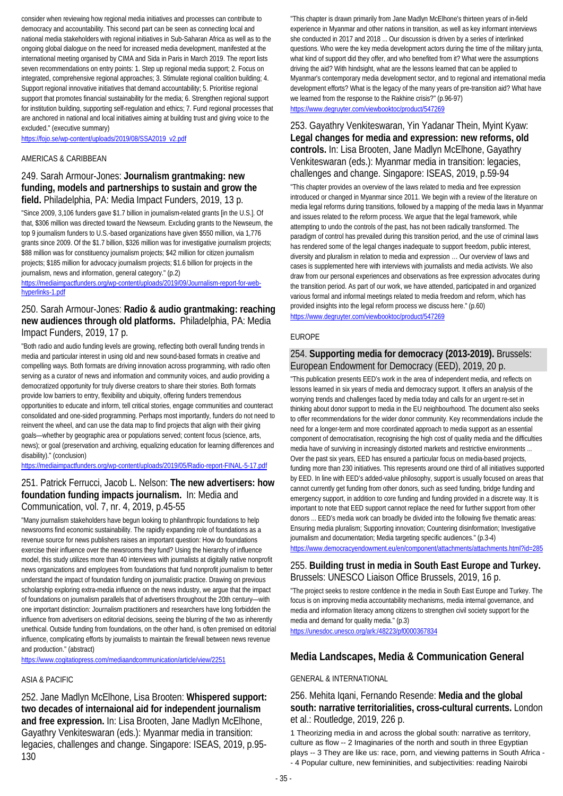consider when reviewing how regional media initiatives and processes can contribute to democracy and accountability. This second part can be seen as connecting local and national media stakeholders with regional initiatives in Sub-Saharan Africa as well as to the ongoing global dialogue on the need for increased media development, manifested at the international meeting organised by CIMA and Sida in Paris in March 2019. The report lists seven recommendations on entry points: 1. Step up regional media support; 2. Focus on integrated, comprehensive regional approaches; 3. Stimulate regional coalition building; 4. Support regional innovative initiatives that demand accountability; 5. Prioritise regional support that promotes financial sustainability for the media; 6. Strengthen regional support for institution building, supporting self-regulation and ethics; 7. Fund regional processes that are anchored in national and local initiatives aiming at building trust and giving voice to the excluded." (executive summary)

[https://fojo.se/wp-content/uploads/2019/08/SSA2019\\_v2.pdf](https://fojo.se/wp-content/uploads/2019/08/SSA2019_v2.pdf)

#### AMERICAS & CARIBBEAN

### 249. Sarah Armour-Jones: **Journalism grantmaking: new funding, models and partnerships to sustain and grow the field.** Philadelphia, PA: Media Impact Funders, 2019, 13 p.

"Since 2009, 3,106 funders gave \$1.7 billion in journalism-related grants [in the U.S.]. Of that, \$306 million was directed toward the Newseum. Excluding grants to the Newseum, the top 9 journalism funders to U.S.-based organizations have given \$550 million, via 1,776 grants since 2009. Of the \$1.7 billion, \$326 million was for investigative journalism projects; \$88 million was for constituency journalism projects; \$42 million for citizen journalism projects; \$185 million for advocacy journalism projects; \$1.6 billion for projects in the journalism, news and information, general category." (p.2)

[https://mediaimpactfunders.org/wp-content/uploads/2019/09/Journalism-report-for-web](https://mediaimpactfunders.org/wp-content/uploads/2019/09/Journalism-report-for-web-hyperlinks-1.pdf)[hyperlinks-1.pdf](https://mediaimpactfunders.org/wp-content/uploads/2019/09/Journalism-report-for-web-hyperlinks-1.pdf)

### 250. Sarah Armour-Jones: **Radio & audio grantmaking: reaching new audiences through old platforms.** Philadelphia, PA: Media Impact Funders, 2019, 17 p.

"Both radio and audio funding levels are growing, reflecting both overall funding trends in media and particular interest in using old and new sound-based formats in creative and compelling ways. Both formats are driving innovation across programming, with radio often serving as a curator of news and information and community voices, and audio providing a democratized opportunity for truly diverse creators to share their stories. Both formats provide low barriers to entry, flexibility and ubiquity, offering funders tremendous opportunities to educate and inform, tell critical stories, engage communities and counteract consolidated and one-sided programming. Perhaps most importantly, funders do not need to reinvent the wheel, and can use the data map to find projects that align with their giving goals—whether by geographic area or populations served; content focus (science, arts, news); or goal (preservation and archiving, equalizing education for learning differences and disability)." (conclusion)

<https://mediaimpactfunders.org/wp-content/uploads/2019/05/Radio-report-FINAL-5-17.pdf>

## 251. Patrick Ferrucci, Jacob L. Nelson: **The new advertisers: how foundation funding impacts journalism.** In: Media and Communication, vol. 7, nr. 4, 2019, p.45-55

"Many journalism stakeholders have begun looking to philanthropic foundations to help newsrooms find economic sustainability. The rapidly expanding role of foundations as a revenue source for news publishers raises an important question: How do foundations exercise their influence over the newsrooms they fund? Using the hierarchy of influence model, this study utilizes more than 40 interviews with journalists at digitally native nonprofit news organizations and employees from foundations that fund nonprofit journalism to better understand the impact of foundation funding on journalistic practice. Drawing on previous scholarship exploring extra-media influence on the news industry, we argue that the impact of foundations on journalism parallels that of advertisers throughout the 20th century—with one important distinction: Journalism practitioners and researchers have long forbidden the influence from advertisers on editorial decisions, seeing the blurring of the two as inherently unethical. Outside funding from foundations, on the other hand, is often premised on editorial influence, complicating efforts by journalists to maintain the firewall between news revenue and production." (abstract)

<https://www.cogitatiopress.com/mediaandcommunication/article/view/2251>

### ASIA & PACIFIC

252. Jane Madlyn McElhone, Lisa Brooten: **Whispered support: two decades of internaional aid for independent journalism and free expression.** In: Lisa Brooten, Jane Madlyn McElhone, Gayathry Venkiteswaran (eds.): Myanmar media in transition: legacies, challenges and change. Singapore: ISEAS, 2019, p.95- 130

"This chapter is drawn primarily from Jane Madlyn McElhone's thirteen years of in-field experience in Myanmar and other nations in transition, as well as key informant interviews she conducted in 2017 and 2018 ... Our discussion is driven by a series of interlinked questions. Who were the key media development actors during the time of the military junta, what kind of support did they offer, and who benefited from it? What were the assumptions driving the aid? With hindsight, what are the lessons learned that can be applied to Myanmar's contemporary media development sector, and to regional and international media development efforts? What is the legacy of the many years of pre-transition aid? What have we learned from the response to the Rakhine crisis?" (p.96-97)

<https://www.degruyter.com/viewbooktoc/product/547269>

### 253. Gayathry Venkiteswaran, Yin Yadanar Thein, Myint Kyaw: **Legal changes for media and expression: new reforms, old controls.** In: Lisa Brooten, Jane Madlyn McElhone, Gayathry Venkiteswaran (eds.): Myanmar media in transition: legacies, challenges and change. Singapore: ISEAS, 2019, p.59-94

"This chapter provides an overview of the laws related to media and free expression introduced or changed in Myanmar since 2011. We begin with a review of the literature on media legal reforms during transitions, followed by a mapping of the media laws in Myanmar and issues related to the reform process. We argue that the legal framework, while attempting to undo the controls of the past, has not been radically transformed. The paradigm of control has prevailed during this transition period, and the use of criminal laws has rendered some of the legal changes inadequate to support freedom, public interest, diversity and pluralism in relation to media and expression … Our overview of laws and cases is supplemented here with interviews with journalists and media activists. We also draw from our personal experiences and observations as free expression advocates during the transition period. As part of our work, we have attended, participated in and organized various formal and informal meetings related to media freedom and reform, which has provided insights into the legal reform process we discuss here." (p.60) <https://www.degruyter.com/viewbooktoc/product/547269>

#### EUROPE

### 254. **Supporting media for democracy (2013-2019).** Brussels: European Endowment for Democracy (EED), 2019, 20 p.

"This publication presents EED's work in the area of independent media, and reflects on lessons learned in six years of media and democracy support. It offers an analysis of the worrying trends and challenges faced by media today and calls for an urgent re-set in thinking about donor support to media in the EU neighbourhood. The document also seeks to offer recommendations for the wider donor community. Key recommendations include the need for a longer-term and more coordinated approach to media support as an essential component of democratisation, recognising the high cost of quality media and the difficulties media have of surviving in increasingly distorted markets and restrictive environments ... Over the past six years, EED has ensured a particular focus on media-based projects, funding more than 230 initiatives. This represents around one third of all initiatives supported by EED. In line with EED's added-value philosophy, support is usually focused on areas that cannot currently get funding from other donors, such as seed funding, bridge funding and emergency support, in addition to core funding and funding provided in a discrete way. It is important to note that EED support cannot replace the need for further support from other donors ... EED's media work can broadly be divided into the following five thematic areas: Ensuring media pluralism; Supporting innovation; Countering disinformation; Investigative journalism and documentation; Media targeting specific audiences." (p.3-4)

<https://www.democracyendowment.eu/en/component/attachments/attachments.html?id=285>

### 255. **Building trust in media in South East Europe and Turkey.**  Brussels: UNESCO Liaison Office Brussels, 2019, 16 p.

"The project seeks to restore confdence in the media in South East Europe and Turkey. The focus is on improving media accountability mechanisms, media internal governance, and media and information literacy among citizens to strengthen civil society support for the media and demand for quality media." (p.3)

<https://unesdoc.unesco.org/ark:/48223/pf0000367834>

## **Media Landscapes, Media & Communication General**

### GENERAL & INTERNATIONAL

### 256. Mehita Iqani, Fernando Resende: **Media and the global south: narrative territorialities, cross-cultural currents.** London et al.: Routledge, 2019, 226 p.

1 Theorizing media in and across the global south: narrative as territory, culture as flow -- 2 Imaginaries of the north and south in three Egyptian plays -- 3 They are like us: race, porn, and viewing patterns in South Africa - - 4 Popular culture, new femininities, and subjectivities: reading Nairobi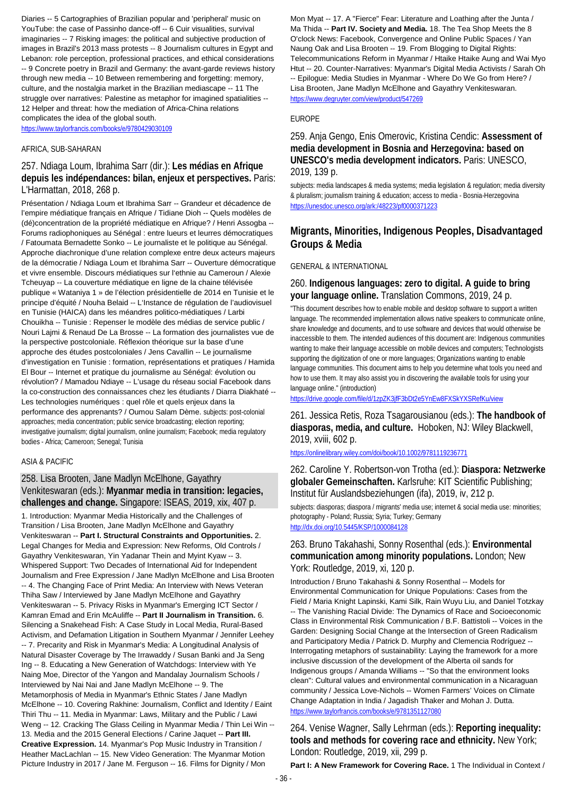Diaries -- 5 Cartographies of Brazilian popular and 'peripheral' music on YouTube: the case of Passinho dance-off -- 6 Cuir visualities, survival imaginaries -- 7 Risking images: the political and subjective production of images in Brazil's 2013 mass protests -- 8 Journalism cultures in Egypt and Lebanon: role perception, professional practices, and ethical considerations -- 9 Concrete poetry in Brazil and Germany: the avant-garde reviews history through new media -- 10 Between remembering and forgetting: memory, culture, and the nostalgia market in the Brazilian mediascape -- 11 The struggle over narratives: Palestine as metaphor for imagined spatialities -- 12 Helper and threat: how the mediation of Africa-China relations complicates the idea of the global south.

<https://www.taylorfrancis.com/books/e/9780429030109>

#### AFRICA, SUB-SAHARAN

257. Ndiaga Loum, Ibrahima Sarr (dir.): **Les médias en Afrique depuis les indépendances: bilan, enjeux et perspectives.** Paris: L'Harmattan, 2018, 268 p.

Présentation / Ndiaga Loum et Ibrahima Sarr -- Grandeur et décadence de l'empire médiatique français en Afrique / Tidiane Dioh -- Quels modèles de (dé)concentration de la propriété médiatique en Afrique? / Henri Assogba -- Forums radiophoniques au Sénégal : entre lueurs et leurres démocratiques / Fatoumata Bernadette Sonko -- Le journaliste et le politique au Sénégal. Approche diachronique d'une relation complexe entre deux acteurs majeurs de la démocratie / Ndiaga Loum et Ibrahima Sarr -- Ouverture démocratique et vivre ensemble. Discours médiatiques sur l'ethnie au Cameroun / Alexie Tcheuyap -- La couverture médiatique en ligne de la chaine télévisée publique « Wataniya 1 » de l'élection présidentielle de 2014 en Tunisie et le principe d'équité / Nouha Belaid -- L'Instance de régulation de l'audiovisuel en Tunisie (HAICA) dans les méandres politico-médiatiques / Larbi Chouikha -- Tunisie : Repenser le modèle des médias de service public / Nouri Lajmi & Renaud De La Brosse -- La formation des journalistes vue de la perspective postcoloniale. Réflexion théorique sur la base d'une approche des études postcoloniales / Jens Cavallin -- Le journalisme d'investigation en Tunisie : formation, représentations et pratiques / Hamida El Bour -- Internet et pratique du journalisme au Sénégal: évolution ou révolution? / Mamadou Ndiaye -- L'usage du réseau social Facebook dans la co-construction des connaissances chez les étudiants / Diarra Diakhaté -- Les technologies numériques : quel rôle et quels enjeux dans la performance des apprenants? / Oumou Salam Dème. subjects: post-colonial approaches; media concentration; public service broadcasting; election reporting; investigative journalism; digital journalism, online journalism; Facebook; media regulatory bodies - Africa; Cameroon; Senegal; Tunisia

### ASIA & PACIFIC

### 258. Lisa Brooten, Jane Madlyn McElhone, Gayathry Venkiteswaran (eds.): **Myanmar media in transition: legacies, challenges and change.** Singapore: ISEAS, 2019, xix, 407 p.

1. Introduction: Myanmar Media Historically and the Challenges of Transition / Lisa Brooten, Jane Madlyn McElhone and Gayathry Venkiteswaran -- **Part I. Structural Constraints and Opportunities.** 2. Legal Changes for Media and Expression: New Reforms, Old Controls / Gayathry Venkiteswaran, Yin Yadanar Thein and Myint Kyaw -- 3. Whispered Support: Two Decades of International Aid for Independent Journalism and Free Expression / Jane Madlyn McElhone and Lisa Brooten -- 4. The Changing Face of Print Media: An Interview with News Veteran Thiha Saw / Interviewed by Jane Madlyn McElhone and Gayathry Venkiteswaran -- 5. Privacy Risks in Myanmar's Emerging ICT Sector / Kamran Emad and Erin McAuliffe -- **Part II Journalism in Transition.** 6. Silencing a Snakehead Fish: A Case Study in Local Media, Rural-Based Activism, and Defamation Litigation in Southern Myanmar / Jennifer Leehey -- 7. Precarity and Risk in Myanmar's Media: A Longitudinal Analysis of Natural Disaster Coverage by The Irrawaddy / Susan Banki and Ja Seng Ing -- 8. Educating a New Generation of Watchdogs: Interview with Ye Naing Moe, Director of the Yangon and Mandalay Journalism Schools / Interviewed by Nai Nai and Jane Madlyn McElhone -- 9. The Metamorphosis of Media in Myanmar's Ethnic States / Jane Madlyn McElhone -- 10. Covering Rakhine: Journalism, Conflict and Identity / Eaint Thiri Thu -- 11. Media in Myanmar: Laws, Military and the Public / Lawi Weng -- 12. Cracking The Glass Ceiling in Myanmar Media / Thin Lei Win -- 13. Media and the 2015 General Elections / Carine Jaquet -- **Part III. Creative Expression.** 14. Myanmar's Pop Music Industry in Transition / Heather MacLachlan -- 15. New Video Generation: The Myanmar Motion Picture Industry in 2017 / Jane M. Ferguson -- 16. Films for Dignity / Mon

Mon Myat -- 17. A "Fierce" Fear: Literature and Loathing after the Junta / Ma Thida -- **Part IV. Society and Media.** 18. The Tea Shop Meets the 8 O'clock News: Facebook, Convergence and Online Public Spaces / Yan Naung Oak and Lisa Brooten -- 19. From Blogging to Digital Rights: Telecommunications Reform in Myanmar / Htaike Htaike Aung and Wai Myo Htut -- 20. Counter-Narratives: Myanmar's Digital Media Activists / Sarah Oh -- Epilogue: Media Studies in Myanmar - Where Do We Go from Here? / Lisa Brooten, Jane Madlyn McElhone and Gayathry Venkiteswaran. <https://www.degruyter.com/view/product/547269>

### EUROPE

### 259. Anja Gengo, Enis Omerovic, Kristina Cendic: **Assessment of media development in Bosnia and Herzegovina: based on UNESCO's media development indicators.** Paris: UNESCO, 2019, 139 p.

subjects: media landscapes & media systems; media legislation & regulation; media diversity & pluralism; journalism training & education; access to media - Bosnia-Herzegovina <https://unesdoc.unesco.org/ark:/48223/pf0000371223>

## **Migrants, Minorities, Indigenous Peoples, Disadvantaged Groups & Media**

### GENERAL & INTERNATIONAL

260. **Indigenous languages: zero to digital. A guide to bring your language online.** Translation Commons, 2019, 24 p.

"This document describes how to enable mobile and desktop software to support a written language. The recommended implementation allows native speakers to communicate online, share knowledge and documents, and to use software and devices that would otherwise be inaccessible to them. The intended audiences of this document are: Indigenous communities wanting to make their language accessible on mobile devices and computers; Technologists supporting the digitization of one or more languages; Organizations wanting to enable language communities. This document aims to help you determine what tools you need and how to use them. It may also assist you in discovering the available tools for using your language online." (introduction)

<https://drive.google.com/file/d/1zpZK3jfF3bDt2e5YnEw8FXSkYXSRefKu/view>

261. Jessica Retis, Roza Tsagarousianou (eds.): **The handbook of diasporas, media, and culture.** Hoboken, NJ: Wiley Blackwell, 2019, xviii, 602 p.

### <https://onlinelibrary.wiley.com/doi/book/10.1002/9781119236771>

262. Caroline Y. Robertson-von Trotha (ed.): **Diaspora: Netzwerke globaler Gemeinschaften.** Karlsruhe: KIT Scientific Publishing; Institut für Auslandsbeziehungen (ifa), 2019, iv, 212 p.

subjects: diasporas; diaspora / migrants' media use; internet & social media use: minorities; photography - Poland; Russia; Syria; Turkey; Germany <http://dx.doi.org/10.5445/KSP/1000084128>

### 263. Bruno Takahashi, Sonny Rosenthal (eds.): **Environmental communication among minority populations.** London; New York: Routledge, 2019, xi, 120 p.

Introduction / Bruno Takahashi & Sonny Rosenthal -- Models for Environmental Communication for Unique Populations: Cases from the Field / Maria Knight Lapinski, Kami Silk, Rain Wuyu Liu, and Daniel Totzkay -- The Vanishing Racial Divide: The Dynamics of Race and Socioeconomic Class in Environmental Risk Communication / B.F. Battistoli -- Voices in the Garden: Designing Social Change at the Intersection of Green Radicalism and Participatory Media / Patrick D. Murphy and Clemencia Rodríguez -- Interrogating metaphors of sustainability: Laying the framework for a more inclusive discussion of the development of the Alberta oil sands for Indigenous groups / Amanda Williams -- "So that the environment looks clean": Cultural values and environmental communication in a Nicaraguan community / Jessica Love-Nichols -- Women Farmers' Voices on Climate Change Adaptation in India / Jagadish Thaker and Mohan J. Dutta. <https://www.taylorfrancis.com/books/e/9781351127080>

264. Venise Wagner, Sally Lehrman (eds.): **Reporting inequality: tools and methods for covering race and ethnicity.** New York; London: Routledge, 2019, xii, 299 p.

Part I: A New Framework for Covering Race. 1 The Individual in Context /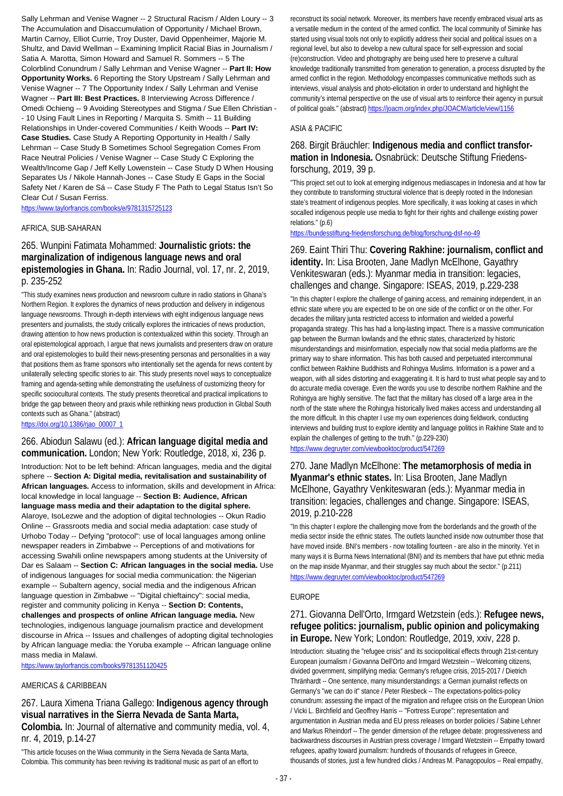Sally Lehrman and Venise Wagner -- 2 Structural Racism / Alden Loury -- 3 The Accumulation and Disaccumulation of Opportunity / Michael Brown, Martin Carnoy, Elliot Currie, Troy Duster, David Oppenheimer, Majorie M. Shultz, and David Wellman – Examining Implicit Racial Bias in Journalism / Satia A. Marotta, Simon Howard and Samuel R. Sommers -- 5 The Colorblind Conundrum / Sally Lehrman and Venise Wagner -- **Part II: How Opportunity Works.** 6 Reporting the Story Upstream / Sally Lehrman and Venise Wagner -- 7 The Opportunity Index / Sally Lehrman and Venise Wagner -- **Part III: Best Practices.** 8 Interviewing Across Difference / Omedi Ochieng -- 9 Avoiding Stereotypes and Stigma / Sue Ellen Christian - - 10 Using Fault Lines in Reporting / Marquita S. Smith -- 11 Building Relationships in Under-covered Communities / Keith Woods -- **Part IV: Case Studies.** Case Study A Reporting Opportunity in Health / Sally Lehrman -- Case Study B Sometimes School Segregation Comes From Race Neutral Policies / Venise Wagner -- Case Study C Exploring the Wealth/Income Gap / Jeff Kelly Lowenstein -- Case Study D When Housing Separates Us / Nikole Hannah-Jones -- Case Study E Gaps in the Social Safety Net / Karen de Sá -- Case Study F The Path to Legal Status Isn't So Clear Cut / Susan Ferriss.

<https://www.taylorfrancis.com/books/e/9781315725123>

### AFRICA, SUB-SAHARAN

### 265. Wunpini Fatimata Mohammed: **Journalistic griots: the marginalization of indigenous language news and oral epistemologies in Ghana.** In: Radio Journal, vol. 17, nr. 2, 2019, p. 235-252

"This study examines news production and newsroom culture in radio stations in Ghana's Northern Region. It explores the dynamics of news production and delivery in indigenous language newsrooms. Through in-depth interviews with eight indigenous language news presenters and journalists, the study critically explores the intricacies of news production, drawing attention to how news production is contextualized within this society. Through an oral epistemological approach, I argue that news journalists and presenters draw on orature and oral epistemologies to build their news-presenting personas and personalities in a way that positions them as frame sponsors who intentionally set the agenda for news content by unilaterally selecting specific stories to air. This study presents novel ways to conceptualize framing and agenda-setting while demonstrating the usefulness of customizing theory for specific sociocultural contexts. The study presents theoretical and practical implications to bridge the gap between theory and praxis while rethinking news production in Global South contexts such as Ghana." (abstract) [https://doi.org/10.1386/rjao\\_00007\\_1](https://doi.org/10.1386/rjao_00007_1)

### 266. Abiodun Salawu (ed.): **African language digital media and communication.** London; New York: Routledge, 2018, xi, 236 p.

Introduction: Not to be left behind: African languages, media and the digital sphere -- **Section A: Digital media, revitalisation and sustainability of African languages.** Access to information, skills and development in Africa: local knowledge in local language -- **Section B: Audience, African language mass media and their adaptation to the digital sphere.** Alaroye, IsoLezwe and the adoption of digital technologies -- Okun Radio Online -- Grassroots media and social media adaptation: case study of Urhobo Today -- Defying "protocol": use of local languages among online newspaper readers in Zimbabwe -- Perceptions of and motivations for accessing Swahili online newspapers among students at the University of Dar es Salaam -- **Section C: African languages in the social media.** Use of indigenous languages for social media communication: the Nigerian example -- Subaltern agency, social media and the indigenous African language question in Zimbabwe -- "Digital chieftaincy": social media, register and community policing in Kenya -- **Section D: Contents, challenges and prospects of online African language media.** New technologies, indigenous language journalism practice and development discourse in Africa -- Issues and challenges of adopting digital technologies by African language media: the Yoruba example -- African language online mass media in Malawi.

<https://www.taylorfrancis.com/books/9781351120425>

#### AMERICAS & CARIBBEAN

267. Laura Ximena Triana Gallego: **Indigenous agency through visual narratives in the Sierra Nevada de Santa Marta, Colombia.** In: Journal of alternative and community media, vol. 4, nr. 4, 2019, p.14-27

"This article focuses on the Wiwa community in the Sierra Nevada de Santa Marta, Colombia. This community has been reviving its traditional music as part of an effort to reconstruct its social network. Moreover, its members have recently embraced visual arts as a versatile medium in the context of the armed conflict. The local community of Siminke has started using visual tools not only to explicitly address their social and political issues on a regional level, but also to develop a new cultural space for self-expression and social (re)construction. Video and photography are being used here to preserve a cultural knowledge traditionally transmitted from generation to generation, a process disrupted by the armed conflict in the region. Methodology encompasses communicative methods such as interviews, visual analysis and photo-elicitation in order to understand and highlight the community's internal perspective on the use of visual arts to reinforce their agency in pursuit of political goals." (abstract[\) https://joacm.org/index.php/JOACM/article/view/1156](https://joacm.org/index.php/JOACM/article/view/1156)

### ASIA & PACIFIC

### 268. Birgit Bräuchler: **Indigenous media and conflict transformation in Indonesia.** Osnabrück: Deutsche Stiftung Friedensforschung, 2019, 39 p.

"This project set out to look at emerging indigenous mediascapes in Indonesia and at how far they contribute to transforming structural violence that is deeply rooted in the Indonesian state's treatment of indigenous peoples. More specifically, it was looking at cases in which socalled indigenous people use media to fight for their rights and challenge existing power relations." (p.6)

<https://bundesstiftung-friedensforschung.de/blog/forschung-dsf-no-49>

### 269. Eaint Thiri Thu: **Covering Rakhine: journalism, conflict and identity.** In: Lisa Brooten, Jane Madlyn McElhone, Gayathry Venkiteswaran (eds.): Myanmar media in transition: legacies, challenges and change. Singapore: ISEAS, 2019, p.229-238

"In this chapter I explore the challenge of gaining access, and remaining independent, in an ethnic state where you are expected to be on one side of the conflict or on the other. For decades the military junta restricted access to information and wielded a powerful propaganda strategy. This has had a long-lasting impact. There is a massive communication gap between the Burman lowlands and the ethnic states, characterized by historic misunderstandings and misinformation, especially now that social media platforms are the primary way to share information. This has both caused and perpetuated intercommunal conflict between Rakhine Buddhists and Rohingya Muslims. Information is a power and a weapon, with all sides distorting and exaggerating it. It is hard to trust what people say and to do accurate media coverage. Even the words you use to describe northern Rakhine and the Rohingya are highly sensitive. The fact that the military has closed off a large area in the north of the state where the Rohingya historically lived makes access and understanding all the more difficult. In this chapter I use my own experiences doing fieldwork, conducting interviews and building trust to explore identity and language politics in Rakhine State and to explain the challenges of getting to the truth." (p.229-230)

<https://www.degruyter.com/viewbooktoc/product/547269>

### 270. Jane Madlyn McElhone: **The metamorphosis of media in Myanmar's ethnic states.** In: Lisa Brooten, Jane Madlyn McElhone, Gayathry Venkiteswaran (eds.): Myanmar media in transition: legacies, challenges and change. Singapore: ISEAS, 2019, p.210-228

"In this chapter I explore the challenging move from the borderlands and the growth of the media sector inside the ethnic states. The outlets launched inside now outnumber those that have moved inside. BNI's members - now totalling fourteen - are also in the minority. Yet in many ways it is Burma News International (BNI) and its members that have put ethnic media on the map inside Myanmar, and their struggles say much about the sector." (p.211) <https://www.degruyter.com/viewbooktoc/product/547269>

### EUROPE

### 271. Giovanna Dell'Orto, Irmgard Wetzstein (eds.): **Refugee news, refugee politics: journalism, public opinion and policymaking in Europe.** New York; London: Routledge, 2019, xxiv, 228 p.

Introduction: situating the "refugee crisis" and its sociopolitical effects through 21st-century European journalism / Giovanna Dell'Orto and Irmgard Wetzstein -- Welcoming citizens, divided government, simplifying media: Germany's refugee crisis, 2015-2017 / Dietrich Thränhardt -- One sentence, many misunderstandings: a German journalist reflects on Germany's "we can do it" stance / Peter Riesbeck -- The expectations-politics-policy conundrum: assessing the impact of the migration and refugee crisis on the European Union / Vicki L. Birchfield and Geoffrey Harris -- "Fortress Europe": representation and argumentation in Austrian media and EU press releases on border policies / Sabine Lehner and Markus Rheindorf -- The gender dimension of the refugee debate: progressiveness and backwardness discourses in Austrian press coverage / Irmgard Wetzstein -- Empathy toward refugees, apathy toward journalism: hundreds of thousands of refugees in Greece, thousands of stories, just a few hundred clicks / Andreas M. Panagopoulos -- Real empathy,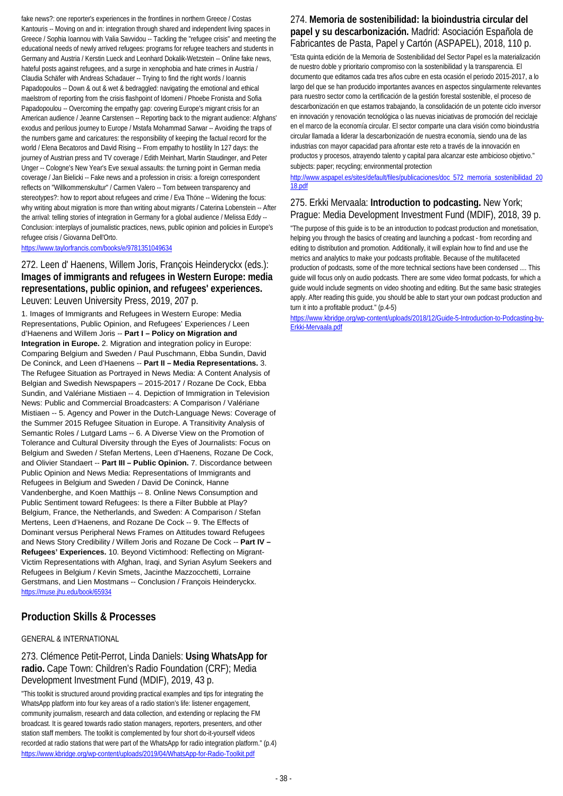fake news?: one reporter's experiences in the frontlines in northern Greece / Costas Kantouris -- Moving on and in: integration through shared and independent living spaces in Greece / Sophia Ioannou with Valia Savvidou -- Tackling the "refugee crisis" and meeting the educational needs of newly arrived refugees: programs for refugee teachers and students in Germany and Austria / Kerstin Lueck and Leonhard Dokalik-Wetzstein -- Online fake news, hateful posts against refugees, and a surge in xenophobia and hate crimes in Austria / Claudia Schäfer with Andreas Schadauer -- Trying to find the right words / Ioannis Papadopoulos -- Down & out & wet & bedraggled: navigating the emotional and ethical maelstrom of reporting from the crisis flashpoint of Idomeni / Phoebe Fronista and Sofia Papadopoulou -- Overcoming the empathy gap: covering Europe's migrant crisis for an American audience / Jeanne Carstensen -- Reporting back to the migrant audience: Afghans' exodus and perilous journey to Europe / Mstafa Mohammad Sarwar -- Avoiding the traps of the numbers game and caricatures: the responsibility of keeping the factual record for the world / Elena Becatoros and David Rising -- From empathy to hostility In 127 days: the journey of Austrian press and TV coverage / Edith Meinhart, Martin Staudinger, and Peter Unger -- Cologne's New Year's Eve sexual assaults: the turning point in German media coverage / Jan Bielicki -- Fake news and a profession in crisis: a foreign correspondent reflects on "Willkommenskultur" / Carmen Valero -- Torn between transparency and stereotypes?: how to report about refugees and crime / Eva Thöne -- Widening the focus: why writing about migration is more than writing about migrants / Caterina Lobenstein -- After the arrival: telling stories of integration in Germany for a global audience / Melissa Eddy --Conclusion: interplays of journalistic practices, news, public opinion and policies in Europe's refugee crisis / Giovanna Dell'Orto.

<https://www.taylorfrancis.com/books/e/9781351049634>

272. Leen d' Haenens, Willem Joris, François Heinderyckx (eds.): **Images of immigrants and refugees in Western Europe: media representations, public opinion, and refugees' experiences.**  Leuven: Leuven University Press, 2019, 207 p.

1. Images of Immigrants and Refugees in Western Europe: Media Representations, Public Opinion, and Refugees' Experiences / Leen d'Haenens and Willem Joris -- **Part I – Policy on Migration and Integration in Europe.** 2. Migration and integration policy in Europe: Comparing Belgium and Sweden / Paul Puschmann, Ebba Sundin, David De Coninck, and Leen d'Haenens -- **Part II – Media Representations.** 3. The Refugee Situation as Portrayed in News Media: A Content Analysis of Belgian and Swedish Newspapers – 2015-2017 / Rozane De Cock, Ebba Sundin, and Valériane Mistiaen -- 4. Depiction of Immigration in Television News: Public and Commercial Broadcasters: A Comparison / Valériane Mistiaen -- 5. Agency and Power in the Dutch-Language News: Coverage of the Summer 2015 Refugee Situation in Europe. A Transitivity Analysis of Semantic Roles / Lutgard Lams -- 6. A Diverse View on the Promotion of Tolerance and Cultural Diversity through the Eyes of Journalists: Focus on Belgium and Sweden / Stefan Mertens, Leen d'Haenens, Rozane De Cock, and Olivier Standaert -- **Part III – Public Opinion.** 7. Discordance between Public Opinion and News Media: Representations of Immigrants and Refugees in Belgium and Sweden / David De Coninck, Hanne Vandenberghe, and Koen Matthijs -- 8. Online News Consumption and Public Sentiment toward Refugees: Is there a Filter Bubble at Play? Belgium, France, the Netherlands, and Sweden: A Comparison / Stefan Mertens, Leen d'Haenens, and Rozane De Cock -- 9. The Effects of Dominant versus Peripheral News Frames on Attitudes toward Refugees and News Story Credibility / Willem Joris and Rozane De Cock -- **Part IV – Refugees' Experiences.** 10. Beyond Victimhood: Reflecting on Migrant-Victim Representations with Afghan, Iraqi, and Syrian Asylum Seekers and Refugees in Belgium / Kevin Smets, Jacinthe Mazzocchetti, Lorraine Gerstmans, and Lien Mostmans -- Conclusion / François Heinderyckx. <https://muse.jhu.edu/book/65934>

## **Production Skills & Processes**

### GENERAL & INTERNATIONAL

273. Clémence Petit-Perrot, Linda Daniels: **Using WhatsApp for radio.** Cape Town: Children's Radio Foundation (CRF); Media Development Investment Fund (MDIF), 2019, 43 p.

"This toolkit is structured around providing practical examples and tips for integrating the WhatsApp platform into four key areas of a radio station's life: listener engagement, community journalism, research and data collection, and extending or replacing the FM broadcast. It is geared towards radio station managers, reporters, presenters, and other station staff members. The toolkit is complemented by four short do-it-yourself videos recorded at radio stations that were part of the WhatsApp for radio integration platform." (p.4) <https://www.kbridge.org/wp-content/uploads/2019/04/WhatsApp-for-Radio-Toolkit.pdf>

## 274. **Memoria de sostenibilidad: la bioindustria circular del papel y su descarbonización.** Madrid: Asociación Española de Fabricantes de Pasta, Papel y Cartón (ASPAPEL), 2018, 110 p.

"Esta quinta edición de la Memoria de Sostenibilidad del Sector Papel es la materialización de nuestro doble y prioritario compromiso con la sostenibilidad y la transparencia. El documento que editamos cada tres años cubre en esta ocasión el periodo 2015-2017, a lo largo del que se han producido importantes avances en aspectos singularmente relevantes para nuestro sector como la certificación de la gestión forestal sostenible, el proceso de descarbonización en que estamos trabajando, la consolidación de un potente ciclo inversor en innovación y renovación tecnológica o las nuevas iniciativas de promoción del reciclaje en el marco de la economía circular. El sector comparte una clara visión como bioindustria circular llamada a liderar la descarbonización de nuestra economía, siendo una de las industrias con mayor capacidad para afrontar este reto a través de la innovación en productos y procesos, atrayendo talento y capital para alcanzar este ambicioso objetivo." subjects: paper; recycling; environmental protection

[http://www.aspapel.es/sites/default/files/publicaciones/doc\\_572\\_memoria\\_sostenibilidad\\_20](http://www.aspapel.es/sites/default/files/publicaciones/doc_572_memoria_sostenibilidad_2018.pdf) [18.pdf](http://www.aspapel.es/sites/default/files/publicaciones/doc_572_memoria_sostenibilidad_2018.pdf)

## 275. Erkki Mervaala: **Introduction to podcasting.** New York; Prague: Media Development Investment Fund (MDIF), 2018, 39 p.

"The purpose of this guide is to be an introduction to podcast production and monetisation, helping you through the basics of creating and launching a podcast - from recording and editing to distribution and promotion. Additionally, it will explain how to find and use the metrics and analytics to make your podcasts profitable. Because of the multifaceted production of podcasts, some of the more technical sections have been condensed .... This guide will focus only on audio podcasts. There are some video format podcasts, for which a guide would include segments on video shooting and editing. But the same basic strategies apply. After reading this guide, you should be able to start your own podcast production and turn it into a profitable product." (p.4-5)

[https://www.kbridge.org/wp-content/uploads/2018/12/Guide-5-Introduction-to-Podcasting-by-](https://www.kbridge.org/wp-content/uploads/2018/12/Guide-5-Introduction-to-Podcasting-by-Erkki-Mervaala.pdf)[Erkki-Mervaala.pdf](https://www.kbridge.org/wp-content/uploads/2018/12/Guide-5-Introduction-to-Podcasting-by-Erkki-Mervaala.pdf)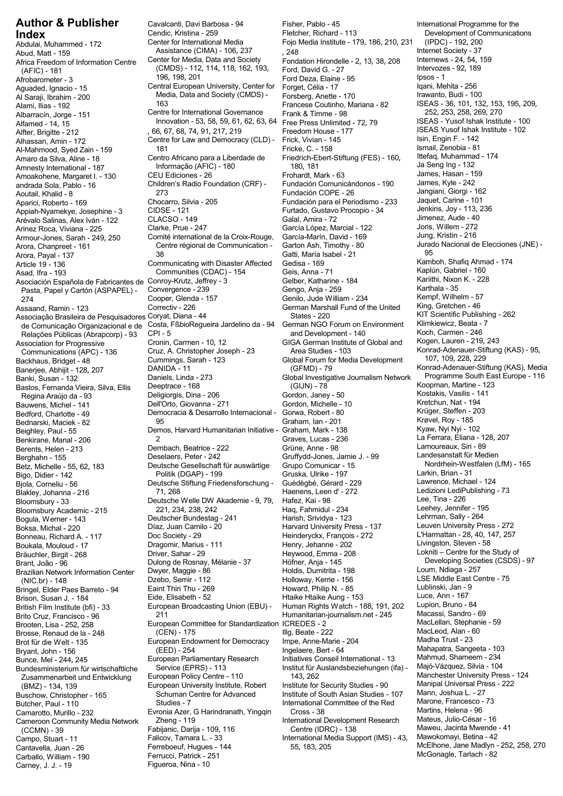Abud, Matt - 159 Assistance (CIMA) - 106, 237 , 248<br>Africa Execdom of Information Centre Center for Media, Data and Society Fondation Hirondelle - 2 13 38 208 Internews - 24, 54, 159 Africa Freedom of Information Centre Center for Media, Data and Society Fondation Hirondelle - 2, 13, 38, 208 Internews - 24, 54, 1<br>(AFIC) - 181 (CMDS) - 112, 114, 118, 162, 193, Ford. David G. - 27 Intervozes - 92, 189 (CMDS) - 112, 114, 118, 162, 193,<br>Afrobarometer - 3 196, 198, 201 Ford, David G. - 27 Intervoze Afrobarometer - 3 196, 198, 201 Ford Deza, Elaine - 95 Ipsos - 1<br>Aguaded, Ignacio - 15 Central European University, Center for Forget, Célia - 17 Igani, Mehita - 256 Media, Data and Society (CMDS) - Forsberg, Anette - 170<br>Al Saraji, Ibrahim - 200 163 163 - 100 - 100 - 100 - Francese Coutinho, Mariana - 82 Al Salaji, Iblahim - 200<br>Alami, Ilias - 192 163 163<br>Albarracín, Jorge - 151 163 Francese Coutinho, Mariana - 82 ISEAS - 36, 101, 132, 153, 195, 209,<br>Albarracín, Jorge - 151 Centre for International Governance Frank & Timme Alfamed - 14, 15<br>
Alfamed - 14, 15<br>
Alfter, Brigitte - 212 <br>
20, 66, 67, 68, 74, 91, 217, 219 Freedom House - 177 Alfter, British House - 14, 19, 2008, 66, 67, 68, 74, 91, 217, 219<br>Alfter, Brigitte - 212 (SEAS Yusof Ishak Institute - 102<br>Alhassan, Amin - 172 Centre for Law and Democracy (CLD) - Frick, Vivian - 145 Isin, Engin F. - 142 Al-Mahmood, Syed Zain - 159 181 Fricke, C. - 158 Ismail, Zenobia - 81 Informação (AFIC) - 180 180, 181 Ja Seng Ing - 132 Amnesty International - 187 Amoakohene, Margaret I. - 130 CEU Ediciones - 26 Frohardt, Mark - 63 James, Hasan - 159 Children's Radio Foundation (CRF) - Fundación Comunicándonos - 190 James, Kyle - 242 andrada Sola, Pablo - 16 - Carra, Chocarro, Silvia - 205 Fundación para el Periodismo - 233 daquet, Carine - 101<br>Appiah-Nyamekye, Josephine - 3 CIDSE - 121 Fundación para el Periodismo - 34 Jenkins, Joy - 113, 236 Arévalo Salinas, Alex Iván - 122 CLACSO - 149 Galal, Amira - 72 Jimenez, Aude - 40<br>Arinez Roca, Viviana - 225 Clarke, Prue - 247 García López, Marcial - 122 Joris, Willem - 272 Arinez Roca, Viviana - 225 Clarke, Prue - 247 García López, Marcial - 122 Joris, Willem - 272 Comité international de la Croix-Rouge, García-Marín, David - 169 Jung, Kristin - 216 Armour-Jones, Sarah - 249, 250 Arora, Chanpreet - 161 Centre régional de Communication - Garton Ash, Timothy - 80 Jurado Jurado Nacional de Communication - Garton Ash, Timothy - 80 Jurado Jurado 195<br>195 - 137 Jurado Nacional de Communication - Garti, Ma Article 19 - 136 Communicating with Disaster Affected Gedisa - 169 Kamboh, Shafiq Ahmad - 160 Kamboh, Shafiq Ahm<br>Asad, Ifra - 193 Communities (CDAC) - 154 Geis, Anna - 71 Kaplún, Gabriel - 160 Asociación Española de Fabricantes de Conroy-Krutz, Jeffrey - 3 Gelber, Katharine - 184 Kariithi, Nixon Kariithi, Nixon Kariithi, Nixon Kariithi, Nixon Kariithi, Nixon K. - 239 Karthala - 35 Karthala - 35 Karthala - 35 Kar Pasta, Papel y Cartón (ASPAPEL) - Convergence - 239 Gengo, Anja - 259 Karthala - 35 Cooper, Glenda - 157 (Cooper, Glenda - 157 (Cooper, Glenda - 157 (Cooper, Glenda - 157 (Cooper, Glenda - 157 (<br>274 Correctiv - 226 (Correctiv - 226 (Cerman Marshall Fund of the United King, Gretchen - 46 (Correctiv - 226 Associação Brasileira de Pesquisadores Coryat, Diana - 44 States - 220 Kites - 220 KIT Scientific Publishing -<br>1 de Comunicação Organizacional e de Costa, FßbioRequeira Jardelino da - 94 German NGO Forum on Environment Kli de Comunicação Organizacional e de Costa, FßbioRegueira Jardelino da - 94 German NGO Forum on Environment Klimkiewicz, Beata -<br>Relações Públicas (Abrapcorp) - 93 CPI - 5 de compositor de Compositional de Compositor - 746 Relações Públicas (Abrapcorp) - 93 CPI - 5 and Development - 140 Koch, Carmen - 246<br>Association for Progressive Cronin, Carmen - 10, 12 GIGA German Institute of Global and Kogen, Lauren - 219, 243 Communications (APC) - 136 Cruz, A. Christopher Joseph - 23 Area Studies - 103 Konrad-Adenauer-Stiftung (APC) - 136<br>Backhaus, Bridget - 48 Cummings, Sarah - 123 Global Forum for Media Development 107, 109, 228, 229 Backhaus, Bridget - 48 Cummings, Sarah - 123 Global Forum for Media Development<br>Banerjee, Abhijit - 128, 207 DANIDA - 11 (GFMD) - 79 Backridus, Bridget - 40<br>Banerjee, Abhijit - 128, 207 DANIDA - 11 (GFMD) - 79 Konrad-Adenauer-Stiftung (KAS), Media<br>Banki, Susan - 132 Daniels, Linda - 273 Global Investigative Journalism Network Programme South East Europe Bastos, Fernanda Vieira, Silva, Ellis Deeptrace - 168 (GIJN) - 78 Koopman, Martine - 123 Regina Araújo da - 93 <sup>de</sup> deligiorgis, Dina - 206 de de Gordon, Janey - 50 de groupo - Kostakis, Vasilis - 141<br>Ali wens Michel - 141 de de Dell'Orto, Giovanna - 271 de Gordon, Michelle - 10 de groupo - Kretchun, Nat - 194 Bauwens, Michel - 141 **Dell'Orto, Giovanna - 271 Gordon, Michelle - 10** Kretchun, Nat - 194<br>Bedford, Charlotte - 49 **Democracia & Desarrollo Internacional** - Gorwa, Robert - 80 Krüger, Steffen - 203 Bednarski, Maciek - 82 95 Graham, Ian - 201 Krøvel, Roy - 185 Beighley, Paul - 55 **Demos, Harvard Humanitarian Initiative - Graham**, Mark - 138 Benkirane, Manal - 206 2 Benkirane, Manal - 206 2 Graves, Lucas - 236 La Ferrara, Eliana - 128, 207 Berghahn - 155 Deselaers, Peter - 242 Gruffydd-Jones, Jamie J. - 99 Landesanstalt für Medien Betz, Michelle - 55, 62, 183 Deutsche Gesellschaft für auswärtige Grupo Comunicar - 15 Nordrhein-Wester (Lifem<br>Bigo Didier - 142 Folitik (DGAP) - 199 Gruska, Ulrike - 197 Larkin, Brian - 31 Bigo, Didier - 142 Politik (DGAP) - 199 Gruska, Ulrike - 197 Larkin, Brian - 31 Deutsche Stiftung Friedensforschung - Guèdègbé, Gérard - 229 Lawrence, Michael - 124 Bjola, Corneliu - 56 Blakley, Johanna - 216 71, 268 Haenens, Leen d' - 272 Ledizioni LediPublishing - 73<br>Blakley, Johanna - 216 71, 268 Haenens, Leen d' - 272 Ledizioni LediPublishing - 73<br>Bloomsbury - 33 Deutsche Welle DW Akademie - 9, 79, Ha Bloomsbury Academic - 215 221, 234, 238, 242 Haq, Fahmidul - 234 Leehey, Jennifer - 195 Bogula, Werner - 143 Deutscher Bundestag - 241 Harish, Srividya - 123 Lehrman, Sally - 264<br>Boksa, Michal - 220 Díaz, Juan Camilo - 20 Harvard University Press - 137 Leuven Universi Boksa, Michal - 220 Díaz, Juan Camilo - 20 Harvard University Press - 137 Leuven University Press - 272 Boukala, Mouloud - 17 Dragomir, Marius - 111 Henry, Jehanne - 202 Livingston, Steven - 58 Driver, Sahar - 29 Heywood, Emma - 208 Lokniti – Centre for the Study of<br>Bräuchler, Birgit - 268 Driver, Sahar - 29 Heywood, Emma - 208 Lokniti – Centre for the Study of<br>Brant João - 96 Dulong de Rosnay, Mélanie - 37 Höfne Brazilian Network Information Center Dwyer, Maggie - 86 Holdis, Dumitrita - 198 Loum, Ndiaga - 257<br>(NIC.br) - 148 Dzebo, Semir - 112 Holloway, Kerrie - 156 LSE Middle East Centre Dzebo, Semir - 112 Holloway, Kerrie - 156 LSE Middle East Centre - 75 (NIC.br) - 148 Eaint Thiri Thu - 269 Howard, Philip N. - 85 Lublinski, Jan - 9 Bringel, Elder Paes Barreto - 94 Brison, Susan J. - 184 Eide, Elisabeth - 52 Htaike Htaike Aung - 153 Luce, Ann - 167 British Film Institute (bfi) - 33 European Broadcasting Union (EBU) - Human Rights Watch - 188, 191, 202 Lupion, Bruno - 84 Brito Cruz, Francisco - 96 211 Humanitarian-journalism.net - 245 Macassi, Sandro - 69 Brosse, Renaud de la - 248 (CEN) - 175 Illg, Beate - 222 MacLeod, Alan - 60 Brot für die Welt - 135 European Endowment for Democracy Impe, Anne-Marie -<br>Bryant, John - 156 Madha Trust - 254 (EED) - 254 elt - 136 elt - 136 Bryant, John - 156 (EED) - 254 Ingelaere, Bert - 64 Mahapatra, Sangeeta - 103<br>Bryant, John - 156 (EED) - 254 (EED) - 254 Ingelaere, Bert - 64 Mahapatra, Sangeeta - 103 European Parliamentary Research Initiatives Conseil International - 13 Mahmud, Shameem - 234<br>Bundesministerium für wirtschaftliche Service (EPRS) - 113 Institut für Auslandsbeziehungen (ifa) - Majó-Vázquez, Silvia - 104 Bundesministerium für wirtschaftliche Service (EPRS) - 113 Institut für Auslandsbeziehungen (ifa) - Majó-Vázquez, Silvia - 104 European Policy Centre - 110 143, 262 Manchester University Press - 222 Manchester University Press - 222 Zusammenarbeit und Entwicklung European University Institute, Robert Institute for Security Studies - 90 Manipal Uni European University Institute, Robert Institute for Security Studies - 90 Manipal Universal Pre (BMZ) - 134, 139<br>Buschow, Christopher - 165 Schuman Centre for Advanced Institute of South Asian Studies - 107 Mann, Joshua L. Buschow, Christopher - 165 Schuman Centre for Advanced Institute of South Asian Studies - 107 Mann, Joshua L.<br>17 Butcher, Paul - 110 Studies - 7 Buschow, Christopher Advanced International Committee of the Red Marone, Fran Camarotto, Murillo - 232 Evronia Azer, G Harindranath, Yingqin Cross - 38 Martins, Helena - 96 Cameroon Community Media Network Zheng - 119 International Development Research Mateus, Julio-César - 16<br>CCMN) - 39 International Development Research Mateus, Julio-César - 16 International Development Research Mate CCMN) - 39 (CCMN) - 39 (CCMN) - Fabijanic, Darija - 109, 116 (Centre (IDRC) - 138 Maweu, Jacinta Mwende<br>Campo Stuart - 11 (Falicov, Tamara L. - 33 (Free Americanal Media Support (IMS) - 43, Mawokomayi, Betina - 42 Cantavella, Juan - 26 Ferreboeuf, Hugues - 144 Ferreboeuf, Hugues - 144 55, 183, 205 McElhone, Jane Madlyn - 252, 258, 270<br>Carballo William - 190 Ferrucci, Patrick - 251 Ferreboeuf, Hugues - 144 55, 183, 205 McGonagle, Tar Carballo, William - 190 Ferrucci, Patrick - 2<br>Carney J. J. - 190 Figueroa, Nina - 10

Carney, J. J. - 19

Index Development of Communications Cendic, Kristina - 259 Fletcher, Richard - 113 Development of Communications<br>Abdulai, Muhammed - 172 Center for International Media Fojo Media Institute - 179, 186, 210, 231 (IPDC) - 192 Central European University, Center for Forget, Célia - 17 Iqani, Mehita - 256<br>Media, Data and Society (CMDS) - Forsberg, Anette - 170 Irawanto, Budi - 100 Centre for International Governance<br>
Frank & Timme - 98 252, 253, 258, 269, 270<br>
Innovation - 53, 58, 59, 61, 62, 63, 64 Free Press Unlimited - 72, 79 ISEAS - Yusof Ishak Institute - 100 Centre for Law and Democracy (CLD) - Frick, Vivian - 145 Isin, Engin F. - 142<br>181 Ismail, Zenobia - 81 Fricke, C. - 158 Ismail, Zenobia - 81 . . . . . .<br>Informação (AFIC) - 180 Friedrich-Ebert-Stiftung (FES) - 160, Ittefaq, Muhamma<br>Informação (AFIC) - 180 - 180, 181 Aoutail, Khalid - 8 273 Fundación COPE - 26 Jangiani, Giorgi - 162 Appiah-Nyamekye, Josephine - 3 CIDSE - 121 Furtado, Gustavo Procopio - 34 Jenkins, Joy - 113, 236 Communities (CDAC) - 154 Geis, Anna - 71 Kaplún, Gabriel - 160<br>228 - The Marithi, Interversity of the Selber, Katharine - 184 Daniels, Linda - 273 Global Investigative Journalism Network Programme South Ea<br>23 Eveptrace - 168 Global Investigative Journalism Network Koopman, Martine Democracia & Desarrollo Internacional - Gorwa, Robert - 80 Krüger, Steffen - 203 Bedford, Charlotte - 49 Dernbach, Beatrice - 222 Grüne, Anne - 98 Lamoureaux, Siri - 89 Berents, Helen - 213 Bloomsbury - 33 Deutsche Welle DW Akademie - 9, 79, Hafez, Kai - 98 Lee, Tina - 226 Boc Society - 29 **heinderyckx, François - 272** L'Harmattan - 28, 40, 19<br>Bragomir, Marius - 111 Henry, Jehanne - 202 Brant, Mélanie - 97 Höfner, Anja - 145 Developing Societies (CSD) - 96 Developing Societies (Dulong de Rosnay,<br>Brantis (Corns, Naggie - 86 Developing Societies (CSD) - 98<br>Developing Societies (Dulong Holdis, Dumitrita - 19 European Committee for Standardization ICREDES - 2 MacLellan, Stephan<br>60 MacLeod, Alan - 60 Illg, Beate - 222 Falicov, Tamara L. - 33 International Media Support (IMS) - 43,<br>Ferreboeuf, Hugues - 144 55, 183, 205

**Author & Publisher** Cavalcanti, Davi Barbosa - 94 Fisher, Pablo - 45 International Programme for the Uniternational Programme for the Uniternational Programme for the Uniternational Programme for the Centrational Programm Abdia Institute - 179, 186, 210, 231 (IPDC) - 192, 200<br>137 - Internet Society - 179, 186, 210, 231 Arora, Payal - 137 38 Gatti, María Isabel - 21 95 German Marshall Fund of the United King, Gretchen - 46<br>States - 220 King, Greentific Publishing - 262 International Committee of the Red Marone, Francesco -<br>Cross - 38 Martins, Helena - 96

CIGA German Institute of Global and Kogen, Lauren - 219, 243<br>Area Studies - 103 Konrad-Adenauer-Stiftung (KAS) - 95,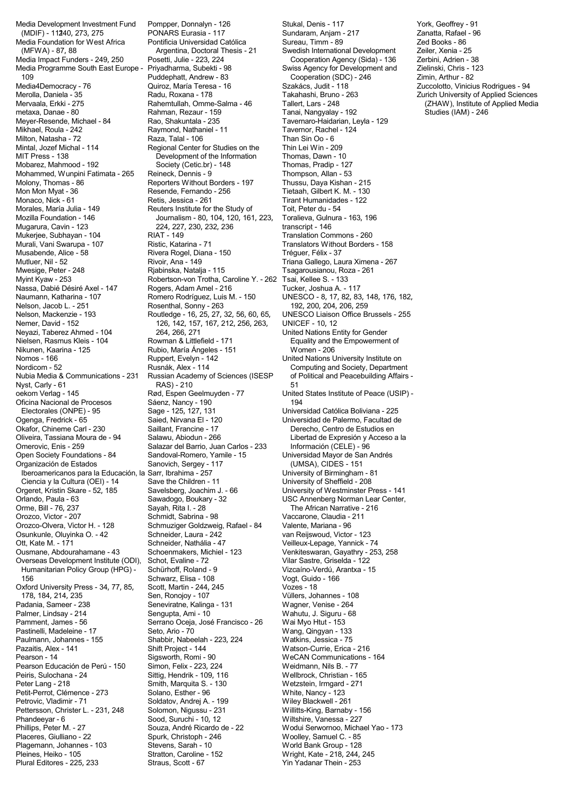Media Development Investment Fund Pompper, Donnalyn - 126 Stukal, Denis - 117 York, Geoffrey - 91<br>99 MMDIF) - 11240, 273, 275 PONARS Eurasia - 117 Sundaram, Anjam - 217 Zanatta, Rafael - 96 (MDIF) - 111240, 273, 275 PONARS Eurasia - 117 Sundaram, Anjam - 217 Zanatta, Rafael - 96 Media Foundation for West Africa Pontificia Universidad Católica Sureau, Timm - 89 Zed Books - 86 Zed Books - 86<br>25 Argentina. Doctoral Thesis - 21 Swedish International Development Zeiler. Xenia - 25 Media Impact Funders - 249, 250 Posetti, Julie - 223, 224 Cooperation Agency (Sida) - 136 Zerbini, Adrien - 38<br>261 Media Programme South East Europe - Priyadharma, Subekti - 98 Swiss Agency for Development and Zielinski, C Media Programme South East Europe - Priyadharma, Subekti - 98 Swiss Agency for Development and Zielinski, Chris - 12<br>Puddephatt, Andrew - 83 Cooperation (SDC) - 246 Zimin, Arthur - 82 109 Puddephatt, Andrew - 83 Cooperation (SDC) - 246 Zimin, Arthur - 82 Merolla, Daniela - 35 Radu, Roxana - 178 Takahashi, Bruno - 263 Zurich University of Applied Sciences Mervaala, Erkki - 275 Rahemtullah, Omme-Salma - 46 Tallert, Lars - 248 (ZHAW), Institute of Applied Media Meyer-Resende, Michael - 84 Rao, Shakuntala - 235 Tavernaro-Haidarian, Leyla - 129<br>Mikhael, Roula - 242 Raymond, Nathaniel - 11 Tavernor, Rachel - 124 Mikhael, Roula - 242 Raymond, Nathaniel - 11 Tavernor, Rachel - 124 Milton, Natasha - 72 Mintal, Jozef Michal - 114 Regional Center for Studies on the Thin Lei Win - 209 MIT Press - 138 **Development of the Information** Thomas, Dawn - 10<br>Mobarez. Mahmood - 192 **Development Cetic.br**) - 148 **Thomas. Pradip - 127** Mohammed, Wunpini Fatimata - 265 Reineck, Dennis - 9 Thompson, Allan - 53<br>Molony, Thomas - 86 Reporters Without Borders - 197 Thussu, Daya Kishan - 215 Molony, Thomas - 86 Reporters Without Borders - 197<br>Mon Mon Myat - 36 Resende, Fernando - 256 Mon Mon Myat - 36 Resende, Fernando - 256 Tietaah, Gilbert K. M. - 130 Morales, María Julia - 149 Reuters Institute for the Study of Toit, Peter du - 54 Mozilla Foundation - 146 Journalism - 80, 104, 120, 161, 223, Toralieva, Gulnura - 163, 196 Mugarura, Cavin - 123 224, 227, 230, 232, 236 transcript - 146 Murali, Vani Swarupa - 107 Ristic, Katarina - 71 Translators Without Borders - 158 Musabende, Alice - 58 **Rivera Rogel, Diana - 150** Tréguer, Félix - 37 Mutluer, Nil - 52 Rivoir, Ana - 149 Triana Gallego, Laura Ximena - 267 Mwesige, Peter - 248 **Rjabinska, Natalja - 115** Tsagarousianou, Roza - 261<br>Myint Kyaw - 253 **Robertson-von Trotha, Caroline Y. - 262** Tsai, Kellee S. - 133 Nassa, Dabié Désiré Axel - 147 Rogers, Adam Amel - 216 Tucker, Joshua A. - 117<br>Naumann, Katharina - 107 Romero Rodríguez, Luis M. - 150 UNESCO - 8, 17, 82, 83 Naumann, Katharina - 107 Romero Rodríguez, Luis M. - 150 UNESCO - 8, 17, 82, 83, 148, 176, 182, Nelson, Jacob L. - 251 Rosenthal, Sonny - 263<br>
Nelson, Mackenzie - 193 Routledge - 16, 25, 27, 32, 56, 60, 65, Nemer, David - 152 126, 142, 157, 167, 212, 256, 263, UNICEF - 10, 12 Nielsen, Rasmus Kleis - 104 Rowman & Littlefield - 171 Equality and the Empowerment of Nikunen, Kaarina - 125 Rubio, María Ángeles - 151 Women - 206 Nordicom - 52 **Rusnák, Alex - 114** Computing and Society, Department<br>Nubia Media & Communications - 231 Russian Academy of Sciences (ISESP of Political and Peacebuilding Affairs -Nyst, Carly - 61 RAS) - 210 51 oekom Verlag - 145 Rød, Espen Geelmuyden - 77 United States Institute of Peace (USIP) - Oficina Nacional de Procesos Sáenz, Nancy - 190<br>Electorales (ONPE) - 95 Sage - 125, 127, 131 Univer Electorales (ONPE) - 95 Sage - 125, 127, 131 Universidad Católica Boliviana - 225 Okafor, Chineme Carl - 230 Saillant, Francine - 17 Derecho, Centro de Estudios en Oliveira, Tassiana Moura de - 94 Salawu, Abiodun - 266 Libertad de Expresión y Acceso Oliveira, Tassiana Moura de - 94 Salawu, Abiodun - 266 Libertad de Expresión y Acceso a la<br>Omerovic, Enis - 259 Salazar del Barrio, Juan Carlos - 233 Información (CELE) - 96 Open Society Foundations - 84 Sandoval-Romero, Yamile - 15 Universidad Mayor de San Andrés<br>Organización de Estados Sanovich, Sergey - 117 (UMSA), CIDES - 151 Organización de Estados Sanovich, Sergey - 117 (UMSA), CIDES - 151 Iberoamericanos para la Educación, la Sarr, Ibrahima - 257 University of Birmingham - 8<br>Ciencia y la Cultura (OEI) - 14 Save the Children - 11 University of Sheffield - 208 Ciencia y la Cultura (OEI) - 14 Save the Children - 11<br>Orgeret, Kristin Skare - 52, 185 Savelsberg, Joachim J. - 66 Orgeret, Kristin Skare - 52, 185 Savelsberg, Joachim J. - 66 University of Westminster Press - 141<br>Orlando, Paula - 63 Sawadogo, Boukary - 32 USC Annenberg Norman Lear Center, Orlando, Paula - 63 Sawadogo, Boukary - 32 USC Annenberg Norman Lear Center, Orozco, Victor - 207 Schmidt, Sabrina - 98 Vaccarone, Claudia - 211 Osunkunle, Oluyinka O. - 42 Schneider, Laura - 242 van Reijswoud, Victor - 123 Ott, Kate M. - 171 **Schneider, Nathália - 47** Veilleux-Lepage, Yannick - 74<br>Ousmane, Abdourahamane - 43 Schoenmakers, Michiel - 123 Venkiteswaran, Gayathry - 25 Overseas Development Institute (ODI), Schot, Evaline - 72<br>Humanitarian Policy Group (HPG) - Schürhoff, Roland - 9 Humanitarian Policy Group (HPG) - Schürhoff, Roland - 9 Vizcaíno-Verdú, Arantxa - 15 156 156 Schwarz, Elisa - 108 Vogt, Guido - 166<br>166 Xford University Press - 34, 77, 85, Scott, Martin - 244, 245 Oxford University Press - 34, 77, 85,<br>178, 184, 214, 235 178, 184, 214, 235 Sen, Ronojoy - 107 Vüllers, Johannes - 108 Padania, Sameer - 238 Seneviratne, Kalinga - 131<br>Palmer, Lindsav - 214 Sengupta, Ami - 10 Pamment, James - 56 Serrano Oceja, José Francisco - 26 Wai Myo Htut - 153 Pastinelli, Madeleine - 17 Seto, Ario - 70 Wang, Qingyan - 133 Pazaitis, Alex - 141 **Shift Project - 144** Watson-Currie, Erica - 216<br>Pearson - 14 **Sigsworth, Romi - 90** WeCAN Communications -Pearson Educación de Perú - 150 Simon, Felix - 223, 224<br>Peiris, Sulochana - 24 Sittig, Hendrik - 109, 116 Peter Lang - 218 Smith, Marquita S. - 130 Wetzstein, Irmgard - 271 Petit-Perrot, Clémence - 273 Solano, Esther - 96 White, Nancy - 123 Petrovic, Vladimir - 71 Soldatov, Andrej A. - 199 Wiley Blackwell - 261 Pettersson, Christer L. - 231, 248 Solomon, Nigussu - 231 Willitts-King, Barnaby - 156<br>Phandeeyar - 6 Sood, Suruchi - 10, 12 Wiltshire, Vanessa - 227 Phandeeyar - 6 Sood, Suruchi - 10, 12 Wiltshire, Vanessa - 227<br>Phillips, Peter M. - 27 Souza, André Ricardo de - 22 Wodui Serwornoo, Micha Placeres, Giulliano - 22 Spurk, Christoph - 246 Woolley, Samuel C. - 85 Plagemann, Johannes - 103 Stevens, Sarah - 10 World Bank Group - 128 Pleines, Heiko - 105 Stratton, Caroline - 152 Wright, Kate - 218, 244, 245 Plural Editores - 225, 233 Straus, Scott - 67 Yin Yadanar Thein - 253

metaxa, Rezaur - 159 Fanai, Nangyalay - 192 Rao, Shakuntala - 235 Fanai, Tavernaro-Haidarian, Louis Society (Cetic.br) - 148 Robertson-von Trotha, Caroline Y. - 262 Tsai, Kellee S. - 133<br>Rogers, Adam Amel - 216 Tucker, Joshua A. -Russian Academy of Sciences (ISESP Salazar del Barrio, Juan Carlos - 233 Información (CELE) - 96 Sayah, Rita I. - 28 The African Narrative - 216 Schmuziger Goldzweig, Rafael - 84 Valente, Mariana - 96 Schoenmakers, Michiel - 123 Venkiteswaran, Gayathry - 253, 258<br>Schot, Evaline - 72 Vilar Sastre, Griselda - 122 Shabbir, Nabeelah - 223, 224<br>Shift Project - 144 Sigsworth, Romi - 90 WeCAN Communications - 164<br>
Simon, Felix - 223, 224 Weidmann, Nils B. - 77

Argentina, Doctoral Thesis - 21 Swedish International Development Zeiler, Xenia - 25<br>Posetti, Julie - 223, 224 Cooperation Agency (Sida) - 136 Zerbini, Adrien - 38 Quiroz, María Teresa - 16 **Democracia - Szakács, Judit - 118** *Zuccolotto, Vinicius Rodrigues - 94* Tirant Humanidades - 122 Translation Commons - 260 UNESCO Liaison Office Brussels - 255 United Nations Entity for Gender United Nations University Institute on Universidad de Palermo, Facultad de Wahutu, J. Siguru - 68 Wellbrock, Christian - 165 Wodui Serwornoo, Michael Yao - 173